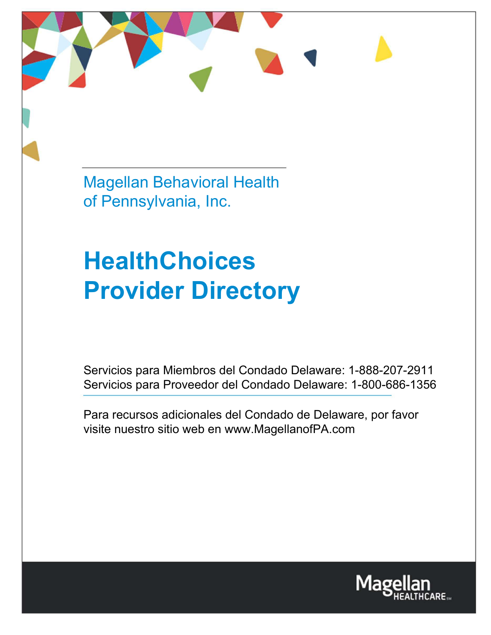Magellan Behavioral Health of Pennsylvania, Inc.

# **HealthChoices Provider Directory**

Servicios para Miembros del Condado Delaware: 1-888-207-2911 Servicios para Proveedor del Condado Delaware: 1-800-686-1356

Para recursos adicionales del Condado de Delaware, por favor visite nuestro sitio web en [www.MagellanofPA.com](http://www.magellanofpa.com/)

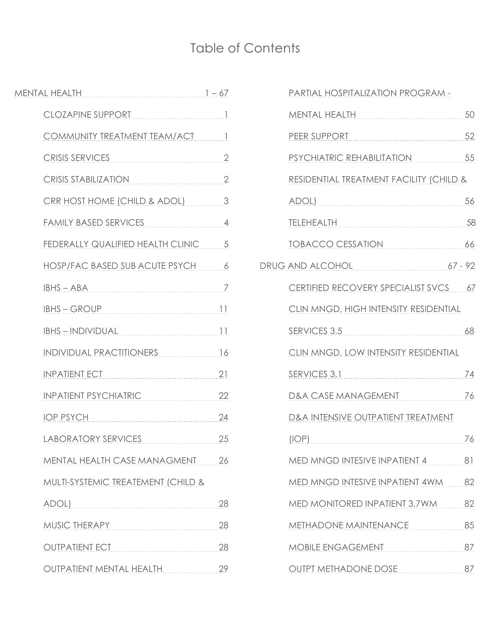# Table of Contents

| CLOZAPINE SUPPORT<br>1                                  |    |
|---------------------------------------------------------|----|
| COMMUNITY TREATMENT TEAM/ACT 1                          |    |
| CRISIS SERVICES 2                                       |    |
| CRISIS STABILIZATION 2                                  |    |
| CRR HOST HOME (CHILD & ADOL) 3                          |    |
| FAMILY BASED SERVICES 4                                 |    |
| FEDERALLY QUALIFIED HEALTH CLINIC 5                     |    |
| HOSP/FAC BASED SUB ACUTE PSYCH 6                        |    |
| $IBHS - ABA$                                            |    |
| <b>IBHS - GROUP</b>                                     |    |
| <u>IBHS - INDIVIDUAL [1]</u>                            |    |
| INDIVIDUAL PRACTITIONERS 16                             |    |
| <b>INPATIENT ECT</b>                                    |    |
| INPATIENT PSYCHIATRIC                                   | 22 |
| IOP PSYCH 24                                            |    |
| LABORATORY SERVICES                                     | 25 |
| MENTAL HEALTH CASE MANAGMENT 26                         |    |
| MULTI-SYSTEMIC TREATEMENT (CHILD &                      |    |
| ADOL)                                                   | 28 |
| MUSIC THERAPY                                           | 28 |
| <b>OUTPATIENT ECT</b><br>------------------------------ | 28 |
| <b>OUTPATIENT MENTAL HEALTH</b>                         | 29 |

| PARTIAL HOSPITALIZATION PROGRAM -             |      |
|-----------------------------------------------|------|
| MENTAL HEALTH 50                              |      |
| PEER SUPPORT 52                               |      |
| PSYCHIATRIC REHABILITATION 55                 |      |
| RESIDENTIAL TREATMENT FACILITY (CHILD &       |      |
| <u>ADOL) 56</u>                               |      |
| TELEHEALTH                                    | - 58 |
| TOBACCO CESSATION                             | 66   |
| DRUG AND ALCOHOL 67 - 92                      |      |
| CERTIFIED RECOVERY SPECIALIST SVCS 67         |      |
| CLIN MNGD, HIGH INTENSITY RESIDENTIAL         |      |
| SERVICES 3.5                                  | 68   |
| CLIN MNGD, LOW INTENSITY RESIDENTIAL          |      |
| SERVICES 3.1                                  | 74   |
| D&A CASE MANAGEMENT                           | 76   |
| <b>D&amp;A INTENSIVE OUTPATIENT TREATMENT</b> |      |
| $(IOP)$ 76                                    |      |
| MED MNGD INTESIVE INPATIENT 4<br>$\sim$ 81    |      |
| MED MNGD INTESIVE INPATIENT 4WM               | 82   |
| MED MONITORED INPATIENT 3.7WM 82              |      |
| METHADONE MAINTENANCE                         | 85   |
| MOBILE ENGAGEMENT<br>87                       |      |
| OUTPT METHADONE DOSE 87                       |      |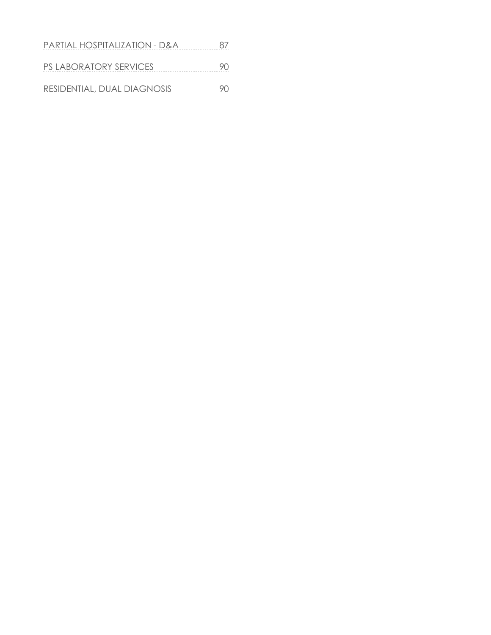| PARTIAL HOSPITALIZATION - D&A | 87 |
|-------------------------------|----|
| <b>PS LABORATORY SERVICES</b> | 90 |
| RESIDENTIAL, DUAL DIAGNOSIS   | 90 |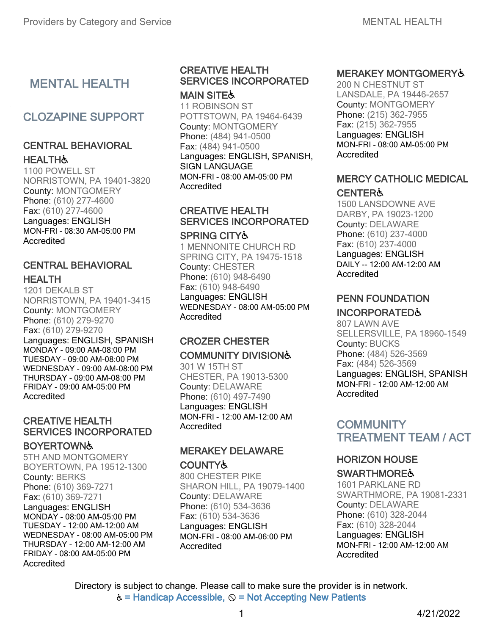# MENTAL HEALTH

# CLOZAPINE SUPPORT

## CENTRAL BEHAVIORAL **HEALTH&**

1100 POWELL ST NORRISTOWN, PA 19401-3820 County: MONTGOMERY Phone: (610) 277-4600 Fax: (610) 277-4600 Languages: ENGLISH MON-FRI - 08:30 AM-05:00 PM **Accredited** 

#### CENTRAL BEHAVIORAL **HEALTH**

1201 DEKALB ST NORRISTOWN, PA 19401-3415 County: MONTGOMERY Phone: (610) 279-9270 Fax: (610) 279-9270 Languages: ENGLISH, SPANISH MONDAY - 09:00 AM-08:00 PM TUESDAY - 09:00 AM-08:00 PM WEDNESDAY - 09:00 AM-08:00 PM THURSDAY - 09:00 AM-08:00 PM FRIDAY - 09:00 AM-05:00 PM Accredited

# CREATIVE HEALTH SERVICES INCORPORATED

#### **BOYERTOWN&**

Accredited 5TH AND MONTGOMERY BOYERTOWN, PA 19512-1300 County: BERKS Phone: (610) 369-7271 Fax: (610) 369-7271 Languages: ENGLISH MONDAY - 08:00 AM-05:00 PM TUESDAY - 12:00 AM-12:00 AM WEDNESDAY - 08:00 AM-05:00 PM THURSDAY - 12:00 AM-12:00 AM FRIDAY - 08:00 AM-05:00 PM

#### CREATIVE HEALTH SERVICES INCORPORATED **MAIN SITE&**

11 ROBINSON ST POTTSTOWN, PA 19464-6439 County: MONTGOMERY Phone: (484) 941-0500 Fax: (484) 941-0500 Languages: ENGLISH, SPANISH, SIGN LANGUAGE MON-FRI - 08:00 AM-05:00 PM **Accredited** 

## CREATIVE HEALTH SERVICES INCORPORATED

#### SPRING CITY♿

1 MENNONITE CHURCH RD SPRING CITY, PA 19475-1518 County: CHESTER Phone: (610) 948-6490 Fax: (610) 948-6490 Languages: ENGLISH WEDNESDAY - 08:00 AM-05:00 PM Accredited

#### CROZER CHESTER COMMUNITY DIVISION♿

301 W 15TH ST CHESTER, PA 19013-5300 County: DELAWARE Phone: (610) 497-7490 Languages: ENGLISH MON-FRI - 12:00 AM-12:00 AM Accredited

#### MERAKEY DELAWARE **COUNTY&**

800 CHESTER PIKE SHARON HILL, PA 19079-1400 County: DELAWARE Phone: (610) 534-3636 Fax: (610) 534-3636 Languages: ENGLISH MON-FRI - 08:00 AM-06:00 PM Accredited

## MERAKEY MONTGOMERY♿

200 N CHESTNUT ST LANSDALE, PA 19446-2657 County: MONTGOMERY Phone: (215) 362-7955 Fax: (215) 362-7955 Languages: ENGLISH MON-FRI - 08:00 AM-05:00 PM **Accredited** 

#### MERCY CATHOLIC MEDICAL **CENTER&**

1500 LANSDOWNE AVE DARBY, PA 19023-1200 County: DELAWARE Phone: (610) 237-4000 Fax: (610) 237-4000 Languages: ENGLISH DAILY -- 12:00 AM-12:00 AM **Accredited** 

## PENN FOUNDATION

#### INCORPORATED♿

807 LAWN AVE SELLERSVILLE, PA 18960-1549 County: BUCKS Phone: (484) 526-3569 Fax: (484) 526-3569 Languages: ENGLISH, SPANISH MON-FRI - 12:00 AM-12:00 AM **Accredited** 

## **COMMUNITY** TREATMENT TEAM / ACT

## HORIZON HOUSE

## **SWARTHMORE&**

1601 PARKLANE RD SWARTHMORE, PA 19081-2331 County: DELAWARE Phone: (610) 328-2044 Fax: (610) 328-2044 Languages: ENGLISH MON-FRI - 12:00 AM-12:00 AM Accredited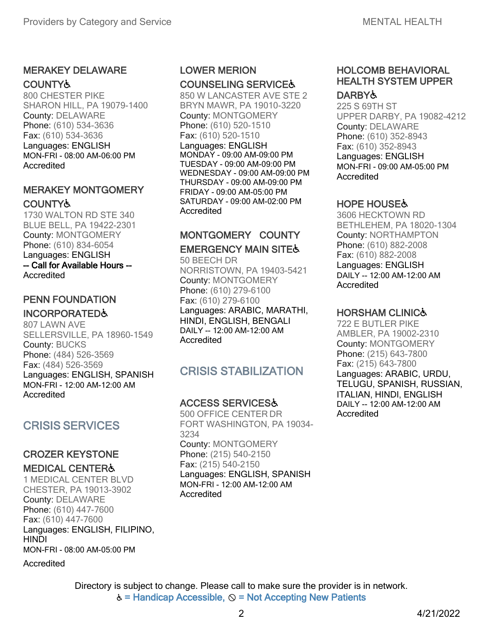## MERAKEY DELAWARE **COUNTY&**

800 CHESTER PIKE SHARON HILL, PA 19079-1400 County: DELAWARE Phone: (610) 534-3636 Fax: (610) 534-3636 Languages: ENGLISH MON-FRI - 08:00 AM-06:00 PM Accredited

## MERAKEY MONTGOMERY **COUNTY&**

1730 WALTON RD STE 340 BLUE BELL, PA 19422-2301 County: MONTGOMERY Phone: (610) 834-6054 Languages: ENGLISH -- Call for Available Hours -- Accredited

## PENN FOUNDATION

#### INCORPORATED♿

807 LAWN AVE SELLERSVILLE, PA 18960-1549 County: BUCKS Phone: (484) 526-3569 Fax: (484) 526-3569 Languages: ENGLISH, SPANISH MON-FRI - 12:00 AM-12:00 AM Accredited

# CRISIS SERVICES

#### CROZER KEYSTONE MEDICAL CENTER♿

1 MEDICAL CENTER BLVD CHESTER, PA 19013-3902 County: DELAWARE Phone: (610) 447-7600 Fax: (610) 447-7600 Languages: ENGLISH, FILIPINO, HINDI MON-FRI - 08:00 AM-05:00 PM

Accredited

# LOWER MERION COUNSELING SERVICE♿

850 W LANCASTER AVE STE 2 BRYN MAWR, PA 19010-3220 County: MONTGOMERY Phone: (610) 520-1510 Fax: (610) 520-1510 Languages: ENGLISH MONDAY - 09:00 AM-09:00 PM TUESDAY - 09:00 AM-09:00 PM WEDNESDAY - 09:00 AM-09:00 PM THURSDAY - 09:00 AM-09:00 PM FRIDAY - 09:00 AM-05:00 PM SATURDAY - 09:00 AM-02:00 PM **Accredited** 

# MONTGOMERY COUNTY

#### **EMERGENCY MAIN SITE&**

50 BEECH DR NORRISTOWN, PA 19403-5421 County: MONTGOMERY Phone: (610) 279-6100 Fax: (610) 279-6100 Languages: ARABIC, MARATHI, HINDI, ENGLISH, BENGALI DAILY -- 12:00 AM-12:00 AM **Accredited** 

# CRISIS STABILIZATION

#### ACCESS SERVICES♿

500 OFFICE CENTER DR FORT WASHINGTON, PA 19034- 3234 County: MONTGOMERY Phone: (215) 540-2150 Fax: (215) 540-2150 Languages: ENGLISH, SPANISH MON-FRI - 12:00 AM-12:00 AM **Accredited** 

#### HOLCOMB BEHAVIORAL HEALTH SYSTEM UPPER DARBY♿

#### 225 S 69TH ST UPPER DARBY, PA 19082-4212 County: DELAWARE Phone: (610) 352-8943 Fax: (610) 352-8943 Languages: ENGLISH MON-FRI - 09:00 AM-05:00 PM **Accredited**

#### **HOPE HOUSE&**

3606 HECKTOWN RD BETHLEHEM, PA 18020-1304 County: NORTHAMPTON Phone: (610) 882-2008 Fax: (610) 882-2008 Languages: ENGLISH DAILY -- 12:00 AM-12:00 AM Accredited

#### HORSHAM CLINIC♿

722 E BUTLER PIKE AMBLER, PA 19002-2310 County: MONTGOMERY Phone: (215) 643-7800 Fax: (215) 643-7800 Languages: ARABIC, URDU, TELUGU, SPANISH, RUSSIAN, ITALIAN, HINDI, ENGLISH DAILY -- 12:00 AM-12:00 AM Accredited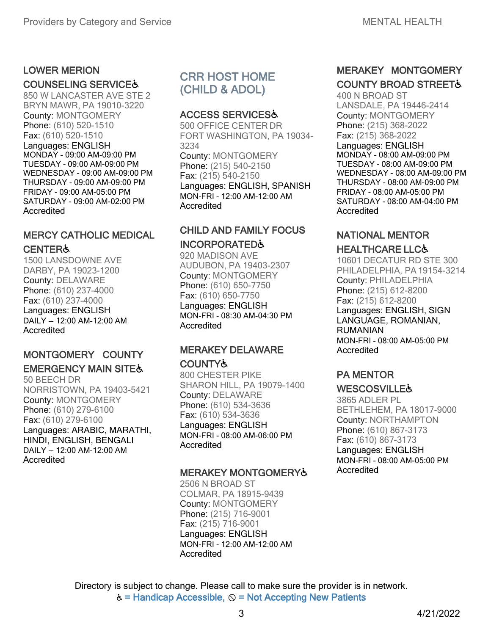# LOWER MERION

#### COUNSELING SERVICE♿

850 W LANCASTER AVE STE 2 BRYN MAWR, PA 19010-3220 County: MONTGOMERY Phone: (610) 520-1510 Fax: (610) 520-1510 Languages: ENGLISH MONDAY - 09:00 AM-09:00 PM TUESDAY - 09:00 AM-09:00 PM WEDNESDAY - 09:00 AM-09:00 PM THURSDAY - 09:00 AM-09:00 PM FRIDAY - 09:00 AM-05:00 PM SATURDAY - 09:00 AM-02:00 PM **Accredited** 

# MERCY CATHOLIC MEDICAL CENTER♿

1500 LANSDOWNE AVE DARBY, PA 19023-1200 County: DELAWARE Phone: (610) 237-4000 Fax: (610) 237-4000 Languages: ENGLISH DAILY -- 12:00 AM-12:00 AM Accredited

## MONTGOMERY COUNTY **EMERGENCY MAIN SITE&**

50 BEECH DR NORRISTOWN, PA 19403-5421 County: MONTGOMERY Phone: (610) 279-6100 Fax: (610) 279-6100 Languages: ARABIC, MARATHI, HINDI, ENGLISH, BENGALI DAILY -- 12:00 AM-12:00 AM Accredited

# CRR HOST HOME (CHILD & ADOL)

#### ACCESS SERVICES♿

500 OFFICE CENTER DR FORT WASHINGTON, PA 19034- 3234 County: MONTGOMERY Phone: (215) 540-2150 Fax: (215) 540-2150 Languages: ENGLISH, SPANISH MON-FRI - 12:00 AM-12:00 AM Accredited

# CHILD AND FAMILY FOCUS INCORPORATED♿

920 MADISON AVE AUDUBON, PA 19403-2307 County: MONTGOMERY Phone: (610) 650-7750 Fax: (610) 650-7750 Languages: ENGLISH MON-FRI - 08:30 AM-04:30 PM **Accredited** 

## MERAKEY DELAWARE COUNTY♿

800 CHESTER PIKE SHARON HILL, PA 19079-1400 County: DELAWARE Phone: (610) 534-3636 Fax: (610) 534-3636 Languages: ENGLISH MON-FRI - 08:00 AM-06:00 PM Accredited

#### MERAKEY MONTGOMERY♿

2506 N BROAD ST COLMAR, PA 18915-9439 County: MONTGOMERY Phone: (215) 716-9001 Fax: (215) 716-9001 Languages: ENGLISH MON-FRI - 12:00 AM-12:00 AM Accredited

# MERAKEY MONTGOMERY **COUNTY BROAD STREET&**

400 N BROAD ST LANSDALE, PA 19446-2414 County: MONTGOMERY Phone: (215) 368-2022 Fax: (215) 368-2022 Languages: ENGLISH MONDAY - 08:00 AM-09:00 PM TUESDAY - 08:00 AM-09:00 PM WEDNESDAY - 08:00 AM-09:00 PM THURSDAY - 08:00 AM-09:00 PM FRIDAY - 08:00 AM-05:00 PM SATURDAY - 08:00 AM-04:00 PM Accredited

## NATIONAL MENTOR

#### HEALTHCARE LLC♿

10601 DECATUR RD STE 300 PHILADELPHIA, PA19154-3214 County: PHILADELPHIA Phone: (215) 612-8200 Fax: (215) 612-8200 Languages: ENGLISH, SIGN LANGUAGE, ROMANIAN, RUMANIAN MON-FRI - 08:00 AM-05:00 PM Accredited

## PA MENTOR **WESCOSVILLE&**

3865 ADLER PL BETHLEHEM, PA 18017-9000 County: NORTHAMPTON Phone: (610) 867-3173 Fax: (610) 867-3173 Languages: ENGLISH MON-FRI - 08:00 AM-05:00 PM Accredited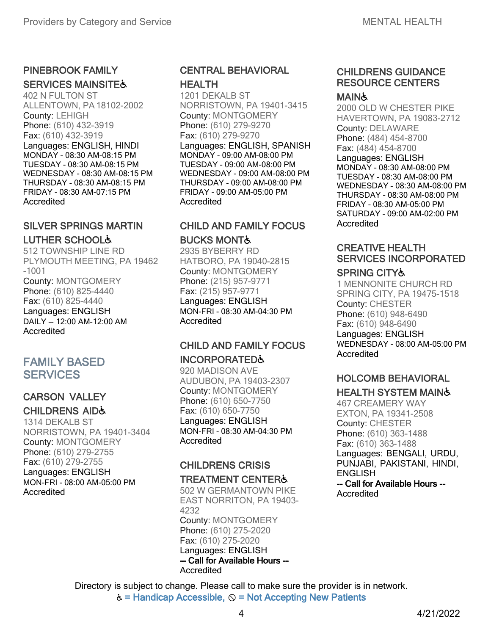# PINEBROOK FAMILY

## **SERVICES MAINSITE&**

402 N FULTON ST ALLENTOWN, PA18102-2002 County: LEHIGH Phone: (610) 432-3919 Fax: (610) 432-3919 Languages: ENGLISH, HINDI MONDAY - 08:30 AM-08:15 PM TUESDAY - 08:30 AM-08:15 PM WEDNESDAY - 08:30 AM-08:15 PM THURSDAY - 08:30 AM-08:15 PM FRIDAY - 08:30 AM-07:15 PM Accredited

## SILVER SPRINGS MARTIN LUTHER SCHOOL♿

512 TOWNSHIP LINE RD PLYMOUTH MEETING, PA 19462 -1001 County: MONTGOMERY Phone: (610) 825-4440 Fax: (610) 825-4440 Languages: ENGLISH DAILY -- 12:00 AM-12:00 AM Accredited

## FAMILY BASED **SERVICES**

## CARSON VALLEY

# CHILDRENS AID♿

1314 DEKALB ST NORRISTOWN, PA 19401-3404 County: MONTGOMERY Phone: (610) 279-2755 Fax: (610) 279-2755 Languages: ENGLISH MON-FRI - 08:00 AM-05:00 PM Accredited

#### CENTRAL BEHAVIORAL HEALTH

1201 DEKALB ST NORRISTOWN, PA 19401-3415 County: MONTGOMERY Phone: (610) 279-9270 Fax: (610) 279-9270 Languages: ENGLISH, SPANISH MONDAY - 09:00 AM-08:00 PM TUESDAY - 09:00 AM-08:00 PM WEDNESDAY - 09:00 AM-08:00 PM THURSDAY - 09:00 AM-08:00 PM FRIDAY - 09:00 AM-05:00 PM Accredited

## CHILD AND FAMILY FOCUS BUCKS MONT♿

2935 BYBERRY RD HATBORO, PA 19040-2815 County: MONTGOMERY Phone: (215) 957-9771 Fax: (215) 957-9771 Languages: ENGLISH MON-FRI - 08:30 AM-04:30 PM **Accredited** 

# CHILD AND FAMILY FOCUS INCORPORATED♿

920 MADISON AVE AUDUBON, PA 19403-2307 County: MONTGOMERY Phone: (610) 650-7750 Fax: (610) 650-7750 Languages: ENGLISH MON-FRI - 08:30 AM-04:30 PM Accredited

## CHILDRENS CRISIS

#### TREATMENT CENTER♿

502 W GERMANTOWN PIKE EAST NORRITON, PA 19403- 4232 County: MONTGOMERY Phone: (610) 275-2020 Fax: (610) 275-2020 Languages: ENGLISH -- Call for Available Hours -- Accredited

#### CHILDRENS GUIDANCE RESOURCE CENTERS

#### MAIN&

2000 OLD W CHESTER PIKE HAVERTOWN, PA 19083-2712 County: DELAWARE Phone: (484) 454-8700 Fax: (484) 454-8700 Languages: ENGLISH MONDAY - 08:30 AM-08:00 PM TUESDAY - 08:30 AM-08:00 PM WEDNESDAY - 08:30 AM-08:00 PM THURSDAY - 08:30 AM-08:00 PM FRIDAY - 08:30 AM-05:00 PM SATURDAY - 09:00 AM-02:00 PM Accredited

# CREATIVE HEALTH SERVICES INCORPORATED

#### SPRING CITY♿

1 MENNONITE CHURCH RD SPRING CITY, PA 19475-1518 County: CHESTER Phone: (610) 948-6490 Fax: (610) 948-6490 Languages: ENGLISH WEDNESDAY - 08:00 AM-05:00 PM **Accredited** 

# HOLCOMB BEHAVIORAL

#### HEALTH SYSTEM MAIN♿

467 CREAMERY WAY EXTON, PA 19341-2508 County: CHESTER Phone: (610) 363-1488 Fax: (610) 363-1488 Languages: BENGALI, URDU, PUNJABI, PAKISTANI, HINDI, **ENGLISH** -- Call for Available Hours -- **Accredited**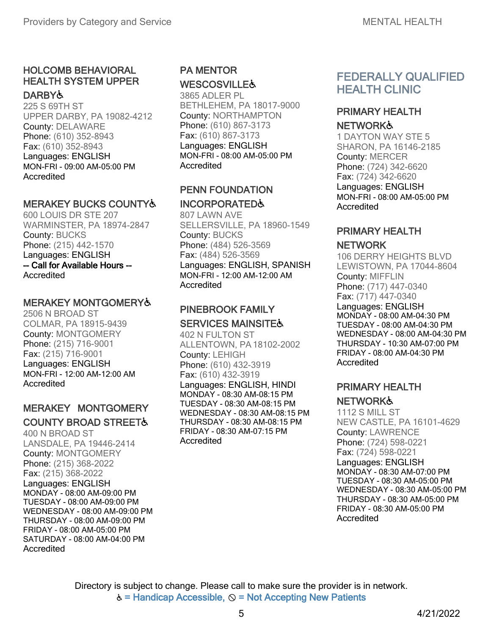# HOLCOMB BEHAVIORAL HEALTH SYSTEM UPPER

#### **DARBYよ**

225 S 69TH ST UPPER DARBY, PA 19082-4212 County: DELAWARE Phone: (610) 352-8943 Fax: (610) 352-8943 Languages: ENGLISH MON-FRI - 09:00 AM-05:00 PM **Accredited** 

#### MERAKEY BUCKS COUNTY♿

600 LOUIS DR STE 207 WARMINSTER, PA 18974-2847 County: BUCKS Phone: (215) 442-1570 Languages: ENGLISH -- Call for Available Hours -- Accredited

#### MERAKEY MONTGOMERY♿

2506 N BROAD ST COLMAR, PA 18915-9439 County: MONTGOMERY Phone: (215) 716-9001 Fax: (215) 716-9001 Languages: ENGLISH MON-FRI - 12:00 AM-12:00 AM Accredited

#### MERAKEY MONTGOMERY **COUNTY BROAD STREET&**

400 N BROAD ST LANSDALE, PA 19446-2414 County: MONTGOMERY Phone: (215) 368-2022 Fax: (215) 368-2022 Languages: ENGLISH MONDAY - 08:00 AM-09:00 PM TUESDAY - 08:00 AM-09:00 PM WEDNESDAY - 08:00 AM-09:00 PM THURSDAY - 08:00 AM-09:00 PM FRIDAY - 08:00 AM-05:00 PM SATURDAY - 08:00 AM-04:00 PM Accredited

## PA MENTOR **WESCOSVILLE&**

3865 ADLER PL BETHLEHEM, PA 18017-9000 County: NORTHAMPTON Phone: (610) 867-3173 Fax: (610) 867-3173 Languages: ENGLISH MON-FRI - 08:00 AM-05:00 PM Accredited

#### PENN FOUNDATION INCORPORATED♿

807 LAWN AVE SELLERSVILLE, PA 18960-1549 County: BUCKS Phone: (484) 526-3569 Fax: (484) 526-3569 Languages: ENGLISH, SPANISH MON-FRI - 12:00 AM-12:00 AM Accredited

#### PINEBROOK FAMILY SERVICES MAINSITE &

402 N FULTON ST ALLENTOWN, PA18102-2002 County: LEHIGH Phone: (610) 432-3919 Fax: (610) 432-3919 Languages: ENGLISH, HINDI MONDAY - 08:30 AM-08:15 PM TUESDAY - 08:30 AM-08:15 PM WEDNESDAY - 08:30 AM-08:15 PM THURSDAY - 08:30 AM-08:15 PM FRIDAY - 08:30 AM-07:15 PM Accredited

# FEDERALLY QUALIFIED HEALTH CLINIC

#### PRIMARY HEALTH **NETWORK&**

1 DAYTON WAY STE 5 SHARON, PA 16146-2185 County: MERCER Phone: (724) 342-6620 Fax: (724) 342-6620 Languages: ENGLISH MON-FRI - 08:00 AM-05:00 PM Accredited

## PRIMARY HEALTH

#### NETWORK

106 DERRY HEIGHTS BLVD LEWISTOWN, PA 17044-8604 County: MIFFLIN Phone: (717) 447-0340 Fax: (717) 447-0340 Languages: ENGLISH MONDAY - 08:00 AM-04:30 PM TUESDAY - 08:00 AM-04:30 PM WEDNESDAY - 08:00 AM-04:30 PM THURSDAY - 10:30 AM-07:00 PM FRIDAY - 08:00 AM-04:30 PM Accredited

# PRIMARY HEALTH

## **NETWORK&**

1112 S MILL ST NEW CASTLE, PA 16101-4629 County: LAWRENCE Phone: (724) 598-0221 Fax: (724) 598-0221 Languages: ENGLISH MONDAY - 08:30 AM-07:00 PM TUESDAY - 08:30 AM-05:00 PM WEDNESDAY - 08:30 AM-05:00 PM THURSDAY - 08:30 AM-05:00 PM FRIDAY - 08:30 AM-05:00 PM Accredited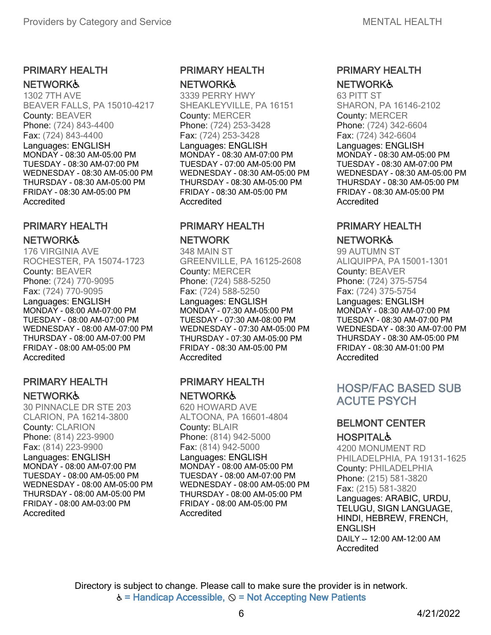# PRIMARY HEALTH

#### **NETWORK&**

1302 7TH AVE BEAVER FALLS, PA 15010-4217 County: BEAVER Phone: (724) 843-4400 Fax: (724) 843-4400 Languages: ENGLISH MONDAY - 08:30 AM-05:00 PM TUESDAY - 08:30 AM-07:00 PM WEDNESDAY - 08:30 AM-05:00 PM THURSDAY - 08:30 AM-05:00 PM FRIDAY - 08:30 AM-05:00 PM Accredited

## PRIMARY HEALTH

#### **NETWORK&**

176 VIRGINIA AVE ROCHESTER, PA 15074-1723 County: BEAVER Phone: (724) 770-9095 Fax: (724) 770-9095 Languages: ENGLISH MONDAY - 08:00 AM-07:00 PM TUESDAY - 08:00 AM-07:00 PM WEDNESDAY - 08:00 AM-07:00 PM THURSDAY - 08:00 AM-07:00 PM FRIDAY - 08:00 AM-05:00 PM **Accredited** 

#### PRIMARY HEALTH NETWORK♿

30 PINNACLE DR STE 203 CLARION, PA 16214-3800 County: CLARION Phone: (814) 223-9900 Fax: (814) 223-9900 Languages: ENGLISH MONDAY - 08:00 AM-07:00 PM TUESDAY - 08:00 AM-05:00 PM WEDNESDAY - 08:00 AM-05:00 PM THURSDAY - 08:00 AM-05:00 PM FRIDAY - 08:00 AM-03:00 PM Accredited

#### PRIMARY HEALTH **NETWORK&**

3339 PERRY HWY SHEAKLEYVILLE, PA 16151 County: MERCER Phone: (724) 253-3428 Fax: (724) 253-3428 Languages: ENGLISH MONDAY - 08:30 AM-07:00 PM TUESDAY - 07:00 AM-05:00 PM WEDNESDAY - 08:30 AM-05:00 PM THURSDAY - 08:30 AM-05:00 PM FRIDAY - 08:30 AM-05:00 PM Accredited

#### PRIMARY HEALTH NETWORK

348 MAIN ST GREENVILLE, PA 16125-2608 County: MERCER Phone: (724) 588-5250 Fax: (724) 588-5250 Languages: ENGLISH MONDAY - 07:30 AM-05:00 PM TUESDAY - 07:30 AM-08:00 PM WEDNESDAY - 07:30 AM-05:00 PM THURSDAY - 07:30 AM-05:00 PM FRIDAY - 08:30 AM-05:00 PM Accredited

#### PRIMARY HEALTH **NETWORK&**

620 HOWARD AVE ALTOONA, PA 16601-4804 County: BLAIR Phone: (814) 942-5000 Fax: (814) 942-5000 Languages: ENGLISH MONDAY - 08:00 AM-05:00 PM TUESDAY - 08:00 AM-07:00 PM WEDNESDAY - 08:00 AM-05:00 PM THURSDAY - 08:00 AM-05:00 PM FRIDAY - 08:00 AM-05:00 PM Accredited

#### PRIMARY HEALTH **NETWORK&**

63 PITT ST SHARON, PA 16146-2102 County: MERCER Phone: (724) 342-6604 Fax: (724) 342-6604 Languages: ENGLISH MONDAY - 08:30 AM-05:00 PM TUESDAY - 08:30 AM-07:00 PM WEDNESDAY - 08:30 AM-05:00 PM THURSDAY - 08:30 AM-05:00 PM FRIDAY - 08:30 AM-05:00 PM Accredited

## PRIMARY HEALTH

#### **NETWORK&**

99 AUTUMN ST ALIQUIPPA, PA15001-1301 County: BEAVER Phone: (724) 375-5754 Fax: (724) 375-5754 Languages: ENGLISH MONDAY - 08:30 AM-07:00 PM TUESDAY - 08:30 AM-07:00 PM WEDNESDAY - 08:30 AM-07:00 PM THURSDAY - 08:30 AM-05:00 PM FRIDAY - 08:30 AM-01:00 PM Accredited

# HOSP/FAC BASED SUB ACUTE PSYCH

#### BELMONT CENTER **HOSPITAL&**

4200 MONUMENT RD PHILADELPHIA, PA 19131-1625 County: PHILADELPHIA Phone: (215) 581-3820 Fax: (215) 581-3820 Languages: ARABIC, URDU, TELUGU, SIGN LANGUAGE, HINDI, HEBREW, FRENCH, **ENGLISH** DAILY -- 12:00 AM-12:00 AM Accredited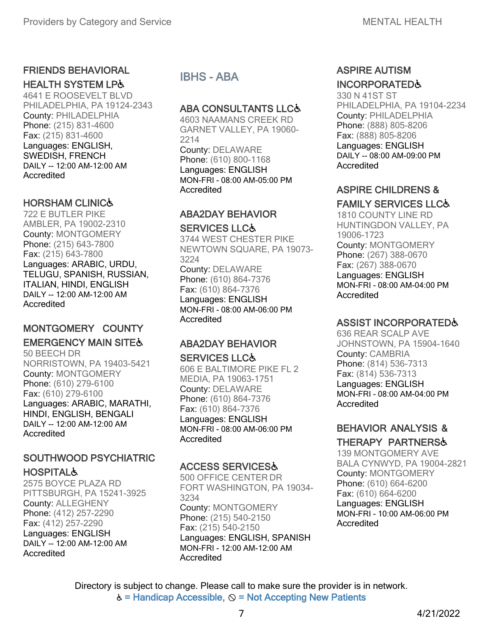## FRIENDS BEHAVIORAL

#### **HEALTH SYSTEM LP&**

4641 E ROOSEVELT BLVD PHILADELPHIA, PA 19124-2343 County: PHILADELPHIA Phone: (215) 831-4600 Fax: (215) 831-4600 Languages: ENGLISH, SWEDISH, FRENCH DAILY -- 12:00 AM-12:00 AM Accredited

## HORSHAM CLINIC♿

722 E BUTLER PIKE AMBLER, PA 19002-2310 County: MONTGOMERY Phone: (215) 643-7800 Fax: (215) 643-7800 Languages: ARABIC, URDU, TELUGU, SPANISH, RUSSIAN, ITALIAN, HINDI, ENGLISH DAILY -- 12:00 AM-12:00 AM **Accredited** 

# MONTGOMERY COUNTY **EMERGENCY MAIN SITE&**

50 BEECH DR NORRISTOWN, PA 19403-5421 County: MONTGOMERY Phone: (610) 279-6100 Fax: (610) 279-6100 Languages: ARABIC, MARATHI, HINDI, ENGLISH, BENGALI DAILY -- 12:00 AM-12:00 AM Accredited

## SOUTHWOOD PSYCHIATRIC **HOSPITAL&**

2575 BOYCE PLAZA RD PITTSBURGH, PA 15241-3925 County: ALLEGHENY Phone: (412) 257-2290 Fax: (412) 257-2290 Languages: ENGLISH DAILY -- 12:00 AM-12:00 AM **Accredited** 

IBHS - ABA

#### **ABA CONSULTANTS LLC&**

4603 NAAMANS CREEK RD GARNET VALLEY, PA 19060- 2214 County: DELAWARE Phone: (610) 800-1168 Languages: ENGLISH MON-FRI - 08:00 AM-05:00 PM **Accredited** 

#### ABA2DAY BEHAVIOR SERVICES LLC♿

3744 WEST CHESTER PIKE NEWTOWN SQUARE, PA 19073- 3224 County: DELAWARE Phone: (610) 864-7376 Fax: (610) 864-7376 Languages: ENGLISH MON-FRI - 08:00 AM-06:00 PM Accredited

# ABA2DAY BEHAVIOR

#### **SERVICES LLC&**

606 E BALTIMORE PIKE FL 2 MEDIA, PA 19063-1751 County: DELAWARE Phone: (610) 864-7376 Fax: (610) 864-7376 Languages: ENGLISH MON-FRI - 08:00 AM-06:00 PM Accredited

## ACCESS SERVICES♿

500 OFFICE CENTER DR FORT WASHINGTON, PA 19034- 3234 County: MONTGOMERY Phone: (215) 540-2150 Fax: (215) 540-2150 Languages: ENGLISH, SPANISH MON-FRI - 12:00 AM-12:00 AM **Accredited** 

## ASPIRE AUTISM INCORPORATED♿

330 N 41ST ST PHILADELPHIA, PA 19104-2234 County: PHILADELPHIA Phone: (888) 805-8206 Fax: (888) 805-8206 Languages: ENGLISH DAILY -- 08:00 AM-09:00 PM Accredited

# ASPIRE CHILDRENS &

## FAMILY SERVICES LLC♿

1810 COUNTY LINE RD HUNTINGDON VALLEY, PA 19006-1723 County: MONTGOMERY Phone: (267) 388-0670 Fax: (267) 388-0670 Languages: ENGLISH MON-FRI - 08:00 AM-04:00 PM Accredited

## ASSIST INCORPORATED♿

636 REAR SCALP AVE JOHNSTOWN, PA 15904-1640 County: CAMBRIA Phone: (814) 536-7313 Fax: (814) 536-7313 Languages: ENGLISH MON-FRI - 08:00 AM-04:00 PM Accredited

## BEHAVIOR ANALYSIS & THERAPY PARTNERS♿

139 MONTGOMERY AVE BALA CYNWYD, PA 19004-2821 County: MONTGOMERY Phone: (610) 664-6200 Fax: (610) 664-6200 Languages: ENGLISH MON-FRI - 10:00 AM-06:00 PM Accredited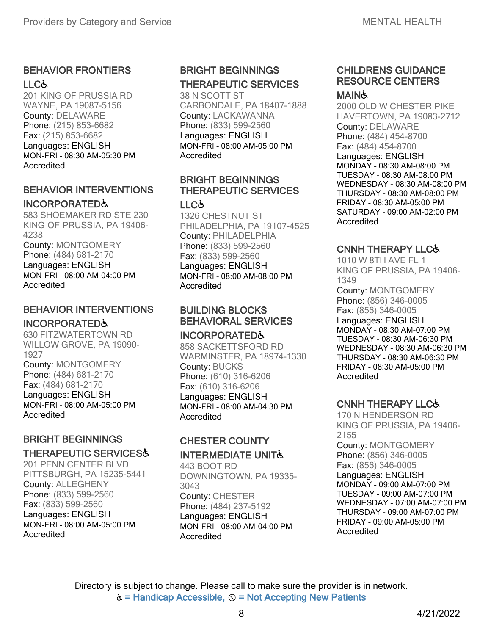## BEHAVIOR FRONTIERS LLC&

201 KING OF PRUSSIA RD WAYNE, PA 19087-5156 County: DELAWARE Phone: (215) 853-6682 Fax: (215) 853-6682 Languages: ENGLISH MON-FRI - 08:30 AM-05:30 PM Accredited

#### BEHAVIOR INTERVENTIONS INCORPORATED♿

583 SHOEMAKER RD STE 230 KING OF PRUSSIA, PA 19406- 4238 County: MONTGOMERY Phone: (484) 681-2170 Languages: ENGLISH MON-FRI - 08:00 AM-04:00 PM Accredited

#### BEHAVIOR INTERVENTIONS INCORPORATED♿

#### 630 FITZWATERTOWN RD WILLOW GROVE, PA 19090- 1927 County: MONTGOMERY Phone: (484) 681-2170 Fax: (484) 681-2170 Languages: ENGLISH MON-FRI - 08:00 AM-05:00 PM

**Accredited** 

## BRIGHT BEGINNINGS THERAPEUTIC SERVICES♿

201 PENN CENTER BLVD PITTSBURGH, PA 15235-5441 County: ALLEGHENY Phone: (833) 599-2560 Fax: (833) 599-2560 Languages: ENGLISH MON-FRI - 08:00 AM-05:00 PM Accredited

# BRIGHT BEGINNINGS THERAPEUTIC SERVICES

38 N SCOTT ST CARBONDALE, PA 18407-1888 County: LACKAWANNA Phone: (833) 599-2560 Languages: ENGLISH MON-FRI - 08:00 AM-05:00 PM Accredited

## BRIGHT BEGINNINGS THERAPEUTIC SERVICES

#### LLC&

1326 CHESTNUT ST PHILADELPHIA, PA 19107-4525 County: PHILADELPHIA Phone: (833) 599-2560 Fax: (833) 599-2560 Languages: ENGLISH MON-FRI - 08:00 AM-08:00 PM Accredited

#### BUILDING BLOCKS BEHAVIORAL SERVICES

#### INCORPORATED♿

858 SACKETTSFORD RD WARMINSTER, PA 18974-1330 County: BUCKS Phone: (610) 316-6206 Fax: (610) 316-6206 Languages: ENGLISH MON-FRI - 08:00 AM-04:30 PM **Accredited** 

## CHESTER COUNTY INTERMEDIATE UNIT♿

443 BOOT RD DOWNINGTOWN, PA 19335- 3043 County: CHESTER Phone: (484) 237-5192 Languages: ENGLISH MON-FRI - 08:00 AM-04:00 PM **Accredited** 

# CHILDRENS GUIDANCE RESOURCE CENTERS

#### **MAIN&**

2000 OLD W CHESTER PIKE HAVERTOWN, PA 19083-2712 County: DELAWARE Phone: (484) 454-8700 Fax: (484) 454-8700 Languages: ENGLISH MONDAY - 08:30 AM-08:00 PM TUESDAY - 08:30 AM-08:00 PM WEDNESDAY - 08:30 AM-08:00 PM THURSDAY - 08:30 AM-08:00 PM FRIDAY - 08:30 AM-05:00 PM SATURDAY - 09:00 AM-02:00 PM **Accredited** 

## CNNH THERAPY LLC♿

1010 W 8TH AVE FL 1 KING OF PRUSSIA, PA 19406- 1349 County: MONTGOMERY Phone: (856) 346-0005 Fax: (856) 346-0005 Languages: ENGLISH MONDAY - 08:30 AM-07:00 PM TUESDAY - 08:30 AM-06:30 PM WEDNESDAY - 08:30 AM-06:30 PM THURSDAY - 08:30 AM-06:30 PM FRIDAY - 08:30 AM-05:00 PM Accredited

## CNNH THERAPY LLC♿

170 N HENDERSON RD KING OF PRUSSIA, PA 19406- 2155 County: MONTGOMERY Phone: (856) 346-0005 Fax: (856) 346-0005 Languages: ENGLISH MONDAY - 09:00 AM-07:00 PM TUESDAY - 09:00 AM-07:00 PM WEDNESDAY - 07:00 AM-07:00 PM THURSDAY - 09:00 AM-07:00 PM FRIDAY - 09:00 AM-05:00 PM Accredited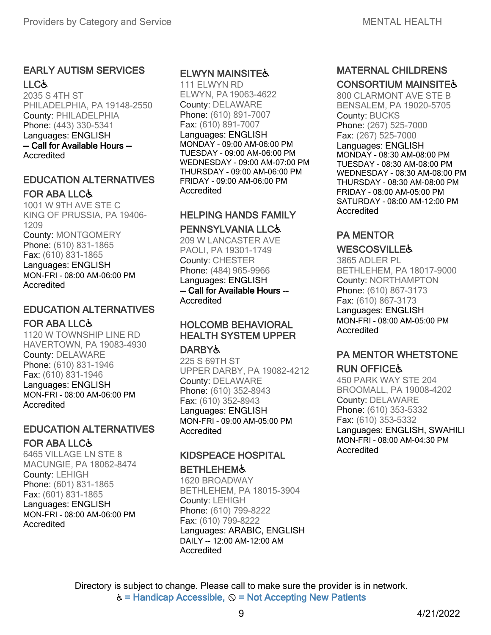#### EARLY AUTISM SERVICES LLC&

2035 S 4TH ST PHILADELPHIA, PA 19148-2550 County: PHILADELPHIA Phone: (443) 330-5341 Languages: ENGLISH -- Call for Available Hours -- Accredited

#### EDUCATION ALTERNATIVES FOR ABA LLC♿

1001 W 9TH AVE STE C KING OF PRUSSIA, PA 19406- 1209 County: MONTGOMERY Phone: (610) 831-1865 Fax: (610) 831-1865 Languages: ENGLISH MON-FRI - 08:00 AM-06:00 PM Accredited

#### EDUCATION ALTERNATIVES FOR ABA LLC♿

1120 W TOWNSHIP LINE RD HAVERTOWN, PA 19083-4930 County: DELAWARE Phone: (610) 831-1946 Fax: (610) 831-1946 Languages: ENGLISH MON-FRI - 08:00 AM-06:00 PM Accredited

# EDUCATION ALTERNATIVES

#### FOR ABA LLC♿

6465 VILLAGE LN STE 8 MACUNGIE, PA 18062-8474 County: LEHIGH Phone: (601) 831-1865 Fax: (601) 831-1865 Languages: ENGLISH MON-FRI - 08:00 AM-06:00 PM **Accredited** 

#### ELWYN MAINSITE♿

111 ELWYN RD ELWYN, PA 19063-4622 County: DELAWARE Phone: (610) 891-7007 Fax: (610) 891-7007 Languages: ENGLISH MONDAY - 09:00 AM-06:00 PM TUESDAY - 09:00 AM-06:00 PM WEDNESDAY - 09:00 AM-07:00 PM THURSDAY - 09:00 AM-06:00 PM FRIDAY - 09:00 AM-06:00 PM **Accredited** 

## HELPING HANDS FAMILY PENNSYLVANIA LLC&

209 W LANCASTER AVE PAOLI, PA 19301-1749 County: CHESTER Phone: (484) 965-9966 Languages: ENGLISH -- Call for Available Hours -- Accredited

## HOLCOMB BEHAVIORAL HEALTH SYSTEM UPPER

#### **DARBYよ**

225 S 69TH ST UPPER DARBY, PA 19082-4212 County: DELAWARE Phone: (610) 352-8943 Fax: (610) 352-8943 Languages: ENGLISH MON-FRI - 09:00 AM-05:00 PM Accredited

#### KIDSPEACE HOSPITAL

#### **BETHLEHEM&**

1620 BROADWAY BETHLEHEM, PA 18015-3904 County: LEHIGH Phone: (610) 799-8222 Fax: (610) 799-8222 Languages: ARABIC, ENGLISH DAILY -- 12:00 AM-12:00 AM Accredited

## MATERNAL CHILDRENS **CONSORTIUM MAINSITE&**

800 CLARMONT AVE STE B BENSALEM, PA 19020-5705 County: BUCKS Phone: (267) 525-7000 Fax: (267) 525-7000 Languages: ENGLISH MONDAY - 08:30 AM-08:00 PM TUESDAY - 08:30 AM-08:00 PM WEDNESDAY - 08:30 AM-08:00 PM THURSDAY - 08:30 AM-08:00 PM FRIDAY - 08:00 AM-05:00 PM SATURDAY - 08:00 AM-12:00 PM Accredited

# PA MENTOR

#### **WESCOSVILLE&**

3865 ADLER PL BETHLEHEM, PA 18017-9000 County: NORTHAMPTON Phone: (610) 867-3173 Fax: (610) 867-3173 Languages: ENGLISH MON-FRI - 08:00 AM-05:00 PM **Accredited** 

## PA MENTOR WHETSTONE RUN OFFICE♿

450 PARK WAY STE 204 BROOMALL, PA 19008-4202 County: DELAWARE Phone: (610) 353-5332 Fax: (610) 353-5332 Languages: ENGLISH, SWAHILI MON-FRI - 08:00 AM-04:30 PM Accredited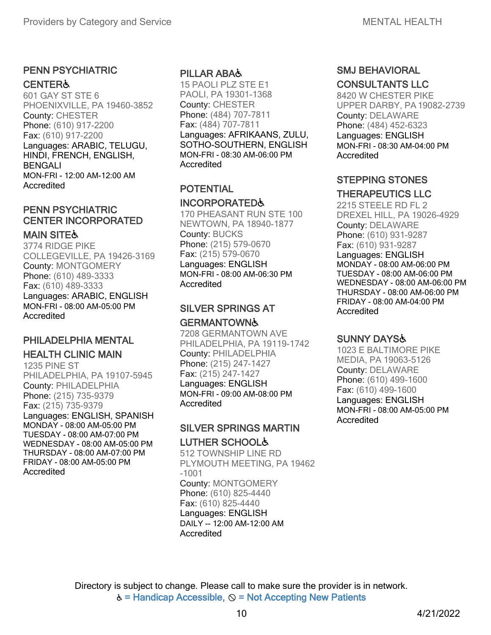## PENN PSYCHIATRIC

#### **CENTER&**

601 GAY ST STE 6 PHOENIXVILLE, PA 19460-3852 County: CHESTER Phone: (610) 917-2200 Fax: (610) 917-2200 Languages: ARABIC, TELUGU, HINDI, FRENCH, ENGLISH, BENGALI MON-FRI - 12:00 AM-12:00 AM **Accredited** 

## PENN PSYCHIATRIC CENTER INCORPORATED

#### **MAIN SITE&**

3774 RIDGE PIKE COLLEGEVILLE, PA 19426-3169 County: MONTGOMERY Phone: (610) 489-3333 Fax: (610) 489-3333 Languages: ARABIC, ENGLISH MON-FRI - 08:00 AM-05:00 PM Accredited

## PHILADELPHIA MENTAL

#### HEALTH CLINIC MAIN

1235 PINE ST PHILADELPHIA, PA 19107-5945 County: PHILADELPHIA Phone: (215) 735-9379 Fax: (215) 735-9379 Languages: ENGLISH, SPANISH MONDAY - 08:00 AM-05:00 PM TUESDAY - 08:00 AM-07:00 PM WEDNESDAY - 08:00 AM-05:00 PM THURSDAY - 08:00 AM-07:00 PM FRIDAY - 08:00 AM-05:00 PM Accredited

#### PILLAR ABA♿

15 PAOLI PLZ STE E1 PAOLI, PA 19301-1368 County: CHESTER Phone: (484) 707-7811 Fax: (484) 707-7811 Languages: AFRIKAANS, ZULU, SOTHO-SOUTHERN, ENGLISH MON-FRI - 08:30 AM-06:00 PM **Accredited** 

## POTENTIAL

#### INCORPORATED♿

170 PHEASANT RUN STE 100 NEWTOWN, PA 18940-1877 County: BUCKS Phone: (215) 579-0670 Fax: (215) 579-0670 Languages: ENGLISH MON-FRI - 08:00 AM-06:30 PM Accredited

## SILVER SPRINGS AT **GERMANTOWN&**

7208 GERMANTOWN AVE PHILADELPHIA, PA 19119-1742 County: PHILADELPHIA Phone: (215) 247-1427 Fax: (215) 247-1427 Languages: ENGLISH MON-FRI - 09:00 AM-08:00 PM **Accredited** 

# SILVER SPRINGS MARTIN LUTHER SCHOOL♿

512 TOWNSHIP LINE RD PLYMOUTH MEETING, PA 19462 -1001 County: MONTGOMERY Phone: (610) 825-4440 Fax: (610) 825-4440 Languages: ENGLISH DAILY -- 12:00 AM-12:00 AM Accredited

#### SMJ BEHAVIORAL CONSULTANTS LLC

8420 W CHESTER PIKE UPPER DARBY, PA19082-2739 County: DELAWARE Phone: (484) 452-6323 Languages: ENGLISH MON-FRI - 08:30 AM-04:00 PM Accredited

## STEPPING STONES

## THERAPEUTICS LLC

2215 STEELE RD FL 2 DREXEL HILL, PA 19026-4929 County: DELAWARE Phone: (610) 931-9287 Fax: (610) 931-9287 Languages: ENGLISH MONDAY - 08:00 AM-06:00 PM TUESDAY - 08:00 AM-06:00 PM WEDNESDAY - 08:00 AM-06:00 PM THURSDAY - 08:00 AM-06:00 PM FRIDAY - 08:00 AM-04:00 PM Accredited

## SUNNY DAYS♿

1023 E BALTIMORE PIKE MEDIA, PA 19063-5126 County: DELAWARE Phone: (610) 499-1600 Fax: (610) 499-1600 Languages: ENGLISH MON-FRI - 08:00 AM-05:00 PM Accredited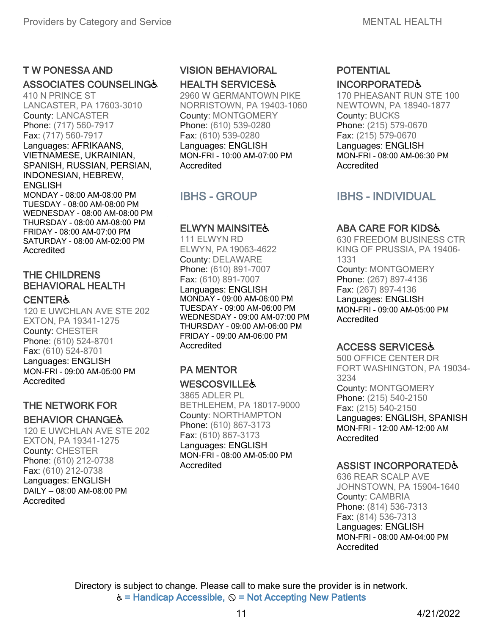#### T W PONESSA AND

#### ASSOCIATES COUNSELING♿

410 N PRINCE ST LANCASTER, PA 17603-3010 County: LANCASTER Phone: (717) 560-7917 Fax: (717) 560-7917 Languages: AFRIKAANS, VIETNAMESE, UKRAINIAN, SPANISH, RUSSIAN, PERSIAN, INDONESIAN, HEBREW, **ENGLISH** MONDAY - 08:00 AM-08:00 PM TUESDAY - 08:00 AM-08:00 PM WEDNESDAY - 08:00 AM-08:00 PM THURSDAY - 08:00 AM-08:00 PM FRIDAY - 08:00 AM-07:00 PM SATURDAY - 08:00 AM-02:00 PM Accredited

#### THE CHILDRENS BEHAVIORAL HEALTH

#### **CENTER&**

120 E UWCHLAN AVE STE 202 EXTON, PA 19341-1275 County: CHESTER Phone: (610) 524-8701 Fax: (610) 524-8701 Languages: ENGLISH MON-FRI - 09:00 AM-05:00 PM **Accredited** 

#### THE NETWORK FOR **BEHAVIOR CHANGE&**

120 E UWCHLAN AVE STE 202 EXTON, PA 19341-1275 County: CHESTER Phone: (610) 212-0738 Fax: (610) 212-0738 Languages: ENGLISH DAILY -- 08:00 AM-08:00 PM Accredited

# VISION BEHAVIORAL

HEALTH SERVICES♿ 2960 W GERMANTOWN PIKE NORRISTOWN, PA 19403-1060 County: MONTGOMERY Phone: (610) 539-0280 Fax: (610) 539-0280 Languages: ENGLISH

MON-FRI - 10:00 AM-07:00 PM Accredited

# IBHS - GROUP

#### ELWYN MAINSITE&

111 ELWYN RD ELWYN, PA 19063-4622 County: DELAWARE Phone: (610) 891-7007 Fax: (610) 891-7007 Languages: ENGLISH MONDAY - 09:00 AM-06:00 PM TUESDAY - 09:00 AM-06:00 PM WEDNESDAY - 09:00 AM-07:00 PM THURSDAY - 09:00 AM-06:00 PM FRIDAY - 09:00 AM-06:00 PM Accredited

#### PA MENTOR **WESCOSVILLE&**

3865 ADLER PL BETHLEHEM, PA 18017-9000 County: NORTHAMPTON Phone: (610) 867-3173 Fax: (610) 867-3173 Languages: ENGLISH MON-FRI - 08:00 AM-05:00 PM **Accredited** 

## POTENTIAL INCORPORATED♿

170 PHEASANT RUN STE 100 NEWTOWN, PA 18940-1877 County: BUCKS Phone: (215) 579-0670 Fax: (215) 579-0670 Languages: ENGLISH MON-FRI - 08:00 AM-06:30 PM Accredited

# IBHS - INDIVIDUAL

## ABA CARE FOR KIDS♿

630 FREEDOM BUSINESS CTR KING OF PRUSSIA, PA 19406- 1331 County: MONTGOMERY Phone: (267) 897-4136 Fax: (267) 897-4136 Languages: ENGLISH MON-FRI - 09:00 AM-05:00 PM Accredited

#### ACCESS SERVICES♿

500 OFFICE CENTER DR FORT WASHINGTON, PA 19034- 3234 County: MONTGOMERY Phone: (215) 540-2150 Fax: (215) 540-2150 Languages: ENGLISH, SPANISH MON-FRI - 12:00 AM-12:00 AM Accredited

#### ASSIST INCORPORATED♿

636 REAR SCALP AVE JOHNSTOWN, PA 15904-1640 County: CAMBRIA Phone: (814) 536-7313 Fax: (814) 536-7313 Languages: ENGLISH MON-FRI - 08:00 AM-04:00 PM Accredited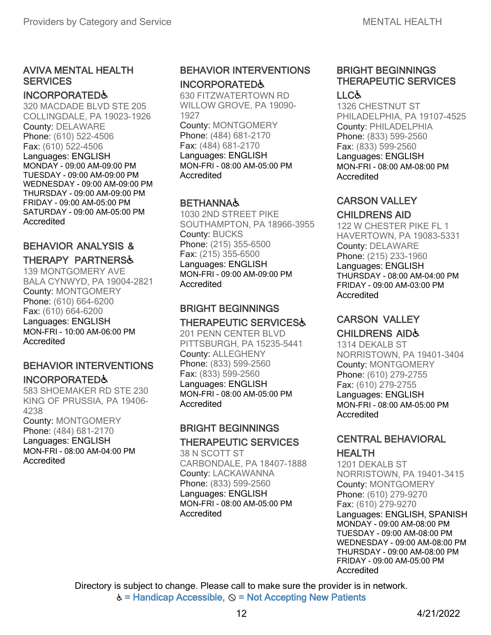#### AVIVA MENTAL HEALTH **SERVICES**

#### INCORPORATED♿

320 MACDADE BLVD STE 205 COLLINGDALE, PA 19023-1926 County: DELAWARE Phone: (610) 522-4506 Fax: (610) 522-4506 Languages: ENGLISH MONDAY - 09:00 AM-09:00 PM TUESDAY - 09:00 AM-09:00 PM WEDNESDAY - 09:00 AM-09:00 PM THURSDAY - 09:00 AM-09:00 PM FRIDAY - 09:00 AM-05:00 PM SATURDAY - 09:00 AM-05:00 PM **Accredited** 

## BEHAVIOR ANALYSIS &

# THERAPY PARTNERS♿

139 MONTGOMERY AVE BALA CYNWYD, PA 19004-2821 County: MONTGOMERY Phone: (610) 664-6200 Fax: (610) 664-6200 Languages: ENGLISH MON-FRI - 10:00 AM-06:00 PM **Accredited** 

# BEHAVIOR INTERVENTIONS

# INCORPORATED♿

583 SHOEMAKER RD STE 230 KING OF PRUSSIA, PA 19406- 4238 County: MONTGOMERY Phone: (484) 681-2170 Languages: ENGLISH MON-FRI - 08:00 AM-04:00 PM

Accredited

## BEHAVIOR INTERVENTIONS INCORPORATED♿

630 FITZWATERTOWN RD WILLOW GROVE, PA 19090- 1927 County: MONTGOMERY Phone: (484) 681-2170 Fax: (484) 681-2170 Languages: ENGLISH MON-FRI - 08:00 AM-05:00 PM **Accredited** 

#### **BETHANNA&**

1030 2ND STREET PIKE SOUTHAMPTON, PA 18966-3955 County: BUCKS Phone: (215) 355-6500 Fax: (215) 355-6500 Languages: ENGLISH MON-FRI - 09:00 AM-09:00 PM Accredited

#### BRIGHT BEGINNINGS THERAPEUTIC SERVICES♿

201 PENN CENTER BLVD PITTSBURGH, PA 15235-5441 County: ALLEGHENY Phone: (833) 599-2560 Fax: (833) 599-2560 Languages: ENGLISH MON-FRI - 08:00 AM-05:00 PM **Accredited** 

## BRIGHT BEGINNINGS THERAPEUTIC SERVICES

38 N SCOTT ST CARBONDALE, PA 18407-1888 County: LACKAWANNA Phone: (833) 599-2560 Languages: ENGLISH MON-FRI - 08:00 AM-05:00 PM Accredited

#### BRIGHT BEGINNINGS THERAPEUTIC SERVICES LLC♿

1326 CHESTNUT ST PHILADELPHIA, PA 19107-4525 County: PHILADELPHIA Phone: (833) 599-2560 Fax: (833) 599-2560 Languages: ENGLISH MON-FRI - 08:00 AM-08:00 PM Accredited

## CARSON VALLEY

#### CHILDRENS AID

122 W CHESTER PIKE FL 1 HAVERTOWN, PA 19083-5331 County: DELAWARE Phone: (215) 233-1960 Languages: ENGLISH THURSDAY - 08:00 AM-04:00 PM FRIDAY - 09:00 AM-03:00 PM Accredited

## CARSON VALLEY

#### CHILDRENS AID♿

1314 DEKALB ST NORRISTOWN, PA 19401-3404 County: MONTGOMERY Phone: (610) 279-2755 Fax: (610) 279-2755 Languages: ENGLISH MON-FRI - 08:00 AM-05:00 PM Accredited

#### CENTRAL BEHAVIORAL **HEALTH**

1201 DEKALB ST NORRISTOWN, PA 19401-3415 County: MONTGOMERY Phone: (610) 279-9270 Fax: (610) 279-9270 Languages: ENGLISH, SPANISH MONDAY - 09:00 AM-08:00 PM TUESDAY - 09:00 AM-08:00 PM WEDNESDAY - 09:00 AM-08:00 PM THURSDAY - 09:00 AM-08:00 PM FRIDAY - 09:00 AM-05:00 PM Accredited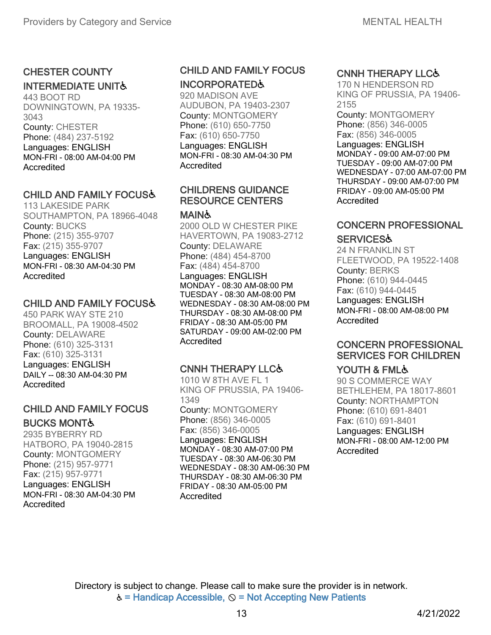# CHESTER COUNTY

#### INTERMEDIATE UNIT♿

443 BOOT RD DOWNINGTOWN, PA 19335- 3043 County: CHESTER Phone: (484) 237-5192 Languages: ENGLISH MON-FRI - 08:00 AM-04:00 PM **Accredited** 

#### CHILD AND FAMILY FOCUS♿

113 LAKESIDE PARK SOUTHAMPTON, PA 18966-4048 County: BUCKS Phone: (215) 355-9707 Fax: (215) 355-9707 Languages: ENGLISH MON-FRI - 08:30 AM-04:30 PM Accredited

#### CHILD AND FAMILY FOCUS♿

450 PARK WAY STE 210 BROOMALL, PA 19008-4502 County: DELAWARE Phone: (610) 325-3131 Fax: (610) 325-3131 Languages: ENGLISH DAILY -- 08:30 AM-04:30 PM Accredited

#### CHILD AND FAMILY FOCUS BUCKS MONT♿

2935 BYBERRY RD HATBORO, PA 19040-2815 County: MONTGOMERY Phone: (215) 957-9771 Fax: (215) 957-9771 Languages: ENGLISH MON-FRI - 08:30 AM-04:30 PM Accredited

# CHILD AND FAMILY FOCUS

INCORPORATED♿ 920 MADISON AVE

AUDUBON, PA 19403-2307 County: MONTGOMERY Phone: (610) 650-7750 Fax: (610) 650-7750 Languages: ENGLISH MON-FRI - 08:30 AM-04:30 PM Accredited

#### CHILDRENS GUIDANCE RESOURCE CENTERS

#### MAIN♿

2000 OLD W CHESTER PIKE HAVERTOWN, PA 19083-2712 County: DELAWARE Phone: (484) 454-8700 Fax: (484) 454-8700 Languages: ENGLISH MONDAY - 08:30 AM-08:00 PM TUESDAY - 08:30 AM-08:00 PM WEDNESDAY - 08:30 AM-08:00 PM THURSDAY - 08:30 AM-08:00 PM FRIDAY - 08:30 AM-05:00 PM SATURDAY - 09:00 AM-02:00 PM **Accredited** 

#### CNNH THERAPY LLC♿

1010 W 8TH AVE FL 1 KING OF PRUSSIA, PA 19406- 1349 County: MONTGOMERY Phone: (856) 346-0005 Fax: (856) 346-0005 Languages: ENGLISH MONDAY - 08:30 AM-07:00 PM TUESDAY - 08:30 AM-06:30 PM WEDNESDAY - 08:30 AM-06:30 PM THURSDAY - 08:30 AM-06:30 PM FRIDAY - 08:30 AM-05:00 PM **Accredited** 

#### CNNH THERAPY LLC♿

170 N HENDERSON RD KING OF PRUSSIA, PA 19406- 2155

County: MONTGOMERY Phone: (856) 346-0005 Fax: (856) 346-0005

Languages: ENGLISH MONDAY - 09:00 AM-07:00 PM TUESDAY - 09:00 AM-07:00 PM WEDNESDAY - 07:00 AM-07:00 PM THURSDAY - 09:00 AM-07:00 PM FRIDAY - 09:00 AM-05:00 PM Accredited

#### CONCERN PROFESSIONAL **SERVICES&**

24 N FRANKLIN ST FLEETWOOD, PA 19522-1408 County: BERKS Phone: (610) 944-0445 Fax: (610) 944-0445 Languages: ENGLISH MON-FRI - 08:00 AM-08:00 PM Accredited

## CONCERN PROFESSIONAL SERVICES FOR CHILDREN

## YOUTH & FML&

90 S COMMERCE WAY BETHLEHEM, PA 18017-8601 County: NORTHAMPTON Phone: (610) 691-8401 Fax: (610) 691-8401 Languages: ENGLISH MON-FRI - 08:00 AM-12:00 PM **Accredited**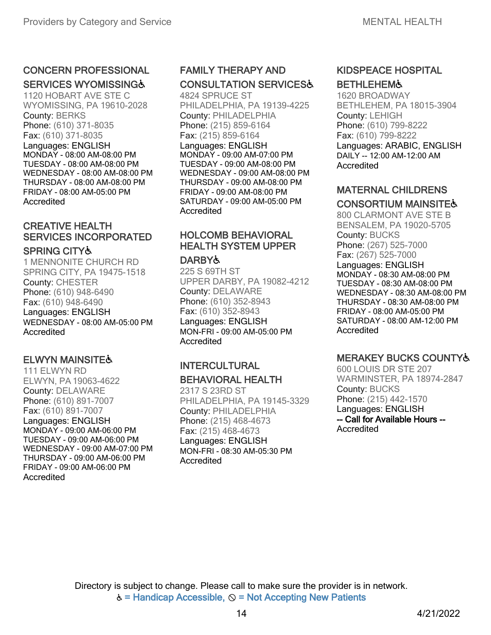# CONCERN PROFESSIONAL

#### SERVICES WYOMISSING&

1120 HOBART AVE STE C WYOMISSING, PA 19610-2028 County: BERKS Phone: (610) 371-8035 Fax: (610) 371-8035 Languages: ENGLISH MONDAY - 08:00 AM-08:00 PM TUESDAY - 08:00 AM-08:00 PM WEDNESDAY - 08:00 AM-08:00 PM THURSDAY - 08:00 AM-08:00 PM FRIDAY - 08:00 AM-05:00 PM Accredited

## CREATIVE HEALTH SERVICES INCORPORATED

#### SPRING CITY♿

1 MENNONITE CHURCH RD SPRING CITY, PA 19475-1518 County: CHESTER Phone: (610) 948-6490 Fax: (610) 948-6490 Languages: ENGLISH WEDNESDAY - 08:00 AM-05:00 PM **Accredited** 

#### ELWYN MAINSITE♿

111 ELWYN RD ELWYN, PA 19063-4622 County: DELAWARE Phone: (610) 891-7007 Fax: (610) 891-7007

Languages: ENGLISH MONDAY - 09:00 AM-06:00 PM TUESDAY - 09:00 AM-06:00 PM WEDNESDAY - 09:00 AM-07:00 PM THURSDAY - 09:00 AM-06:00 PM FRIDAY - 09:00 AM-06:00 PM Accredited

# FAMILY THERAPY AND CONSULTATION SERVICES♿

4824 SPRUCE ST PHILADELPHIA, PA 19139-4225 County: PHILADELPHIA Phone: (215) 859-6164 Fax: (215) 859-6164 Languages: ENGLISH MONDAY - 09:00 AM-07:00 PM TUESDAY - 09:00 AM-08:00 PM WEDNESDAY - 09:00 AM-08:00 PM THURSDAY - 09:00 AM-08:00 PM FRIDAY - 09:00 AM-08:00 PM SATURDAY - 09:00 AM-05:00 PM **Accredited** 

## HOLCOMB BEHAVIORAL HEALTH SYSTEM UPPER

#### **DARBY&**

225 S 69TH ST UPPER DARBY, PA 19082-4212 County: DELAWARE Phone: (610) 352-8943 Fax: (610) 352-8943 Languages: ENGLISH MON-FRI - 09:00 AM-05:00 PM Accredited

#### INTERCULTURAL BEHAVIORAL HEALTH

2317 S 23RD ST PHILADELPHIA, PA 19145-3329 County: PHILADELPHIA Phone: (215) 468-4673 Fax: (215) 468-4673 Languages: ENGLISH MON-FRI - 08:30 AM-05:30 PM Accredited

#### KIDSPEACE HOSPITAL **BETHLEHEM&**

1620 BROADWAY BETHLEHEM, PA 18015-3904 County: LEHIGH Phone: (610) 799-8222 Fax: (610) 799-8222 Languages: ARABIC, ENGLISH DAILY -- 12:00 AM-12:00 AM Accredited

#### MATERNAL CHILDRENS CONSORTIUM MAINSITE&

800 CLARMONT AVE STE B BENSALEM, PA 19020-5705 County: BUCKS Phone: (267) 525-7000 Fax: (267) 525-7000 Languages: ENGLISH MONDAY - 08:30 AM-08:00 PM TUESDAY - 08:30 AM-08:00 PM WEDNESDAY - 08:30 AM-08:00 PM THURSDAY - 08:30 AM-08:00 PM FRIDAY - 08:00 AM-05:00 PM SATURDAY - 08:00 AM-12:00 PM Accredited

## MERAKEY BUCKS COUNTY♿

600 LOUIS DR STE 207 WARMINSTER, PA 18974-2847 County: BUCKS Phone: (215) 442-1570 Languages: ENGLISH -- Call for Available Hours -- Accredited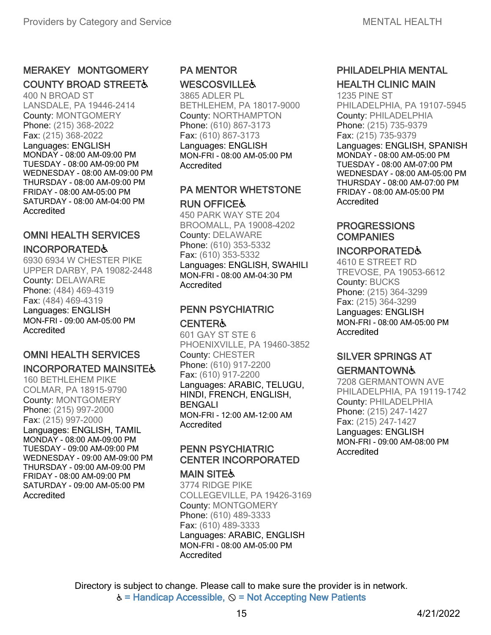## MERAKEY MONTGOMERY **COUNTY BROAD STREET&**

400 N BROAD ST LANSDALE, PA 19446-2414 County: MONTGOMERY Phone: (215) 368-2022 Fax: (215) 368-2022 Languages: ENGLISH MONDAY - 08:00 AM-09:00 PM TUESDAY - 08:00 AM-09:00 PM WEDNESDAY - 08:00 AM-09:00 PM THURSDAY - 08:00 AM-09:00 PM FRIDAY - 08:00 AM-05:00 PM SATURDAY - 08:00 AM-04:00 PM **Accredited** 

#### OMNI HEALTH SERVICES INCORPORATED♿

6930 6934 W CHESTER PIKE UPPER DARBY, PA 19082-2448 County: DELAWARE Phone: (484) 469-4319 Fax: (484) 469-4319 Languages: ENGLISH MON-FRI - 09:00 AM-05:00 PM **Accredited** 

#### OMNI HEALTH SERVICES INCORPORATED MAINSITE♿

160 BETHLEHEM PIKE COLMAR, PA 18915-9790 County: MONTGOMERY Phone: (215) 997-2000 Fax: (215) 997-2000 Languages: ENGLISH, TAMIL MONDAY - 08:00 AM-09:00 PM TUESDAY - 09:00 AM-09:00 PM WEDNESDAY - 09:00 AM-09:00 PM THURSDAY - 09:00 AM-09:00 PM FRIDAY - 08:00 AM-09:00 PM SATURDAY - 09:00 AM-05:00 PM Accredited

# PA MENTOR **WESCOSVILLE&**

3865 ADLER PL BETHLEHEM, PA 18017-9000 County: NORTHAMPTON Phone: (610) 867-3173 Fax: (610) 867-3173 Languages: ENGLISH MON-FRI - 08:00 AM-05:00 PM Accredited

#### PA MENTOR WHETSTONE RUN OFFICE♿

450 PARK WAY STE 204 BROOMALL, PA 19008-4202 County: DELAWARE Phone: (610) 353-5332 Fax: (610) 353-5332 Languages: ENGLISH, SWAHILI MON-FRI - 08:00 AM-04:30 PM Accredited

#### PENN PSYCHIATRIC **CENTER&**

601 GAY ST STE 6 PHOENIXVILLE, PA 19460-3852 County: CHESTER Phone: (610) 917-2200 Fax: (610) 917-2200 Languages: ARABIC, TELUGU, HINDI, FRENCH, ENGLISH, BENGALI MON-FRI - 12:00 AM-12:00 AM Accredited

## PENN PSYCHIATRIC CENTER INCORPORATED

#### **MAIN SITE&**

3774 RIDGE PIKE COLLEGEVILLE, PA 19426-3169 County: MONTGOMERY Phone: (610) 489-3333 Fax: (610) 489-3333 Languages: ARABIC, ENGLISH MON-FRI - 08:00 AM-05:00 PM **Accredited** 

## PHILADELPHIA MENTAL HEALTH CLINIC MAIN

1235 PINE ST PHILADELPHIA, PA 19107-5945 County: PHILADELPHIA Phone: (215) 735-9379 Fax: (215) 735-9379 Languages: ENGLISH, SPANISH MONDAY - 08:00 AM-05:00 PM TUESDAY - 08:00 AM-07:00 PM WEDNESDAY - 08:00 AM-05:00 PM THURSDAY - 08:00 AM-07:00 PM FRIDAY - 08:00 AM-05:00 PM Accredited

## **PROGRESSIONS COMPANIES**

#### INCORPORATED♿

4610 E STREET RD TREVOSE, PA 19053-6612 County: BUCKS Phone: (215) 364-3299 Fax: (215) 364-3299 Languages: ENGLISH MON-FRI - 08:00 AM-05:00 PM Accredited

#### SILVER SPRINGS AT **GERMANTOWN&**

7208 GERMANTOWN AVE PHILADELPHIA, PA 19119-1742 County: PHILADELPHIA Phone: (215) 247-1427 Fax: (215) 247-1427 Languages: ENGLISH MON-FRI - 09:00 AM-08:00 PM Accredited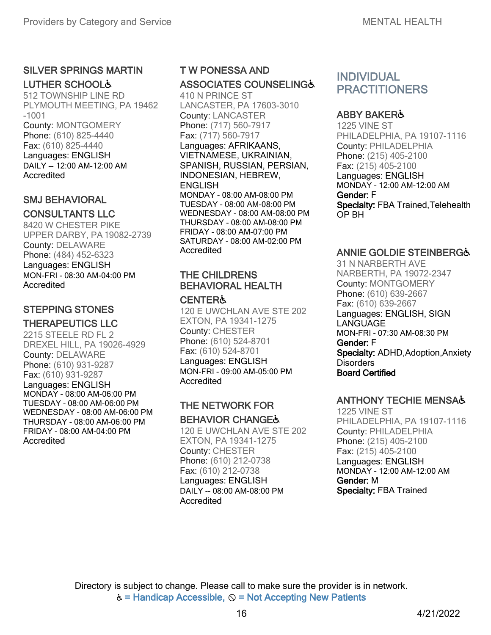#### SILVER SPRINGS MARTIN LUTHER SCHOOL♿

512 TOWNSHIP LINE RD PLYMOUTH MEETING, PA 19462 -1001 County: MONTGOMERY Phone: (610) 825-4440 Fax: (610) 825-4440 Languages: ENGLISH DAILY -- 12:00 AM-12:00 AM Accredited

## SMJ BEHAVIORAL

#### CONSULTANTS LLC

8420 W CHESTER PIKE UPPER DARBY, PA19082-2739 County: DELAWARE Phone: (484) 452-6323 Languages: ENGLISH MON-FRI - 08:30 AM-04:00 PM Accredited

#### STEPPING STONES THERAPEUTICS LLC

2215 STEELE RD FL 2 DREXEL HILL, PA 19026-4929 County: DELAWARE Phone: (610) 931-9287 Fax: (610) 931-9287 Languages: ENGLISH MONDAY - 08:00 AM-06:00 PM TUESDAY - 08:00 AM-06:00 PM WEDNESDAY - 08:00 AM-06:00 PM THURSDAY - 08:00 AM-06:00 PM FRIDAY - 08:00 AM-04:00 PM Accredited

# T W PONESSA AND ASSOCIATES COUNSELING♿

410 N PRINCE ST LANCASTER, PA 17603-3010 County: LANCASTER Phone: (717) 560-7917 Fax: (717) 560-7917 Languages: AFRIKAANS, VIETNAMESE, UKRAINIAN, SPANISH, RUSSIAN, PERSIAN, INDONESIAN, HEBREW, ENGLISH MONDAY - 08:00 AM-08:00 PM TUESDAY - 08:00 AM-08:00 PM WEDNESDAY - 08:00 AM-08:00 PM THURSDAY - 08:00 AM-08:00 PM FRIDAY - 08:00 AM-07:00 PM SATURDAY - 08:00 AM-02:00 PM Accredited

# THE CHILDRENS BEHAVIORAL HEALTH

# **CENTER&**

120 E UWCHLAN AVE STE 202 EXTON, PA 19341-1275 County: CHESTER Phone: (610) 524-8701 Fax: (610) 524-8701 Languages: ENGLISH MON-FRI - 09:00 AM-05:00 PM Accredited

## THE NETWORK FOR BEHAVIOR CHANGE♿

120 E UWCHLAN AVE STE 202 EXTON, PA 19341-1275 County: CHESTER Phone: (610) 212-0738 Fax: (610) 212-0738 Languages: ENGLISH DAILY -- 08:00 AM-08:00 PM **Accredited** 

# INDIVIDUAL **PRACTITIONERS**

## ABBY BAKER♿

1225 VINE ST PHILADELPHIA, PA 19107-1116 County: PHILADELPHIA Phone: (215) 405-2100 Fax: (215) 405-2100 Languages: ENGLISH MONDAY - 12:00 AM-12:00 AM Gender: F Specialty: FBA Trained,Telehealth OP BH

#### ANNIE GOLDIE STEINBERG♿

31 N NARBERTH AVE NARBERTH, PA 19072-2347 County: MONTGOMERY Phone: (610) 639-2667 Fax: (610) 639-2667 Languages: ENGLISH, SIGN LANGUAGE MON-FRI - 07:30 AM-08:30 PM Gender: F Specialty: ADHD, Adoption, Anxiety **Disorders** Board Certified

## ANTHONY TECHIE MENSA♿

1225 VINE ST PHILADELPHIA, PA 19107-1116 County: PHILADELPHIA Phone: (215) 405-2100 Fax: (215) 405-2100 Languages: ENGLISH MONDAY - 12:00 AM-12:00 AM Gender: M Specialty: FBA Trained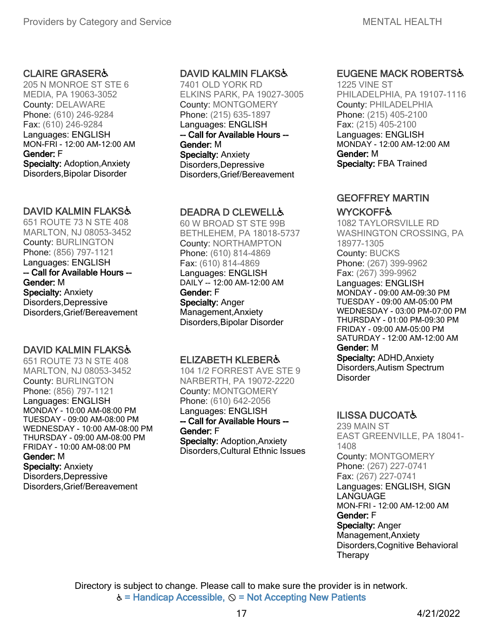#### CLAIRE GRASER♿

205 N MONROE ST STE 6 MEDIA, PA 19063-3052 County: DELAWARE Phone: (610) 246-9284 Fax: (610) 246-9284 Languages: ENGLISH MON-FRI - 12:00 AM-12:00 AM Gender: F Specialty: Adoption,Anxiety Disorders,Bipolar Disorder

#### DAVID KALMIN FLAKS♿

651 ROUTE 73 N STE 408 MARLTON, NJ 08053-3452 County: BURLINGTON Phone: (856) 797-1121 Languages: ENGLISH -- Call for Available Hours -- Gender: M Specialty: Anxiety Disorders,Depressive Disorders,Grief/Bereavement

## DAVID KALMIN FLAKS&

651 ROUTE 73 N STE 408 MARLTON, NJ 08053-3452 County: BURLINGTON Phone: (856) 797-1121 Languages: ENGLISH MONDAY - 10:00 AM-08:00 PM TUESDAY - 09:00 AM-08:00 PM WEDNESDAY - 10:00 AM-08:00 PM THURSDAY - 09:00 AM-08:00 PM FRIDAY - 10:00 AM-08:00 PM Gender: M Specialty: Anxiety Disorders,Depressive Disorders,Grief/Bereavement

#### DAVID KALMIN FLAKS♿

7401 OLD YORK RD ELKINS PARK, PA 19027-3005 County: MONTGOMERY Phone: (215) 635-1897 Languages: ENGLISH -- Call for Available Hours -- Gender: M Specialty: Anxiety Disorders,Depressive Disorders,Grief/Bereavement

#### DEADRA D CLEWELL♿

60 W BROAD ST STE 99B BETHLEHEM, PA 18018-5737 County: NORTHAMPTON Phone: (610) 814-4869 Fax: (610) 814-4869 Languages: ENGLISH DAILY -- 12:00 AM-12:00 AM Gender: F Specialty: Anger Management,Anxiety Disorders,Bipolar Disorder

#### ELIZABETH KLEBER♿

104 1/2 FORREST AVE STE 9 NARBERTH, PA 19072-2220 County: MONTGOMERY Phone: (610) 642-2056 Languages: ENGLISH -- Call for Available Hours -- Gender: F Specialty: Adoption,Anxiety

Disorders,Cultural Ethnic Issues

## EUGENE MACK ROBERTS♿

1225 VINE ST PHILADELPHIA, PA 19107-1116 County: PHILADELPHIA Phone: (215) 405-2100 Fax: (215) 405-2100 Languages: ENGLISH MONDAY - 12:00 AM-12:00 AM Gender: M Specialty: FBA Trained

#### GEOFFREY MARTIN

#### **WYCKOFF&**

1082 TAYLORSVILLE RD WASHINGTON CROSSING, PA 18977-1305 County: BUCKS Phone: (267) 399-9962 Fax: (267) 399-9962 Languages: ENGLISH MONDAY - 09:00 AM-09:30 PM TUESDAY - 09:00 AM-05:00 PM WEDNESDAY - 03:00 PM-07:00 PM THURSDAY - 01:00 PM-09:30 PM FRIDAY - 09:00 AM-05:00 PM SATURDAY - 12:00 AM-12:00 AM Gender: M Specialty: ADHD,Anxiety Disorders,Autism Spectrum **Disorder** 

## ILISSA DUCOAT♿

239 MAIN ST EAST GREENVILLE, PA 18041- 1408 County: MONTGOMERY Phone: (267) 227-0741 Fax: (267) 227-0741 Languages: ENGLISH, SIGN **LANGUAGE** MON-FRI - 12:00 AM-12:00 AM Gender: F Specialty: Anger Management,Anxiety Disorders,Cognitive Behavioral **Therapy**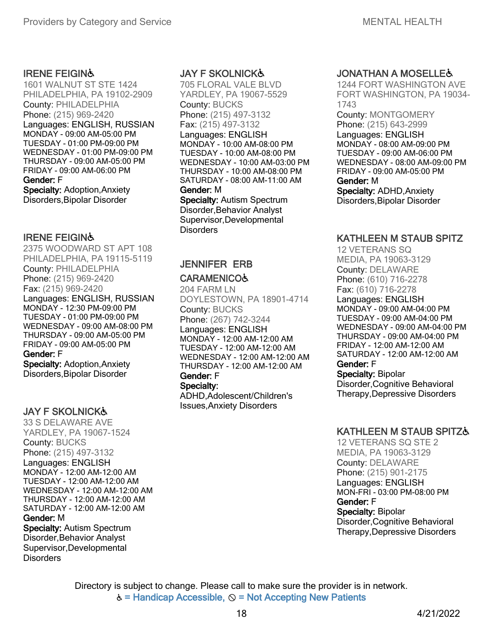#### IRENE FEIGIN♿

1601 WALNUT ST STE 1424 PHILADELPHIA, PA 19102-2909 County: PHILADELPHIA Phone: (215) 969-2420 Languages: ENGLISH, RUSSIAN MONDAY - 09:00 AM-05:00 PM TUESDAY - 01:00 PM-09:00 PM WEDNESDAY - 01:00 PM-09:00 PM THURSDAY - 09:00 AM-05:00 PM FRIDAY - 09:00 AM-06:00 PM Gender: F Specialty: Adoption,Anxiety Disorders,Bipolar Disorder

#### IRENE FEIGIN♿

2375 WOODWARD ST APT 108 PHILADELPHIA, PA 19115-5119 County: PHILADELPHIA Phone: (215) 969-2420 Fax: (215) 969-2420 Languages: ENGLISH, RUSSIAN MONDAY - 12:30 PM-09:00 PM TUESDAY - 01:00 PM-09:00 PM WEDNESDAY - 09:00 AM-08:00 PM THURSDAY - 09:00 AM-05:00 PM FRIDAY - 09:00 AM-05:00 PM Gender: F Specialty: Adoption,Anxiety Disorders,Bipolar Disorder

#### JAY F SKOLNICK♿

33 S DELAWARE AVE YARDLEY, PA 19067-1524 County: BUCKS Phone: (215) 497-3132 Languages: ENGLISH MONDAY - 12:00 AM-12:00 AM TUESDAY - 12:00 AM-12:00 AM WEDNESDAY - 12:00 AM-12:00 AM THURSDAY - 12:00 AM-12:00 AM SATURDAY - 12:00 AM-12:00 AM Gender: M Specialty: Autism Spectrum Disorder,Behavior Analyst Supervisor,Developmental **Disorders** 

#### JAY F SKOLNICK♿

705 FLORAL VALE BLVD YARDLEY, PA 19067-5529 County: BUCKS Phone: (215) 497-3132 Fax: (215) 497-3132 Languages: ENGLISH MONDAY - 10:00 AM-08:00 PM TUESDAY - 10:00 AM-08:00 PM WEDNESDAY - 10:00 AM-03:00 PM THURSDAY - 10:00 AM-08:00 PM SATURDAY - 08:00 AM-11:00 AM Gender: M Specialty: Autism Spectrum Disorder,Behavior Analyst Supervisor,Developmental

Disorders

#### JENNIFER ERB **CARAMENICO&**

204 FARM LN DOYLESTOWN, PA 18901-4714 County: BUCKS Phone: (267) 742-3244 Languages: ENGLISH MONDAY - 12:00 AM-12:00 AM TUESDAY - 12:00 AM-12:00 AM WEDNESDAY - 12:00 AM-12:00 AM THURSDAY - 12:00 AM-12:00 AM Gender: F Specialty:

ADHD,Adolescent/Children's Issues,Anxiety Disorders

#### **JONATHAN A MOSELLE&**

1244 FORT WASHINGTON AVE FORT WASHINGTON, PA 19034- 1743

County: MONTGOMERY Phone: (215) 643-2999 Languages: ENGLISH MONDAY - 08:00 AM-09:00 PM TUESDAY - 09:00 AM-06:00 PM WEDNESDAY - 08:00 AM-09:00 PM FRIDAY - 09:00 AM-05:00 PM Gender: M

Specialty: ADHD,Anxiety Disorders,Bipolar Disorder

#### KATHLEEN M STAUB SPITZ

12 VETERANS SQ MEDIA, PA 19063-3129 County: DELAWARE Phone: (610) 716-2278 Fax: (610) 716-2278

Languages: ENGLISH MONDAY - 09:00 AM-04:00 PM TUESDAY - 09:00 AM-04:00 PM WEDNESDAY - 09:00 AM-04:00 PM THURSDAY - 09:00 AM-04:00 PM FRIDAY - 12:00 AM-12:00 AM SATURDAY - 12:00 AM-12:00 AM

## Gender: F

Specialty: Bipolar Disorder,Cognitive Behavioral Therapy,Depressive Disorders

#### KATHLEEN M STAUB SPITZ♿

12 VETERANS SQ STE 2 MEDIA, PA 19063-3129 County: DELAWARE Phone: (215) 901-2175 Languages: ENGLISH MON-FRI - 03:00 PM-08:00 PM Gender: F Specialty: Bipolar Disorder,Cognitive Behavioral Therapy,Depressive Disorders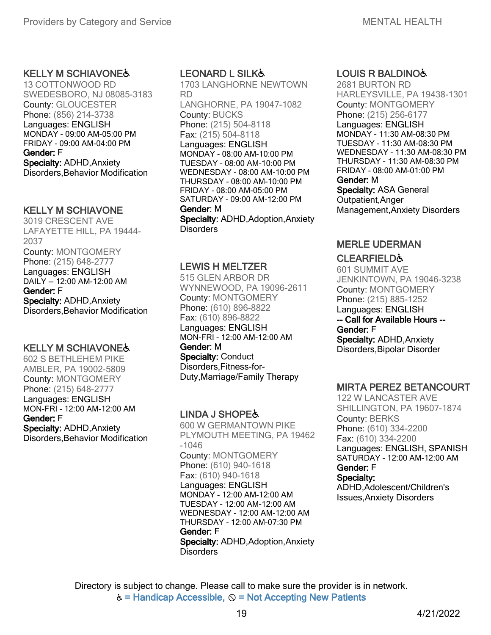#### KELLY M SCHIAVONE♿

13 COTTONWOOD RD SWEDESBORO, NJ 08085-3183 County: GLOUCESTER Phone: (856) 214-3738 Languages: ENGLISH MONDAY - 09:00 AM-05:00 PM FRIDAY - 09:00 AM-04:00 PM Gender: F Specialty: ADHD,Anxiety Disorders,Behavior Modification

#### KELLY M SCHIAVONE

3019 CRESCENT AVE LAFAYETTE HILL, PA 19444- 2037 County: MONTGOMERY Phone: (215) 648-2777 Languages: ENGLISH DAILY -- 12:00 AM-12:00 AM Gender: F Specialty: ADHD,Anxiety Disorders,Behavior Modification

## KELLY M SCHIAVONE♿

602 S BETHLEHEM PIKE AMBLER, PA 19002-5809 County: MONTGOMERY Phone: (215) 648-2777 Languages: ENGLISH MON-FRI - 12:00 AM-12:00 AM Gender: F Specialty: ADHD,Anxiety Disorders,Behavior Modification

## LEONARD L SILK♿

1703 LANGHORNE NEWTOWN RD LANGHORNE, PA 19047-1082 County: BUCKS Phone: (215) 504-8118 Fax: (215) 504-8118 Languages: ENGLISH MONDAY - 08:00 AM-10:00 PM TUESDAY - 08:00 AM-10:00 PM WEDNESDAY - 08:00 AM-10:00 PM THURSDAY - 08:00 AM-10:00 PM FRIDAY - 08:00 AM-05:00 PM SATURDAY - 09:00 AM-12:00 PM Gender: M Specialty: ADHD, Adoption, Anxiety **Disorders** 

#### LEWIS H MELTZER

515 GLEN ARBOR DR WYNNEWOOD, PA 19096-2611 County: MONTGOMERY Phone: (610) 896-8822 Fax: (610) 896-8822 Languages: ENGLISH MON-FRI - 12:00 AM-12:00 AM Gender: M **Specialty: Conduct** Disorders,Fitness-for-Duty,Marriage/Family Therapy

## LINDA J SHOPE♿

600 W GERMANTOWN PIKE PLYMOUTH MEETING, PA 19462 -1046 County: MONTGOMERY Phone: (610) 940-1618 Fax: (610) 940-1618 Languages: ENGLISH MONDAY - 12:00 AM-12:00 AM TUESDAY - 12:00 AM-12:00 AM WEDNESDAY - 12:00 AM-12:00 AM THURSDAY - 12:00 AM-07:30 PM Gender: F Specialty: ADHD, Adoption, Anxiety **Disorders** 

#### LOUIS R BALDINO♿

2681 BURTON RD HARLEYSVILLE, PA 19438-1301 County: MONTGOMERY Phone: (215) 256-6177 Languages: ENGLISH MONDAY - 11:30 AM-08:30 PM TUESDAY - 11:30 AM-08:30 PM WEDNESDAY - 11:30 AM-08:30 PM THURSDAY - 11:30 AM-08:30 PM FRIDAY - 08:00 AM-01:00 PM Gender: M Specialty: ASA General

Outpatient,Anger Management,Anxiety Disorders

## MERLE UDERMAN

#### **CLEARFIELD&**

601 SUMMIT AVE JENKINTOWN, PA 19046-3238 County: MONTGOMERY Phone: (215) 885-1252 Languages: ENGLISH -- Call for Available Hours -- Gender: F Specialty: ADHD,Anxiety Disorders,Bipolar Disorder

## MIRTA PEREZ BETANCOURT

122 W LANCASTER AVE SHILLINGTON, PA 19607-1874 County: BERKS Phone: (610) 334-2200 Fax: (610) 334-2200 Languages: ENGLISH, SPANISH SATURDAY - 12:00 AM-12:00 AM Gender: F Specialty:

ADHD,Adolescent/Children's Issues,Anxiety Disorders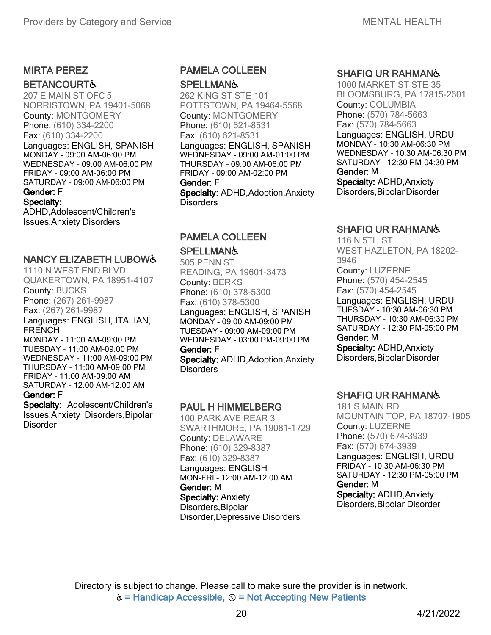## MIRTA PEREZ

#### **BETANCOURT&**

207 E MAIN ST OFC 5 NORRISTOWN, PA 19401-5068 County: MONTGOMERY Phone: (610) 334-2200 Fax: (610) 334-2200 Languages: ENGLISH, SPANISH MONDAY - 09:00 AM-06:00 PM WEDNESDAY - 09:00 AM-06:00 PM FRIDAY - 09:00 AM-06:00 PM SATURDAY - 09:00 AM-06:00 PM Gender: F Specialty:

ADHD,Adolescent/Children's Issues,Anxiety Disorders

#### NANCY ELIZABETH LUBOW♿

1110 N WEST END BLVD QUAKERTOWN, PA 18951-4107 County: BUCKS Phone: (267) 261-9987 Fax: (267) 261-9987 Languages: ENGLISH, ITALIAN, FRENCH MONDAY - 11:00 AM-09:00 PM TUESDAY - 11:00 AM-09:00 PM WEDNESDAY - 11:00 AM-09:00 PM THURSDAY - 11:00 AM-09:00 PM FRIDAY - 11:00 AM-09:00 AM SATURDAY - 12:00 AM-12:00 AM

#### Gender: F Specialty: Adolescent/Children's

Issues,Anxiety Disorders,Bipolar **Disorder** 

#### PAMELA COLLEEN

#### **SPELLMAN&**

262 KING ST STE 101 POTTSTOWN, PA 19464-5568 County: MONTGOMERY Phone: (610) 621-8531 Fax: (610) 621-8531 Languages: ENGLISH, SPANISH WEDNESDAY - 09:00 AM-01:00 PM THURSDAY - 09:00 AM-06:00 PM FRIDAY - 09:00 AM-02:00 PM Gender: F Specialty: ADHD, Adoption, Anxiety **Disorders** 

#### PAMELA COLLEEN

#### **SPELLMAN&**

505 PENN ST READING, PA 19601-3473 County: BERKS Phone: (610) 378-5300 Fax: (610) 378-5300 Languages: ENGLISH, SPANISH MONDAY - 09:00 AM-09:00 PM TUESDAY - 09:00 AM-09:00 PM WEDNESDAY - 03:00 PM-09:00 PM Gender: F Specialty: ADHD, Adoption, Anxiety **Disorders** 

#### PAUL H HIMMELBERG

100 PARK AVE REAR 3 SWARTHMORE, PA 19081-1729 County: DELAWARE Phone: (610) 329-8387 Fax: (610) 329-8387 Languages: ENGLISH MON-FRI - 12:00 AM-12:00 AM Gender: M Specialty: Anxiety Disorders,Bipolar Disorder,Depressive Disorders

#### SHAFIQ UR RAHMAN♿

1000 MARKET ST STE 35 BLOOMSBURG, PA 17815-2601 County: COLUMBIA Phone: (570) 784-5663 Fax: (570) 784-5663 Languages: ENGLISH, URDU MONDAY - 10:30 AM-06:30 PM WEDNESDAY - 10:30 AM-06:30 PM SATURDAY - 12:30 PM-04:30 PM Gender: M Specialty: ADHD,Anxiety

Disorders,Bipolar Disorder

#### SHAFIQ UR RAHMAN♿

116 N 5TH ST WEST HAZLETON, PA 18202- 3946 County: LUZERNE Phone: (570) 454-2545 Fax: (570) 454-2545 Languages: ENGLISH, URDU TUESDAY - 10:30 AM-06:30 PM

THURSDAY - 10:30 AM-06:30 PM SATURDAY - 12:30 PM-05:00 PM Gender: M

Specialty: ADHD,Anxiety Disorders,Bipolar Disorder

#### SHAFIQ UR RAHMAN♿

181 S MAIN RD MOUNTAIN TOP, PA 18707-1905 County: LUZERNE Phone: (570) 674-3939 Fax: (570) 674-3939 Languages: ENGLISH, URDU FRIDAY - 10:30 AM-06:30 PM SATURDAY - 12:30 PM-05:00 PM Gender: M Specialty: ADHD,Anxiety Disorders,Bipolar Disorder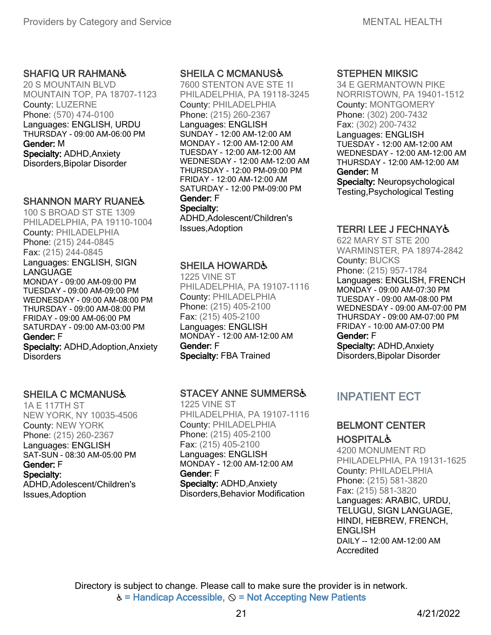#### SHAFIQ UR RAHMAN♿

20 S MOUNTAIN BLVD MOUNTAIN TOP, PA 18707-1123 County: LUZERNE Phone: (570) 474-0100 Languages: ENGLISH, URDU THURSDAY - 09:00 AM-06:00 PM Gender: M Specialty: ADHD,Anxiety Disorders,Bipolar Disorder

#### SHANNON MARY RUANE&

100 S BROAD ST STE 1309 PHILADELPHIA, PA 19110-1004 County: PHILADELPHIA Phone: (215) 244-0845 Fax: (215) 244-0845 Languages: ENGLISH, SIGN LANGUAGE MONDAY - 09:00 AM-09:00 PM TUESDAY - 09:00 AM-09:00 PM WEDNESDAY - 09:00 AM-08:00 PM THURSDAY - 09:00 AM-08:00 PM FRIDAY - 09:00 AM-06:00 PM SATURDAY - 09:00 AM-03:00 PM Gender: F

Specialty: ADHD, Adoption, Anxiety **Disorders** 

#### SHEILA C MCMANUS♿

1A E 117TH ST NEW YORK, NY 10035-4506 County: NEW YORK Phone: (215) 260-2367 Languages: ENGLISH SAT-SUN - 08:30 AM-05:00 PM Gender: F Specialty: ADHD,Adolescent/Children's Issues,Adoption

#### SHEILA C MCMANUS♿

7600 STENTON AVE STE 1I PHILADELPHIA, PA 19118-3245 County: PHILADELPHIA Phone: (215) 260-2367 Languages: ENGLISH SUNDAY - 12:00 AM-12:00 AM MONDAY - 12:00 AM-12:00 AM TUESDAY - 12:00 AM-12:00 AM WEDNESDAY - 12:00 AM-12:00 AM THURSDAY - 12:00 PM-09:00 PM FRIDAY - 12:00 AM-12:00 AM SATURDAY - 12:00 PM-09:00 PM Gender: F Specialty:

ADHD,Adolescent/Children's Issues,Adoption

#### SHEILA HOWARD♿

1225 VINE ST PHILADELPHIA, PA 19107-1116 County: PHILADELPHIA Phone: (215) 405-2100 Fax: (215) 405-2100 Languages: ENGLISH MONDAY - 12:00 AM-12:00 AM Gender: F Specialty: FBA Trained

#### STACEY ANNE SUMMERS♿

1225 VINE ST PHILADELPHIA, PA 19107-1116 County: PHILADELPHIA Phone: (215) 405-2100 Fax: (215) 405-2100 Languages: ENGLISH MONDAY - 12:00 AM-12:00 AM Gender: F Specialty: ADHD,Anxiety Disorders,Behavior Modification

#### STEPHEN MIKSIC

34 E GERMANTOWN PIKE NORRISTOWN, PA 19401-1512 County: MONTGOMERY Phone: (302) 200-7432 Fax: (302) 200-7432 Languages: ENGLISH TUESDAY - 12:00 AM-12:00 AM WEDNESDAY - 12:00 AM-12:00 AM THURSDAY - 12:00 AM-12:00 AM Gender: M Specialty: Neuropsychological Testing,Psychological Testing

#### TERRI LEE J FECHNAY♿

622 MARY ST STE 200 WARMINSTER, PA 18974-2842 County: BUCKS Phone: (215) 957-1784 Languages: ENGLISH, FRENCH MONDAY - 09:00 AM-07:30 PM TUESDAY - 09:00 AM-08:00 PM WEDNESDAY - 09:00 AM-07:00 PM THURSDAY - 09:00 AM-07:00 PM FRIDAY - 10:00 AM-07:00 PM Gender: F Specialty: ADHD,Anxiety

Disorders,Bipolar Disorder

# INPATIENT ECT

#### BELMONT CENTER **HOSPITAL&**

4200 MONUMENT RD PHILADELPHIA, PA 19131-1625 County: PHILADELPHIA Phone: (215) 581-3820 Fax: (215) 581-3820 Languages: ARABIC, URDU, TELUGU, SIGN LANGUAGE, HINDI, HEBREW, FRENCH, ENGLISH DAILY -- 12:00 AM-12:00 AM Accredited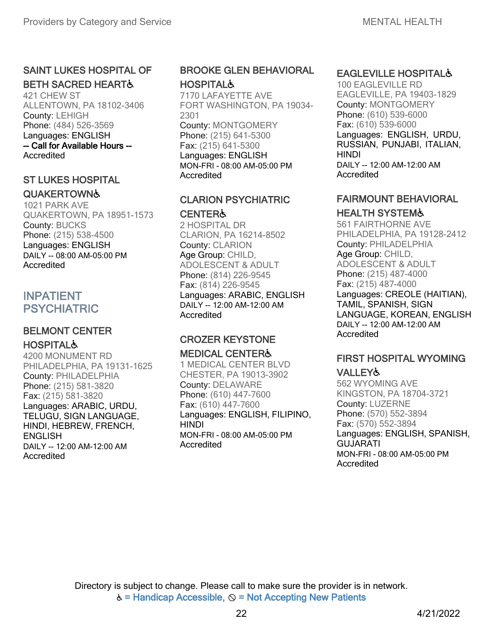#### SAINT LUKES HOSPITAL OF BETH SACRED HEART♿

421 CHEW ST ALLENTOWN, PA 18102-3406 County: LEHIGH Phone: (484) 526-3569 Languages: ENGLISH -- Call for Available Hours -- **Accredited** 

#### ST LUKES HOSPITAL

#### **QUAKERTOWN&**

1021 PARK AVE QUAKERTOWN, PA 18951-1573 County: BUCKS Phone: (215) 538-4500 Languages: ENGLISH DAILY -- 08:00 AM-05:00 PM Accredited

# INPATIENT PSYCHIATRIC

## BELMONT CENTER **HOSPITAL&**

4200 MONUMENT RD PHILADELPHIA, PA 19131-1625 County: PHILADELPHIA Phone: (215) 581-3820 Fax: (215) 581-3820 Languages: ARABIC, URDU, TELUGU, SIGN LANGUAGE, HINDI, HEBREW, FRENCH, **ENGLISH** DAILY -- 12:00 AM-12:00 AM Accredited

## BROOKE GLEN BEHAVIORAL **HOSPITAL&**

7170 LAFAYETTE AVE FORT WASHINGTON, PA 19034- 2301 County: MONTGOMERY Phone: (215) 641-5300 Fax: (215) 641-5300 Languages: ENGLISH MON-FRI - 08:00 AM-05:00 PM Accredited

#### CLARION PSYCHIATRIC CENTER♿

2 HOSPITAL DR CLARION, PA 16214-8502 County: CLARION Age Group: CHILD, ADOLESCENT & ADULT Phone: (814) 226-9545 Fax: (814) 226-9545 Languages: ARABIC, ENGLISH DAILY -- 12:00 AM-12:00 AM Accredited

# CROZER KEYSTONE

#### MEDICAL CENTER♿

1 MEDICAL CENTER BLVD CHESTER, PA 19013-3902 County: DELAWARE Phone: (610) 447-7600 Fax: (610) 447-7600 Languages: ENGLISH, FILIPINO, HINDI MON-FRI - 08:00 AM-05:00 PM Accredited

#### EAGLEVILLE HOSPITAL♿

100 EAGLEVILLE RD EAGLEVILLE, PA 19403-1829 County: MONTGOMERY Phone: (610) 539-6000 Fax: (610) 539-6000 Languages: ENGLISH, URDU, RUSSIAN, PUNJABI, ITALIAN, HINDI DAILY -- 12:00 AM-12:00 AM Accredited

# FAIRMOUNT BEHAVIORAL

## HEALTH SYSTEM♿

561 FAIRTHORNE AVE PHILADELPHIA, PA 19128-2412 County: PHILADELPHIA Age Group: CHILD, ADOLESCENT & ADULT Phone: (215) 487-4000 Fax: (215) 487-4000 Languages: CREOLE (HAITIAN), TAMIL, SPANISH, SIGN LANGUAGE, KOREAN, ENGLISH DAILY -- 12:00 AM-12:00 AM Accredited

# FIRST HOSPITAL WYOMING

#### VALLEY♿

562 WYOMING AVE KINGSTON, PA 18704-3721 County: LUZERNE Phone: (570) 552-3894 Fax: (570) 552-3894 Languages: ENGLISH, SPANISH, GUJARATI MON-FRI - 08:00 AM-05:00 PM **Accredited**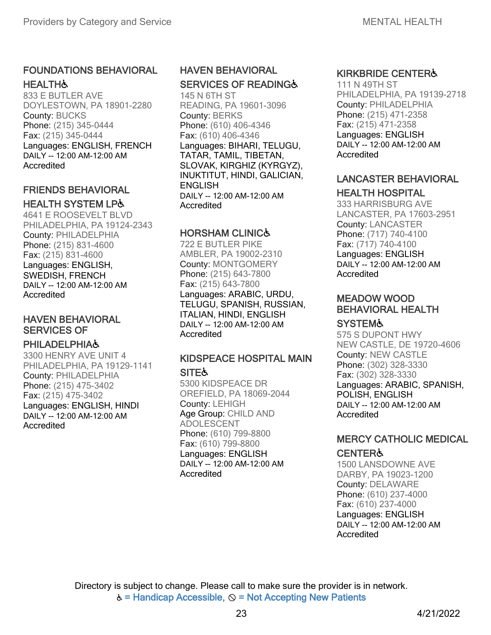## FOUNDATIONS BEHAVIORAL **HEALTH&**

833 E BUTLER AVE DOYLESTOWN, PA 18901-2280 County: BUCKS Phone: (215) 345-0444 Fax: (215) 345-0444 Languages: ENGLISH, FRENCH DAILY -- 12:00 AM-12:00 AM Accredited

#### FRIENDS BEHAVIORAL HEALTH SYSTEM LP♿

4641 E ROOSEVELT BLVD PHILADELPHIA, PA 19124-2343 County: PHILADELPHIA Phone: (215) 831-4600 Fax: (215) 831-4600 Languages: ENGLISH, SWEDISH, FRENCH DAILY -- 12:00 AM-12:00 AM **Accredited** 

# HAVEN BEHAVIORAL SERVICES OF

#### **PHILADELPHIA&**

3300 HENRY AVE UNIT 4 PHILADELPHIA, PA 19129-1141 County: PHILADELPHIA Phone: (215) 475-3402 Fax: (215) 475-3402 Languages: ENGLISH, HINDI DAILY -- 12:00 AM-12:00 AM Accredited

## HAVEN BEHAVIORAL SERVICES OF READING&

145 N 6TH ST READING, PA 19601-3096 County: BERKS Phone: (610) 406-4346 Fax: (610) 406-4346 Languages: BIHARI, TELUGU, TATAR, TAMIL, TIBETAN, SLOVAK, KIRGHIZ (KYRGYZ), INUKTITUT, HINDI, GALICIAN, ENGLISH DAILY -- 12:00 AM-12:00 AM **Accredited** 

#### HORSHAM CLINIC♿

722 E BUTLER PIKE AMBLER, PA 19002-2310 County: MONTGOMERY Phone: (215) 643-7800 Fax: (215) 643-7800 Languages: ARABIC, URDU, TELUGU, SPANISH, RUSSIAN, ITALIAN, HINDI, ENGLISH DAILY -- 12:00 AM-12:00 AM **Accredited** 

#### KIDSPEACE HOSPITAL MAIN

**SITE&** 

5300 KIDSPEACE DR OREFIELD, PA 18069-2044 County: LEHIGH Age Group: CHILD AND ADOLESCENT Phone: (610) 799-8800 Fax: (610) 799-8800 Languages: ENGLISH DAILY -- 12:00 AM-12:00 AM Accredited

## KIRKBRIDE CENTER♿

111 N 49TH ST PHILADELPHIA, PA 19139-2718 County: PHILADELPHIA Phone: (215) 471-2358 Fax: (215) 471-2358 Languages: ENGLISH DAILY -- 12:00 AM-12:00 AM Accredited

## LANCASTER BEHAVIORAL

## HEALTH HOSPITAL

333 HARRISBURG AVE LANCASTER, PA 17603-2951 County: LANCASTER Phone: (717) 740-4100 Fax: (717) 740-4100 Languages: ENGLISH DAILY -- 12:00 AM-12:00 AM **Accredited** 

#### MEADOW WOOD BEHAVIORAL HEALTH

#### **SYSTEM&**

575 S DUPONT HWY NEW CASTLE, DE 19720-4606 County: NEW CASTLE Phone: (302) 328-3330 Fax: (302) 328-3330 Languages: ARABIC, SPANISH, POLISH, ENGLISH DAILY -- 12:00 AM-12:00 AM Accredited

## MERCY CATHOLIC MEDICAL

## **CENTER&**

1500 LANSDOWNE AVE DARBY, PA 19023-1200 County: DELAWARE Phone: (610) 237-4000 Fax: (610) 237-4000 Languages: ENGLISH DAILY -- 12:00 AM-12:00 AM Accredited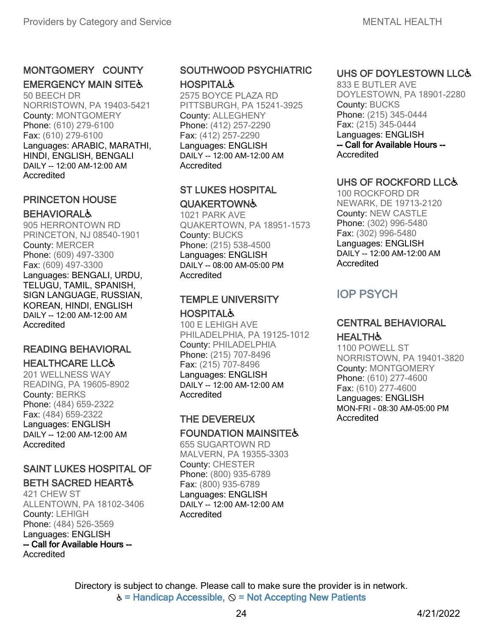## MONTGOMERY COUNTY **EMERGENCY MAIN SITE&**

50 BEECH DR NORRISTOWN, PA 19403-5421 County: MONTGOMERY Phone: (610) 279-6100 Fax: (610) 279-6100 Languages: ARABIC, MARATHI, HINDI, ENGLISH, BENGALI DAILY -- 12:00 AM-12:00 AM Accredited

#### PRINCETON HOUSE **BEHAVIORAL&**

905 HERRONTOWN RD PRINCETON, NJ 08540-1901 County: MERCER Phone: (609) 497-3300 Fax: (609) 497-3300 Languages: BENGALI, URDU, TELUGU, TAMIL, SPANISH, SIGN LANGUAGE, RUSSIAN, KOREAN, HINDI, ENGLISH DAILY -- 12:00 AM-12:00 AM Accredited

#### READING BEHAVIORAL HEALTHCARE LLC♿

201 WELLNESS WAY READING, PA 19605-8902 County: BERKS Phone: (484) 659-2322 Fax: (484) 659-2322 Languages: ENGLISH DAILY -- 12:00 AM-12:00 AM **Accredited** 

# SAINT LUKES HOSPITAL OF

#### BETH SACRED HEART♿

421 CHEW ST ALLENTOWN, PA 18102-3406 County: LEHIGH Phone: (484) 526-3569 Languages: ENGLISH -- Call for Available Hours -- **Accredited** 

## SOUTHWOOD PSYCHIATRIC **HOSPITAL&**

2575 BOYCE PLAZA RD PITTSBURGH, PA 15241-3925 County: ALLEGHENY Phone: (412) 257-2290 Fax: (412) 257-2290 Languages: ENGLISH DAILY -- 12:00 AM-12:00 AM Accredited

## ST LUKES HOSPITAL **QUAKERTOWN&**

1021 PARK AVE QUAKERTOWN, PA 18951-1573 County: BUCKS Phone: (215) 538-4500 Languages: ENGLISH DAILY -- 08:00 AM-05:00 PM **Accredited** 

# TEMPLE UNIVERSITY

## **HOSPITAL&**

100 E LEHIGH AVE PHILADELPHIA, PA 19125-1012 County: PHILADELPHIA Phone: (215) 707-8496 Fax: (215) 707-8496 Languages: ENGLISH DAILY -- 12:00 AM-12:00 AM **Accredited** 

## THE DEVEREUX

#### **FOUNDATION MAINSITES**

655 SUGARTOWN RD MALVERN, PA 19355-3303 County: CHESTER Phone: (800) 935-6789 Fax: (800) 935-6789 Languages: ENGLISH DAILY -- 12:00 AM-12:00 AM Accredited

## UHS OF DOYLESTOWN LLC&

833 E BUTLER AVE DOYLESTOWN, PA 18901-2280 County: BUCKS Phone: (215) 345-0444 Fax: (215) 345-0444 Languages: ENGLISH -- Call for Available Hours -- **Accredited** 

## UHS OF ROCKFORD LLC♿

100 ROCKFORD DR NEWARK, DE 19713-2120 County: NEW CASTLE Phone: (302) 996-5480 Fax: (302) 996-5480 Languages: ENGLISH DAILY -- 12:00 AM-12:00 AM Accredited

# IOP PSYCH

#### CENTRAL BEHAVIORAL **HEALTH**

1100 POWELL ST NORRISTOWN, PA 19401-3820 County: MONTGOMERY Phone: (610) 277-4600 Fax: (610) 277-4600 Languages: ENGLISH MON-FRI - 08:30 AM-05:00 PM Accredited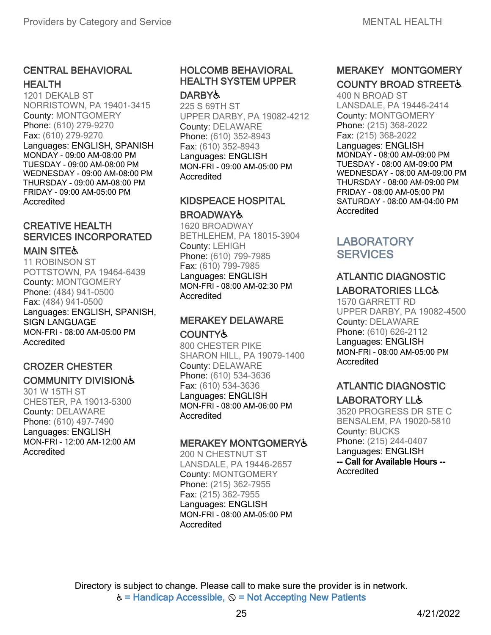## CENTRAL BEHAVIORAL HEALTH

1201 DEKALB ST NORRISTOWN, PA 19401-3415 County: MONTGOMERY Phone: (610) 279-9270 Fax: (610) 279-9270 Languages: ENGLISH, SPANISH MONDAY - 09:00 AM-08:00 PM TUESDAY - 09:00 AM-08:00 PM WEDNESDAY - 09:00 AM-08:00 PM THURSDAY - 09:00 AM-08:00 PM FRIDAY - 09:00 AM-05:00 PM Accredited

# CREATIVE HEALTH SERVICES INCORPORATED

#### **MAIN SITE&**

11 ROBINSON ST POTTSTOWN, PA 19464-6439 County: MONTGOMERY Phone: (484) 941-0500 Fax: (484) 941-0500 Languages: ENGLISH, SPANISH, SIGN LANGUAGE MON-FRI - 08:00 AM-05:00 PM **Accredited** 

#### CROZER CHESTER COMMUNITY DIVISION♿

301 W 15TH ST CHESTER, PA 19013-5300 County: DELAWARE Phone: (610) 497-7490 Languages: ENGLISH MON-FRI - 12:00 AM-12:00 AM Accredited

#### HOLCOMB BEHAVIORAL HEALTH SYSTEM UPPER **DARBYよ**

225 S 69TH ST UPPER DARBY, PA 19082-4212 County: DELAWARE Phone: (610) 352-8943 Fax: (610) 352-8943 Languages: ENGLISH MON-FRI - 09:00 AM-05:00 PM **Accredited** 

#### KIDSPEACE HOSPITAL **BROADWAY&**

1620 BROADWAY BETHLEHEM, PA 18015-3904 County: LEHIGH Phone: (610) 799-7985 Fax: (610) 799-7985 Languages: ENGLISH MON-FRI - 08:00 AM-02:30 PM **Accredited** 

#### MERAKEY DELAWARE COUNTY♿

800 CHESTER PIKE SHARON HILL, PA 19079-1400 County: DELAWARE Phone: (610) 534-3636 Fax: (610) 534-3636 Languages: ENGLISH MON-FRI - 08:00 AM-06:00 PM Accredited

#### MERAKEY MONTGOMERY♿

200 N CHESTNUT ST LANSDALE, PA 19446-2657 County: MONTGOMERY Phone: (215) 362-7955 Fax: (215) 362-7955 Languages: ENGLISH MON-FRI - 08:00 AM-05:00 PM Accredited

# MERAKEY MONTGOMERY **COUNTY BROAD STREET&**

400 N BROAD ST LANSDALE, PA 19446-2414 County: MONTGOMERY Phone: (215) 368-2022 Fax: (215) 368-2022 Languages: ENGLISH MONDAY - 08:00 AM-09:00 PM TUESDAY - 08:00 AM-09:00 PM WEDNESDAY - 08:00 AM-09:00 PM THURSDAY - 08:00 AM-09:00 PM FRIDAY - 08:00 AM-05:00 PM SATURDAY - 08:00 AM-04:00 PM Accredited

# **LABORATORY SERVICES**

## ATLANTIC DIAGNOSTIC LABORATORIES LLC♿

1570 GARRETT RD UPPER DARBY, PA 19082-4500 County: DELAWARE Phone: (610) 626-2112 Languages: ENGLISH MON-FRI - 08:00 AM-05:00 PM Accredited

## ATLANTIC DIAGNOSTIC LABORATORY LL♿

3520 PROGRESS DR STE C BENSALEM, PA 19020-5810 County: BUCKS Phone: (215) 244-0407 Languages: ENGLISH -- Call for Available Hours -- Accredited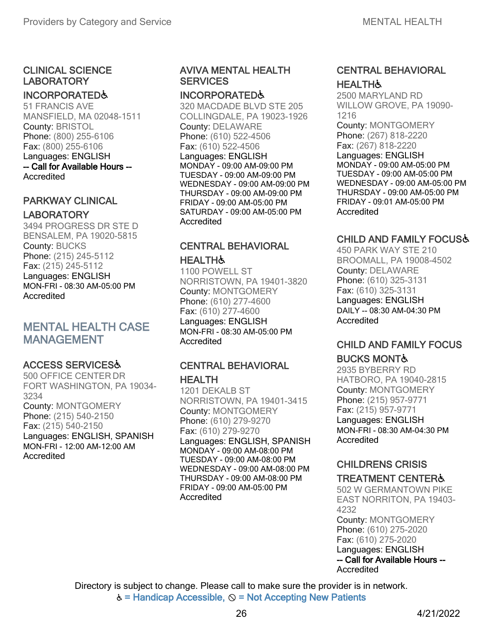#### CLINICAL SCIENCE LABORATORY

#### INCORPORATED♿

51 FRANCIS AVE MANSFIELD, MA 02048-1511 County: BRISTOL Phone: (800) 255-6106 Fax: (800) 255-6106 Languages: ENGLISH -- Call for Available Hours -- Accredited

#### PARKWAY CLINICAL LABORATORY

3494 PROGRESS DR STE D BENSALEM, PA 19020-5815 County: BUCKS Phone: (215) 245-5112 Fax: (215) 245-5112 Languages: ENGLISH MON-FRI - 08:30 AM-05:00 PM **Accredited** 

# MENTAL HEALTH CASE MANAGEMENT

## ACCESS SERVICES♿

500 OFFICE CENTER DR FORT WASHINGTON, PA 19034- 3234 County: MONTGOMERY Phone: (215) 540-2150 Fax: (215) 540-2150 Languages: ENGLISH, SPANISH MON-FRI - 12:00 AM-12:00 AM Accredited

#### AVIVA MENTAL HEALTH **SERVICES**

#### INCORPORATED♿

320 MACDADE BLVD STE 205 COLLINGDALE, PA 19023-1926 County: DELAWARE Phone: (610) 522-4506 Fax: (610) 522-4506 Languages: ENGLISH MONDAY - 09:00 AM-09:00 PM TUESDAY - 09:00 AM-09:00 PM WEDNESDAY - 09:00 AM-09:00 PM THURSDAY - 09:00 AM-09:00 PM FRIDAY - 09:00 AM-05:00 PM SATURDAY - 09:00 AM-05:00 PM **Accredited** 

# CENTRAL BEHAVIORAL

#### **HEALTH&**

1100 POWELL ST NORRISTOWN, PA 19401-3820 County: MONTGOMERY Phone: (610) 277-4600 Fax: (610) 277-4600 Languages: ENGLISH MON-FRI - 08:30 AM-05:00 PM Accredited

#### CENTRAL BEHAVIORAL **HEALTH**

1201 DEKALB ST NORRISTOWN, PA 19401-3415 County: MONTGOMERY Phone: (610) 279-9270 Fax: (610) 279-9270 Languages: ENGLISH, SPANISH MONDAY - 09:00 AM-08:00 PM TUESDAY - 09:00 AM-08:00 PM WEDNESDAY - 09:00 AM-08:00 PM THURSDAY - 09:00 AM-08:00 PM FRIDAY - 09:00 AM-05:00 PM Accredited

## CENTRAL BEHAVIORAL **HEALTH&**

2500 MARYLAND RD WILLOW GROVE, PA 19090- 1216

County: MONTGOMERY Phone: (267) 818-2220 Fax: (267) 818-2220

Languages: ENGLISH MONDAY - 09:00 AM-05:00 PM TUESDAY - 09:00 AM-05:00 PM WEDNESDAY - 09:00 AM-05:00 PM THURSDAY - 09:00 AM-05:00 PM FRIDAY - 09:01 AM-05:00 PM **Accredited** 

## CHILD AND FAMILY FOCUS♿

450 PARK WAY STE 210 BROOMALL, PA 19008-4502 County: DELAWARE Phone: (610) 325-3131 Fax: (610) 325-3131 Languages: ENGLISH DAILY -- 08:30 AM-04:30 PM Accredited

#### CHILD AND FAMILY FOCUS BUCKS MONT♿

2935 BYBERRY RD HATBORO, PA 19040-2815 County: MONTGOMERY Phone: (215) 957-9771 Fax: (215) 957-9771 Languages: ENGLISH MON-FRI - 08:30 AM-04:30 PM Accredited

# CHILDRENS CRISIS

#### TREATMENT CENTER♿

502 W GERMANTOWN PIKE EAST NORRITON, PA 19403- 4232 County: MONTGOMERY Phone: (610) 275-2020 Fax: (610) 275-2020 Languages: ENGLISH -- Call for Available Hours -- Accredited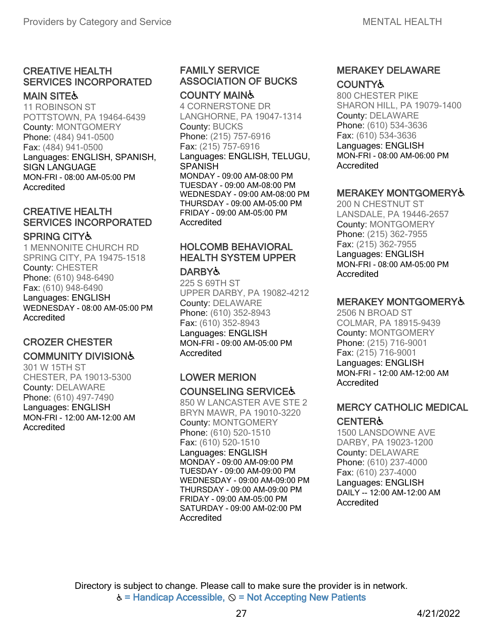# CREATIVE HEALTH SERVICES INCORPORATED

## **MAIN SITE&**

11 ROBINSON ST POTTSTOWN, PA 19464-6439 County: MONTGOMERY Phone: (484) 941-0500 Fax: (484) 941-0500 Languages: ENGLISH, SPANISH, SIGN LANGUAGE MON-FRI - 08:00 AM-05:00 PM Accredited

## CREATIVE HEALTH SERVICES INCORPORATED

#### SPRING CITY♿

1 MENNONITE CHURCH RD SPRING CITY, PA 19475-1518 County: CHESTER Phone: (610) 948-6490 Fax: (610) 948-6490 Languages: ENGLISH WEDNESDAY - 08:00 AM-05:00 PM Accredited

# CROZER CHESTER

## COMMUNITY DIVISION♿

301 W 15TH ST CHESTER, PA 19013-5300 County: DELAWARE Phone: (610) 497-7490 Languages: ENGLISH MON-FRI - 12:00 AM-12:00 AM Accredited

#### FAMILY SERVICE ASSOCIATION OF BUCKS COUNTY MAIN♿

4 CORNERSTONE DR LANGHORNE, PA 19047-1314 County: BUCKS Phone: (215) 757-6916 Fax: (215) 757-6916 Languages: ENGLISH, TELUGU, SPANISH MONDAY - 09:00 AM-08:00 PM TUESDAY - 09:00 AM-08:00 PM WEDNESDAY - 09:00 AM-08:00 PM THURSDAY - 09:00 AM-05:00 PM FRIDAY - 09:00 AM-05:00 PM Accredited

## HOLCOMB BEHAVIORAL HEALTH SYSTEM UPPER

#### **DARBY&**

225 S 69TH ST UPPER DARBY, PA 19082-4212 County: DELAWARE Phone: (610) 352-8943 Fax: (610) 352-8943 Languages: ENGLISH MON-FRI - 09:00 AM-05:00 PM **Accredited** 

#### LOWER MERION COUNSELING SERVICE♿

850 W LANCASTER AVE STE 2 BRYN MAWR, PA 19010-3220 County: MONTGOMERY Phone: (610) 520-1510 Fax: (610) 520-1510 Languages: ENGLISH MONDAY - 09:00 AM-09:00 PM TUESDAY - 09:00 AM-09:00 PM WEDNESDAY - 09:00 AM-09:00 PM THURSDAY - 09:00 AM-09:00 PM FRIDAY - 09:00 AM-05:00 PM SATURDAY - 09:00 AM-02:00 PM **Accredited** 

#### MERAKEY DELAWARE **COUNTY&**

800 CHESTER PIKE SHARON HILL, PA 19079-1400 County: DELAWARE Phone: (610) 534-3636 Fax: (610) 534-3636 Languages: ENGLISH MON-FRI - 08:00 AM-06:00 PM Accredited

#### MERAKEY MONTGOMERY♿

200 N CHESTNUT ST LANSDALE, PA 19446-2657 County: MONTGOMERY Phone: (215) 362-7955 Fax: (215) 362-7955 Languages: ENGLISH MON-FRI - 08:00 AM-05:00 PM Accredited

## MERAKEY MONTGOMERY♿

2506 N BROAD ST COLMAR, PA 18915-9439 County: MONTGOMERY Phone: (215) 716-9001 Fax: (215) 716-9001 Languages: ENGLISH MON-FRI - 12:00 AM-12:00 AM Accredited

## MERCY CATHOLIC MEDICAL

## CENTER♿

1500 LANSDOWNE AVE DARBY, PA 19023-1200 County: DELAWARE Phone: (610) 237-4000 Fax: (610) 237-4000 Languages: ENGLISH DAILY -- 12:00 AM-12:00 AM Accredited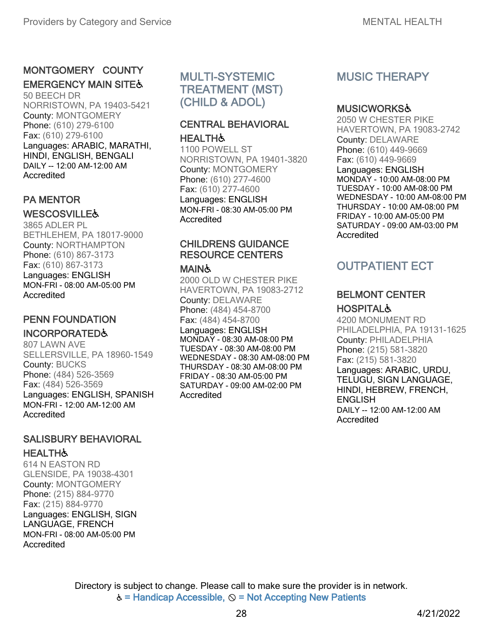## MONTGOMERY COUNTY **EMERGENCY MAIN SITE&**

50 BEECH DR NORRISTOWN, PA 19403-5421 County: MONTGOMERY Phone: (610) 279-6100 Fax: (610) 279-6100 Languages: ARABIC, MARATHI, HINDI, ENGLISH, BENGALI DAILY -- 12:00 AM-12:00 AM Accredited

## PA MENTOR

#### **WESCOSVILLE&**

3865 ADLER PL BETHLEHEM, PA 18017-9000 County: NORTHAMPTON Phone: (610) 867-3173 Fax: (610) 867-3173 Languages: ENGLISH MON-FRI - 08:00 AM-05:00 PM Accredited

#### PENN FOUNDATION

## INCORPORATED♿

807 LAWN AVE SELLERSVILLE, PA 18960-1549 County: BUCKS Phone: (484) 526-3569 Fax: (484) 526-3569 Languages: ENGLISH, SPANISH MON-FRI - 12:00 AM-12:00 AM Accredited

#### SALISBURY BEHAVIORAL **HEALTH&**

614 N EASTON RD GLENSIDE, PA 19038-4301 County: MONTGOMERY Phone: (215) 884-9770 Fax: (215) 884-9770 Languages: ENGLISH, SIGN LANGUAGE, FRENCH MON-FRI - 08:00 AM-05:00 PM Accredited

# MULTI-SYSTEMIC TREATMENT (MST) (CHILD & ADOL)

#### CENTRAL BEHAVIORAL **HEALTH&**

1100 POWELL ST NORRISTOWN, PA 19401-3820 County: MONTGOMERY Phone: (610) 277-4600 Fax: (610) 277-4600 Languages: ENGLISH MON-FRI - 08:30 AM-05:00 PM Accredited

# CHILDRENS GUIDANCE RESOURCE CENTERS

#### MAIN&

2000 OLD W CHESTER PIKE HAVERTOWN, PA 19083-2712 County: DELAWARE Phone: (484) 454-8700 Fax: (484) 454-8700

Languages: ENGLISH MONDAY - 08:30 AM-08:00 PM TUESDAY - 08:30 AM-08:00 PM WEDNESDAY - 08:30 AM-08:00 PM THURSDAY - 08:30 AM-08:00 PM FRIDAY - 08:30 AM-05:00 PM SATURDAY - 09:00 AM-02:00 PM Accredited

# MUSIC THERAPY

#### MUSICWORKS♿

2050 W CHESTER PIKE HAVERTOWN, PA 19083-2742 County: DELAWARE Phone: (610) 449-9669 Fax: (610) 449-9669 Languages: ENGLISH MONDAY - 10:00 AM-08:00 PM TUESDAY - 10:00 AM-08:00 PM WEDNESDAY - 10:00 AM-08:00 PM THURSDAY - 10:00 AM-08:00 PM FRIDAY - 10:00 AM-05:00 PM SATURDAY - 09:00 AM-03:00 PM Accredited

# OUTPATIENT ECT

#### BELMONT CENTER **HOSPITAL&**

4200 MONUMENT RD PHILADELPHIA, PA 19131-1625 County: PHILADELPHIA Phone: (215) 581-3820 Fax: (215) 581-3820 Languages: ARABIC, URDU, TELUGU, SIGN LANGUAGE, HINDI, HEBREW, FRENCH, **ENGLISH** DAILY -- 12:00 AM-12:00 AM **Accredited**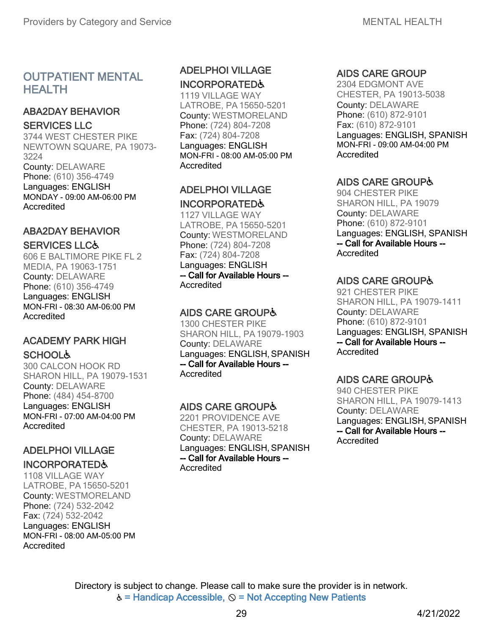## OUTPATIENT MENTAL **HEALTH**

# ABA2DAY BEHAVIOR

#### SERVICES LLC

3744 WEST CHESTER PIKE NEWTOWN SQUARE, PA 19073- 3224 County: DELAWARE

Phone: (610) 356-4749 Languages: ENGLISH MONDAY - 09:00 AM-06:00 PM **Accredited** 

# ABA2DAY BEHAVIOR

#### SERVICES LLC♿

606 E BALTIMORE PIKE FL 2 MEDIA, PA 19063-1751 County: DELAWARE Phone: (610) 356-4749 Languages: ENGLISH MON-FRI - 08:30 AM-06:00 PM Accredited

## ACADEMY PARK HIGH **SCHOOL&**

300 CALCON HOOK RD SHARON HILL, PA 19079-1531 County: DELAWARE Phone: (484) 454-8700 Languages: ENGLISH MON-FRI - 07:00 AM-04:00 PM Accredited

# ADELPHOI VILLAGE

## INCORPORATED♿

1108 VILLAGE WAY LATROBE, PA 15650-5201 County: WESTMORELAND Phone: (724) 532-2042 Fax: (724) 532-2042 Languages: ENGLISH MON-FRI - 08:00 AM-05:00 PM Accredited

## ADELPHOI VILLAGE INCORPORATED♿

1119 VILLAGE WAY LATROBE, PA 15650-5201 County: WESTMORELAND Phone: (724) 804-7208 Fax: (724) 804-7208 Languages: ENGLISH MON-FRI - 08:00 AM-05:00 PM Accredited

## ADELPHOI VILLAGE INCORPORATED♿

1127 VILLAGE WAY LATROBE, PA 15650-5201 County: WESTMORELAND Phone: (724) 804-7208 Fax: (724) 804-7208 Languages: ENGLISH -- Call for Available Hours -- Accredited

## AIDS CARE GROUP♿

1300 CHESTER PIKE SHARON HILL, PA19079-1903 County: DELAWARE Languages: ENGLISH, SPANISH -- Call for Available Hours -- Accredited

## AIDS CARE GROUP♿

2201 PROVIDENCE AVE CHESTER, PA 19013-5218 County: DELAWARE Languages: ENGLISH, SPANISH -- Call for Available Hours -- **Accredited** 

## AIDS CARE GROUP

2304 EDGMONT AVE CHESTER, PA 19013-5038 County: DELAWARE Phone: (610) 872-9101 Fax: (610) 872-9101 Languages: ENGLISH, SPANISH MON-FRI - 09:00 AM-04:00 PM Accredited

# AIDS CARE GROUP♿

904 CHESTER PIKE SHARON HILL, PA 19079 County: DELAWARE Phone: (610) 872-9101 Languages: ENGLISH, SPANISH -- Call for Available Hours -- Accredited

# AIDS CARE GROUP♿

921 CHESTER PIKE SHARON HILL, PA 19079-1411 County: DELAWARE Phone: (610) 872-9101 Languages: ENGLISH, SPANISH -- Call for Available Hours -- Accredited

# AIDS CARE GROUP♿

940 CHESTER PIKE SHARON HILL, PA 19079-1413 County: DELAWARE Languages: ENGLISH, SPANISH -- Call for Available Hours -- **Accredited**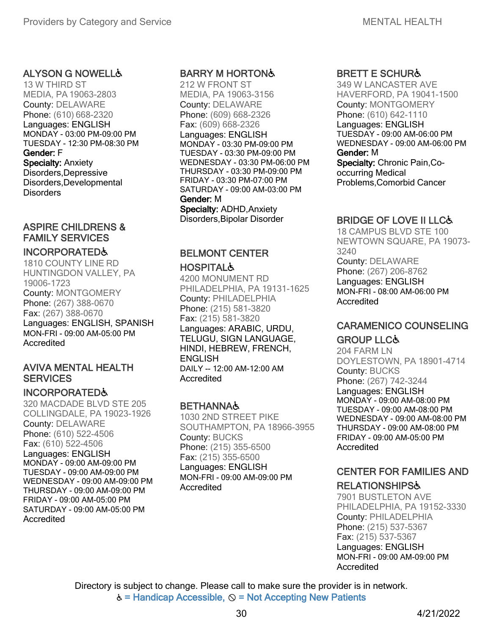#### **ALYSON G NOWELL&**

13 W THIRD ST MEDIA, PA 19063-2803 County: DELAWARE Phone: (610) 668-2320 Languages: ENGLISH MONDAY - 03:00 PM-09:00 PM TUESDAY - 12:30 PM-08:30 PM Gender: F Specialty: Anxiety Disorders,Depressive Disorders,Developmental **Disorders** 

## ASPIRE CHILDRENS & FAMILY SERVICES

#### INCORPORATED♿

1810 COUNTY LINE RD HUNTINGDON VALLEY, PA 19006-1723 County: MONTGOMERY Phone: (267) 388-0670 Fax: (267) 388-0670 Languages: ENGLISH, SPANISH MON-FRI - 09:00 AM-05:00 PM Accredited

#### AVIVA MENTAL HEALTH **SERVICES**

#### INCORPORATED♿

320 MACDADE BLVD STE 205 COLLINGDALE, PA 19023-1926 County: DELAWARE Phone: (610) 522-4506 Fax: (610) 522-4506 Languages: ENGLISH MONDAY - 09:00 AM-09:00 PM TUESDAY - 09:00 AM-09:00 PM WEDNESDAY - 09:00 AM-09:00 PM THURSDAY - 09:00 AM-09:00 PM FRIDAY - 09:00 AM-05:00 PM SATURDAY - 09:00 AM-05:00 PM Accredited

#### BARRY M HORTON♿

212 W FRONT ST MEDIA, PA 19063-3156 County: DELAWARE Phone: (609) 668-2326 Fax: (609) 668-2326 Languages: ENGLISH MONDAY - 03:30 PM-09:00 PM TUESDAY - 03:30 PM-09:00 PM WEDNESDAY - 03:30 PM-06:00 PM THURSDAY - 03:30 PM-09:00 PM FRIDAY - 03:30 PM-07:00 PM SATURDAY - 09:00 AM-03:00 PM Gender: M Specialty: ADHD,Anxiety

Disorders,Bipolar Disorder

#### BELMONT CENTER **HOSPITAL&**

4200 MONUMENT RD PHILADELPHIA, PA 19131-1625 County: PHILADELPHIA Phone: (215) 581-3820 Fax: (215) 581-3820 Languages: ARABIC, URDU, TELUGU, SIGN LANGUAGE, HINDI, HEBREW, FRENCH, **ENGLISH** DAILY -- 12:00 AM-12:00 AM Accredited

#### **BETHANNA&**

1030 2ND STREET PIKE SOUTHAMPTON, PA 18966-3955 County: BUCKS Phone: (215) 355-6500 Fax: (215) 355-6500 Languages: ENGLISH MON-FRI - 09:00 AM-09:00 PM Accredited

#### BRETT E SCHUR♿

349 W LANCASTER AVE HAVERFORD, PA 19041-1500 County: MONTGOMERY Phone: (610) 642-1110 Languages: ENGLISH TUESDAY - 09:00 AM-06:00 PM WEDNESDAY - 09:00 AM-06:00 PM Gender: M Specialty: Chronic Pain,Cooccurring Medical Problems,Comorbid Cancer

## BRIDGE OF LOVE II LLC♿

18 CAMPUS BLVD STE 100 NEWTOWN SQUARE, PA 19073- 3240 County: DELAWARE Phone: (267) 206-8762 Languages: ENGLISH MON-FRI - 08:00 AM-06:00 PM Accredited

# CARAMENICO COUNSELING

#### **GROUP LLC&**

204 FARM LN DOYLESTOWN, PA 18901-4714 County: BUCKS Phone: (267) 742-3244 Languages: ENGLISH MONDAY - 09:00 AM-08:00 PM TUESDAY - 09:00 AM-08:00 PM WEDNESDAY - 09:00 AM-08:00 PM THURSDAY - 09:00 AM-08:00 PM FRIDAY - 09:00 AM-05:00 PM Accredited

# CENTER FOR FAMILIES AND

#### **RELATIONSHIPS&**

7901 BUSTLETON AVE PHILADELPHIA, PA 19152-3330 County: PHILADELPHIA Phone: (215) 537-5367 Fax: (215) 537-5367 Languages: ENGLISH MON-FRI - 09:00 AM-09:00 PM Accredited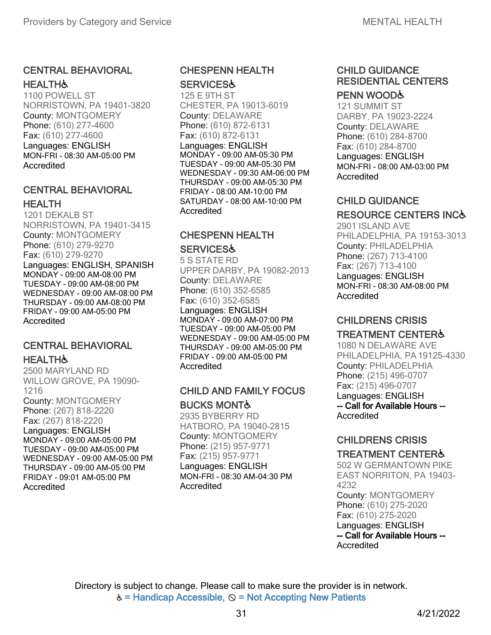## CENTRAL BEHAVIORAL **HEALTH&**

1100 POWELL ST NORRISTOWN, PA 19401-3820 County: MONTGOMERY Phone: (610) 277-4600 Fax: (610) 277-4600 Languages: ENGLISH MON-FRI - 08:30 AM-05:00 PM Accredited

## CENTRAL BEHAVIORAL HEALTH

1201 DEKALB ST NORRISTOWN, PA 19401-3415 County: MONTGOMERY Phone: (610) 279-9270 Fax: (610) 279-9270 Languages: ENGLISH, SPANISH MONDAY - 09:00 AM-08:00 PM TUESDAY - 09:00 AM-08:00 PM WEDNESDAY - 09:00 AM-08:00 PM THURSDAY - 09:00 AM-08:00 PM FRIDAY - 09:00 AM-05:00 PM Accredited

## CENTRAL BEHAVIORAL **HEALTH&**

2500 MARYLAND RD WILLOW GROVE, PA 19090- 1216 County: MONTGOMERY Phone: (267) 818-2220 Fax: (267) 818-2220 Languages: ENGLISH MONDAY - 09:00 AM-05:00 PM TUESDAY - 09:00 AM-05:00 PM WEDNESDAY - 09:00 AM-05:00 PM THURSDAY - 09:00 AM-05:00 PM FRIDAY - 09:01 AM-05:00 PM Accredited

#### CHESPENN HEALTH **SERVICES&**

125 E 9TH ST CHESTER, PA 19013-6019 County: DELAWARE Phone: (610) 872-6131 Fax: (610) 872-6131 Languages: ENGLISH MONDAY - 09:00 AM-05:30 PM TUESDAY - 09:00 AM-05:30 PM WEDNESDAY - 09:30 AM-06:00 PM THURSDAY - 09:00 AM-05:30 PM FRIDAY - 08:00 AM-10:00 PM SATURDAY - 08:00 AM-10:00 PM **Accredited** 

# CHESPENN HEALTH

#### **SERVICES&**

5 S STATE RD UPPER DARBY, PA 19082-2013 County: DELAWARE Phone: (610) 352-6585 Fax: (610) 352-6585 Languages: ENGLISH

MONDAY - 09:00 AM-07:00 PM TUESDAY - 09:00 AM-05:00 PM WEDNESDAY - 09:00 AM-05:00 PM THURSDAY - 09:00 AM-05:00 PM FRIDAY - 09:00 AM-05:00 PM Accredited

## CHILD AND FAMILY FOCUS

#### BUCKS MONT♿

2935 BYBERRY RD HATBORO, PA 19040-2815 County: MONTGOMERY Phone: (215) 957-9771 Fax: (215) 957-9771 Languages: ENGLISH MON-FRI - 08:30 AM-04:30 PM **Accredited** 

# CHILD GUIDANCE RESIDENTIAL CENTERS

## PENN WOOD&

121 SUMMIT ST DARBY, PA 19023-2224 County: DELAWARE Phone: (610) 284-8700 Fax: (610) 284-8700 Languages: ENGLISH MON-FRI - 08:00 AM-03:00 PM Accredited

## CHILD GUIDANCE

# RESOURCE CENTERS INC♿

2901 ISLAND AVE PHILADELPHIA, PA 19153-3013 County: PHILADELPHIA Phone: (267) 713-4100 Fax: (267) 713-4100 Languages: ENGLISH MON-FRI - 08:30 AM-08:00 PM Accredited

## CHILDRENS CRISIS

#### TREATMENT CENTER♿

1080 N DELAWARE AVE PHILADELPHIA, PA19125-4330 County: PHILADELPHIA Phone: (215) 496-0707 Fax: (215) 496-0707 Languages: ENGLISH -- Call for Available Hours -- Accredited

# CHILDRENS CRISIS

#### TREATMENT CENTER♿

502 W GERMANTOWN PIKE EAST NORRITON, PA 19403- 4232 County: MONTGOMERY Phone: (610) 275-2020 Fax: (610) 275-2020 Languages: ENGLISH -- Call for Available Hours -- Accredited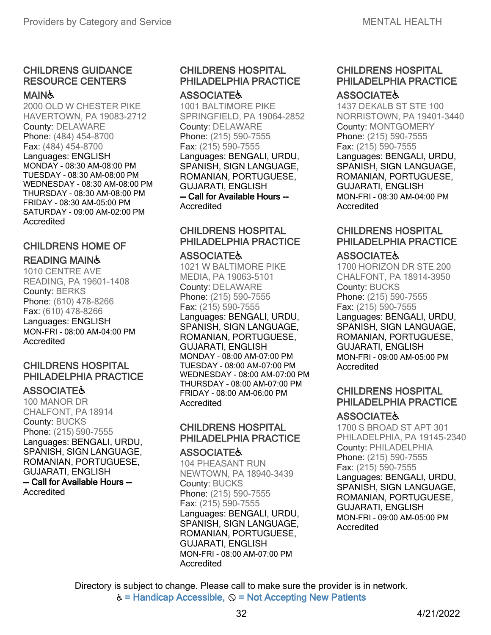#### CHILDRENS GUIDANCE RESOURCE CENTERS

#### MAIN&

2000 OLD W CHESTER PIKE HAVERTOWN, PA 19083-2712 County: DELAWARE Phone: (484) 454-8700 Fax: (484) 454-8700 Languages: ENGLISH MONDAY - 08:30 AM-08:00 PM TUESDAY - 08:30 AM-08:00 PM WEDNESDAY - 08:30 AM-08:00 PM THURSDAY - 08:30 AM-08:00 PM FRIDAY - 08:30 AM-05:00 PM SATURDAY - 09:00 AM-02:00 PM **Accredited** 

## CHILDRENS HOME OF

#### READING MAIN♿

1010 CENTRE AVE READING, PA 19601-1408 County: BERKS Phone: (610) 478-8266 Fax: (610) 478-8266 Languages: ENGLISH MON-FRI - 08:00 AM-04:00 PM Accredited

#### CHILDRENS HOSPITAL PHILADELPHIA PRACTICE

#### **ASSOCIATE&**

100 MANOR DR CHALFONT, PA 18914 County: BUCKS Phone: (215) 590-7555 Languages: BENGALI, URDU, SPANISH, SIGN LANGUAGE, ROMANIAN, PORTUGUESE, GUJARATI, ENGLISH -- Call for Available Hours -- Accredited

# CHILDRENS HOSPITAL PHILADELPHIA PRACTICE

#### **ASSOCIATE&**

1001 BALTIMORE PIKE SPRINGFIELD, PA 19064-2852 County: DELAWARE Phone: (215) 590-7555 Fax: (215) 590-7555 Languages: BENGALI, URDU, SPANISH, SIGN LANGUAGE, ROMANIAN, PORTUGUESE, GUJARATI, ENGLISH -- Call for Available Hours --

Accredited

#### CHILDRENS HOSPITAL PHILADELPHIA PRACTICE

#### **ASSOCIATE&**

1021 W BALTIMORE PIKE MEDIA, PA 19063-5101 County: DELAWARE Phone: (215) 590-7555 Fax: (215) 590-7555 Languages: BENGALI, URDU, SPANISH, SIGN LANGUAGE, ROMANIAN, PORTUGUESE, GUJARATI, ENGLISH MONDAY - 08:00 AM-07:00 PM TUESDAY - 08:00 AM-07:00 PM WEDNESDAY - 08:00 AM-07:00 PM THURSDAY - 08:00 AM-07:00 PM FRIDAY - 08:00 AM-06:00 PM **Accredited** 

# CHILDRENS HOSPITAL PHILADELPHIA PRACTICE

#### **ASSOCIATE&**

104 PHEASANT RUN NEWTOWN, PA 18940-3439 County: BUCKS Phone: (215) 590-7555 Fax: (215) 590-7555 Languages: BENGALI, URDU, SPANISH, SIGN LANGUAGE, ROMANIAN, PORTUGUESE, GUJARATI, ENGLISH MON-FRI - 08:00 AM-07:00 PM Accredited

#### CHILDRENS HOSPITAL PHILADELPHIA PRACTICE **ASSOCIATE&**

1437 DEKALB ST STE 100 NORRISTOWN, PA 19401-3440 County: MONTGOMERY Phone: (215) 590-7555 Fax: (215) 590-7555 Languages: BENGALI, URDU, SPANISH, SIGN LANGUAGE, ROMANIAN, PORTUGUESE, GUJARATI, ENGLISH MON-FRI - 08:30 AM-04:00 PM Accredited

#### CHILDRENS HOSPITAL PHILADELPHIA PRACTICE

#### **ASSOCIATE&**

1700 HORIZON DR STE 200 CHALFONT, PA 18914-3950 County: BUCKS Phone: (215) 590-7555 Fax: (215) 590-7555 Languages: BENGALI, URDU, SPANISH, SIGN LANGUAGE, ROMANIAN, PORTUGUESE, GUJARATI, ENGLISH MON-FRI - 09:00 AM-05:00 PM **Accredited** 

#### CHILDRENS HOSPITAL PHILADELPHIA PRACTICE

#### **ASSOCIATE&**

1700 S BROAD ST APT 301 PHILADELPHIA, PA 19145-2340 County: PHILADELPHIA Phone: (215) 590-7555 Fax: (215) 590-7555 Languages: BENGALI, URDU, SPANISH, SIGN LANGUAGE, ROMANIAN, PORTUGUESE, GUJARATI, ENGLISH MON-FRI - 09:00 AM-05:00 PM Accredited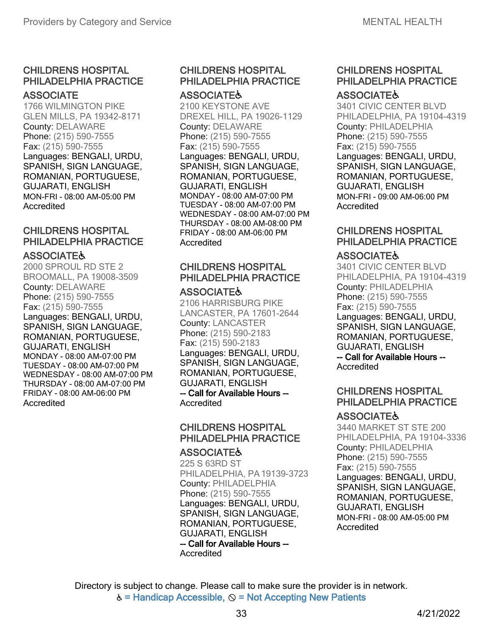## CHILDRENS HOSPITAL PHILADELPHIA PRACTICE

#### **ASSOCIATE**

1766 WILMINGTON PIKE GLEN MILLS, PA 19342-8171 County: DELAWARE Phone: (215) 590-7555 Fax: (215) 590-7555 Languages: BENGALI, URDU, SPANISH, SIGN LANGUAGE, ROMANIAN, PORTUGUESE, GUJARATI, ENGLISH MON-FRI - 08:00 AM-05:00 PM Accredited

## CHILDRENS HOSPITAL PHILADELPHIA PRACTICE

#### **ASSOCIATE&**

2000 SPROUL RD STE 2 BROOMALL, PA 19008-3509 County: DELAWARE Phone: (215) 590-7555 Fax: (215) 590-7555 Languages: BENGALI, URDU, SPANISH, SIGN LANGUAGE, ROMANIAN, PORTUGUESE, GUJARATI, ENGLISH MONDAY - 08:00 AM-07:00 PM TUESDAY - 08:00 AM-07:00 PM WEDNESDAY - 08:00 AM-07:00 PM THURSDAY - 08:00 AM-07:00 PM FRIDAY - 08:00 AM-06:00 PM Accredited

# CHILDRENS HOSPITAL PHILADELPHIA PRACTICE

#### **ASSOCIATE&**

2100 KEYSTONE AVE DREXEL HILL, PA 19026-1129 County: DELAWARE Phone: (215) 590-7555 Fax: (215) 590-7555 Languages: BENGALI, URDU, SPANISH, SIGN LANGUAGE, ROMANIAN, PORTUGUESE, GUJARATI, ENGLISH MONDAY - 08:00 AM-07:00 PM TUESDAY - 08:00 AM-07:00 PM WEDNESDAY - 08:00 AM-07:00 PM THURSDAY - 08:00 AM-08:00 PM FRIDAY - 08:00 AM-06:00 PM Accredited

# CHILDRENS HOSPITAL PHILADELPHIA PRACTICE

#### **ASSOCIATE&**

2106 HARRISBURG PIKE LANCASTER, PA 17601-2644 County: LANCASTER Phone: (215) 590-2183 Fax: (215) 590-2183 Languages: BENGALI, URDU, SPANISH, SIGN LANGUAGE, ROMANIAN, PORTUGUESE, GUJARATI, ENGLISH -- Call for Available Hours --

Accredited

# CHILDRENS HOSPITAL PHILADELPHIA PRACTICE

#### **ASSOCIATE&**

225 S 63RD ST PHILADELPHIA, PA19139-3723 County: PHILADELPHIA Phone: (215) 590-7555 Languages: BENGALI, URDU, SPANISH, SIGN LANGUAGE, ROMANIAN, PORTUGUESE, GUJARATI, ENGLISH -- Call for Available Hours -- Accredited

#### CHILDRENS HOSPITAL PHILADELPHIA PRACTICE **ASSOCIATE&**

3401 CIVIC CENTER BLVD PHILADELPHIA, PA 19104-4319 County: PHILADELPHIA Phone: (215) 590-7555 Fax: (215) 590-7555 Languages: BENGALI, URDU, SPANISH, SIGN LANGUAGE, ROMANIAN, PORTUGUESE, GUJARATI, ENGLISH MON-FRI - 09:00 AM-06:00 PM Accredited

#### CHILDRENS HOSPITAL PHILADELPHIA PRACTICE

#### **ASSOCIATE&**

3401 CIVIC CENTER BLVD PHILADELPHIA, PA 19104-4319 County: PHILADELPHIA Phone: (215) 590-7555 Fax: (215) 590-7555 Languages: BENGALI, URDU, SPANISH, SIGN LANGUAGE, ROMANIAN, PORTUGUESE, GUJARATI, ENGLISH -- Call for Available Hours -- Accredited

#### CHILDRENS HOSPITAL PHILADELPHIA PRACTICE

#### **ASSOCIATE&**

3440 MARKET ST STE 200 PHILADELPHIA, PA 19104-3336 County: PHILADELPHIA Phone: (215) 590-7555 Fax: (215) 590-7555 Languages: BENGALI, URDU, SPANISH, SIGN LANGUAGE, ROMANIAN, PORTUGUESE, GUJARATI, ENGLISH MON-FRI - 08:00 AM-05:00 PM Accredited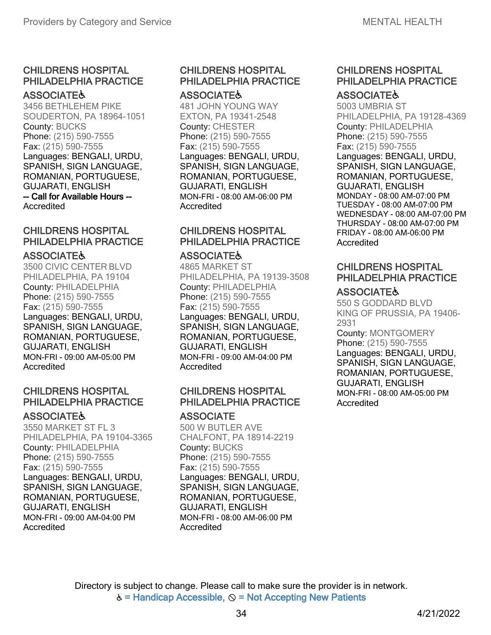#### **ASSOCIATE&**

3456 BETHLEHEM PIKE SOUDERTON, PA 18964-1051 County: BUCKS Phone: (215) 590-7555 Fax: (215) 590-7555 Languages: BENGALI, URDU, SPANISH, SIGN LANGUAGE, ROMANIAN, PORTUGUESE, GUJARATI, ENGLISH -- Call for Available Hours -- Accredited

### CHILDRENS HOSPITAL PHILADELPHIA PRACTICE

#### **ASSOCIATE&**

3500 CIVIC CENTER BLVD PHILADELPHIA, PA 19104 County: PHILADELPHIA Phone: (215) 590-7555 Fax: (215) 590-7555 Languages: BENGALI, URDU, SPANISH, SIGN LANGUAGE, ROMANIAN, PORTUGUESE, GUJARATI, ENGLISH MON-FRI - 09:00 AM-05:00 PM Accredited

### CHILDRENS HOSPITAL PHILADELPHIA PRACTICE

#### **ASSOCIATE&**

3550 MARKET ST FL 3 PHILADELPHIA, PA 19104-3365 County: PHILADELPHIA Phone: (215) 590-7555 Fax: (215) 590-7555 Languages: BENGALI, URDU, SPANISH, SIGN LANGUAGE, ROMANIAN, PORTUGUESE, GUJARATI, ENGLISH MON-FRI - 09:00 AM-04:00 PM Accredited

### CHILDRENS HOSPITAL PHILADELPHIA PRACTICE **ASSOCIATE&**

# 481 JOHN YOUNG WAY

EXTON, PA 19341-2548 County: CHESTER Phone: (215) 590-7555 Fax: (215) 590-7555 Languages: BENGALI, URDU, SPANISH, SIGN LANGUAGE, ROMANIAN, PORTUGUESE, GUJARATI, ENGLISH MON-FRI - 08:00 AM-06:00 PM Accredited

### CHILDRENS HOSPITAL PHILADELPHIA PRACTICE

### **ASSOCIATE&**

4865 MARKET ST PHILADELPHIA, PA 19139-3508 County: PHILADELPHIA Phone: (215) 590-7555 Fax: (215) 590-7555 Languages: BENGALI, URDU, SPANISH, SIGN LANGUAGE, ROMANIAN, PORTUGUESE, GUJARATI, ENGLISH MON-FRI - 09:00 AM-04:00 PM **Accredited** 

### CHILDRENS HOSPITAL PHILADELPHIA PRACTICE

### **ASSOCIATE**

500 W BUTLER AVE CHALFONT, PA 18914-2219 County: BUCKS Phone: (215) 590-7555 Fax: (215) 590-7555 Languages: BENGALI, URDU, SPANISH, SIGN LANGUAGE, ROMANIAN, PORTUGUESE, GUJARATI, ENGLISH MON-FRI - 08:00 AM-06:00 PM Accredited

## CHILDRENS HOSPITAL PHILADELPHIA PRACTICE

### **ASSOCIATE&**

5003 UMBRIA ST PHILADELPHIA, PA 19128-4369 County: PHILADELPHIA Phone: (215) 590-7555 Fax: (215) 590-7555 Languages: BENGALI, URDU, SPANISH, SIGN LANGUAGE, ROMANIAN, PORTUGUESE, GUJARATI, ENGLISH MONDAY - 08:00 AM-07:00 PM TUESDAY - 08:00 AM-07:00 PM WEDNESDAY - 08:00 AM-07:00 PM THURSDAY - 08:00 AM-07:00 PM FRIDAY - 08:00 AM-06:00 PM **Accredited** 

### CHILDRENS HOSPITAL PHILADELPHIA PRACTICE

### **ASSOCIATE&**

550 S GODDARD BLVD KING OF PRUSSIA, PA 19406- 2931 County: MONTGOMERY Phone: (215) 590-7555 Languages: BENGALI, URDU,

SPANISH, SIGN LANGUAGE, ROMANIAN, PORTUGUESE, GUJARATI, ENGLISH MON-FRI - 08:00 AM-05:00 PM Accredited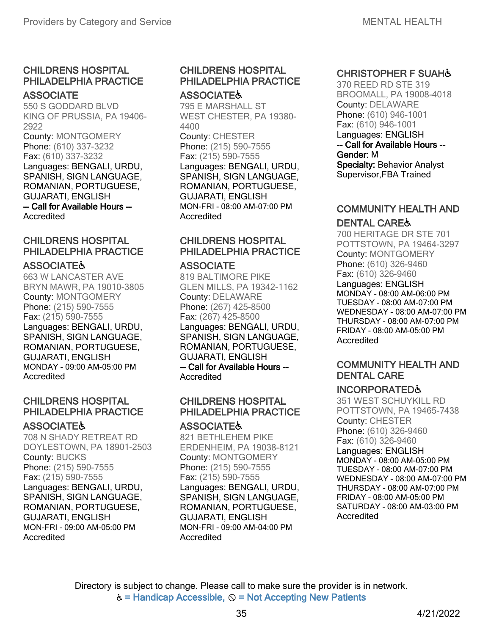#### **ASSOCIATE**

550 S GODDARD BLVD KING OF PRUSSIA, PA 19406- 2922 County: MONTGOMERY Phone: (610) 337-3232 Fax: (610) 337-3232 Languages: BENGALI, URDU, SPANISH, SIGN LANGUAGE, ROMANIAN, PORTUGUESE, GUJARATI, ENGLISH -- Call for Available Hours -- **Accredited** 

### CHILDRENS HOSPITAL PHILADELPHIA PRACTICE

### **ASSOCIATE&**

663 W LANCASTER AVE BRYN MAWR, PA 19010-3805 County: MONTGOMERY Phone: (215) 590-7555 Fax: (215) 590-7555 Languages: BENGALI, URDU, SPANISH, SIGN LANGUAGE, ROMANIAN, PORTUGUESE, GUJARATI, ENGLISH MONDAY - 09:00 AM-05:00 PM Accredited

### CHILDRENS HOSPITAL PHILADELPHIA PRACTICE

### **ASSOCIATE&**

708 N SHADY RETREAT RD DOYLESTOWN, PA 18901-2503 County: BUCKS Phone: (215) 590-7555 Fax: (215) 590-7555 Languages: BENGALI, URDU, SPANISH, SIGN LANGUAGE, ROMANIAN, PORTUGUESE, GUJARATI, ENGLISH MON-FRI - 09:00 AM-05:00 PM Accredited

#### CHILDRENS HOSPITAL PHILADELPHIA PRACTICE **ASSOCIATE&**

795 E MARSHALL ST WEST CHESTER, PA 19380- 4400 County: CHESTER Phone: (215) 590-7555 Fax: (215) 590-7555 Languages: BENGALI, URDU, SPANISH, SIGN LANGUAGE, ROMANIAN, PORTUGUESE, GUJARATI, ENGLISH MON-FRI - 08:00 AM-07:00 PM Accredited

### CHILDRENS HOSPITAL PHILADELPHIA PRACTICE

#### **ASSOCIATE**

819 BALTIMORE PIKE GLEN MILLS, PA 19342-1162 County: DELAWARE Phone: (267) 425-8500 Fax: (267) 425-8500 Languages: BENGALI, URDU, SPANISH, SIGN LANGUAGE, ROMANIAN, PORTUGUESE, GUJARATI, ENGLISH -- Call for Available Hours -- Accredited

### CHILDRENS HOSPITAL PHILADELPHIA PRACTICE

#### **ASSOCIATE&**

821 BETHLEHEM PIKE ERDENHEIM, PA 19038-8121 County: MONTGOMERY Phone: (215) 590-7555 Fax: (215) 590-7555 Languages: BENGALI, URDU, SPANISH, SIGN LANGUAGE, ROMANIAN, PORTUGUESE, GUJARATI, ENGLISH MON-FRI - 09:00 AM-04:00 PM **Accredited** 

### CHRISTOPHER F SUAH♿

370 REED RD STE 319 BROOMALL, PA 19008-4018 County: DELAWARE Phone: (610) 946-1001 Fax: (610) 946-1001 Languages: ENGLISH -- Call for Available Hours -- Gender: M Specialty: Behavior Analyst Supervisor,FBA Trained

### COMMUNITY HEALTH AND DENTAL CARE♿

700 HERITAGE DR STE 701 POTTSTOWN, PA 19464-3297 County: MONTGOMERY Phone: (610) 326-9460 Fax: (610) 326-9460

Languages: ENGLISH MONDAY - 08:00 AM-06:00 PM TUESDAY - 08:00 AM-07:00 PM WEDNESDAY - 08:00 AM-07:00 PM THURSDAY - 08:00 AM-07:00 PM FRIDAY - 08:00 AM-05:00 PM **Accredited** 

### COMMUNITY HEALTH AND DENTAL CARE

### INCORPORATED♿

351 WEST SCHUYKILL RD POTTSTOWN, PA 19465-7438 County: CHESTER Phone: (610) 326-9460 Fax: (610) 326-9460 Languages: ENGLISH MONDAY - 08:00 AM-05:00 PM TUESDAY - 08:00 AM-07:00 PM WEDNESDAY - 08:00 AM-07:00 PM THURSDAY - 08:00 AM-07:00 PM FRIDAY - 08:00 AM-05:00 PM SATURDAY - 08:00 AM-03:00 PM Accredited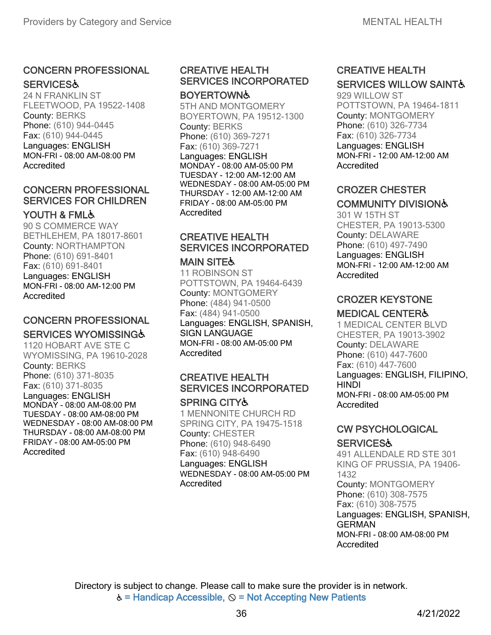### CONCERN PROFESSIONAL **SERVICES&**

24 N FRANKLIN ST FLEETWOOD, PA 19522-1408 County: BERKS Phone: (610) 944-0445 Fax: (610) 944-0445 Languages: ENGLISH MON-FRI - 08:00 AM-08:00 PM Accredited

### CONCERN PROFESSIONAL SERVICES FOR CHILDREN

### YOUTH & FML&

90 S COMMERCE WAY BETHLEHEM, PA 18017-8601 County: NORTHAMPTON Phone: (610) 691-8401 Fax: (610) 691-8401 Languages: ENGLISH MON-FRI - 08:00 AM-12:00 PM Accredited

### CONCERN PROFESSIONAL **SERVICES WYOMISSING&**

1120 HOBART AVE STE C WYOMISSING, PA 19610-2028 County: BERKS Phone: (610) 371-8035 Fax: (610) 371-8035 Languages: ENGLISH MONDAY - 08:00 AM-08:00 PM TUESDAY - 08:00 AM-08:00 PM WEDNESDAY - 08:00 AM-08:00 PM THURSDAY - 08:00 AM-08:00 PM FRIDAY - 08:00 AM-05:00 PM Accredited

#### CREATIVE HEALTH SERVICES INCORPORATED **BOYERTOWN**

5TH AND MONTGOMERY BOYERTOWN, PA 19512-1300 County: BERKS Phone: (610) 369-7271 Fax: (610) 369-7271 Languages: ENGLISH MONDAY - 08:00 AM-05:00 PM TUESDAY - 12:00 AM-12:00 AM WEDNESDAY - 08:00 AM-05:00 PM THURSDAY - 12:00 AM-12:00 AM FRIDAY - 08:00 AM-05:00 PM Accredited

### CREATIVE HEALTH SERVICES INCORPORATED

#### **MAIN SITE&**

11 ROBINSON ST POTTSTOWN, PA 19464-6439 County: MONTGOMERY Phone: (484) 941-0500 Fax: (484) 941-0500 Languages: ENGLISH, SPANISH, SIGN LANGUAGE MON-FRI - 08:00 AM-05:00 PM **Accredited** 

### CREATIVE HEALTH SERVICES INCORPORATED

#### SPRING CITY♿

1 MENNONITE CHURCH RD SPRING CITY, PA 19475-1518 County: CHESTER Phone: (610) 948-6490 Fax: (610) 948-6490 Languages: ENGLISH WEDNESDAY - 08:00 AM-05:00 PM Accredited

### CREATIVE HEALTH **SERVICES WILLOW SAINTS**

929 WILLOW ST POTTSTOWN, PA 19464-1811 County: MONTGOMERY Phone: (610) 326-7734 Fax: (610) 326-7734 Languages: ENGLISH MON-FRI - 12:00 AM-12:00 AM Accredited

### CROZER CHESTER COMMUNITY DIVISION♿

301 W 15TH ST CHESTER, PA 19013-5300 County: DELAWARE Phone: (610) 497-7490 Languages: ENGLISH MON-FRI - 12:00 AM-12:00 AM Accredited

### CROZER KEYSTONE

### MEDICAL CENTER♿

1 MEDICAL CENTER BLVD CHESTER, PA 19013-3902 County: DELAWARE Phone: (610) 447-7600 Fax: (610) 447-7600 Languages: ENGLISH, FILIPINO, **HINDI** MON-FRI - 08:00 AM-05:00 PM Accredited

### CW PSYCHOLOGICAL

### **SERVICES&**

491 ALLENDALE RD STE 301 KING OF PRUSSIA, PA 19406- 1432 County: MONTGOMERY Phone: (610) 308-7575 Fax: (610) 308-7575 Languages: ENGLISH, SPANISH, GERMAN MON-FRI - 08:00 AM-08:00 PM Accredited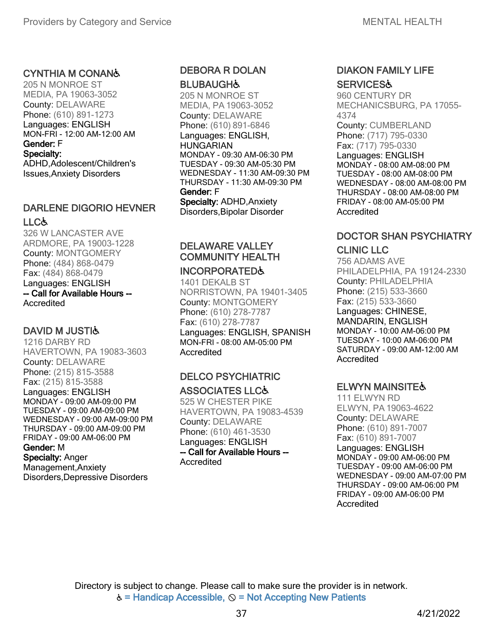#### CYNTHIA M CONAN♿

205 N MONROE ST MEDIA, PA 19063-3052 County: DELAWARE Phone: (610) 891-1273 Languages: ENGLISH MON-FRI - 12:00 AM-12:00 AM Gender: F Specialty: ADHD,Adolescent/Children's Issues,Anxiety Disorders

#### DARLENE DIGORIO HEVNER LLC&

326 W LANCASTER AVE ARDMORE, PA 19003-1228 County: MONTGOMERY Phone: (484) 868-0479 Fax: (484) 868-0479 Languages: ENGLISH -- Call for Available Hours -- Accredited

### **DAVID M JUSTIG**

1216 DARBY RD HAVERTOWN, PA 19083-3603 County: DELAWARE Phone: (215) 815-3588 Fax: (215) 815-3588

Languages: ENGLISH MONDAY - 09:00 AM-09:00 PM TUESDAY - 09:00 AM-09:00 PM WEDNESDAY - 09:00 AM-09:00 PM THURSDAY - 09:00 AM-09:00 PM FRIDAY - 09:00 AM-06:00 PM Gender: M Specialty: Anger

Management,Anxiety Disorders,Depressive Disorders

# DEBORA R DOLAN

**BLUBAUGH&** 205 N MONROE ST MEDIA, PA 19063-3052 County: DELAWARE Phone: (610) 891-6846 Languages: ENGLISH, **HUNGARIAN** MONDAY - 09:30 AM-06:30 PM TUESDAY - 09:30 AM-05:30 PM WEDNESDAY - 11:30 AM-09:30 PM THURSDAY - 11:30 AM-09:30 PM Gender: F Specialty: ADHD,Anxiety Disorders,Bipolar Disorder

# DELAWARE VALLEY COMMUNITY HEALTH

### INCORPORATED♿

1401 DEKALB ST NORRISTOWN, PA 19401-3405 County: MONTGOMERY Phone: (610) 278-7787 Fax: (610) 278-7787 Languages: ENGLISH, SPANISH MON-FRI - 08:00 AM-05:00 PM Accredited

### DELCO PSYCHIATRIC ASSOCIATES LLC♿

525 W CHESTER PIKE HAVERTOWN, PA 19083-4539 County: DELAWARE Phone: (610) 461-3530 Languages: ENGLISH -- Call for Available Hours -- Accredited

### DIAKON FAMILY LIFE **SERVICES&**

960 CENTURY DR MECHANICSBURG, PA 17055- 4374

County: CUMBERLAND Phone: (717) 795-0330 Fax: (717) 795-0330

Languages: ENGLISH MONDAY - 08:00 AM-08:00 PM TUESDAY - 08:00 AM-08:00 PM WEDNESDAY - 08:00 AM-08:00 PM THURSDAY - 08:00 AM-08:00 PM FRIDAY - 08:00 AM-05:00 PM **Accredited** 

# DOCTOR SHAN PSYCHIATRY

#### CLINIC LLC

756 ADAMS AVE PHILADELPHIA, PA 19124-2330 County: PHILADELPHIA Phone: (215) 533-3660 Fax: (215) 533-3660 Languages: CHINESE, MANDARIN, ENGLISH MONDAY - 10:00 AM-06:00 PM TUESDAY - 10:00 AM-06:00 PM SATURDAY - 09:00 AM-12:00 AM Accredited

### ELWYN MAINSITE♿

111 ELWYN RD ELWYN, PA 19063-4622 County: DELAWARE Phone: (610) 891-7007 Fax: (610) 891-7007

Languages: ENGLISH MONDAY - 09:00 AM-06:00 PM TUESDAY - 09:00 AM-06:00 PM WEDNESDAY - 09:00 AM-07:00 PM THURSDAY - 09:00 AM-06:00 PM FRIDAY - 09:00 AM-06:00 PM Accredited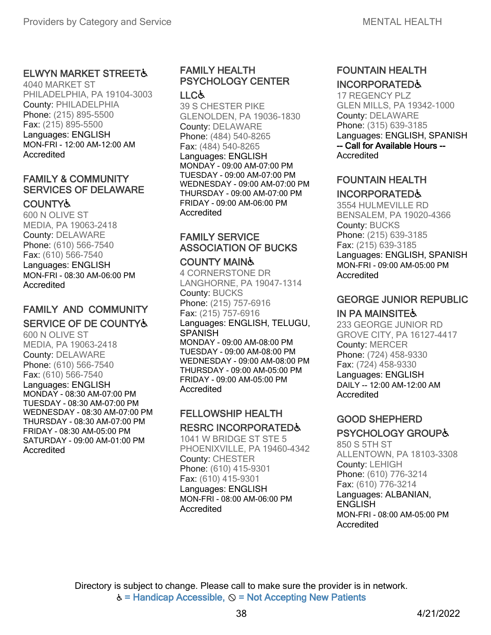### **ELWYN MARKET STREET&**

4040 MARKET ST PHILADELPHIA, PA 19104-3003 County: PHILADELPHIA Phone: (215) 895-5500 Fax: (215) 895-5500 Languages: ENGLISH MON-FRI - 12:00 AM-12:00 AM **Accredited** 

### FAMILY & COMMUNITY SERVICES OF DELAWARE

### **COUNTY&**

600 N OLIVE ST MEDIA, PA 19063-2418 County: DELAWARE Phone: (610) 566-7540 Fax: (610) 566-7540 Languages: ENGLISH MON-FRI - 08:30 AM-06:00 PM Accredited

### FAMILY AND COMMUNITY SERVICE OF DE COUNTY♿

600 N OLIVE ST MEDIA, PA 19063-2418 County: DELAWARE Phone: (610) 566-7540 Fax: (610) 566-7540 Languages: ENGLISH MONDAY - 08:30 AM-07:00 PM TUESDAY - 08:30 AM-07:00 PM WEDNESDAY - 08:30 AM-07:00 PM THURSDAY - 08:30 AM-07:00 PM FRIDAY - 08:30 AM-05:00 PM SATURDAY - 09:00 AM-01:00 PM **Accredited** 

### FAMILY HEALTH PSYCHOLOGY CENTER

#### LLC♿

39 S CHESTER PIKE GLENOLDEN, PA 19036-1830 County: DELAWARE Phone: (484) 540-8265 Fax: (484) 540-8265 Languages: ENGLISH MONDAY - 09:00 AM-07:00 PM TUESDAY - 09:00 AM-07:00 PM WEDNESDAY - 09:00 AM-07:00 PM THURSDAY - 09:00 AM-07:00 PM FRIDAY - 09:00 AM-06:00 PM **Accredited** 

### FAMILY SERVICE ASSOCIATION OF BUCKS

### COUNTY MAIN♿

4 CORNERSTONE DR LANGHORNE, PA 19047-1314 County: BUCKS Phone: (215) 757-6916 Fax: (215) 757-6916 Languages: ENGLISH, TELUGU, **SPANISH** MONDAY - 09:00 AM-08:00 PM TUESDAY - 09:00 AM-08:00 PM WEDNESDAY - 09:00 AM-08:00 PM THURSDAY - 09:00 AM-05:00 PM FRIDAY - 09:00 AM-05:00 PM **Accredited** 

#### FELLOWSHIP HEALTH RESRC INCORPORATED♿

1041 W BRIDGE ST STE 5 PHOENIXVILLE, PA 19460-4342 County: CHESTER Phone: (610) 415-9301 Fax: (610) 415-9301 Languages: ENGLISH MON-FRI - 08:00 AM-06:00 PM Accredited

### FOUNTAIN HEALTH INCORPORATED♿

17 REGENCY PLZ GLEN MILLS, PA 19342-1000 County: DELAWARE Phone: (315) 639-3185 Languages: ENGLISH, SPANISH -- Call for Available Hours -- Accredited

### FOUNTAIN HEALTH

### INCORPORATED♿

3554 HULMEVILLE RD BENSALEM, PA 19020-4366 County: BUCKS Phone: (215) 639-3185 Fax: (215) 639-3185 Languages: ENGLISH, SPANISH MON-FRI - 09:00 AM-05:00 PM Accredited

### GEORGE JUNIOR REPUBLIC

### IN PA MAINSITE♿

233 GEORGE JUNIOR RD GROVE CITY, PA 16127-4417 County: MERCER Phone: (724) 458-9330 Fax: (724) 458-9330 Languages: ENGLISH DAILY -- 12:00 AM-12:00 AM Accredited

### GOOD SHEPHERD PSYCHOLOGY GROUP♿

850 S 5TH ST ALLENTOWN, PA 18103-3308 County: LEHIGH Phone: (610) 776-3214 Fax: (610) 776-3214 Languages: ALBANIAN, **ENGLISH** MON-FRI - 08:00 AM-05:00 PM Accredited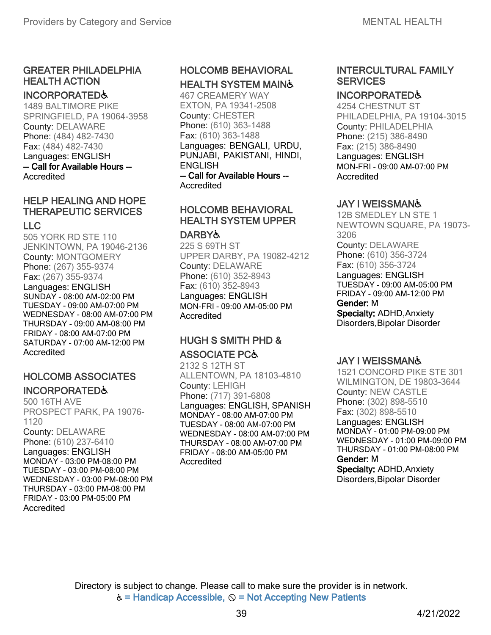### GREATER PHILADELPHIA HEALTH ACTION

#### INCORPORATED♿

1489 BALTIMORE PIKE SPRINGFIELD, PA 19064-3958 County: DELAWARE Phone: (484) 482-7430 Fax: (484) 482-7430 Languages: ENGLISH -- Call for Available Hours -- Accredited

### HELP HEALING AND HOPE THERAPEUTIC SERVICES

### LLC

505 YORK RD STE 110 JENKINTOWN, PA 19046-2136 County: MONTGOMERY Phone: (267) 355-9374 Fax: (267) 355-9374 Languages: ENGLISH SUNDAY - 08:00 AM-02:00 PM TUESDAY - 09:00 AM-07:00 PM WEDNESDAY - 08:00 AM-07:00 PM THURSDAY - 09:00 AM-08:00 PM FRIDAY - 08:00 AM-07:00 PM SATURDAY - 07:00 AM-12:00 PM Accredited

### HOLCOMB ASSOCIATES INCORPORATED♿

500 16TH AVE PROSPECT PARK, PA 19076- 1120 County: DELAWARE Phone: (610) 237-6410 Languages: ENGLISH MONDAY - 03:00 PM-08:00 PM TUESDAY - 03:00 PM-08:00 PM WEDNESDAY - 03:00 PM-08:00 PM THURSDAY - 03:00 PM-08:00 PM FRIDAY - 03:00 PM-05:00 PM Accredited

### HOLCOMB BEHAVIORAL HEALTH SYSTEM MAIN♿

467 CREAMERY WAY EXTON, PA 19341-2508 County: CHESTER Phone: (610) 363-1488 Fax: (610) 363-1488 Languages: BENGALI, URDU, PUNJABI, PAKISTANI, HINDI, ENGLISH -- Call for Available Hours --

Accredited

### HOLCOMB BEHAVIORAL HEALTH SYSTEM UPPER

#### **DARBY&**

225 S 69TH ST UPPER DARBY, PA 19082-4212 County: DELAWARE Phone: (610) 352-8943 Fax: (610) 352-8943 Languages: ENGLISH MON-FRI - 09:00 AM-05:00 PM Accredited

### HUGH S SMITH PHD & ASSOCIATE PC♿

2132 S 12TH ST ALLENTOWN, PA 18103-4810 County: LEHIGH Phone: (717) 391-6808 Languages: ENGLISH, SPANISH MONDAY - 08:00 AM-07:00 PM TUESDAY - 08:00 AM-07:00 PM WEDNESDAY - 08:00 AM-07:00 PM THURSDAY - 08:00 AM-07:00 PM FRIDAY - 08:00 AM-05:00 PM Accredited

### INTERCULTURAL FAMILY **SERVICES**

#### INCORPORATED♿

4254 CHESTNUT ST PHILADELPHIA, PA 19104-3015 County: PHILADELPHIA Phone: (215) 386-8490 Fax: (215) 386-8490 Languages: ENGLISH MON-FRI - 09:00 AM-07:00 PM Accredited

### JAY I WEISSMAN♿

12B SMEDLEY LN STE 1 NEWTOWN SQUARE, PA 19073- 3206 County: DELAWARE Phone: (610) 356-3724 Fax: (610) 356-3724 Languages: ENGLISH TUESDAY - 09:00 AM-05:00 PM FRIDAY - 09:00 AM-12:00 PM Gender: M Specialty: ADHD,Anxiety Disorders,Bipolar Disorder

### JAY I WEISSMAN♿

1521 CONCORD PIKE STE 301 WILMINGTON, DE 19803-3644 County: NEW CASTLE Phone: (302) 898-5510 Fax: (302) 898-5510 Languages: ENGLISH MONDAY - 01:00 PM-09:00 PM WEDNESDAY - 01:00 PM-09:00 PM THURSDAY - 01:00 PM-08:00 PM Gender: M Specialty: ADHD,Anxiety Disorders,Bipolar Disorder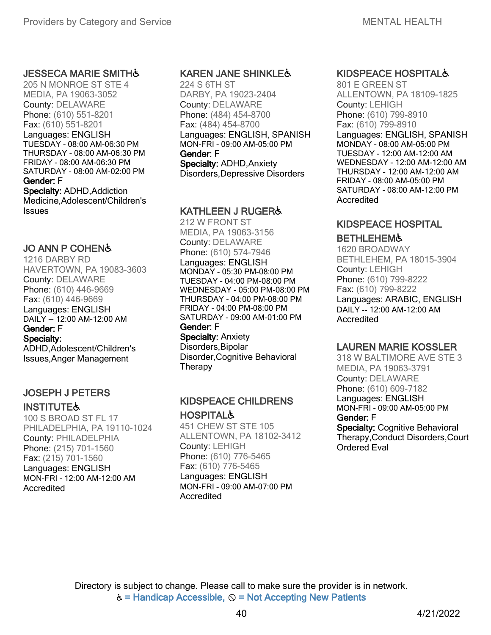#### **JESSECA MARIE SMITH&**

205 N MONROE ST STE 4 MEDIA, PA 19063-3052 County: DELAWARE Phone: (610) 551-8201 Fax: (610) 551-8201 Languages: ENGLISH TUESDAY - 08:00 AM-06:30 PM THURSDAY - 08:00 AM-06:30 PM FRIDAY - 08:00 AM-06:30 PM SATURDAY - 08:00 AM-02:00 PM Gender: F Specialty: ADHD, Addiction Medicine,Adolescent/Children's

Issues

### JO ANN P COHEN♿

1216 DARBY RD HAVERTOWN, PA 19083-3603 County: DELAWARE Phone: (610) 446-9669 Fax: (610) 446-9669 Languages: ENGLISH DAILY -- 12:00 AM-12:00 AM Gender: F Specialty:

ADHD,Adolescent/Children's Issues,Anger Management

### JOSEPH J PETERS

#### **INSTITUTE&**

100 S BROAD ST FL 17 PHILADELPHIA, PA 19110-1024 County: PHILADELPHIA Phone: (215) 701-1560 Fax: (215) 701-1560 Languages: ENGLISH MON-FRI - 12:00 AM-12:00 AM Accredited

#### KAREN JANE SHINKLE♿

224 S 6TH ST DARBY, PA 19023-2404 County: DELAWARE Phone: (484) 454-8700 Fax: (484) 454-8700 Languages: ENGLISH, SPANISH MON-FRI - 09:00 AM-05:00 PM Gender: F Specialty: ADHD,Anxiety Disorders,Depressive Disorders

### KATHLEEN J RUGER♿

212 W FRONT ST MEDIA, PA 19063-3156 County: DELAWARE Phone: (610) 574-7946 Languages: ENGLISH MONDAY - 05:30 PM-08:00 PM TUESDAY - 04:00 PM-08:00 PM WEDNESDAY - 05:00 PM-08:00 PM THURSDAY - 04:00 PM-08:00 PM FRIDAY - 04:00 PM-08:00 PM SATURDAY - 09:00 AM-01:00 PM Gender: F Specialty: Anxiety

Disorders,Bipolar Disorder,Cognitive Behavioral **Therapy** 

### KIDSPEACE CHILDRENS **HOSPITAL&**

451 CHEW ST STE 105 ALLENTOWN, PA 18102-3412 County: LEHIGH Phone: (610) 776-5465 Fax: (610) 776-5465 Languages: ENGLISH MON-FRI - 09:00 AM-07:00 PM Accredited

#### KIDSPEACE HOSPITAL♿

801 E GREEN ST ALLENTOWN, PA 18109-1825 County: LEHIGH Phone: (610) 799-8910 Fax: (610) 799-8910 Languages: ENGLISH, SPANISH MONDAY - 08:00 AM-05:00 PM TUESDAY - 12:00 AM-12:00 AM WEDNESDAY - 12:00 AM-12:00 AM THURSDAY - 12:00 AM-12:00 AM FRIDAY - 08:00 AM-05:00 PM SATURDAY - 08:00 AM-12:00 PM Accredited

## KIDSPEACE HOSPITAL

### **BETHLEHEM&**

1620 BROADWAY BETHLEHEM, PA 18015-3904 County: LEHIGH Phone: (610) 799-8222 Fax: (610) 799-8222 Languages: ARABIC, ENGLISH DAILY -- 12:00 AM-12:00 AM Accredited

### LAUREN MARIE KOSSLER

318 W BALTIMORE AVE STE 3 MEDIA, PA 19063-3791 County: DELAWARE Phone: (610) 609-7182 Languages: ENGLISH MON-FRI - 09:00 AM-05:00 PM Gender: F

Specialty: Cognitive Behavioral Therapy,Conduct Disorders,Court Ordered Eval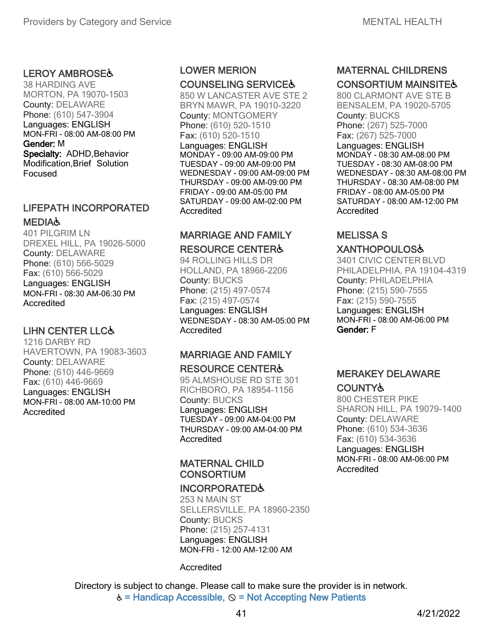### LEROY AMBROSE♿

38 HARDING AVE MORTON, PA 19070-1503 County: DELAWARE Phone: (610) 547-3904 Languages: ENGLISH MON-FRI - 08:00 AM-08:00 PM Gender: M Specialty: ADHD, Behavior Modification,Brief Solution Focused

### LIFEPATH INCORPORATED **MEDIA,**

401 PILGRIM LN DREXEL HILL, PA 19026-5000 County: DELAWARE Phone: (610) 566-5029 Fax: (610) 566-5029 Languages: ENGLISH MON-FRI - 08:30 AM-06:30 PM Accredited

### LIHN CENTER LLC♿

1216 DARBY RD HAVERTOWN, PA 19083-3603 County: DELAWARE Phone: (610) 446-9669 Fax: (610) 446-9669 Languages: ENGLISH MON-FRI - 08:00 AM-10:00 PM Accredited

### LOWER MERION COUNSELING SERVICE♿

850 W LANCASTER AVE STE 2 BRYN MAWR, PA 19010-3220 County: MONTGOMERY Phone: (610) 520-1510 Fax: (610) 520-1510 Languages: ENGLISH MONDAY - 09:00 AM-09:00 PM TUESDAY - 09:00 AM-09:00 PM WEDNESDAY - 09:00 AM-09:00 PM THURSDAY - 09:00 AM-09:00 PM FRIDAY - 09:00 AM-05:00 PM SATURDAY - 09:00 AM-02:00 PM **Accredited** 

# MARRIAGE AND FAMILY

### RESOURCE CENTER♿

94 ROLLING HILLS DR HOLLAND, PA 18966-2206 County: BUCKS Phone: (215) 497-0574 Fax: (215) 497-0574 Languages: ENGLISH WEDNESDAY - 08:30 AM-05:00 PM Accredited

## MARRIAGE AND FAMILY

#### RESOURCE CENTER♿

95 ALMSHOUSE RD STE 301 RICHBORO, PA 18954-1156 County: BUCKS Languages: ENGLISH TUESDAY - 09:00 AM-04:00 PM THURSDAY - 09:00 AM-04:00 PM Accredited

### MATERNAL CHILD **CONSORTIUM**

#### INCORPORATED♿

253 N MAIN ST SELLERSVILLE, PA 18960-2350 County: BUCKS Phone: (215) 257-4131 Languages: ENGLISH MON-FRI - 12:00 AM-12:00 AM

#### Accredited

Directory is subject to change. Please call to make sure the provider is in network.  $\dot{\mathbf{c}}$  = Handicap Accessible,  $\mathbf{\odot}$  = Not Accepting New Patients

### MATERNAL CHILDRENS **CONSORTIUM MAINSITE&**

800 CLARMONT AVE STE B BENSALEM, PA 19020-5705 County: BUCKS Phone: (267) 525-7000 Fax: (267) 525-7000 Languages: ENGLISH MONDAY - 08:30 AM-08:00 PM TUESDAY - 08:30 AM-08:00 PM WEDNESDAY - 08:30 AM-08:00 PM THURSDAY - 08:30 AM-08:00 PM FRIDAY - 08:00 AM-05:00 PM SATURDAY - 08:00 AM-12:00 PM Accredited

### MELISSA S XANTHOPOULOS♿

3401 CIVIC CENTER BLVD PHILADELPHIA, PA 19104-4319 County: PHILADELPHIA Phone: (215) 590-7555 Fax: (215) 590-7555 Languages: ENGLISH MON-FRI - 08:00 AM-06:00 PM Gender: F

### MERAKEY DELAWARE **COUNTY&**

800 CHESTER PIKE SHARON HILL, PA 19079-1400 County: DELAWARE Phone: (610) 534-3636 Fax: (610) 534-3636 Languages: ENGLISH MON-FRI - 08:00 AM-06:00 PM **Accredited**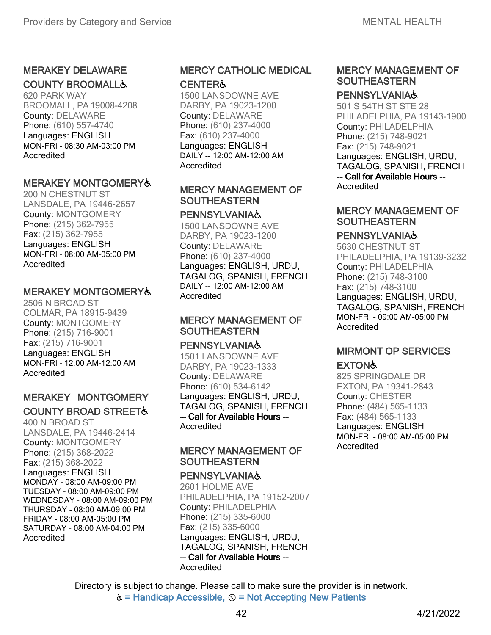### MERAKEY DELAWARE COUNTY BROOMALL♿

620 PARK WAY BROOMALL, PA 19008-4208 County: DELAWARE Phone: (610) 557-4740 Languages: ENGLISH MON-FRI - 08:30 AM-03:00 PM **Accredited** 

### MERAKEY MONTGOMERY♿

200 N CHESTNUT ST LANSDALE, PA 19446-2657 County: MONTGOMERY Phone: (215) 362-7955 Fax: (215) 362-7955 Languages: ENGLISH MON-FRI - 08:00 AM-05:00 PM Accredited

#### MERAKEY MONTGOMERY♿

2506 N BROAD ST COLMAR, PA 18915-9439 County: MONTGOMERY Phone: (215) 716-9001 Fax: (215) 716-9001 Languages: ENGLISH MON-FRI - 12:00 AM-12:00 AM Accredited

### MERAKEY MONTGOMERY COUNTY BROAD STREET♿

400 N BROAD ST LANSDALE, PA 19446-2414 County: MONTGOMERY Phone: (215) 368-2022 Fax: (215) 368-2022 Languages: ENGLISH MONDAY - 08:00 AM-09:00 PM TUESDAY - 08:00 AM-09:00 PM WEDNESDAY - 08:00 AM-09:00 PM THURSDAY - 08:00 AM-09:00 PM FRIDAY - 08:00 AM-05:00 PM SATURDAY - 08:00 AM-04:00 PM Accredited

### MERCY CATHOLIC MEDICAL

#### **CENTER&**

1500 LANSDOWNE AVE DARBY, PA 19023-1200 County: DELAWARE Phone: (610) 237-4000 Fax: (610) 237-4000 Languages: ENGLISH DAILY -- 12:00 AM-12:00 AM Accredited

#### MERCY MANAGEMENT OF **SOUTHEASTERN**

#### **PENNSYLVANIA&**

1500 LANSDOWNE AVE DARBY, PA 19023-1200 County: DELAWARE Phone: (610) 237-4000 Languages: ENGLISH, URDU, TAGALOG, SPANISH, FRENCH DAILY -- 12:00 AM-12:00 AM Accredited

### MERCY MANAGEMENT OF SOUTHEASTERN

#### **PENNSYLVANIA&**

1501 LANSDOWNE AVE DARBY, PA 19023-1333 County: DELAWARE Phone: (610) 534-6142 Languages: ENGLISH, URDU, TAGALOG, SPANISH, FRENCH -- Call for Available Hours -- Accredited

#### MERCY MANAGEMENT OF **SOUTHEASTERN**

#### **PENNSYLVANIA&**

Accredited 2601 HOLME AVE PHILADELPHIA, PA 19152-2007 County: PHILADELPHIA Phone: (215) 335-6000 Fax: (215) 335-6000 Languages: ENGLISH, URDU, TAGALOG, SPANISH, FRENCH -- Call for Available Hours --

### MERCY MANAGEMENT OF **SOUTHEASTERN**

#### **PENNSYLVANIA&**

501 S 54TH ST STE 28 PHILADELPHIA, PA 19143-1900 County: PHILADELPHIA Phone: (215) 748-9021 Fax: (215) 748-9021 Languages: ENGLISH, URDU, TAGALOG, SPANISH, FRENCH -- Call for Available Hours -- **Accredited** 

#### MERCY MANAGEMENT OF **SOUTHEASTERN**

#### **PENNSYLVANIA&**

5630 CHESTNUT ST PHILADELPHIA, PA 19139-3232 County: PHILADELPHIA Phone: (215) 748-3100 Fax: (215) 748-3100 Languages: ENGLISH, URDU, TAGALOG, SPANISH, FRENCH MON-FRI - 09:00 AM-05:00 PM Accredited

### MIRMONT OP SERVICES

### EXTON♿

825 SPRINGDALE DR EXTON, PA 19341-2843 County: CHESTER Phone: (484) 565-1133 Fax: (484) 565-1133 Languages: ENGLISH MON-FRI - 08:00 AM-05:00 PM Accredited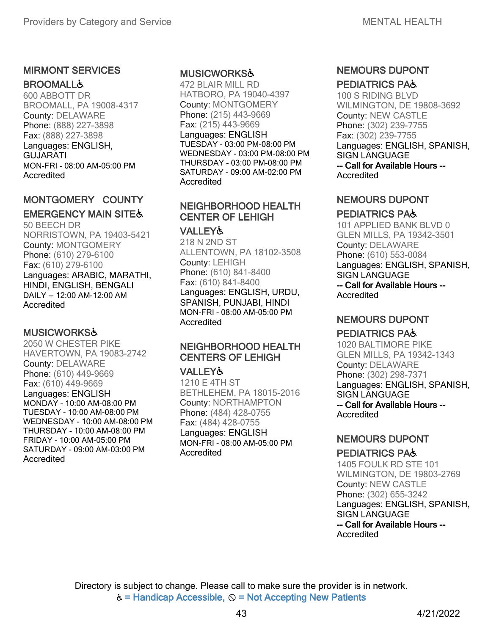### MIRMONT SERVICES **BROOMALL&**

600 ABBOTT DR BROOMALL, PA 19008-4317 County: DELAWARE Phone: (888) 227-3898 Fax: (888) 227-3898 Languages: ENGLISH, GUJARATI MON-FRI - 08:00 AM-05:00 PM **Accredited** 

### MONTGOMERY COUNTY **EMERGENCY MAIN SITE&**

50 BEECH DR NORRISTOWN, PA 19403-5421 County: MONTGOMERY Phone: (610) 279-6100 Fax: (610) 279-6100 Languages: ARABIC, MARATHI, HINDI, ENGLISH, BENGALI DAILY -- 12:00 AM-12:00 AM Accredited

### MUSICWORKS♿

2050 W CHESTER PIKE HAVERTOWN, PA 19083-2742 County: DELAWARE Phone: (610) 449-9669 Fax: (610) 449-9669 Languages: ENGLISH

MONDAY - 10:00 AM-08:00 PM TUESDAY - 10:00 AM-08:00 PM WEDNESDAY - 10:00 AM-08:00 PM THURSDAY - 10:00 AM-08:00 PM FRIDAY - 10:00 AM-05:00 PM SATURDAY - 09:00 AM-03:00 PM **Accredited** 

### MUSICWORKS♿

472 BLAIR MILL RD HATBORO, PA 19040-4397 County: MONTGOMERY Phone: (215) 443-9669 Fax: (215) 443-9669 Languages: ENGLISH TUESDAY - 03:00 PM-08:00 PM WEDNESDAY - 03:00 PM-08:00 PM THURSDAY - 03:00 PM-08:00 PM SATURDAY - 09:00 AM-02:00 PM **Accredited** 

### NEIGHBORHOOD HEALTH CENTER OF LEHIGH

#### VALLEY♿

218 N 2ND ST ALLENTOWN, PA 18102-3508 County: LEHIGH Phone: (610) 841-8400 Fax: (610) 841-8400 Languages: ENGLISH, URDU, SPANISH, PUNJABI, HINDI MON-FRI - 08:00 AM-05:00 PM **Accredited** 

### NEIGHBORHOOD HEALTH CENTERS OF LEHIGH

#### VALLEY♿

1210 E 4TH ST BETHLEHEM, PA 18015-2016 County: NORTHAMPTON Phone: (484) 428-0755 Fax: (484) 428-0755 Languages: ENGLISH MON-FRI - 08:00 AM-05:00 PM Accredited

### NEMOURS DUPONT PEDIATRICS PA♿

100 S RIDING BLVD WILMINGTON, DE 19808-3692 County: NEW CASTLE Phone: (302) 239-7755 Fax: (302) 239-7755 Languages: ENGLISH, SPANISH, SIGN LANGUAGE -- Call for Available Hours -- **Accredited** 

### NEMOURS DUPONT

### PEDIATRICS PA♿

101 APPLIED BANK BLVD 0 GLEN MILLS, PA 19342-3501 County: DELAWARE Phone: (610) 553-0084 Languages: ENGLISH, SPANISH, SIGN LANGUAGE -- Call for Available Hours -- **Accredited** 

### NEMOURS DUPONT

#### PEDIATRICS PA♿

1020 BALTIMORE PIKE GLEN MILLS, PA 19342-1343 County: DELAWARE Phone: (302) 298-7371 Languages: ENGLISH, SPANISH, SIGN LANGUAGE -- Call for Available Hours -- Accredited

# NEMOURS DUPONT

### PEDIATRICS PA♿

1405 FOULK RD STE 101 WILMINGTON, DE 19803-2769 County: NEW CASTLE Phone: (302) 655-3242 Languages: ENGLISH, SPANISH, SIGN LANGUAGE -- Call for Available Hours -- Accredited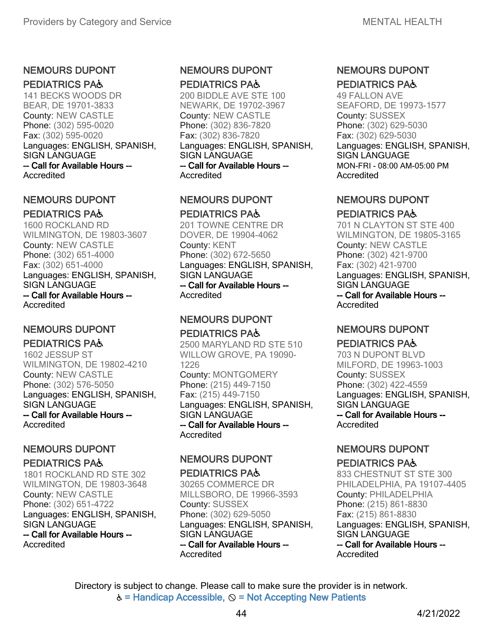### NEMOURS DUPONT

#### PEDIATRICS PA♿

141 BECKS WOODS DR BEAR, DE 19701-3833 County: NEW CASTLE Phone: (302) 595-0020 Fax: (302) 595-0020 Languages: ENGLISH, SPANISH, SIGN LANGUAGE -- Call for Available Hours -- **Accredited** 

### NEMOURS DUPONT PEDIATRICS PA♿

1600 ROCKLAND RD WILMINGTON, DE 19803-3607 County: NEW CASTLE Phone: (302) 651-4000 Fax: (302) 651-4000 Languages: ENGLISH, SPANISH, SIGN LANGUAGE -- Call for Available Hours -- Accredited

### NEMOURS DUPONT

PEDIATRICS PA♿ 1602 JESSUP ST WILMINGTON, DE 19802-4210 County: NEW CASTLE Phone: (302) 576-5050 Languages: ENGLISH, SPANISH, SIGN LANGUAGE -- Call for Available Hours -- Accredited

### NEMOURS DUPONT

### PEDIATRICS PA♿

1801 ROCKLAND RD STE 302 WILMINGTON, DE 19803-3648 County: NEW CASTLE Phone: (302) 651-4722 Languages: ENGLISH, SPANISH, SIGN LANGUAGE -- Call for Available Hours --

Accredited

### NEMOURS DUPONT PEDIATRICS PA♿

200 BIDDLE AVE STE 100 NEWARK, DE 19702-3967 County: NEW CASTLE Phone: (302) 836-7820 Fax: (302) 836-7820 Languages: ENGLISH, SPANISH, SIGN LANGUAGE -- Call for Available Hours -- **Accredited** 

### NEMOURS DUPONT PEDIATRICS PA♿

201 TOWNE CENTRE DR DOVER, DE 19904-4062 County: KENT Phone: (302) 672-5650 Languages: ENGLISH, SPANISH, SIGN LANGUAGE -- Call for Available Hours -- **Accredited** 

### NEMOURS DUPONT

### PEDIATRICS PA♿

2500 MARYLAND RD STE 510 WILLOW GROVE, PA 19090- 1226 County: MONTGOMERY Phone: (215) 449-7150 Fax: (215) 449-7150 Languages: ENGLISH, SPANISH, SIGN LANGUAGE -- Call for Available Hours -- **Accredited** 

### NEMOURS DUPONT

#### PEDIATRICS PA♿

30265 COMMERCE DR MILLSBORO, DE 19966-3593 County: SUSSEX Phone: (302) 629-5050 Languages: ENGLISH, SPANISH, SIGN LANGUAGE -- Call for Available Hours -- **Accredited** 

### NEMOURS DUPONT PEDIATRICS PA♿

49 FALLON AVE SEAFORD, DE 19973-1577 County: SUSSEX Phone: (302) 629-5030 Fax: (302) 629-5030 Languages: ENGLISH, SPANISH, SIGN LANGUAGE MON-FRI - 08:00 AM-05:00 PM **Accredited** 

### NEMOURS DUPONT

### PEDIATRICS PA♿

701 N CLAYTON ST STE 400 WILMINGTON, DE 19805-3165 County: NEW CASTLE Phone: (302) 421-9700 Fax: (302) 421-9700 Languages: ENGLISH, SPANISH, SIGN LANGUAGE -- Call for Available Hours -- Accredited

### NEMOURS DUPONT

#### PEDIATRICS PA♿ 703 N DUPONT BLVD

MILFORD, DE 19963-1003 County: SUSSEX Phone: (302) 422-4559 Languages: ENGLISH, SPANISH, SIGN LANGUAGE -- Call for Available Hours -- Accredited

# NEMOURS DUPONT

### PEDIATRICS PA♿

833 CHESTNUT ST STE 300 PHILADELPHIA, PA 19107-4405 County: PHILADELPHIA Phone: (215) 861-8830 Fax: (215) 861-8830 Languages: ENGLISH, SPANISH, SIGN LANGUAGE -- Call for Available Hours -- **Accredited**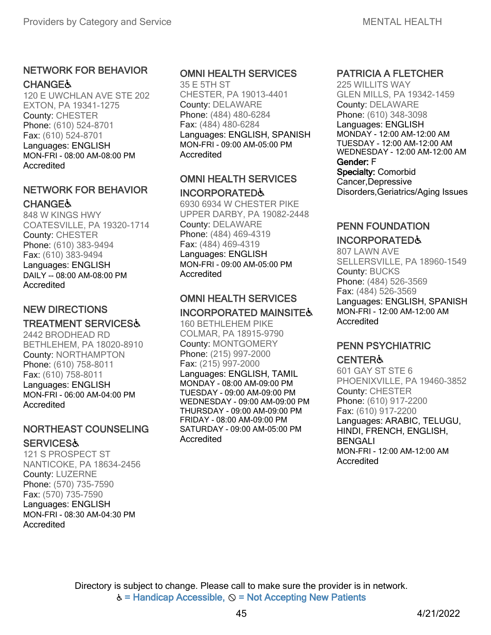### NETWORK FOR BEHAVIOR **CHANGE&**

120 E UWCHLAN AVE STE 202 EXTON, PA 19341-1275 County: CHESTER Phone: (610) 524-8701 Fax: (610) 524-8701 Languages: ENGLISH MON-FRI - 08:00 AM-08:00 PM Accredited

### NETWORK FOR BEHAVIOR **CHANGE&**

848 W KINGS HWY COATESVILLE, PA 19320-1714 County: CHESTER Phone: (610) 383-9494 Fax: (610) 383-9494 Languages: ENGLISH DAILY -- 08:00 AM-08:00 PM Accredited

### NEW DIRECTIONS

### TREATMENT SERVICES♿

2442 BRODHEAD RD BETHLEHEM, PA 18020-8910 County: NORTHAMPTON Phone: (610) 758-8011 Fax: (610) 758-8011 Languages: ENGLISH MON-FRI - 06:00 AM-04:00 PM Accredited

### NORTHEAST COUNSELING **SERVICES&**

121 S PROSPECT ST NANTICOKE, PA 18634-2456 County: LUZERNE Phone: (570) 735-7590 Fax: (570) 735-7590 Languages: ENGLISH MON-FRI - 08:30 AM-04:30 PM Accredited

### OMNI HEALTH SERVICES

35 E 5TH ST CHESTER, PA 19013-4401 County: DELAWARE Phone: (484) 480-6284 Fax: (484) 480-6284 Languages: ENGLISH, SPANISH MON-FRI - 09:00 AM-05:00 PM **Accredited** 

### OMNI HEALTH SERVICES INCORPORATED♿

6930 6934 W CHESTER PIKE UPPER DARBY, PA 19082-2448 County: DELAWARE Phone: (484) 469-4319 Fax: (484) 469-4319 Languages: ENGLISH MON-FRI - 09:00 AM-05:00 PM **Accredited** 

# OMNI HEALTH SERVICES

# INCORPORATED MAINSITE♿

160 BETHLEHEM PIKE COLMAR, PA 18915-9790 County: MONTGOMERY Phone: (215) 997-2000 Fax: (215) 997-2000 Languages: ENGLISH, TAMIL MONDAY - 08:00 AM-09:00 PM TUESDAY - 09:00 AM-09:00 PM WEDNESDAY - 09:00 AM-09:00 PM THURSDAY - 09:00 AM-09:00 PM FRIDAY - 08:00 AM-09:00 PM SATURDAY - 09:00 AM-05:00 PM Accredited

### PATRICIA A FLETCHER

225 WILLITS WAY GLEN MILLS, PA 19342-1459 County: DELAWARE Phone: (610) 348-3098 Languages: ENGLISH MONDAY - 12:00 AM-12:00 AM TUESDAY - 12:00 AM-12:00 AM WEDNESDAY - 12:00 AM-12:00 AM Gender: F Specialty: Comorbid Cancer,Depressive Disorders,Geriatrics/Aging Issues

#### PENN FOUNDATION

### INCORPORATED♿

807 LAWN AVE SELLERSVILLE, PA 18960-1549 County: BUCKS Phone: (484) 526-3569 Fax: (484) 526-3569 Languages: ENGLISH, SPANISH MON-FRI - 12:00 AM-12:00 AM Accredited

### PENN PSYCHIATRIC **CENTER&**

# 601 GAY ST STE 6

PHOENIXVILLE, PA 19460-3852 County: CHESTER Phone: (610) 917-2200 Fax: (610) 917-2200 Languages: ARABIC, TELUGU, HINDI, FRENCH, ENGLISH, BENGALI MON-FRI - 12:00 AM-12:00 AM Accredited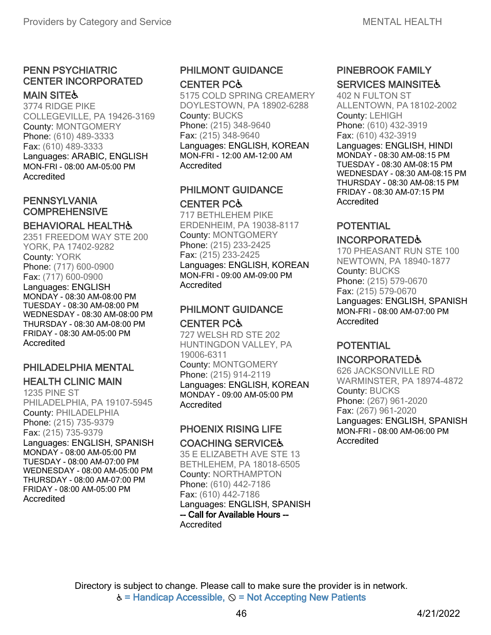#### PENN PSYCHIATRIC CENTER INCORPORATED MAIN SITE&

3774 RIDGE PIKE COLLEGEVILLE, PA 19426-3169 County: MONTGOMERY Phone: (610) 489-3333 Fax: (610) 489-3333 Languages: ARABIC, ENGLISH MON-FRI - 08:00 AM-05:00 PM Accredited

### PENNSYLVANIA **COMPREHENSIVE**

### BEHAVIORAL HEALTH&

2351 FREEDOM WAY STE 200 YORK, PA 17402-9282 County: YORK Phone: (717) 600-0900 Fax: (717) 600-0900 Languages: ENGLISH MONDAY - 08:30 AM-08:00 PM TUESDAY - 08:30 AM-08:00 PM WEDNESDAY - 08:30 AM-08:00 PM THURSDAY - 08:30 AM-08:00 PM FRIDAY - 08:30 AM-05:00 PM Accredited

# PHILADELPHIA MENTAL

### HEALTH CLINIC MAIN

1235 PINE ST PHILADELPHIA, PA 19107-5945 County: PHILADELPHIA Phone: (215) 735-9379 Fax: (215) 735-9379 Languages: ENGLISH, SPANISH MONDAY - 08:00 AM-05:00 PM TUESDAY - 08:00 AM-07:00 PM WEDNESDAY - 08:00 AM-05:00 PM THURSDAY - 08:00 AM-07:00 PM FRIDAY - 08:00 AM-05:00 PM Accredited

### PHILMONT GUIDANCE CENTER PC♿

5175 COLD SPRING CREAMERY DOYLESTOWN, PA 18902-6288 County: BUCKS Phone: (215) 348-9640 Fax: (215) 348-9640 Languages: ENGLISH, KOREAN MON-FRI - 12:00 AM-12:00 AM **Accredited** 

### PHILMONT GUIDANCE CENTER PC♿

717 BETHLEHEM PIKE ERDENHEIM, PA 19038-8117 County: MONTGOMERY Phone: (215) 233-2425 Fax: (215) 233-2425 Languages: ENGLISH, KOREAN MON-FRI - 09:00 AM-09:00 PM **Accredited** 

### PHILMONT GUIDANCE CENTER PC♿

727 WELSH RD STE 202 HUNTINGDON VALLEY, PA 19006-6311 County: MONTGOMERY Phone: (215) 914-2119 Languages: ENGLISH, KOREAN MONDAY - 09:00 AM-05:00 PM Accredited

### PHOENIX RISING LIFE COACHING SERVICE♿

35 E ELIZABETH AVE STE 13 BETHLEHEM, PA 18018-6505 County: NORTHAMPTON Phone: (610) 442-7186 Fax: (610) 442-7186 Languages: ENGLISH, SPANISH -- Call for Available Hours -- Accredited

### PINEBROOK FAMILY **SERVICES MAINSITE&**

402 N FULTON ST ALLENTOWN, PA18102-2002 County: LEHIGH Phone: (610) 432-3919 Fax: (610) 432-3919 Languages: ENGLISH, HINDI MONDAY - 08:30 AM-08:15 PM TUESDAY - 08:30 AM-08:15 PM WEDNESDAY - 08:30 AM-08:15 PM THURSDAY - 08:30 AM-08:15 PM FRIDAY - 08:30 AM-07:15 PM Accredited

### POTENTIAL

#### INCORPORATED♿

170 PHEASANT RUN STE 100 NEWTOWN, PA 18940-1877 County: BUCKS Phone: (215) 579-0670 Fax: (215) 579-0670 Languages: ENGLISH, SPANISH MON-FRI - 08:00 AM-07:00 PM Accredited

### POTENTIAL

### INCORPORATED♿

626 JACKSONVILLE RD WARMINSTER, PA 18974-4872 County: BUCKS Phone: (267) 961-2020 Fax: (267) 961-2020 Languages: ENGLISH, SPANISH MON-FRI - 08:00 AM-06:00 PM **Accredited**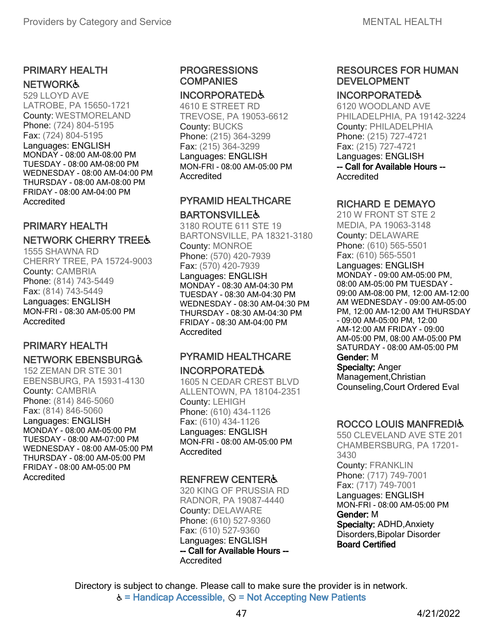#### PRIMARY HEALTH **NETWORK&**

529 LLOYD AVE LATROBE, PA 15650-1721 County: WESTMORELAND Phone: (724) 804-5195 Fax: (724) 804-5195 Languages: ENGLISH MONDAY - 08:00 AM-08:00 PM TUESDAY - 08:00 AM-08:00 PM WEDNESDAY - 08:00 AM-04:00 PM THURSDAY - 08:00 AM-08:00 PM FRIDAY - 08:00 AM-04:00 PM Accredited

### PRIMARY HEALTH

### NETWORK CHERRY TREE♿

1555 SHAWNA RD CHERRY TREE, PA 15724-9003 County: CAMBRIA Phone: (814) 743-5449 Fax: (814) 743-5449 Languages: ENGLISH MON-FRI - 08:30 AM-05:00 PM Accredited

# PRIMARY HEALTH

### NETWORK EBENSBURG♿

152 ZEMAN DR STE 301 EBENSBURG, PA 15931-4130 County: CAMBRIA Phone: (814) 846-5060 Fax: (814) 846-5060 Languages: ENGLISH MONDAY - 08:00 AM-05:00 PM TUESDAY - 08:00 AM-07:00 PM WEDNESDAY - 08:00 AM-05:00 PM THURSDAY - 08:00 AM-05:00 PM FRIDAY - 08:00 AM-05:00 PM Accredited

### PROGRESSIONS **COMPANIES**

#### INCORPORATED♿

4610 E STREET RD TREVOSE, PA 19053-6612 County: BUCKS Phone: (215) 364-3299 Fax: (215) 364-3299 Languages: ENGLISH MON-FRI - 08:00 AM-05:00 PM **Accredited** 

### PYRAMID HEALTHCARE **BARTONSVILLE&**

3180 ROUTE 611 STE 19 BARTONSVILLE, PA 18321-3180 County: MONROE Phone: (570) 420-7939 Fax: (570) 420-7939 Languages: ENGLISH MONDAY - 08:30 AM-04:30 PM TUESDAY - 08:30 AM-04:30 PM WEDNESDAY - 08:30 AM-04:30 PM THURSDAY - 08:30 AM-04:30 PM FRIDAY - 08:30 AM-04:00 PM Accredited

### PYRAMID HEALTHCARE INCORPORATED♿

1605 N CEDAR CREST BLVD ALLENTOWN, PA 18104-2351 County: LEHIGH Phone: (610) 434-1126 Fax: (610) 434-1126 Languages: ENGLISH MON-FRI - 08:00 AM-05:00 PM **Accredited** 

### RENFREW CENTER♿

320 KING OF PRUSSIA RD RADNOR, PA 19087-4440 County: DELAWARE Phone: (610) 527-9360 Fax: (610) 527-9360 Languages: ENGLISH -- Call for Available Hours -- Accredited

### RESOURCES FOR HUMAN DEVELOPMENT

#### INCORPORATED♿

6120 WOODLAND AVE PHILADELPHIA, PA 19142-3224 County: PHILADELPHIA Phone: (215) 727-4721 Fax: (215) 727-4721 Languages: ENGLISH -- Call for Available Hours -- Accredited

### RICHARD E DEMAYO

210 W FRONT ST STE 2 MEDIA, PA 19063-3148 County: DELAWARE Phone: (610) 565-5501 Fax: (610) 565-5501 Languages: ENGLISH MONDAY - 09:00 AM-05:00 PM, 08:00 AM-05:00 PM TUESDAY - 09:00 AM-08:00 PM, 12:00 AM-12:00 AM WEDNESDAY - 09:00 AM-05:00 PM, 12:00 AM-12:00 AM THURSDAY - 09:00 AM-05:00 PM, 12:00 AM-12:00 AM FRIDAY - 09:00 AM-05:00 PM, 08:00 AM-05:00 PM SATURDAY - 08:00 AM-05:00 PM Gender: M

### Specialty: Anger

Management,Christian Counseling,Court Ordered Eval

### ROCCO LOUIS MANFREDI&

550 CLEVELAND AVE STE 201 CHAMBERSBURG, PA 17201- 3430 County: FRANKLIN Phone: (717) 749-7001 Fax: (717) 749-7001 Languages: ENGLISH MON-FRI - 08:00 AM-05:00 PM Gender: M Specialty: ADHD,Anxiety Disorders,Bipolar Disorder Board Certified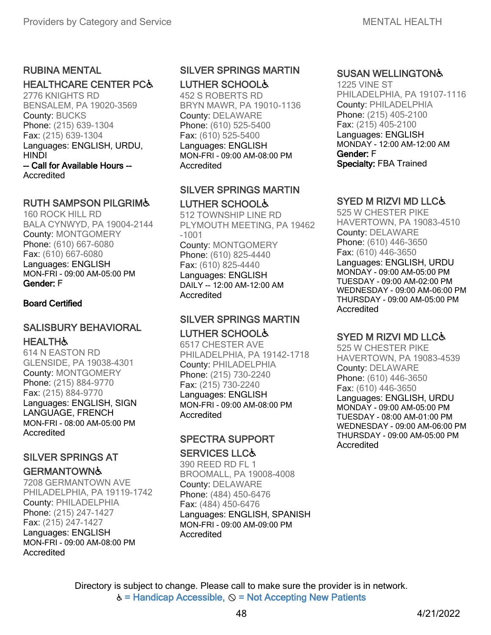### RUBINA MENTAL

### HEALTHCARE CENTER PC♿

2776 KNIGHTS RD BENSALEM, PA 19020-3569 County: BUCKS Phone: (215) 639-1304 Fax: (215) 639-1304 Languages: ENGLISH, URDU, HINDI -- Call for Available Hours -- **Accredited** 

#### RUTH SAMPSON PILGRIM♿

160 ROCK HILL RD BALA CYNWYD, PA 19004-2144 County: MONTGOMERY Phone: (610) 667-6080 Fax: (610) 667-6080 Languages: ENGLISH MON-FRI - 09:00 AM-05:00 PM Gender: F

#### Board Certified

### SALISBURY BEHAVIORAL **HEALTH&**

614 N EASTON RD GLENSIDE, PA 19038-4301 County: MONTGOMERY Phone: (215) 884-9770 Fax: (215) 884-9770 Languages: ENGLISH, SIGN LANGUAGE, FRENCH MON-FRI - 08:00 AM-05:00 PM Accredited

### SILVER SPRINGS AT

### **GERMANTOWN&**

7208 GERMANTOWN AVE PHILADELPHIA, PA 19119-1742 County: PHILADELPHIA Phone: (215) 247-1427 Fax: (215) 247-1427 Languages: ENGLISH MON-FRI - 09:00 AM-08:00 PM **Accredited** 

### SILVER SPRINGS MARTIN

LUTHER SCHOOL♿

452 S ROBERTS RD BRYN MAWR, PA 19010-1136 County: DELAWARE Phone: (610) 525-5400 Fax: (610) 525-5400 Languages: ENGLISH MON-FRI - 09:00 AM-08:00 PM Accredited

### SILVER SPRINGS MARTIN LUTHER SCHOOL♿

512 TOWNSHIP LINE RD PLYMOUTH MEETING, PA 19462 -1001 County: MONTGOMERY Phone: (610) 825-4440 Fax: (610) 825-4440 Languages: ENGLISH DAILY -- 12:00 AM-12:00 AM **Accredited** 

### SILVER SPRINGS MARTIN LUTHER SCHOOL♿

6517 CHESTER AVE PHILADELPHIA, PA 19142-1718 County: PHILADELPHIA Phone: (215) 730-2240 Fax: (215) 730-2240 Languages: ENGLISH MON-FRI - 09:00 AM-08:00 PM **Accredited** 

### SPECTRA SUPPORT

#### SERVICES LLC♿

390 REED RD FL 1 BROOMALL, PA 19008-4008 County: DELAWARE Phone: (484) 450-6476 Fax: (484) 450-6476 Languages: ENGLISH, SPANISH MON-FRI - 09:00 AM-09:00 PM **Accredited** 

### SUSAN WELLINGTON♿

1225 VINE ST PHILADELPHIA, PA 19107-1116 County: PHILADELPHIA Phone: (215) 405-2100 Fax: (215) 405-2100 Languages: ENGLISH MONDAY - 12:00 AM-12:00 AM Gender: F Specialty: FBA Trained

### SYED M RIZVI MD LLC♿

525 W CHESTER PIKE HAVERTOWN, PA 19083-4510 County: DELAWARE Phone: (610) 446-3650 Fax: (610) 446-3650 Languages: ENGLISH, URDU MONDAY - 09:00 AM-05:00 PM TUESDAY - 09:00 AM-02:00 PM WEDNESDAY - 09:00 AM-06:00 PM THURSDAY - 09:00 AM-05:00 PM Accredited

### SYED M RIZVI MD LLC♿

525 W CHESTER PIKE HAVERTOWN, PA 19083-4539 County: DELAWARE Phone: (610) 446-3650 Fax: (610) 446-3650 Languages: ENGLISH, URDU MONDAY - 09:00 AM-05:00 PM TUESDAY - 08:00 AM-01:00 PM WEDNESDAY - 09:00 AM-06:00 PM THURSDAY - 09:00 AM-05:00 PM Accredited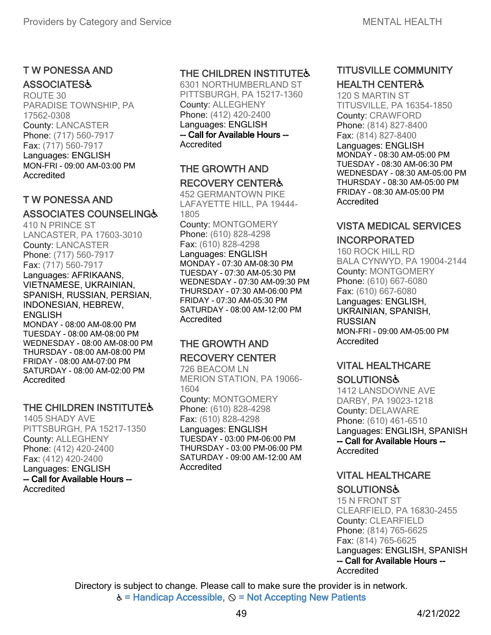#### T W PONESSA AND **ASSOCIATES&**

ROUTE 30 PARADISE TOWNSHIP, PA 17562-0308 County: LANCASTER Phone: (717) 560-7917 Fax: (717) 560-7917 Languages: ENGLISH MON-FRI - 09:00 AM-03:00 PM **Accredited** 

### T W PONESSA AND

### ASSOCIATES COUNSELING♿

410 N PRINCE ST LANCASTER, PA 17603-3010 County: LANCASTER Phone: (717) 560-7917 Fax: (717) 560-7917

Languages: AFRIKAANS, VIETNAMESE, UKRAINIAN, SPANISH, RUSSIAN, PERSIAN, INDONESIAN, HEBREW, **ENGLISH** MONDAY - 08:00 AM-08:00 PM

TUESDAY - 08:00 AM-08:00 PM WEDNESDAY - 08:00 AM-08:00 PM THURSDAY - 08:00 AM-08:00 PM FRIDAY - 08:00 AM-07:00 PM SATURDAY - 08:00 AM-02:00 PM **Accredited** 

### THE CHILDREN INSTITUTE&

1405 SHADY AVE PITTSBURGH, PA 15217-1350 County: ALLEGHENY Phone: (412) 420-2400 Fax: (412) 420-2400 Languages: ENGLISH -- Call for Available Hours -- **Accredited** 

### THE CHILDREN INSTITUTE&

6301 NORTHUMBERLAND ST PITTSBURGH, PA 15217-1360 County: ALLEGHENY Phone: (412) 420-2400 Languages: ENGLISH -- Call for Available Hours -- Accredited

### THE GROWTH AND RECOVERY CENTER♿

452 GERMANTOWN PIKE LAFAYETTE HILL, PA 19444- 1805

County: MONTGOMERY Phone: (610) 828-4298 Fax: (610) 828-4298 Languages: ENGLISH MONDAY - 07:30 AM-08:30 PM TUESDAY - 07:30 AM-05:30 PM WEDNESDAY - 07:30 AM-09:30 PM THURSDAY - 07:30 AM-06:00 PM FRIDAY - 07:30 AM-05:30 PM SATURDAY - 08:00 AM-12:00 PM Accredited

### THE GROWTH AND RECOVERY CENTER

726 BEACOM LN MERION STATION, PA 19066- 1604 County: MONTGOMERY

Phone: (610) 828-4298 Fax: (610) 828-4298 Languages: ENGLISH TUESDAY - 03:00 PM-06:00 PM THURSDAY - 03:00 PM-06:00 PM SATURDAY - 09:00 AM-12:00 AM **Accredited** 

### TITUSVILLE COMMUNITY HEALTH CENTER♿

120 S MARTIN ST TITUSVILLE, PA 16354-1850 County: CRAWFORD Phone: (814) 827-8400 Fax: (814) 827-8400 Languages: ENGLISH MONDAY - 08:30 AM-05:00 PM TUESDAY - 08:30 AM-06:30 PM WEDNESDAY - 08:30 AM-05:00 PM THURSDAY - 08:30 AM-05:00 PM FRIDAY - 08:30 AM-05:00 PM Accredited

### VISTA MEDICAL SERVICES INCORPORATED

160 ROCK HILL RD BALA CYNWYD, PA 19004-2144 County: MONTGOMERY Phone: (610) 667-6080 Fax: (610) 667-6080 Languages: ENGLISH, UKRAINIAN, SPANISH, RUSSIAN MON-FRI - 09:00 AM-05:00 PM Accredited

### VITAL HEALTHCARE **SOLUTIONS&**

1412 LANSDOWNE AVE DARBY, PA 19023-1218 County: DELAWARE Phone: (610) 461-6510 Languages: ENGLISH, SPANISH -- Call for Available Hours -- **Accredited** 

### VITAL HEALTHCARE **SOLUTIONS&**

Accredited 15 N FRONT ST CLEARFIELD, PA 16830-2455 County: CLEARFIELD Phone: (814) 765-6625 Fax: (814) 765-6625 Languages: ENGLISH, SPANISH -- Call for Available Hours --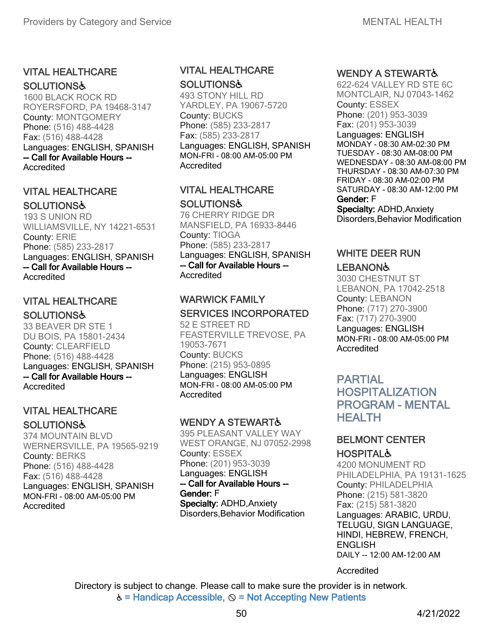### VITAL HEALTHCARE **SOLUTIONS&**

1600 BLACK ROCK RD ROYERSFORD, PA 19468-3147 County: MONTGOMERY Phone: (516) 488-4428 Fax: (516) 488-4428 Languages: ENGLISH, SPANISH -- Call for Available Hours -- Accredited

### VITAL HEALTHCARE

#### **SOLUTIONS&**

193 S UNION RD WILLIAMSVILLE, NY 14221-6531 County: ERIE Phone: (585) 233-2817 Languages: ENGLISH, SPANISH -- Call for Available Hours -- Accredited

### VITAL HEALTHCARE

#### **SOLUTIONS&**

33 BEAVER DR STE 1 DU BOIS, PA 15801-2434 County: CLEARFIELD Phone: (516) 488-4428 Languages: ENGLISH, SPANISH -- Call for Available Hours -- **Accredited** 

### VITAL HEALTHCARE **SOLUTIONS&**

374 MOUNTAIN BLVD WERNERSVILLE, PA 19565-9219 County: BERKS Phone: (516) 488-4428 Fax: (516) 488-4428 Languages: ENGLISH, SPANISH MON-FRI - 08:00 AM-05:00 PM Accredited

### VITAL HEALTHCARE **SOLUTIONS&**

493 STONY HILL RD YARDLEY, PA 19067-5720 County: BUCKS Phone: (585) 233-2817 Fax: (585) 233-2817 Languages: ENGLISH, SPANISH MON-FRI - 08:00 AM-05:00 PM Accredited

### VITAL HEALTHCARE **SOLUTIONS&**

76 CHERRY RIDGE DR MANSFIELD, PA 16933-8446 County: TIOGA Phone: (585) 233-2817 Languages: ENGLISH, SPANISH -- Call for Available Hours -- Accredited

### WARWICK FAMILY SERVICES INCORPORATED

52 E STREET RD FEASTERVILLE TREVOSE, PA 19053-7671 County: BUCKS Phone: (215) 953-0895 Languages: ENGLISH MON-FRI - 08:00 AM-05:00 PM Accredited

### WENDY A STEWART&

395 PLEASANT VALLEY WAY WEST ORANGE, NJ 07052-2998 County: ESSEX Phone: (201) 953-3039 Languages: ENGLISH -- Call for Available Hours -- Gender: F Specialty: ADHD,Anxiety Disorders,Behavior Modification

### WENDY A STEWART &

622-624 VALLEY RD STE 6C MONTCLAIR, NJ 07043-1462 County: ESSEX Phone: (201) 953-3039 Fax: (201) 953-3039 Languages: ENGLISH MONDAY - 08:30 AM-02:30 PM TUESDAY - 08:30 AM-08:00 PM WEDNESDAY - 08:30 AM-08:00 PM THURSDAY - 08:30 AM-07:30 PM FRIDAY - 08:30 AM-02:00 PM SATURDAY - 08:30 AM-12:00 PM Gender: F

Specialty: ADHD,Anxiety Disorders, Behavior Modification

# WHITE DEER RUN

### **LEBANON&**

3030 CHESTNUT ST LEBANON, PA 17042-2518 County: LEBANON Phone: (717) 270-3900 Fax: (717) 270-3900 Languages: ENGLISH MON-FRI - 08:00 AM-05:00 PM **Accredited** 

### PARTIAL HOSPITALIZATION PROGRAM - MENTAL **HEALTH**

### BELMONT CENTER **HOSPITAL&**

4200 MONUMENT RD PHILADELPHIA, PA 19131-1625 County: PHILADELPHIA Phone: (215) 581-3820 Fax: (215) 581-3820 Languages: ARABIC, URDU, TELUGU, SIGN LANGUAGE, HINDI, HEBREW, FRENCH, **ENGLISH** DAILY -- 12:00 AM-12:00 AM

Accredited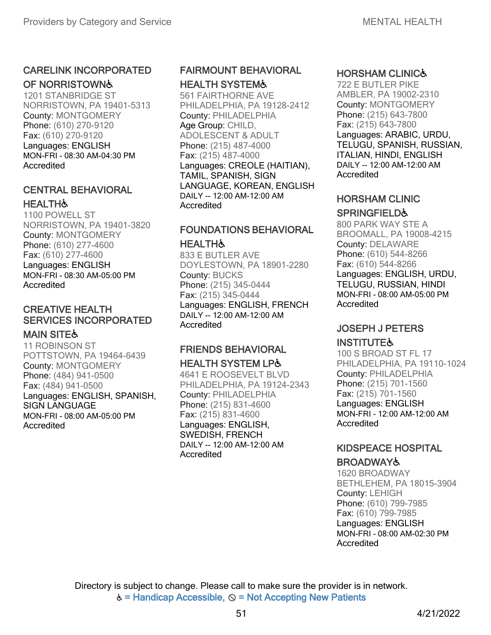### CARELINK INCORPORATED

### OF NORRISTOWN♿

1201 STANBRIDGE ST NORRISTOWN, PA 19401-5313 County: MONTGOMERY Phone: (610) 270-9120 Fax: (610) 270-9120 Languages: ENGLISH MON-FRI - 08:30 AM-04:30 PM Accredited

### CENTRAL BEHAVIORAL **HEALTH&**

1100 POWELL ST NORRISTOWN, PA 19401-3820 County: MONTGOMERY Phone: (610) 277-4600 Fax: (610) 277-4600 Languages: ENGLISH MON-FRI - 08:30 AM-05:00 PM **Accredited** 

### CREATIVE HEALTH SERVICES INCORPORATED

### **MAIN SITE&**

11 ROBINSON ST POTTSTOWN, PA 19464-6439 County: MONTGOMERY Phone: (484) 941-0500 Fax: (484) 941-0500 Languages: ENGLISH, SPANISH, SIGN LANGUAGE MON-FRI - 08:00 AM-05:00 PM Accredited

### FAIRMOUNT BEHAVIORAL HEALTH SYSTEM♿

561 FAIRTHORNE AVE PHILADELPHIA, PA 19128-2412 County: PHILADELPHIA Age Group: CHILD, ADOLESCENT & ADULT Phone: (215) 487-4000 Fax: (215) 487-4000 Languages: CREOLE (HAITIAN), TAMIL, SPANISH, SIGN LANGUAGE, KOREAN, ENGLISH DAILY -- 12:00 AM-12:00 AM Accredited

# FOUNDATIONS BEHAVIORAL

#### **HEALTH**

833 E BUTLER AVE DOYLESTOWN, PA 18901-2280 County: BUCKS Phone: (215) 345-0444 Fax: (215) 345-0444 Languages: ENGLISH, FRENCH DAILY -- 12:00 AM-12:00 AM **Accredited** 

### FRIENDS BEHAVIORAL HEALTH SYSTEM LP♿

4641 E ROOSEVELT BLVD PHILADELPHIA, PA 19124-2343 County: PHILADELPHIA Phone: (215) 831-4600 Fax: (215) 831-4600 Languages: ENGLISH, SWEDISH, FRENCH DAILY -- 12:00 AM-12:00 AM **Accredited** 

### HORSHAM CLINIC♿

722 E BUTLER PIKE AMBLER, PA 19002-2310 County: MONTGOMERY Phone: (215) 643-7800 Fax: (215) 643-7800 Languages: ARABIC, URDU, TELUGU, SPANISH, RUSSIAN, ITALIAN, HINDI, ENGLISH DAILY -- 12:00 AM-12:00 AM Accredited

### HORSHAM CLINIC

### **SPRINGFIELD&**

800 PARK WAY STE A BROOMALL, PA 19008-4215 County: DELAWARE Phone: (610) 544-8266 Fax: (610) 544-8266 Languages: ENGLISH, URDU, TELUGU, RUSSIAN, HINDI MON-FRI - 08:00 AM-05:00 PM Accredited

### JOSEPH J PETERS

### **INSTITUTE&**

100 S BROAD ST FL 17 PHILADELPHIA, PA 19110-1024 County: PHILADELPHIA Phone: (215) 701-1560 Fax: (215) 701-1560 Languages: ENGLISH MON-FRI - 12:00 AM-12:00 AM **Accredited** 

## KIDSPEACE HOSPITAL

### **BROADWAY&**

1620 BROADWAY BETHLEHEM, PA 18015-3904 County: LEHIGH Phone: (610) 799-7985 Fax: (610) 799-7985 Languages: ENGLISH MON-FRI - 08:00 AM-02:30 PM Accredited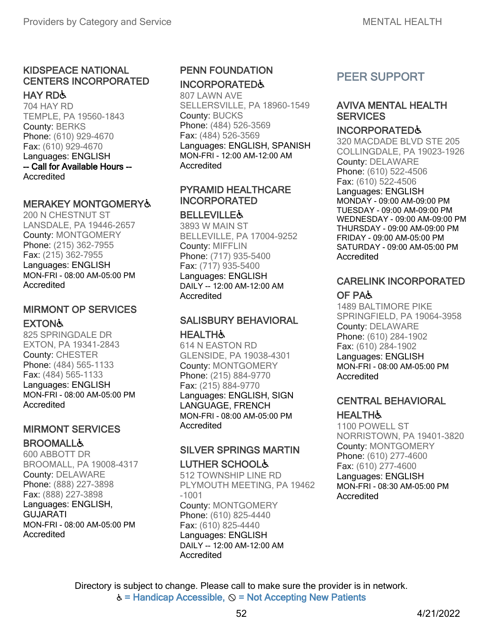### KIDSPEACE NATIONAL CENTERS INCORPORATED

#### HAY RD♿

704 HAY RD TEMPLE, PA 19560-1843 County: BERKS Phone: (610) 929-4670 Fax: (610) 929-4670 Languages: ENGLISH -- Call for Available Hours -- Accredited

### MERAKEY MONTGOMERY♿

200 N CHESTNUT ST LANSDALE, PA 19446-2657 County: MONTGOMERY Phone: (215) 362-7955 Fax: (215) 362-7955 Languages: ENGLISH MON-FRI - 08:00 AM-05:00 PM **Accredited** 

### MIRMONT OP SERVICES **EXTON&**

825 SPRINGDALE DR EXTON, PA 19341-2843 County: CHESTER Phone: (484) 565-1133 Fax: (484) 565-1133 Languages: ENGLISH MON-FRI - 08:00 AM-05:00 PM Accredited

### MIRMONT SERVICES **BROOMALL&**

600 ABBOTT DR BROOMALL, PA 19008-4317 County: DELAWARE Phone: (888) 227-3898 Fax: (888) 227-3898 Languages: ENGLISH, GUJARATI MON-FRI - 08:00 AM-05:00 PM Accredited

### PENN FOUNDATION INCORPORATED♿

807 LAWN AVE SELLERSVILLE, PA 18960-1549 County: BUCKS Phone: (484) 526-3569 Fax: (484) 526-3569 Languages: ENGLISH, SPANISH MON-FRI - 12:00 AM-12:00 AM Accredited

### PYRAMID HEALTHCARE INCORPORATED

#### **BELLEVILLE&**

3893 W MAIN ST BELLEVILLE, PA 17004-9252 County: MIFFLIN Phone: (717) 935-5400 Fax: (717) 935-5400 Languages: ENGLISH DAILY -- 12:00 AM-12:00 AM Accredited

### SALISBURY BEHAVIORAL

#### **HEALTH&**

614 N EASTON RD GLENSIDE, PA 19038-4301 County: MONTGOMERY Phone: (215) 884-9770 Fax: (215) 884-9770 Languages: ENGLISH, SIGN LANGUAGE, FRENCH MON-FRI - 08:00 AM-05:00 PM Accredited

### SILVER SPRINGS MARTIN LUTHER SCHOOL&

512 TOWNSHIP LINE RD PLYMOUTH MEETING, PA 19462 -1001 County: MONTGOMERY Phone: (610) 825-4440 Fax: (610) 825-4440 Languages: ENGLISH DAILY -- 12:00 AM-12:00 AM **Accredited** 

### PEER SUPPORT

### AVIVA MENTAL HEALTH **SERVICES**

#### INCORPORATED♿

320 MACDADE BLVD STE 205 COLLINGDALE, PA 19023-1926 County: DELAWARE Phone: (610) 522-4506 Fax: (610) 522-4506 Languages: ENGLISH MONDAY - 09:00 AM-09:00 PM TUESDAY - 09:00 AM-09:00 PM WEDNESDAY - 09:00 AM-09:00 PM THURSDAY - 09:00 AM-09:00 PM

FRIDAY - 09:00 AM-05:00 PM SATURDAY - 09:00 AM-05:00 PM **Accredited** 

### CARELINK INCORPORATED OF PA♿

1489 BALTIMORE PIKE SPRINGFIELD, PA 19064-3958 County: DELAWARE Phone: (610) 284-1902 Fax: (610) 284-1902 Languages: ENGLISH MON-FRI - 08:00 AM-05:00 PM Accredited

### CENTRAL BEHAVIORAL **HEALTH&**

1100 POWELL ST NORRISTOWN, PA 19401-3820 County: MONTGOMERY Phone: (610) 277-4600 Fax: (610) 277-4600 Languages: ENGLISH MON-FRI - 08:30 AM-05:00 PM Accredited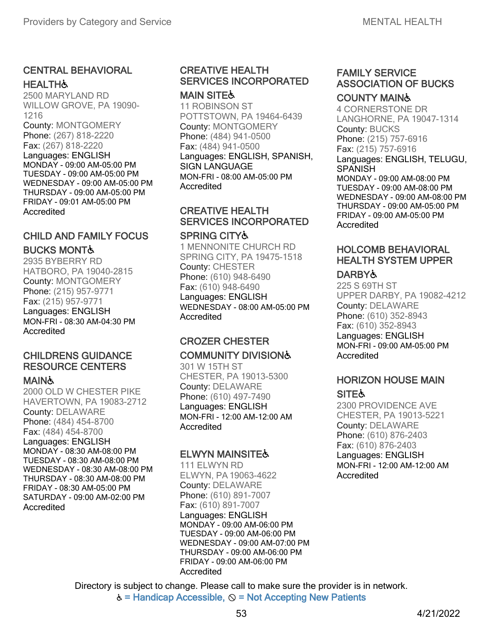### CENTRAL BEHAVIORAL **HEALTH&**

2500 MARYLAND RD WILLOW GROVE, PA 19090- 1216 County: MONTGOMERY Phone: (267) 818-2220 Fax: (267) 818-2220 Languages: ENGLISH MONDAY - 09:00 AM-05:00 PM TUESDAY - 09:00 AM-05:00 PM WEDNESDAY - 09:00 AM-05:00 PM THURSDAY - 09:00 AM-05:00 PM FRIDAY - 09:01 AM-05:00 PM **Accredited** 

### CHILD AND FAMILY FOCUS BUCKS MONT♿

2935 BYBERRY RD HATBORO, PA 19040-2815 County: MONTGOMERY Phone: (215) 957-9771 Fax: (215) 957-9771 Languages: ENGLISH MON-FRI - 08:30 AM-04:30 PM **Accredited** 

### CHILDRENS GUIDANCE RESOURCE CENTERS

### **MAIN&**

2000 OLD W CHESTER PIKE HAVERTOWN, PA 19083-2712 County: DELAWARE Phone: (484) 454-8700 Fax: (484) 454-8700 Languages: ENGLISH MONDAY - 08:30 AM-08:00 PM TUESDAY - 08:30 AM-08:00 PM WEDNESDAY - 08:30 AM-08:00 PM THURSDAY - 08:30 AM-08:00 PM FRIDAY - 08:30 AM-05:00 PM SATURDAY - 09:00 AM-02:00 PM **Accredited** 

### CREATIVE HEALTH SERVICES INCORPORATED

**MAIN SITE&** 11 ROBINSON ST POTTSTOWN, PA 19464-6439 County: MONTGOMERY Phone: (484) 941-0500 Fax: (484) 941-0500 Languages: ENGLISH, SPANISH, SIGN LANGUAGE MON-FRI - 08:00 AM-05:00 PM **Accredited** 

### CREATIVE HEALTH SERVICES INCORPORATED

#### SPRING CITY♿

1 MENNONITE CHURCH RD SPRING CITY, PA 19475-1518 County: CHESTER Phone: (610) 948-6490 Fax: (610) 948-6490 Languages: ENGLISH WEDNESDAY - 08:00 AM-05:00 PM Accredited

### CROZER CHESTER COMMUNITY DIVISION♿

301 W 15TH ST CHESTER, PA 19013-5300 County: DELAWARE Phone: (610) 497-7490 Languages: ENGLISH MON-FRI - 12:00 AM-12:00 AM **Accredited** 

### **ELWYN MAINSITE&**

111 ELWYN RD ELWYN, PA 19063-4622 County: DELAWARE Phone: (610) 891-7007 Fax: (610) 891-7007 Languages: ENGLISH MONDAY - 09:00 AM-06:00 PM TUESDAY - 09:00 AM-06:00 PM WEDNESDAY - 09:00 AM-07:00 PM THURSDAY - 09:00 AM-06:00 PM FRIDAY - 09:00 AM-06:00 PM Accredited

# FAMILY SERVICE ASSOCIATION OF BUCKS

### COUNTY MAIN♿

4 CORNERSTONE DR LANGHORNE, PA 19047-1314 County: BUCKS Phone: (215) 757-6916 Fax: (215) 757-6916 Languages: ENGLISH, TELUGU, **SPANISH** MONDAY - 09:00 AM-08:00 PM

TUESDAY - 09:00 AM-08:00 PM WEDNESDAY - 09:00 AM-08:00 PM THURSDAY - 09:00 AM-05:00 PM FRIDAY - 09:00 AM-05:00 PM Accredited

### HOLCOMB BEHAVIORAL HEALTH SYSTEM UPPER

### **DARBY&**

225 S 69TH ST UPPER DARBY, PA 19082-4212 County: DELAWARE Phone: (610) 352-8943 Fax: (610) 352-8943 Languages: ENGLISH MON-FRI - 09:00 AM-05:00 PM Accredited

### HORIZON HOUSE MAIN **SITE**

2300 PROVIDENCE AVE CHESTER, PA 19013-5221 County: DELAWARE Phone: (610) 876-2403 Fax: (610) 876-2403 Languages: ENGLISH MON-FRI - 12:00 AM-12:00 AM Accredited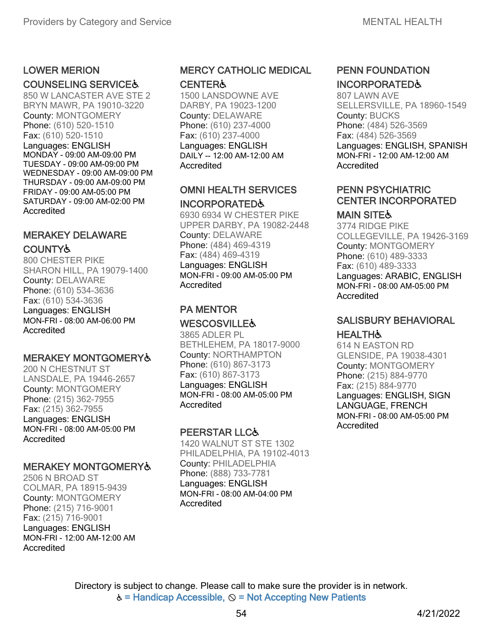### LOWER MERION

### COUNSELING SERVICE♿

850 W LANCASTER AVE STE 2 BRYN MAWR, PA 19010-3220 County: MONTGOMERY Phone: (610) 520-1510 Fax: (610) 520-1510 Languages: ENGLISH MONDAY - 09:00 AM-09:00 PM TUESDAY - 09:00 AM-09:00 PM WEDNESDAY - 09:00 AM-09:00 PM THURSDAY - 09:00 AM-09:00 PM FRIDAY - 09:00 AM-05:00 PM SATURDAY - 09:00 AM-02:00 PM Accredited

### MERAKEY DELAWARE COUNTY♿

800 CHESTER PIKE SHARON HILL, PA 19079-1400 County: DELAWARE Phone: (610) 534-3636 Fax: (610) 534-3636 Languages: ENGLISH MON-FRI - 08:00 AM-06:00 PM **Accredited** 

#### MERAKEY MONTGOMERY♿

200 N CHESTNUT ST LANSDALE, PA 19446-2657 County: MONTGOMERY Phone: (215) 362-7955 Fax: (215) 362-7955 Languages: ENGLISH MON-FRI - 08:00 AM-05:00 PM Accredited

### MERAKEY MONTGOMERY♿

2506 N BROAD ST COLMAR, PA 18915-9439 County: MONTGOMERY Phone: (215) 716-9001 Fax: (215) 716-9001 Languages: ENGLISH MON-FRI - 12:00 AM-12:00 AM Accredited

### MERCY CATHOLIC MEDICAL

#### **CENTER&**

1500 LANSDOWNE AVE DARBY, PA 19023-1200 County: DELAWARE Phone: (610) 237-4000 Fax: (610) 237-4000 Languages: ENGLISH DAILY -- 12:00 AM-12:00 AM Accredited

### OMNI HEALTH SERVICES INCORPORATED♿

6930 6934 W CHESTER PIKE UPPER DARBY, PA 19082-2448 County: DELAWARE Phone: (484) 469-4319 Fax: (484) 469-4319 Languages: ENGLISH MON-FRI - 09:00 AM-05:00 PM Accredited

#### PA MENTOR **WESCOSVILLE&**

3865 ADLER PL BETHLEHEM, PA 18017-9000 County: NORTHAMPTON Phone: (610) 867-3173 Fax: (610) 867-3173 Languages: ENGLISH MON-FRI - 08:00 AM-05:00 PM Accredited

### PEERSTAR LLC♿

1420 WALNUT ST STE 1302 PHILADELPHIA, PA 19102-4013 County: PHILADELPHIA Phone: (888) 733-7781 Languages: ENGLISH MON-FRI - 08:00 AM-04:00 PM Accredited

### PENN FOUNDATION INCORPORATED♿

807 LAWN AVE SELLERSVILLE, PA 18960-1549 County: BUCKS Phone: (484) 526-3569 Fax: (484) 526-3569 Languages: ENGLISH, SPANISH MON-FRI - 12:00 AM-12:00 AM Accredited

### PENN PSYCHIATRIC CENTER INCORPORATED

### **MAIN SITE&**

3774 RIDGE PIKE COLLEGEVILLE, PA 19426-3169 County: MONTGOMERY Phone: (610) 489-3333 Fax: (610) 489-3333 Languages: ARABIC, ENGLISH MON-FRI - 08:00 AM-05:00 PM Accredited

### SALISBURY BEHAVIORAL **HEALTH&**

614 N EASTON RD GLENSIDE, PA 19038-4301 County: MONTGOMERY Phone: (215) 884-9770 Fax: (215) 884-9770 Languages: ENGLISH, SIGN LANGUAGE, FRENCH MON-FRI - 08:00 AM-05:00 PM Accredited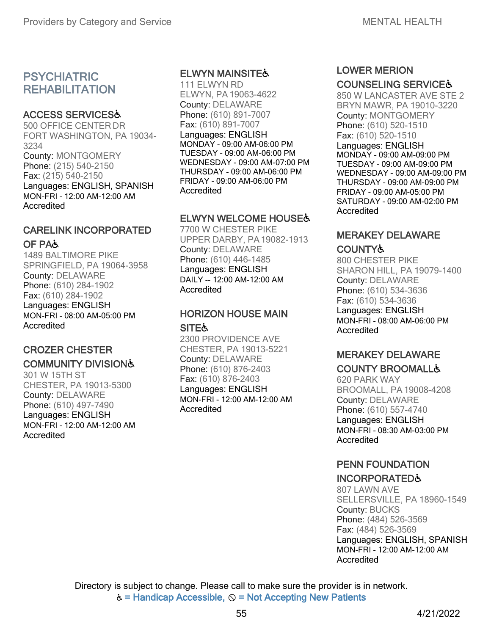### PSYCHIATRIC **REHABILITATION**

### ACCESS SERVICES♿

500 OFFICE CENTER DR FORT WASHINGTON, PA 19034- 3234 County: MONTGOMERY Phone: (215) 540-2150 Fax: (215) 540-2150 Languages: ENGLISH, SPANISH MON-FRI - 12:00 AM-12:00 AM Accredited

### CARELINK INCORPORATED OF PA♿

1489 BALTIMORE PIKE SPRINGFIELD, PA 19064-3958 County: DELAWARE Phone: (610) 284-1902 Fax: (610) 284-1902 Languages: ENGLISH MON-FRI - 08:00 AM-05:00 PM Accredited

### CROZER CHESTER

### COMMUNITY DIVISION♿

301 W 15TH ST CHESTER, PA 19013-5300 County: DELAWARE Phone: (610) 497-7490 Languages: ENGLISH MON-FRI - 12:00 AM-12:00 AM Accredited

### ELWYN MAINSITE♿

111 ELWYN RD ELWYN, PA 19063-4622 County: DELAWARE Phone: (610) 891-7007 Fax: (610) 891-7007 Languages: ENGLISH MONDAY - 09:00 AM-06:00 PM TUESDAY - 09:00 AM-06:00 PM WEDNESDAY - 09:00 AM-07:00 PM THURSDAY - 09:00 AM-06:00 PM FRIDAY - 09:00 AM-06:00 PM **Accredited** 

### **ELWYN WELCOME HOUSE&**

7700 W CHESTER PIKE UPPER DARBY, PA19082-1913 County: DELAWARE Phone: (610) 446-1485 Languages: ENGLISH DAILY -- 12:00 AM-12:00 AM **Accredited** 

# HORIZON HOUSE MAIN

### **SITE**

2300 PROVIDENCE AVE CHESTER, PA 19013-5221 County: DELAWARE Phone: (610) 876-2403 Fax: (610) 876-2403 Languages: ENGLISH MON-FRI - 12:00 AM-12:00 AM Accredited

### LOWER MERION

### COUNSELING SERVICE♿

850 W LANCASTER AVE STE 2 BRYN MAWR, PA 19010-3220 County: MONTGOMERY Phone: (610) 520-1510 Fax: (610) 520-1510 Languages: ENGLISH MONDAY - 09:00 AM-09:00 PM TUESDAY - 09:00 AM-09:00 PM WEDNESDAY - 09:00 AM-09:00 PM THURSDAY - 09:00 AM-09:00 PM FRIDAY - 09:00 AM-05:00 PM SATURDAY - 09:00 AM-02:00 PM **Accredited** 

### MERAKEY DELAWARE **COUNTY&**

800 CHESTER PIKE SHARON HILL, PA 19079-1400 County: DELAWARE Phone: (610) 534-3636 Fax: (610) 534-3636 Languages: ENGLISH MON-FRI - 08:00 AM-06:00 PM Accredited

# MERAKEY DELAWARE

### COUNTY BROOMALL♿

620 PARK WAY BROOMALL, PA 19008-4208 County: DELAWARE Phone: (610) 557-4740 Languages: ENGLISH MON-FRI - 08:30 AM-03:00 PM **Accredited** 

### PENN FOUNDATION

### INCORPORATED♿

807 LAWN AVE SELLERSVILLE, PA 18960-1549 County: BUCKS Phone: (484) 526-3569 Fax: (484) 526-3569 Languages: ENGLISH, SPANISH MON-FRI - 12:00 AM-12:00 AM Accredited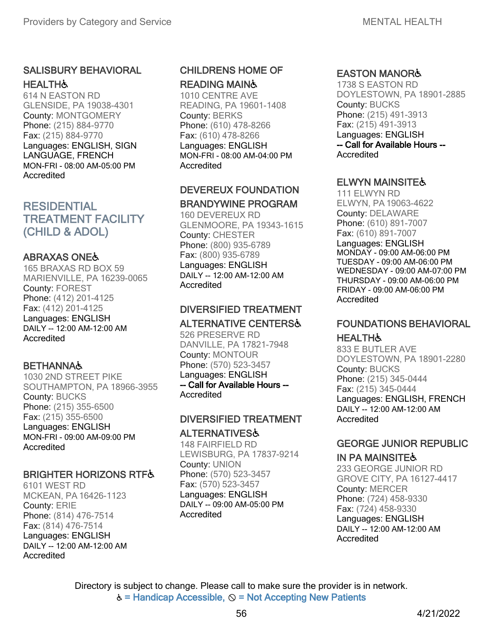### SALISBURY BEHAVIORAL **HEALTH&**

614 N EASTON RD GLENSIDE, PA 19038-4301 County: MONTGOMERY Phone: (215) 884-9770 Fax: (215) 884-9770 Languages: ENGLISH, SIGN LANGUAGE, FRENCH MON-FRI - 08:00 AM-05:00 PM Accredited

### RESIDENTIAL TREATMENT FACILITY (CHILD & ADOL)

### ABRAXAS ONE♿

165 BRAXAS RD BOX 59 MARIENVILLE, PA 16239-0065 County: FOREST Phone: (412) 201-4125 Fax: (412) 201-4125 Languages: ENGLISH DAILY -- 12:00 AM-12:00 AM **Accredited** 

### **BETHANNA&**

1030 2ND STREET PIKE SOUTHAMPTON, PA 18966-3955 County: BUCKS Phone: (215) 355-6500 Fax: (215) 355-6500 Languages: ENGLISH MON-FRI - 09:00 AM-09:00 PM Accredited

### BRIGHTER HORIZONS RTF&

6101 WEST RD MCKEAN, PA 16426-1123 County: ERIE Phone: (814) 476-7514 Fax: (814) 476-7514 Languages: ENGLISH DAILY -- 12:00 AM-12:00 AM Accredited

### CHILDRENS HOME OF READING MAIN♿

1010 CENTRE AVE READING, PA 19601-1408 County: BERKS Phone: (610) 478-8266 Fax: (610) 478-8266 Languages: ENGLISH MON-FRI - 08:00 AM-04:00 PM Accredited

### DEVEREUX FOUNDATION BRANDYWINE PROGRAM

160 DEVEREUX RD GLENMOORE, PA 19343-1615 County: CHESTER Phone: (800) 935-6789 Fax: (800) 935-6789 Languages: ENGLISH DAILY -- 12:00 AM-12:00 AM Accredited

### DIVERSIFIED TREATMENT

### ALTERNATIVE CENTERS♿

526 PRESERVE RD DANVILLE, PA 17821-7948 County: MONTOUR Phone: (570) 523-3457 Languages: ENGLISH -- Call for Available Hours -- Accredited

### DIVERSIFIED TREATMENT

ALTERNATIVES♿

148 FAIRFIELD RD LEWISBURG, PA 17837-9214 County: UNION Phone: (570) 523-3457 Fax: (570) 523-3457 Languages: ENGLISH DAILY -- 09:00 AM-05:00 PM Accredited

### EASTON MANOR♿

1738 S EASTON RD DOYLESTOWN, PA 18901-2885 County: BUCKS Phone: (215) 491-3913 Fax: (215) 491-3913 Languages: ENGLISH -- Call for Available Hours -- **Accredited** 

### **ELWYN MAINSITE&**

111 ELWYN RD ELWYN, PA 19063-4622 County: DELAWARE Phone: (610) 891-7007 Fax: (610) 891-7007 Languages: ENGLISH MONDAY - 09:00 AM-06:00 PM TUESDAY - 09:00 AM-06:00 PM WEDNESDAY - 09:00 AM-07:00 PM THURSDAY - 09:00 AM-06:00 PM FRIDAY - 09:00 AM-06:00 PM **Accredited** 

### FOUNDATIONS BEHAVIORAL

### **HEALTH&**

833 E BUTLER AVE DOYLESTOWN, PA 18901-2280 County: BUCKS Phone: (215) 345-0444 Fax: (215) 345-0444 Languages: ENGLISH, FRENCH DAILY -- 12:00 AM-12:00 AM **Accredited** 

### GEORGE JUNIOR REPUBLIC

### IN PA MAINSITE♿

233 GEORGE JUNIOR RD GROVE CITY, PA 16127-4417 County: MERCER Phone: (724) 458-9330 Fax: (724) 458-9330 Languages: ENGLISH DAILY -- 12:00 AM-12:00 AM Accredited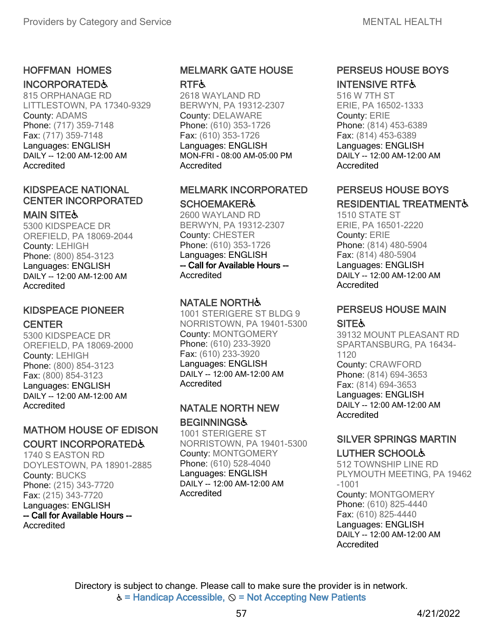### HOFFMAN HOMES

### INCORPORATED♿

815 ORPHANAGE RD LITTLESTOWN, PA 17340-9329 County: ADAMS Phone: (717) 359-7148 Fax: (717) 359-7148 Languages: ENGLISH DAILY -- 12:00 AM-12:00 AM Accredited

### KIDSPEACE NATIONAL CENTER INCORPORATED

### **MAIN SITE&**

5300 KIDSPEACE DR OREFIELD, PA 18069-2044 County: LEHIGH Phone: (800) 854-3123 Languages: ENGLISH DAILY -- 12:00 AM-12:00 AM Accredited

# KIDSPEACE PIONEER

### **CENTER**

5300 KIDSPEACE DR OREFIELD, PA 18069-2000 County: LEHIGH Phone: (800) 854-3123 Fax: (800) 854-3123 Languages: ENGLISH DAILY -- 12:00 AM-12:00 AM **Accredited** 

### MATHOM HOUSE OF EDISON COURT INCORPORATED♿

1740 S EASTON RD DOYLESTOWN, PA 18901-2885 County: BUCKS Phone: (215) 343-7720 Fax: (215) 343-7720 Languages: ENGLISH -- Call for Available Hours -- **Accredited** 

### MELMARK GATE HOUSE **RTF&**

2618 WAYLAND RD BERWYN, PA 19312-2307 County: DELAWARE Phone: (610) 353-1726 Fax: (610) 353-1726 Languages: ENGLISH MON-FRI - 08:00 AM-05:00 PM Accredited

### MELMARK INCORPORATED **SCHOEMAKER&**

2600 WAYLAND RD BERWYN, PA 19312-2307 County: CHESTER Phone: (610) 353-1726 Languages: ENGLISH -- Call for Available Hours -- Accredited

### **NATALE NORTH&**

1001 STERIGERE ST BLDG 9 NORRISTOWN, PA 19401-5300 County: MONTGOMERY Phone: (610) 233-3920 Fax: (610) 233-3920 Languages: ENGLISH DAILY -- 12:00 AM-12:00 AM Accredited

### NATALE NORTH NEW **BEGINNINGS&**

1001 STERIGERE ST NORRISTOWN, PA 19401-5300 County: MONTGOMERY Phone: (610) 528-4040 Languages: ENGLISH DAILY -- 12:00 AM-12:00 AM **Accredited** 

### PERSEUS HOUSE BOYS INTENSIVE RTF♿

516 W 7TH ST ERIE, PA 16502-1333 County: ERIE Phone: (814) 453-6389 Fax: (814) 453-6389 Languages: ENGLISH DAILY -- 12:00 AM-12:00 AM Accredited

### PERSEUS HOUSE BOYS RESIDENTIAL TREATMENT&

1510 STATE ST ERIE, PA 16501-2220 County: ERIE Phone: (814) 480-5904 Fax: (814) 480-5904 Languages: ENGLISH DAILY -- 12:00 AM-12:00 AM Accredited

### PERSEUS HOUSE MAIN

### **SITE&**

39132 MOUNT PLEASANT RD SPARTANSBURG, PA 16434- 1120 County: CRAWFORD Phone: (814) 694-3653 Fax: (814) 694-3653 Languages: ENGLISH DAILY -- 12:00 AM-12:00 AM **Accredited** 

### SILVER SPRINGS MARTIN LUTHER SCHOOL♿

512 TOWNSHIP LINE RD PLYMOUTH MEETING, PA 19462 -1001 County: MONTGOMERY Phone: (610) 825-4440 Fax: (610) 825-4440 Languages: ENGLISH DAILY -- 12:00 AM-12:00 AM Accredited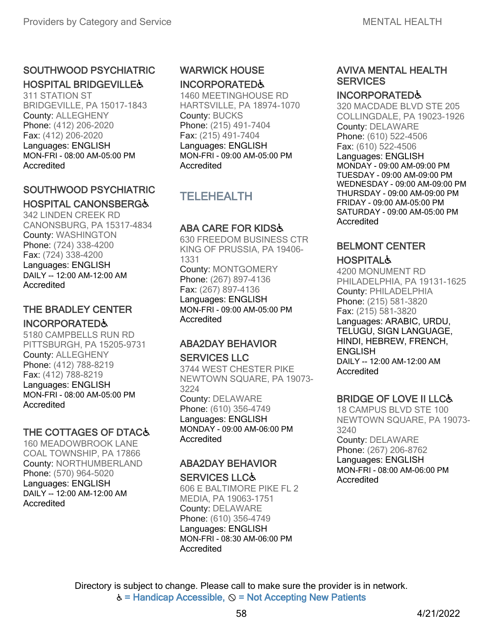### SOUTHWOOD PSYCHIATRIC **HOSPITAL BRIDGEVILLE&**

311 STATION ST BRIDGEVILLE, PA 15017-1843 County: ALLEGHENY Phone: (412) 206-2020 Fax: (412) 206-2020 Languages: ENGLISH MON-FRI - 08:00 AM-05:00 PM Accredited

### SOUTHWOOD PSYCHIATRIC HOSPITAL CANONSBERG♿

342 LINDEN CREEK RD CANONSBURG, PA 15317-4834 County: WASHINGTON Phone: (724) 338-4200 Fax: (724) 338-4200 Languages: ENGLISH DAILY -- 12:00 AM-12:00 AM Accredited

### THE BRADLEY CENTER INCORPORATED♿

5180 CAMPBELLS RUN RD PITTSBURGH, PA 15205-9731 County: ALLEGHENY Phone: (412) 788-8219 Fax: (412) 788-8219 Languages: ENGLISH MON-FRI - 08:00 AM-05:00 PM Accredited

### THE COTTAGES OF DTAC&

160 MEADOWBROOK LANE COAL TOWNSHIP, PA 17866 County: NORTHUMBERLAND Phone: (570) 964-5020 Languages: ENGLISH DAILY -- 12:00 AM-12:00 AM Accredited

### WARWICK HOUSE INCORPORATED♿

1460 MEETINGHOUSE RD HARTSVILLE, PA 18974-1070 County: BUCKS Phone: (215) 491-7404 Fax: (215) 491-7404 Languages: ENGLISH MON-FRI - 09:00 AM-05:00 PM Accredited

### TELEHEALTH

### ABA CARE FOR KIDS♿

630 FREEDOM BUSINESS CTR KING OF PRUSSIA, PA 19406- 1331 County: MONTGOMERY Phone: (267) 897-4136 Fax: (267) 897-4136 Languages: ENGLISH MON-FRI - 09:00 AM-05:00 PM Accredited

#### ABA2DAY BEHAVIOR SERVICES LLC

3744 WEST CHESTER PIKE NEWTOWN SQUARE, PA 19073- 3224 County: DELAWARE Phone: (610) 356-4749 Languages: ENGLISH MONDAY - 09:00 AM-06:00 PM Accredited

### ABA2DAY BEHAVIOR

#### SERVICES LLC♿

606 E BALTIMORE PIKE FL 2 MEDIA, PA 19063-1751 County: DELAWARE Phone: (610) 356-4749 Languages: ENGLISH MON-FRI - 08:30 AM-06:00 PM Accredited

### AVIVA MENTAL HEALTH **SERVICES**

#### INCORPORATED♿

320 MACDADE BLVD STE 205 COLLINGDALE, PA 19023-1926 County: DELAWARE Phone: (610) 522-4506 Fax: (610) 522-4506 Languages: ENGLISH MONDAY - 09:00 AM-09:00 PM TUESDAY - 09:00 AM-09:00 PM WEDNESDAY - 09:00 AM-09:00 PM THURSDAY - 09:00 AM-09:00 PM FRIDAY - 09:00 AM-05:00 PM SATURDAY - 09:00 AM-05:00 PM **Accredited** 

### BELMONT CENTER

### **HOSPITAL&**

4200 MONUMENT RD PHILADELPHIA, PA 19131-1625 County: PHILADELPHIA Phone: (215) 581-3820 Fax: (215) 581-3820 Languages: ARABIC, URDU, TELUGU, SIGN LANGUAGE, HINDI, HEBREW, FRENCH, **ENGLISH** DAILY -- 12:00 AM-12:00 AM **Accredited** 

### BRIDGE OF LOVE II LLC♿

18 CAMPUS BLVD STE 100 NEWTOWN SQUARE, PA 19073- 3240 County: DELAWARE Phone: (267) 206-8762 Languages: ENGLISH MON-FRI - 08:00 AM-06:00 PM Accredited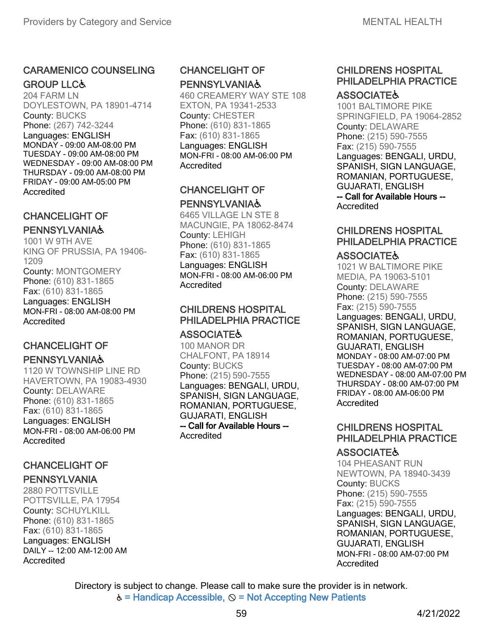### CARAMENICO COUNSELING **GROUP LLC&**

204 FARM LN DOYLESTOWN, PA 18901-4714 County: BUCKS Phone: (267) 742-3244 Languages: ENGLISH MONDAY - 09:00 AM-08:00 PM TUESDAY - 09:00 AM-08:00 PM WEDNESDAY - 09:00 AM-08:00 PM THURSDAY - 09:00 AM-08:00 PM FRIDAY - 09:00 AM-05:00 PM Accredited

### CHANCELIGHT OF

### **PENNSYLVANIA&**

1001 W 9TH AVE KING OF PRUSSIA, PA 19406- 1209 County: MONTGOMERY Phone: (610) 831-1865 Fax: (610) 831-1865 Languages: ENGLISH MON-FRI - 08:00 AM-08:00 PM Accredited

### CHANCELIGHT OF **PENNSYLVANIA&**

1120 W TOWNSHIP LINE RD HAVERTOWN, PA 19083-4930 County: DELAWARE Phone: (610) 831-1865 Fax: (610) 831-1865 Languages: ENGLISH MON-FRI - 08:00 AM-06:00 PM **Accredited** 

### CHANCELIGHT OF PENNSYLVANIA

2880 POTTSVILLE POTTSVILLE, PA 17954 County: SCHUYLKILL Phone: (610) 831-1865 Fax: (610) 831-1865 Languages: ENGLISH DAILY -- 12:00 AM-12:00 AM Accredited

### CHANCELIGHT OF **PENNSYLVANIA&**

460 CREAMERY WAY STE 108 EXTON, PA 19341-2533 County: CHESTER Phone: (610) 831-1865 Fax: (610) 831-1865 Languages: ENGLISH MON-FRI - 08:00 AM-06:00 PM Accredited

### CHANCELIGHT OF **PENNSYLVANIA&**

6465 VILLAGE LN STE 8 MACUNGIE, PA 18062-8474 County: LEHIGH Phone: (610) 831-1865 Fax: (610) 831-1865 Languages: ENGLISH MON-FRI - 08:00 AM-06:00 PM Accredited

### CHILDRENS HOSPITAL PHILADELPHIA PRACTICE

### **ASSOCIATE&**

100 MANOR DR CHALFONT, PA 18914 County: BUCKS Phone: (215) 590-7555 Languages: BENGALI, URDU, SPANISH, SIGN LANGUAGE, ROMANIAN, PORTUGUESE, GUJARATI, ENGLISH -- Call for Available Hours -- **Accredited** 

### CHILDRENS HOSPITAL PHILADELPHIA PRACTICE **ASSOCIATE&**

#### 1001 BALTIMORE PIKE SPRINGFIELD, PA 19064-2852 County: DELAWARE Phone: (215) 590-7555 Fax: (215) 590-7555 Languages: BENGALI, URDU, SPANISH, SIGN LANGUAGE, ROMANIAN, PORTUGUESE, GUJARATI, ENGLISH -- Call for Available Hours -- Accredited

### CHILDRENS HOSPITAL PHILADELPHIA PRACTICE

### **ASSOCIATE&**

1021 W BALTIMORE PIKE MEDIA, PA 19063-5101 County: DELAWARE Phone: (215) 590-7555 Fax: (215) 590-7555 Languages: BENGALI, URDU, SPANISH, SIGN LANGUAGE, ROMANIAN, PORTUGUESE, GUJARATI, ENGLISH MONDAY - 08:00 AM-07:00 PM TUESDAY - 08:00 AM-07:00 PM WEDNESDAY - 08:00 AM-07:00 PM THURSDAY - 08:00 AM-07:00 PM FRIDAY - 08:00 AM-06:00 PM Accredited

### CHILDRENS HOSPITAL PHILADELPHIA PRACTICE

### **ASSOCIATE&**

104 PHEASANT RUN NEWTOWN, PA 18940-3439 County: BUCKS Phone: (215) 590-7555 Fax: (215) 590-7555 Languages: BENGALI, URDU, SPANISH, SIGN LANGUAGE, ROMANIAN, PORTUGUESE, GUJARATI, ENGLISH MON-FRI - 08:00 AM-07:00 PM Accredited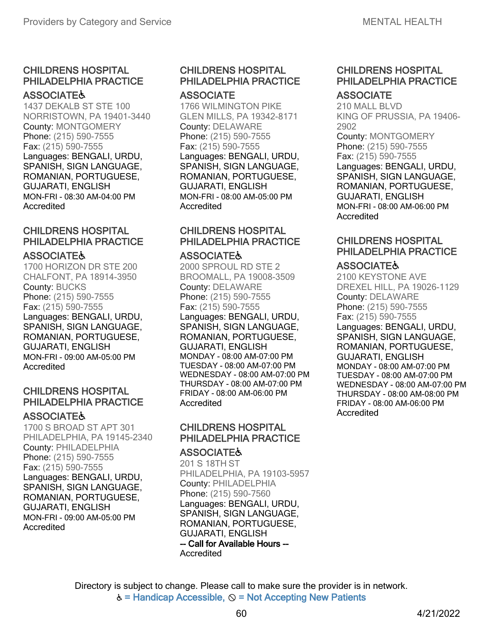#### **ASSOCIATE&**

1437 DEKALB ST STE 100 NORRISTOWN, PA 19401-3440 County: MONTGOMERY Phone: (215) 590-7555 Fax: (215) 590-7555 Languages: BENGALI, URDU, SPANISH, SIGN LANGUAGE, ROMANIAN, PORTUGUESE, GUJARATI, ENGLISH MON-FRI - 08:30 AM-04:00 PM Accredited

### CHILDRENS HOSPITAL PHILADELPHIA PRACTICE

#### **ASSOCIATE&**

1700 HORIZON DR STE 200 CHALFONT, PA 18914-3950 County: BUCKS Phone: (215) 590-7555 Fax: (215) 590-7555 Languages: BENGALI, URDU, SPANISH, SIGN LANGUAGE, ROMANIAN, PORTUGUESE, GUJARATI, ENGLISH MON-FRI - 09:00 AM-05:00 PM Accredited

### CHILDRENS HOSPITAL PHILADELPHIA PRACTICE

#### **ASSOCIATE&**

1700 S BROAD ST APT 301 PHILADELPHIA, PA 19145-2340 County: PHILADELPHIA Phone: (215) 590-7555 Fax: (215) 590-7555 Languages: BENGALI, URDU, SPANISH, SIGN LANGUAGE, ROMANIAN, PORTUGUESE, GUJARATI, ENGLISH MON-FRI - 09:00 AM-05:00 PM Accredited

### CHILDRENS HOSPITAL PHILADELPHIA PRACTICE **ASSOCIATE**

1766 WILMINGTON PIKE GLEN MILLS, PA 19342-8171 County: DELAWARE Phone: (215) 590-7555 Fax: (215) 590-7555 Languages: BENGALI, URDU, SPANISH, SIGN LANGUAGE, ROMANIAN, PORTUGUESE, GUJARATI, ENGLISH MON-FRI - 08:00 AM-05:00 PM Accredited

### CHILDRENS HOSPITAL PHILADELPHIA PRACTICE

#### **ASSOCIATE&**

2000 SPROUL RD STE 2 BROOMALL, PA 19008-3509 County: DELAWARE Phone: (215) 590-7555 Fax: (215) 590-7555 Languages: BENGALI, URDU, SPANISH, SIGN LANGUAGE, ROMANIAN, PORTUGUESE, GUJARATI, ENGLISH MONDAY - 08:00 AM-07:00 PM TUESDAY - 08:00 AM-07:00 PM WEDNESDAY - 08:00 AM-07:00 PM THURSDAY - 08:00 AM-07:00 PM FRIDAY - 08:00 AM-06:00 PM **Accredited** 

### CHILDRENS HOSPITAL PHILADELPHIA PRACTICE

#### **ASSOCIATE&**

201 S 18TH ST PHILADELPHIA, PA 19103-5957 County: PHILADELPHIA Phone: (215) 590-7560 Languages: BENGALI, URDU, SPANISH, SIGN LANGUAGE, ROMANIAN, PORTUGUESE, GUJARATI, ENGLISH -- Call for Available Hours -- Accredited

# CHILDRENS HOSPITAL PHILADELPHIA PRACTICE

### **ASSOCIATE**

210 MALL BLVD KING OF PRUSSIA, PA 19406- 2902 County: MONTGOMERY Phone: (215) 590-7555 Fax: (215) 590-7555 Languages: BENGALI, URDU, SPANISH, SIGN LANGUAGE, ROMANIAN, PORTUGUESE, GUJARATI, ENGLISH MON-FRI - 08:00 AM-06:00 PM Accredited

### CHILDRENS HOSPITAL PHILADELPHIA PRACTICE

### **ASSOCIATE&**

2100 KEYSTONE AVE DREXEL HILL, PA 19026-1129 County: DELAWARE Phone: (215) 590-7555 Fax: (215) 590-7555 Languages: BENGALI, URDU, SPANISH, SIGN LANGUAGE, ROMANIAN, PORTUGUESE, GUJARATI, ENGLISH MONDAY - 08:00 AM-07:00 PM TUESDAY - 08:00 AM-07:00 PM WEDNESDAY - 08:00 AM-07:00 PM THURSDAY - 08:00 AM-08:00 PM FRIDAY - 08:00 AM-06:00 PM Accredited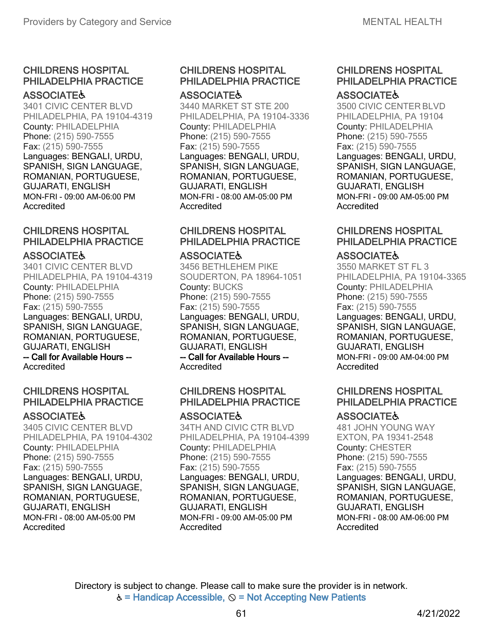#### **ASSOCIATE&**

3401 CIVIC CENTER BLVD PHILADELPHIA, PA 19104-4319 County: PHILADELPHIA Phone: (215) 590-7555 Fax: (215) 590-7555 Languages: BENGALI, URDU, SPANISH, SIGN LANGUAGE, ROMANIAN, PORTUGUESE, GUJARATI, ENGLISH MON-FRI - 09:00 AM-06:00 PM Accredited

### CHILDRENS HOSPITAL PHILADELPHIA PRACTICE

#### **ASSOCIATE&**

3401 CIVIC CENTER BLVD PHILADELPHIA, PA 19104-4319 County: PHILADELPHIA Phone: (215) 590-7555 Fax: (215) 590-7555 Languages: BENGALI, URDU, SPANISH, SIGN LANGUAGE, ROMANIAN, PORTUGUESE, GUJARATI, ENGLISH -- Call for Available Hours -- **Accredited** 

### CHILDRENS HOSPITAL PHILADELPHIA PRACTICE

#### **ASSOCIATE&**

3405 CIVIC CENTER BLVD PHILADELPHIA, PA 19104-4302 County: PHILADELPHIA Phone: (215) 590-7555 Fax: (215) 590-7555 Languages: BENGALI, URDU, SPANISH, SIGN LANGUAGE, ROMANIAN, PORTUGUESE, GUJARATI, ENGLISH MON-FRI - 08:00 AM-05:00 PM Accredited

#### CHILDRENS HOSPITAL PHILADELPHIA PRACTICE **ASSOCIATE&**

3440 MARKET ST STE 200 PHILADELPHIA, PA 19104-3336 County: PHILADELPHIA Phone: (215) 590-7555 Fax: (215) 590-7555 Languages: BENGALI, URDU, SPANISH, SIGN LANGUAGE, ROMANIAN, PORTUGUESE, GUJARATI, ENGLISH MON-FRI - 08:00 AM-05:00 PM Accredited

### CHILDRENS HOSPITAL PHILADELPHIA PRACTICE

#### **ASSOCIATE&**

3456 BETHLEHEM PIKE SOUDERTON, PA 18964-1051 County: BUCKS Phone: (215) 590-7555 Fax: (215) 590-7555 Languages: BENGALI, URDU, SPANISH, SIGN LANGUAGE, ROMANIAN, PORTUGUESE, GUJARATI, ENGLISH -- Call for Available Hours -- **Accredited** 

### CHILDRENS HOSPITAL PHILADELPHIA PRACTICE

### **ASSOCIATE&**

34TH AND CIVIC CTR BLVD PHILADELPHIA, PA 19104-4399 County: PHILADELPHIA Phone: (215) 590-7555 Fax: (215) 590-7555 Languages: BENGALI, URDU, SPANISH, SIGN LANGUAGE, ROMANIAN, PORTUGUESE, GUJARATI, ENGLISH MON-FRI - 09:00 AM-05:00 PM Accredited

#### CHILDRENS HOSPITAL PHILADELPHIA PRACTICE **ASSOCIATE&**

3500 CIVIC CENTER BLVD PHILADELPHIA, PA 19104 County: PHILADELPHIA Phone: (215) 590-7555 Fax: (215) 590-7555 Languages: BENGALI, URDU, SPANISH, SIGN LANGUAGE, ROMANIAN, PORTUGUESE, GUJARATI, ENGLISH MON-FRI - 09:00 AM-05:00 PM Accredited

### CHILDRENS HOSPITAL PHILADELPHIA PRACTICE

### **ASSOCIATE&**

3550 MARKET ST FL 3 PHILADELPHIA, PA 19104-3365 County: PHILADELPHIA Phone: (215) 590-7555 Fax: (215) 590-7555 Languages: BENGALI, URDU, SPANISH, SIGN LANGUAGE, ROMANIAN, PORTUGUESE, GUJARATI, ENGLISH MON-FRI - 09:00 AM-04:00 PM Accredited

### CHILDRENS HOSPITAL PHILADELPHIA PRACTICE

### **ASSOCIATE&**

481 JOHN YOUNG WAY EXTON, PA 19341-2548 County: CHESTER Phone: (215) 590-7555 Fax: (215) 590-7555 Languages: BENGALI, URDU, SPANISH, SIGN LANGUAGE, ROMANIAN, PORTUGUESE, GUJARATI, ENGLISH MON-FRI - 08:00 AM-06:00 PM Accredited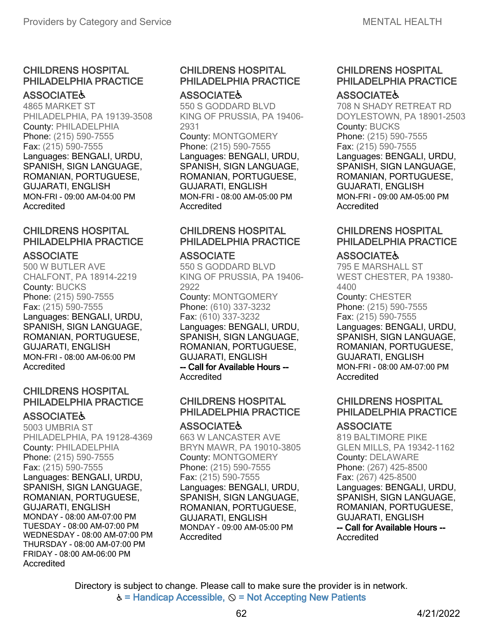#### **ASSOCIATE&**

4865 MARKET ST PHILADELPHIA, PA 19139-3508 County: PHILADELPHIA Phone: (215) 590-7555 Fax: (215) 590-7555 Languages: BENGALI, URDU, SPANISH, SIGN LANGUAGE, ROMANIAN, PORTUGUESE, GUJARATI, ENGLISH MON-FRI - 09:00 AM-04:00 PM Accredited

### CHILDRENS HOSPITAL PHILADELPHIA PRACTICE

#### **ASSOCIATE**

500 W BUTLER AVE CHALFONT, PA 18914-2219 County: BUCKS Phone: (215) 590-7555 Fax: (215) 590-7555 Languages: BENGALI, URDU, SPANISH, SIGN LANGUAGE, ROMANIAN, PORTUGUESE, GUJARATI, ENGLISH MON-FRI - 08:00 AM-06:00 PM Accredited

### CHILDRENS HOSPITAL PHILADELPHIA PRACTICE

#### **ASSOCIATE&**

5003 UMBRIA ST PHILADELPHIA, PA 19128-4369 County: PHILADELPHIA Phone: (215) 590-7555 Fax: (215) 590-7555 Languages: BENGALI, URDU, SPANISH, SIGN LANGUAGE, ROMANIAN, PORTUGUESE, GUJARATI, ENGLISH MONDAY - 08:00 AM-07:00 PM TUESDAY - 08:00 AM-07:00 PM WEDNESDAY - 08:00 AM-07:00 PM THURSDAY - 08:00 AM-07:00 PM FRIDAY - 08:00 AM-06:00 PM Accredited

#### CHILDRENS HOSPITAL PHILADELPHIA PRACTICE **ASSOCIATE&**

550 S GODDARD BLVD KING OF PRUSSIA, PA 19406- 2931

County: MONTGOMERY Phone: (215) 590-7555 Languages: BENGALI, URDU, SPANISH, SIGN LANGUAGE, ROMANIAN, PORTUGUESE, GUJARATI, ENGLISH MON-FRI - 08:00 AM-05:00 PM Accredited

### CHILDRENS HOSPITAL PHILADELPHIA PRACTICE

#### **ASSOCIATE**

550 S GODDARD BLVD KING OF PRUSSIA, PA 19406- 2922 County: MONTGOMERY Phone: (610) 337-3232 Fax: (610) 337-3232 Languages: BENGALI, URDU,

SPANISH, SIGN LANGUAGE, ROMANIAN, PORTUGUESE, GUJARATI, ENGLISH

-- Call for Available Hours -- Accredited

### CHILDRENS HOSPITAL PHILADELPHIA PRACTICE

### **ASSOCIATE&**

663 W LANCASTER AVE BRYN MAWR, PA 19010-3805 County: MONTGOMERY Phone: (215) 590-7555 Fax: (215) 590-7555 Languages: BENGALI, URDU, SPANISH, SIGN LANGUAGE, ROMANIAN, PORTUGUESE, GUJARATI, ENGLISH MONDAY - 09:00 AM-05:00 PM **Accredited** 

#### CHILDRENS HOSPITAL PHILADELPHIA PRACTICE **ASSOCIATE&**

708 N SHADY RETREAT RD DOYLESTOWN, PA 18901-2503 County: BUCKS Phone: (215) 590-7555 Fax: (215) 590-7555 Languages: BENGALI, URDU, SPANISH, SIGN LANGUAGE, ROMANIAN, PORTUGUESE, GUJARATI, ENGLISH MON-FRI - 09:00 AM-05:00 PM Accredited

### CHILDRENS HOSPITAL PHILADELPHIA PRACTICE

### **ASSOCIATE&**

795 E MARSHALL ST WEST CHESTER, PA 19380- 4400 County: CHESTER Phone: (215) 590-7555 Fax: (215) 590-7555 Languages: BENGALI, URDU, SPANISH, SIGN LANGUAGE, ROMANIAN, PORTUGUESE, GUJARATI, ENGLISH MON-FRI - 08:00 AM-07:00 PM Accredited

### CHILDRENS HOSPITAL PHILADELPHIA PRACTICE

### **ASSOCIATE**

819 BALTIMORE PIKE GLEN MILLS, PA 19342-1162 County: DELAWARE Phone: (267) 425-8500 Fax: (267) 425-8500 Languages: BENGALI, URDU, SPANISH, SIGN LANGUAGE, ROMANIAN, PORTUGUESE, GUJARATI, ENGLISH -- Call for Available Hours -- Accredited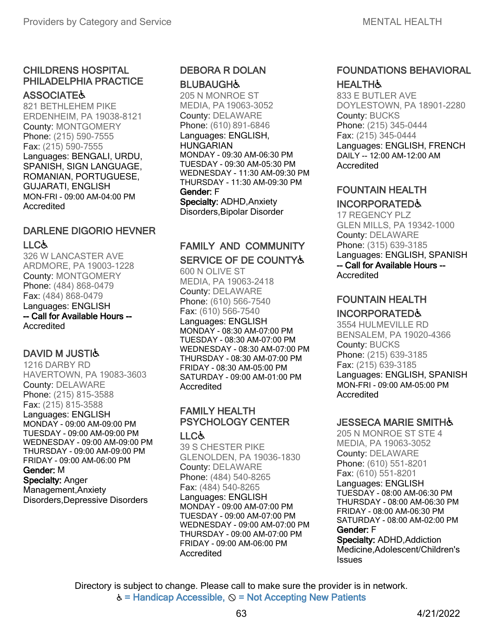#### **ASSOCIATE&**

821 BETHLEHEM PIKE ERDENHEIM, PA 19038-8121 County: MONTGOMERY Phone: (215) 590-7555 Fax: (215) 590-7555 Languages: BENGALI, URDU, SPANISH, SIGN LANGUAGE, ROMANIAN, PORTUGUESE, GUJARATI, ENGLISH MON-FRI - 09:00 AM-04:00 PM Accredited

# DARLENE DIGORIO HEVNER LLC&

326 W LANCASTER AVE ARDMORE, PA 19003-1228 County: MONTGOMERY Phone: (484) 868-0479 Fax: (484) 868-0479 Languages: ENGLISH -- Call for Available Hours -- **Accredited** 

### DAVID M JUSTIG

1216 DARBY RD HAVERTOWN, PA 19083-3603 County: DELAWARE Phone: (215) 815-3588 Fax: (215) 815-3588 Languages: ENGLISH MONDAY - 09:00 AM-09:00 PM TUESDAY - 09:00 AM-09:00 PM WEDNESDAY - 09:00 AM-09:00 PM THURSDAY - 09:00 AM-09:00 PM FRIDAY - 09:00 AM-06:00 PM Gender: M Specialty: Anger Management,Anxiety Disorders,Depressive Disorders

### DEBORA R DOLAN **BLUBAUGH&**

205 N MONROE ST MEDIA, PA 19063-3052 County: DELAWARE Phone: (610) 891-6846 Languages: ENGLISH, **HUNGARIAN** MONDAY - 09:30 AM-06:30 PM TUESDAY - 09:30 AM-05:30 PM WEDNESDAY - 11:30 AM-09:30 PM THURSDAY - 11:30 AM-09:30 PM Gender: F Specialty: ADHD,Anxiety Disorders,Bipolar Disorder

### FAMILY AND COMMUNITY SERVICE OF DE COUNTY&

600 N OLIVE ST MEDIA, PA 19063-2418 County: DELAWARE Phone: (610) 566-7540 Fax: (610) 566-7540 Languages: ENGLISH MONDAY - 08:30 AM-07:00 PM TUESDAY - 08:30 AM-07:00 PM WEDNESDAY - 08:30 AM-07:00 PM THURSDAY - 08:30 AM-07:00 PM FRIDAY - 08:30 AM-05:00 PM SATURDAY - 09:00 AM-01:00 PM **Accredited** 

#### FAMILY HEALTH PSYCHOLOGY CENTER LLC♿

39 S CHESTER PIKE GLENOLDEN, PA 19036-1830 County: DELAWARE Phone: (484) 540-8265 Fax: (484) 540-8265 Languages: ENGLISH MONDAY - 09:00 AM-07:00 PM TUESDAY - 09:00 AM-07:00 PM

WEDNESDAY - 09:00 AM-07:00 PM THURSDAY - 09:00 AM-07:00 PM FRIDAY - 09:00 AM-06:00 PM **Accredited** 

### FOUNDATIONS BEHAVIORAL **HEALTH&**

833 E BUTLER AVE DOYLESTOWN, PA 18901-2280 County: BUCKS Phone: (215) 345-0444 Fax: (215) 345-0444 Languages: ENGLISH, FRENCH DAILY -- 12:00 AM-12:00 AM Accredited

### FOUNTAIN HEALTH INCORPORATED♿

17 REGENCY PLZ GLEN MILLS, PA 19342-1000 County: DELAWARE Phone: (315) 639-3185 Languages: ENGLISH, SPANISH -- Call for Available Hours -- Accredited

### FOUNTAIN HEALTH

### INCORPORATED♿

3554 HULMEVILLE RD BENSALEM, PA 19020-4366 County: BUCKS Phone: (215) 639-3185 Fax: (215) 639-3185 Languages: ENGLISH, SPANISH MON-FRI - 09:00 AM-05:00 PM Accredited

### **JESSECA MARIE SMITH&**

205 N MONROE ST STE 4 MEDIA, PA 19063-3052 County: DELAWARE Phone: (610) 551-8201 Fax: (610) 551-8201 Languages: ENGLISH TUESDAY - 08:00 AM-06:30 PM THURSDAY - 08:00 AM-06:30 PM FRIDAY - 08:00 AM-06:30 PM SATURDAY - 08:00 AM-02:00 PM Gender: F

Specialty: ADHD, Addiction Medicine,Adolescent/Children's **Issues**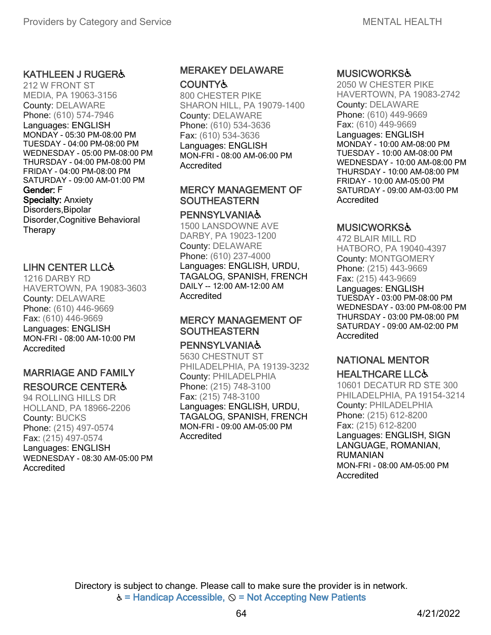### KATHLEEN J RUGER♿

212 W FRONT ST MEDIA, PA 19063-3156 County: DELAWARE Phone: (610) 574-7946 Languages: ENGLISH MONDAY - 05:30 PM-08:00 PM TUESDAY - 04:00 PM-08:00 PM WEDNESDAY - 05:00 PM-08:00 PM THURSDAY - 04:00 PM-08:00 PM FRIDAY - 04:00 PM-08:00 PM SATURDAY - 09:00 AM-01:00 PM Gender: F Specialty: Anxiety Disorders,Bipolar Disorder,Cognitive Behavioral **Therapy** 

### LIHN CENTER LLC♿

1216 DARBY RD HAVERTOWN, PA 19083-3603 County: DELAWARE Phone: (610) 446-9669 Fax: (610) 446-9669 Languages: ENGLISH MON-FRI - 08:00 AM-10:00 PM Accredited

### MARRIAGE AND FAMILY RESOURCE CENTER♿

94 ROLLING HILLS DR HOLLAND, PA 18966-2206 County: BUCKS Phone: (215) 497-0574 Fax: (215) 497-0574 Languages: ENGLISH WEDNESDAY - 08:30 AM-05:00 PM Accredited

### MERAKEY DELAWARE **COUNTY&**

800 CHESTER PIKE SHARON HILL, PA 19079-1400 County: DELAWARE Phone: (610) 534-3636 Fax: (610) 534-3636 Languages: ENGLISH MON-FRI - 08:00 AM-06:00 PM Accredited

#### MERCY MANAGEMENT OF **SOUTHEASTERN**

#### **PENNSYLVANIA&**

1500 LANSDOWNE AVE DARBY, PA 19023-1200 County: DELAWARE Phone: (610) 237-4000 Languages: ENGLISH, URDU, TAGALOG, SPANISH, FRENCH DAILY -- 12:00 AM-12:00 AM **Accredited** 

### MERCY MANAGEMENT OF **SOUTHEASTERN**

#### **PENNSYLVANIA&**

5630 CHESTNUT ST PHILADELPHIA, PA 19139-3232 County: PHILADELPHIA Phone: (215) 748-3100 Fax: (215) 748-3100 Languages: ENGLISH, URDU, TAGALOG, SPANISH, FRENCH MON-FRI - 09:00 AM-05:00 PM Accredited

#### MUSICWORKS♿

2050 W CHESTER PIKE HAVERTOWN, PA 19083-2742 County: DELAWARE Phone: (610) 449-9669 Fax: (610) 449-9669 Languages: ENGLISH MONDAY - 10:00 AM-08:00 PM TUESDAY - 10:00 AM-08:00 PM WEDNESDAY - 10:00 AM-08:00 PM THURSDAY - 10:00 AM-08:00 PM FRIDAY - 10:00 AM-05:00 PM SATURDAY - 09:00 AM-03:00 PM Accredited

#### MUSICWORKS♿

472 BLAIR MILL RD HATBORO, PA 19040-4397 County: MONTGOMERY Phone: (215) 443-9669 Fax: (215) 443-9669

Languages: ENGLISH TUESDAY - 03:00 PM-08:00 PM WEDNESDAY - 03:00 PM-08:00 PM THURSDAY - 03:00 PM-08:00 PM SATURDAY - 09:00 AM-02:00 PM Accredited

### NATIONAL MENTOR HEALTHCARE LLC♿

10601 DECATUR RD STE 300 PHILADELPHIA, PA19154-3214 County: PHILADELPHIA Phone: (215) 612-8200 Fax: (215) 612-8200 Languages: ENGLISH, SIGN LANGUAGE, ROMANIAN, RUMANIAN MON-FRI - 08:00 AM-05:00 PM Accredited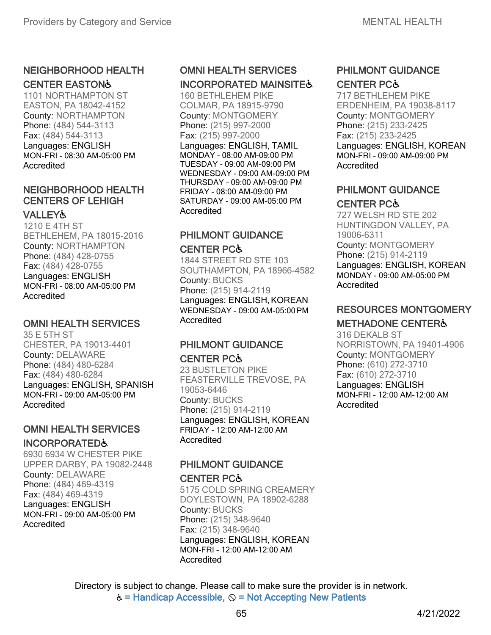### NEIGHBORHOOD HEALTH

### CENTER EASTON♿

1101 NORTHAMPTON ST EASTON, PA 18042-4152 County: NORTHAMPTON Phone: (484) 544-3113 Fax: (484) 544-3113 Languages: ENGLISH MON-FRI - 08:30 AM-05:00 PM Accredited

### NEIGHBORHOOD HEALTH CENTERS OF LEHIGH

### **VALLEY&**

1210 E 4TH ST BETHLEHEM, PA 18015-2016 County: NORTHAMPTON Phone: (484) 428-0755 Fax: (484) 428-0755 Languages: ENGLISH MON-FRI - 08:00 AM-05:00 PM **Accredited** 

### OMNI HEALTH SERVICES

35 E 5TH ST CHESTER, PA 19013-4401 County: DELAWARE Phone: (484) 480-6284 Fax: (484) 480-6284 Languages: ENGLISH, SPANISH MON-FRI - 09:00 AM-05:00 PM Accredited

# OMNI HEALTH SERVICES

#### INCORPORATED♿

6930 6934 W CHESTER PIKE UPPER DARBY, PA 19082-2448 County: DELAWARE Phone: (484) 469-4319 Fax: (484) 469-4319 Languages: ENGLISH MON-FRI - 09:00 AM-05:00 PM **Accredited** 

# OMNI HEALTH SERVICES

# INCORPORATED MAINSITES

160 BETHLEHEM PIKE COLMAR, PA 18915-9790 County: MONTGOMERY Phone: (215) 997-2000 Fax: (215) 997-2000 Languages: ENGLISH, TAMIL MONDAY - 08:00 AM-09:00 PM TUESDAY - 09:00 AM-09:00 PM WEDNESDAY - 09:00 AM-09:00 PM THURSDAY - 09:00 AM-09:00 PM FRIDAY - 08:00 AM-09:00 PM SATURDAY - 09:00 AM-05:00 PM **Accredited** 

# PHILMONT GUIDANCE

#### CENTER PC♿

1844 STREET RD STE 103 SOUTHAMPTON, PA 18966-4582 County: BUCKS Phone: (215) 914-2119 Languages: ENGLISH, KOREAN WEDNESDAY - 09:00 AM-05:00PM **Accredited** 

### PHILMONT GUIDANCE CENTER PC♿

23 BUSTLETON PIKE FEASTERVILLE TREVOSE, PA 19053-6446 County: BUCKS Phone: (215) 914-2119 Languages: ENGLISH, KOREAN FRIDAY - 12:00 AM-12:00 AM **Accredited** 

#### PHILMONT GUIDANCE CENTER PC♿

5175 COLD SPRING CREAMERY DOYLESTOWN, PA 18902-6288 County: BUCKS Phone: (215) 348-9640 Fax: (215) 348-9640 Languages: ENGLISH, KOREAN MON-FRI - 12:00 AM-12:00 AM **Accredited** 

### PHILMONT GUIDANCE CENTER PC♿

717 BETHLEHEM PIKE ERDENHEIM, PA 19038-8117 County: MONTGOMERY Phone: (215) 233-2425 Fax: (215) 233-2425 Languages: ENGLISH, KOREAN MON-FRI - 09:00 AM-09:00 PM Accredited

### PHILMONT GUIDANCE CENTER PC♿

727 WELSH RD STE 202 HUNTINGDON VALLEY, PA 19006-6311 County: MONTGOMERY Phone: (215) 914-2119 Languages: ENGLISH, KOREAN MONDAY - 09:00 AM-05:00 PM Accredited

# RESOURCES MONTGOMERY

### METHADONE CENTER♿

316 DEKALB ST NORRISTOWN, PA 19401-4906 County: MONTGOMERY Phone: (610) 272-3710 Fax: (610) 272-3710 Languages: ENGLISH MON-FRI - 12:00 AM-12:00 AM Accredited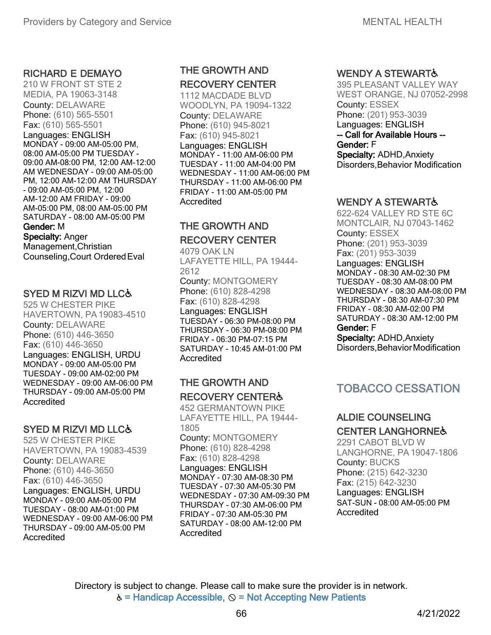#### RICHARD E DEMAYO

210 W FRONT ST STE 2 MEDIA, PA 19063-3148 County: DELAWARE Phone: (610) 565-5501 Fax: (610) 565-5501 Languages: ENGLISH MONDAY - 09:00 AM-05:00 PM, 08:00 AM-05:00 PM TUESDAY - 09:00 AM-08:00 PM, 12:00 AM-12:00 AM WEDNESDAY - 09:00 AM-05:00 PM, 12:00 AM-12:00 AM THURSDAY - 09:00 AM-05:00 PM, 12:00 AM-12:00 AM FRIDAY - 09:00 AM-05:00 PM, 08:00 AM-05:00 PM SATURDAY - 08:00 AM-05:00 PM Gender: M Specialty: Anger Management,Christian Counseling,Court OrderedEval

#### SYED M RIZVI MD LLC♿

525 W CHESTER PIKE HAVERTOWN, PA19083-4510 County: DELAWARE Phone: (610) 446-3650 Fax: (610) 446-3650 Languages: ENGLISH, URDU MONDAY - 09:00 AM-05:00 PM TUESDAY - 09:00 AM-02:00 PM WEDNESDAY - 09:00 AM-06:00 PM THURSDAY - 09:00 AM-05:00 PM **Accredited** 

### SYED M RIZVI MD LLC♿

525 W CHESTER PIKE HAVERTOWN, PA 19083-4539 County: DELAWARE Phone: (610) 446-3650 Fax: (610) 446-3650 Languages: ENGLISH, URDU MONDAY - 09:00 AM-05:00 PM TUESDAY - 08:00 AM-01:00 PM WEDNESDAY - 09:00 AM-06:00 PM THURSDAY - 09:00 AM-05:00 PM Accredited

### THE GROWTH AND RECOVERY CENTER

1112 MACDADE BLVD WOODLYN, PA 19094-1322 County: DELAWARE Phone: (610) 945-8021 Fax: (610) 945-8021 Languages: ENGLISH MONDAY - 11:00 AM-06:00 PM TUESDAY - 11:00 AM-04:00 PM WEDNESDAY - 11:00 AM-06:00 PM THURSDAY - 11:00 AM-06:00 PM FRIDAY - 11:00 AM-05:00 PM Accredited

### THE GROWTH AND RECOVERY CENTER

4079 OAK LN LAFAYETTE HILL, PA 19444- 2612 County: MONTGOMERY

Phone: (610) 828-4298 Fax: (610) 828-4298

Languages: ENGLISH TUESDAY - 06:30 PM-08:00 PM THURSDAY - 06:30 PM-08:00 PM FRIDAY - 06:30 PM-07:15 PM SATURDAY - 10:45 AM-01:00 PM Accredited

### THE GROWTH AND RECOVERY CENTER♿

452 GERMANTOWN PIKE LAFAYETTE HILL, PA 19444- 1805 County: MONTGOMERY Phone: (610) 828-4298 Fax: (610) 828-4298 Languages: ENGLISH MONDAY - 07:30 AM-08:30 PM TUESDAY - 07:30 AM-05:30 PM WEDNESDAY - 07:30 AM-09:30 PM THURSDAY - 07:30 AM-06:00 PM FRIDAY - 07:30 AM-05:30 PM SATURDAY - 08:00 AM-12:00 PM Accredited

### WENDY A STEWART &

395 PLEASANT VALLEY WAY WEST ORANGE, NJ 07052-2998 County: ESSEX Phone: (201) 953-3039 Languages: ENGLISH -- Call for Available Hours -- Gender: F Specialty: ADHD,Anxiety Disorders,Behavior Modification

#### WENDY A STEWART &

622-624 VALLEY RD STE 6C MONTCLAIR, NJ 07043-1462 County: ESSEX Phone: (201) 953-3039 Fax: (201) 953-3039 Languages: ENGLISH MONDAY - 08:30 AM-02:30 PM TUESDAY - 08:30 AM-08:00 PM WEDNESDAY - 08:30 AM-08:00 PM THURSDAY - 08:30 AM-07:30 PM FRIDAY - 08:30 AM-02:00 PM SATURDAY - 08:30 AM-12:00 PM Gender: F

Specialty: ADHD,Anxiety Disorders, Behavior Modification

## TOBACCO CESSATION

# ALDIE COUNSELING

#### CENTER LANGHORNE♿

2291 CABOT BLVD W LANGHORNE, PA19047-1806 County: BUCKS Phone: (215) 642-3230 Fax: (215) 642-3230 Languages: ENGLISH SAT-SUN - 08:00 AM-05:00 PM Accredited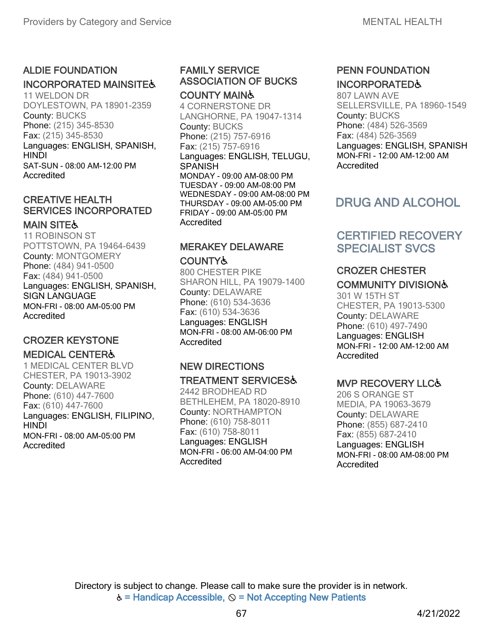### ALDIE FOUNDATION

### INCORPORATED MAINSITES

11 WELDON DR DOYLESTOWN, PA 18901-2359 County: BUCKS Phone: (215) 345-8530 Fax: (215) 345-8530 Languages: ENGLISH, SPANISH, **HINDI** SAT-SUN - 08:00 AM-12:00 PM Accredited

### CREATIVE HEALTH SERVICES INCORPORATED

### **MAIN SITE&**

11 ROBINSON ST POTTSTOWN, PA 19464-6439 County: MONTGOMERY Phone: (484) 941-0500 Fax: (484) 941-0500 Languages: ENGLISH, SPANISH, SIGN LANGUAGE MON-FRI - 08:00 AM-05:00 PM Accredited

### CROZER KEYSTONE

### **MEDICAL CENTER&**

1 MEDICAL CENTER BLVD CHESTER, PA 19013-3902 County: DELAWARE Phone: (610) 447-7600 Fax: (610) 447-7600 Languages: ENGLISH, FILIPINO, HINDI MON-FRI - 08:00 AM-05:00 PM Accredited

#### FAMILY SERVICE ASSOCIATION OF BUCKS COUNTY MAIN♿

4 CORNERSTONE DR LANGHORNE, PA 19047-1314 County: BUCKS Phone: (215) 757-6916 Fax: (215) 757-6916 Languages: ENGLISH, TELUGU, **SPANISH** MONDAY - 09:00 AM-08:00 PM TUESDAY - 09:00 AM-08:00 PM WEDNESDAY - 09:00 AM-08:00 PM THURSDAY - 09:00 AM-05:00 PM FRIDAY - 09:00 AM-05:00 PM Accredited

## MERAKEY DELAWARE

#### COUNTY♿

800 CHESTER PIKE SHARON HILL, PA 19079-1400 County: DELAWARE Phone: (610) 534-3636 Fax: (610) 534-3636 Languages: ENGLISH MON-FRI - 08:00 AM-06:00 PM Accredited

# NEW DIRECTIONS

### TREATMENT SERVICES♿

2442 BRODHEAD RD BETHLEHEM, PA 18020-8910 County: NORTHAMPTON Phone: (610) 758-8011 Fax: (610) 758-8011 Languages: ENGLISH MON-FRI - 06:00 AM-04:00 PM Accredited

### PENN FOUNDATION INCORPORATED♿

807 LAWN AVE SELLERSVILLE, PA 18960-1549 County: BUCKS Phone: (484) 526-3569 Fax: (484) 526-3569 Languages: ENGLISH, SPANISH MON-FRI - 12:00 AM-12:00 AM Accredited

# DRUG AND ALCOHOL

### CERTIFIED RECOVERY SPECIALIST SVCS

### CROZER CHESTER COMMUNITY DIVISION♿

301 W 15TH ST CHESTER, PA 19013-5300 County: DELAWARE Phone: (610) 497-7490 Languages: ENGLISH MON-FRI - 12:00 AM-12:00 AM Accredited

### MVP RECOVERY LLC♿

206 S ORANGE ST MEDIA, PA 19063-3679 County: DELAWARE Phone: (855) 687-2410 Fax: (855) 687-2410 Languages: ENGLISH MON-FRI - 08:00 AM-08:00 PM Accredited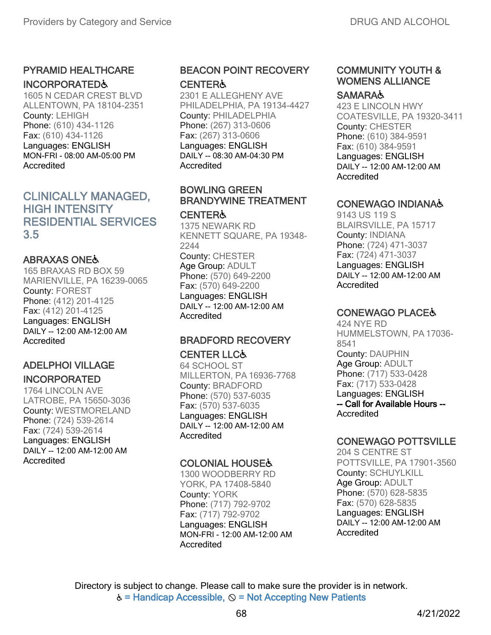### PYRAMID HEALTHCARE INCORPORATED♿

1605 N CEDAR CREST BLVD ALLENTOWN, PA 18104-2351 County: LEHIGH Phone: (610) 434-1126 Fax: (610) 434-1126 Languages: ENGLISH MON-FRI - 08:00 AM-05:00 PM Accredited

### CLINICALLY MANAGED, HIGH INTENSITY RESIDENTIAL SERVICES 3.5

### ABRAXAS ONE♿

165 BRAXAS RD BOX 59 MARIENVILLE, PA 16239-0065 County: FOREST Phone: (412) 201-4125 Fax: (412) 201-4125 Languages: ENGLISH DAILY -- 12:00 AM-12:00 AM **Accredited** 

### ADELPHOI VILLAGE INCORPORATED

# 1764 LINCOLN AVE

LATROBE, PA 15650-3036 County: WESTMORELAND Phone: (724) 539-2614 Fax: (724) 539-2614 Languages: ENGLISH DAILY -- 12:00 AM-12:00 AM Accredited

### BEACON POINT RECOVERY **CENTER&**

2301 E ALLEGHENY AVE PHILADELPHIA, PA 19134-4427 County: PHILADELPHIA Phone: (267) 313-0606 Fax: (267) 313-0606 Languages: ENGLISH DAILY -- 08:30 AM-04:30 PM Accredited

### BOWLING GREEN BRANDYWINE TREATMENT

#### **CENTER&** 1375 NEWARK RD KENNETT SQUARE, PA 19348- 2244 County: CHESTER Age Group: ADULT Phone: (570) 649-2200 Fax: (570) 649-2200 Languages: ENGLISH DAILY -- 12:00 AM-12:00 AM **Accredited**

# BRADFORD RECOVERY

# CENTER LLC♿

64 SCHOOL ST MILLERTON, PA 16936-7768 County: BRADFORD Phone: (570) 537-6035 Fax: (570) 537-6035 Languages: ENGLISH DAILY -- 12:00 AM-12:00 AM Accredited

### COLONIAL HOUSE♿

1300 WOODBERRY RD YORK, PA 17408-5840 County: YORK Phone: (717) 792-9702 Fax: (717) 792-9702 Languages: ENGLISH MON-FRI - 12:00 AM-12:00 AM Accredited

### COMMUNITY YOUTH & WOMENS ALLIANCE

#### **SAMARA&**

423 E LINCOLN HWY COATESVILLE, PA 19320-3411 County: CHESTER Phone: (610) 384-9591 Fax: (610) 384-9591 Languages: ENGLISH DAILY -- 12:00 AM-12:00 AM Accredited

### CONEWAGO INDIANA♿

9143 US 119 S BLAIRSVILLE, PA 15717 County: INDIANA Phone: (724) 471-3037 Fax: (724) 471-3037 Languages: ENGLISH DAILY -- 12:00 AM-12:00 AM Accredited

### CONEWAGO PLACE♿

424 NYE RD HUMMELSTOWN, PA 17036- 8541 County: DAUPHIN Age Group: ADULT Phone: (717) 533-0428 Fax: (717) 533-0428 Languages: ENGLISH -- Call for Available Hours -- Accredited

### CONEWAGO POTTSVILLE

204 S CENTRE ST POTTSVILLE, PA 17901-3560 County: SCHUYLKILL Age Group: ADULT Phone: (570) 628-5835 Fax: (570) 628-5835 Languages: ENGLISH DAILY -- 12:00 AM-12:00 AM Accredited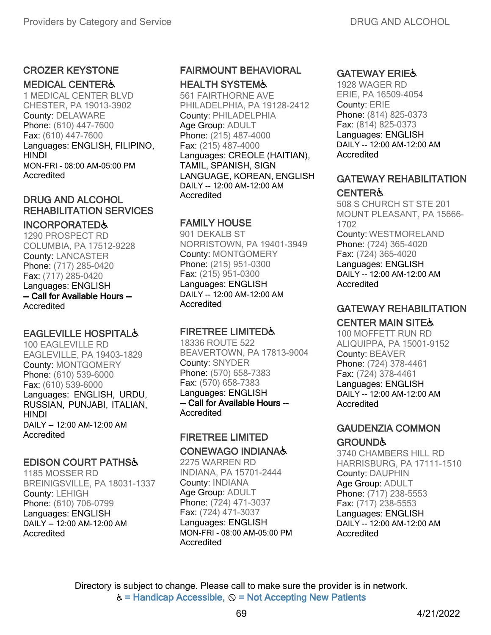#### CROZER KEYSTONE

#### MEDICAL CENTER♿

1 MEDICAL CENTER BLVD CHESTER, PA 19013-3902 County: DELAWARE Phone: (610) 447-7600 Fax: (610) 447-7600 Languages: ENGLISH, FILIPINO, **HINDI** MON-FRI - 08:00 AM-05:00 PM Accredited

### DRUG AND ALCOHOL REHABILITATION SERVICES

#### INCORPORATED♿

1290 PROSPECT RD COLUMBIA, PA 17512-9228 County: LANCASTER Phone: (717) 285-0420 Fax: (717) 285-0420 Languages: ENGLISH -- Call for Available Hours -- **Accredited** 

### EAGLEVILLE HOSPITAL♿

100 EAGLEVILLE RD EAGLEVILLE, PA 19403-1829 County: MONTGOMERY Phone: (610) 539-6000 Fax: (610) 539-6000 Languages: ENGLISH, URDU, RUSSIAN, PUNJABI, ITALIAN, HINDI DAILY -- 12:00 AM-12:00 AM Accredited

### EDISON COURT PATHS♿

1185 MOSSER RD BREINIGSVILLE, PA 18031-1337 County: LEHIGH Phone: (610) 706-0799 Languages: ENGLISH DAILY -- 12:00 AM-12:00 AM Accredited

### FAIRMOUNT BEHAVIORAL HEALTH SYSTEM♿

561 FAIRTHORNE AVE PHILADELPHIA, PA 19128-2412 County: PHILADELPHIA Age Group: ADULT Phone: (215) 487-4000 Fax: (215) 487-4000 Languages: CREOLE (HAITIAN), TAMIL, SPANISH, SIGN LANGUAGE, KOREAN, ENGLISH DAILY -- 12:00 AM-12:00 AM Accredited

### FAMILY HOUSE

901 DEKALB ST NORRISTOWN, PA 19401-3949 County: MONTGOMERY Phone: (215) 951-0300 Fax: (215) 951-0300 Languages: ENGLISH DAILY -- 12:00 AM-12:00 AM **Accredited** 

### FIRETREE LIMITED♿

18336 ROUTE 522 BEAVERTOWN, PA 17813-9004 County: SNYDER Phone: (570) 658-7383 Fax: (570) 658-7383 Languages: ENGLISH -- Call for Available Hours -- Accredited

#### FIRETREE LIMITED CONEWAGO INDIANA♿

2275 WARREN RD INDIANA, PA 15701-2444 County: INDIANA Age Group: ADULT Phone: (724) 471-3037 Fax: (724) 471-3037 Languages: ENGLISH MON-FRI - 08:00 AM-05:00 PM Accredited

### GATEWAY ERIE♿

1928 WAGER RD ERIE, PA 16509-4054 County: ERIE Phone: (814) 825-0373 Fax: (814) 825-0373 Languages: ENGLISH DAILY -- 12:00 AM-12:00 AM **Accredited** 

### GATEWAY REHABILITATION **CENTER&**

508 S CHURCH ST STE 201 MOUNT PLEASANT, PA 15666- 1702 County: WESTMORELAND Phone: (724) 365-4020 Fax: (724) 365-4020 Languages: ENGLISH DAILY -- 12:00 AM-12:00 AM Accredited

### GATEWAY REHABILITATION

### CENTER MAIN SITE♿

100 MOFFETT RUN RD ALIQUIPPA, PA 15001-9152 County: BEAVER Phone: (724) 378-4461 Fax: (724) 378-4461 Languages: ENGLISH DAILY -- 12:00 AM-12:00 AM Accredited

### GAUDENZIA COMMON **GROUND&**

3740 CHAMBERS HILL RD HARRISBURG, PA 17111-1510 County: DAUPHIN Age Group: ADULT Phone: (717) 238-5553 Fax: (717) 238-5553 Languages: ENGLISH DAILY -- 12:00 AM-12:00 AM Accredited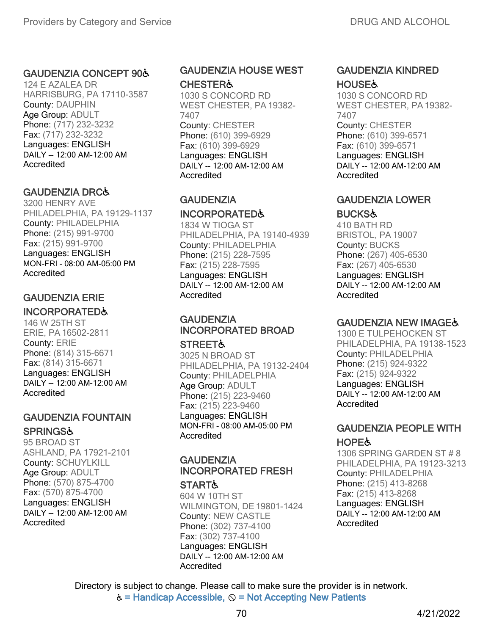#### GAUDENZIA CONCEPT 90♿

124 E AZALEA DR HARRISBURG, PA 17110-3587 County: DAUPHIN Age Group: ADULT Phone: (717) 232-3232 Fax: (717) 232-3232 Languages: ENGLISH DAILY -- 12:00 AM-12:00 AM **Accredited** 

#### GAUDENZIA DRC♿

3200 HENRY AVE PHILADELPHIA, PA 19129-1137 County: PHILADELPHIA Phone: (215) 991-9700 Fax: (215) 991-9700 Languages: ENGLISH MON-FRI - 08:00 AM-05:00 PM Accredited

# GAUDENZIA ERIE

# INCORPORATED♿

146 W 25TH ST ERIE, PA 16502-2811 County: ERIE Phone: (814) 315-6671 Fax: (814) 315-6671 Languages: ENGLISH DAILY -- 12:00 AM-12:00 AM **Accredited** 

# GAUDENZIA FOUNTAIN

#### **SPRINGS&**

95 BROAD ST ASHLAND, PA 17921-2101 County: SCHUYLKILL Age Group: ADULT Phone: (570) 875-4700 Fax: (570) 875-4700 Languages: ENGLISH DAILY -- 12:00 AM-12:00 AM Accredited

#### GAUDENZIA HOUSE WEST **CHESTER&**

1030 S CONCORD RD WEST CHESTER, PA 19382- 7407 County: CHESTER Phone: (610) 399-6929 Fax: (610) 399-6929 Languages: ENGLISH DAILY -- 12:00 AM-12:00 AM **Accredited** 

#### **GAUDENZIA**

#### INCORPORATED♿

1834 W TIOGA ST PHILADELPHIA, PA 19140-4939 County: PHILADELPHIA Phone: (215) 228-7595 Fax: (215) 228-7595 Languages: ENGLISH DAILY -- 12:00 AM-12:00 AM **Accredited** 

# **GAUDENZIA** INCORPORATED BROAD

**STREET&** 

3025 N BROAD ST PHILADELPHIA, PA 19132-2404 County: PHILADELPHIA Age Group: ADULT Phone: (215) 223-9460 Fax: (215) 223-9460 Languages: ENGLISH MON-FRI - 08:00 AM-05:00 PM Accredited

# **GAUDENZIA** INCORPORATED FRESH

**START&** 604 W 10TH ST WILMINGTON, DE19801-1424 County: NEW CASTLE Phone: (302) 737-4100 Fax: (302) 737-4100 Languages: ENGLISH DAILY -- 12:00 AM-12:00 AM Accredited

#### GAUDENZIA KINDRED **HOUSE&**

1030 S CONCORD RD WEST CHESTER, PA 19382- 7407 County: CHESTER Phone: (610) 399-6571 Fax: (610) 399-6571 Languages: ENGLISH DAILY -- 12:00 AM-12:00 AM

**Accredited** 

#### GAUDENZIA LOWER

#### **BUCKS&**

410 BATH RD BRISTOL, PA 19007 County: BUCKS Phone: (267) 405-6530 Fax: (267) 405-6530 Languages: ENGLISH DAILY -- 12:00 AM-12:00 AM Accredited

### **GAUDENZIA NEW IMAGE&**

1300 E TULPEHOCKEN ST PHILADELPHIA, PA 19138-1523 County: PHILADELPHIA Phone: (215) 924-9322 Fax: (215) 924-9322 Languages: ENGLISH DAILY -- 12:00 AM-12:00 AM Accredited

# GAUDENZIA PEOPLE WITH **HOPE&**

1306 SPRING GARDEN ST # 8 PHILADELPHIA, PA 19123-3213 County: PHILADELPHIA Phone: (215) 413-8268 Fax: (215) 413-8268 Languages: ENGLISH DAILY -- 12:00 AM-12:00 AM Accredited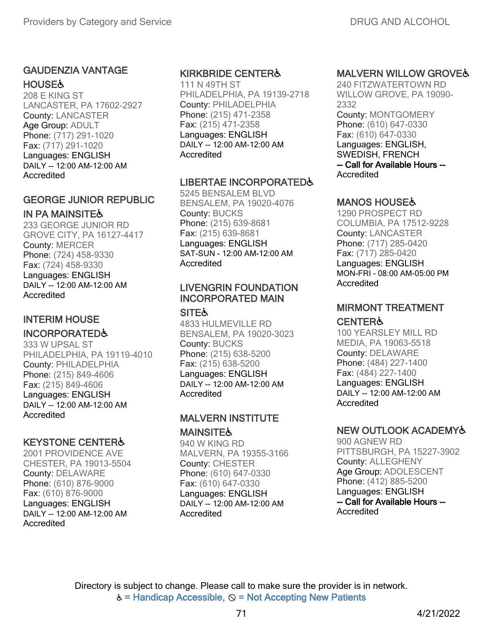#### GAUDENZIA VANTAGE **HOUSE&**

208 E KING ST LANCASTER, PA 17602-2927 County: LANCASTER Age Group: ADULT Phone: (717) 291-1020 Fax: (717) 291-1020 Languages: ENGLISH DAILY -- 12:00 AM-12:00 AM Accredited

# GEORGE JUNIOR REPUBLIC

IN PA MAINSITE& 233 GEORGE JUNIOR RD GROVE CITY, PA 16127-4417 County: MERCER Phone: (724) 458-9330 Fax: (724) 458-9330 Languages: ENGLISH DAILY -- 12:00 AM-12:00 AM **Accredited** 

## INTERIM HOUSE

### INCORPORATED♿

333 W UPSAL ST PHILADELPHIA, PA 19119-4010 County: PHILADELPHIA Phone: (215) 849-4606 Fax: (215) 849-4606 Languages: ENGLISH DAILY -- 12:00 AM-12:00 AM **Accredited** 

#### KEYSTONE CENTER♿

2001 PROVIDENCE AVE CHESTER, PA 19013-5504 County: DELAWARE Phone: (610) 876-9000 Fax: (610) 876-9000 Languages: ENGLISH DAILY -- 12:00 AM-12:00 AM Accredited

#### KIRKBRIDE CENTER♿

111 N 49TH ST PHILADELPHIA, PA 19139-2718 County: PHILADELPHIA Phone: (215) 471-2358 Fax: (215) 471-2358 Languages: ENGLISH DAILY -- 12:00 AM-12:00 AM Accredited

#### LIBERTAE INCORPORATED&

5245 BENSALEM BLVD BENSALEM, PA 19020-4076 County: BUCKS Phone: (215) 639-8681 Fax: (215) 639-8681 Languages: ENGLISH SAT-SUN - 12:00 AM-12:00 AM **Accredited** 

#### LIVENGRIN FOUNDATION INCORPORATED MAIN

**SITE&** 

4833 HULMEVILLE RD BENSALEM, PA 19020-3023 County: BUCKS Phone: (215) 638-5200 Fax: (215) 638-5200 Languages: ENGLISH DAILY -- 12:00 AM-12:00 AM **Accredited** 

## MALVERN INSTITUTE **MAINSITE&**

940 W KING RD MALVERN, PA 19355-3166 County: CHESTER Phone: (610) 647-0330 Fax: (610) 647-0330 Languages: ENGLISH DAILY -- 12:00 AM-12:00 AM Accredited

# MALVERN WILLOW GROVE♿

240 FITZWATERTOWN RD WILLOW GROVE, PA 19090- 2332 County: MONTGOMERY Phone: (610) 647-0330 Fax: (610) 647-0330 Languages: ENGLISH, SWEDISH, FRENCH -- Call for Available Hours -- Accredited

# MANOS HOUSE♿

1290 PROSPECT RD COLUMBIA, PA 17512-9228 County: LANCASTER Phone: (717) 285-0420 Fax: (717) 285-0420 Languages: ENGLISH MON-FRI - 08:00 AM-05:00 PM Accredited

# MIRMONT TREATMENT

# **CENTER&**

100 YEARSLEY MILL RD MEDIA, PA 19063-5518 County: DELAWARE Phone: (484) 227-1400 Fax: (484) 227-1400 Languages: ENGLISH DAILY -- 12:00 AM-12:00 AM Accredited

# NEW OUTLOOK ACADEMY♿

900 AGNEW RD PITTSBURGH, PA 15227-3902 County: ALLEGHENY Age Group: ADOLESCENT Phone: (412) 885-5200 Languages: ENGLISH -- Call for Available Hours -- **Accredited**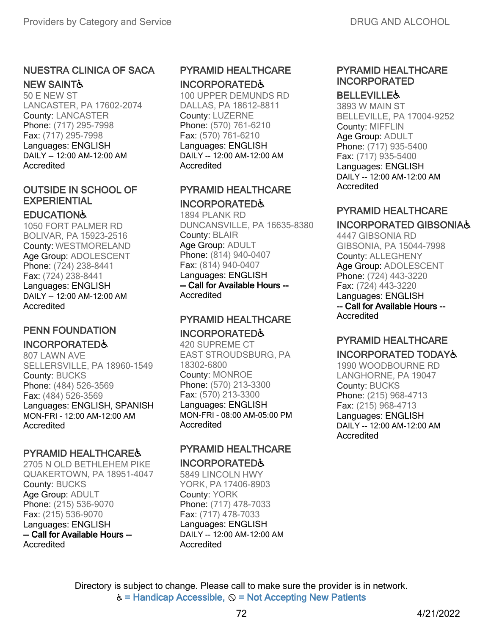#### NUESTRA CLINICA OF SACA NEW SAINT♿

50 E NEW ST LANCASTER, PA 17602-2074 County: LANCASTER Phone: (717) 295-7998 Fax: (717) 295-7998 Languages: ENGLISH DAILY -- 12:00 AM-12:00 AM Accredited

#### OUTSIDE IN SCHOOL OF EXPERIENTIAL

#### **EDUCATION&**

1050 FORT PALMER RD BOLIVAR, PA 15923-2516 County: WESTMORELAND Age Group: ADOLESCENT Phone: (724) 238-8441 Fax: (724) 238-8441 Languages: ENGLISH DAILY -- 12:00 AM-12:00 AM Accredited

#### PENN FOUNDATION INCORPORATED♿

807 LAWN AVE SELLERSVILLE, PA 18960-1549 County: BUCKS Phone: (484) 526-3569 Fax: (484) 526-3569 Languages: ENGLISH, SPANISH MON-FRI - 12:00 AM-12:00 AM **Accredited** 

### PYRAMID HEALTHCARE♿

2705 N OLD BETHLEHEM PIKE QUAKERTOWN, PA 18951-4047 County: BUCKS Age Group: ADULT Phone: (215) 536-9070 Fax: (215) 536-9070 Languages: ENGLISH -- Call for Available Hours -- Accredited

# PYRAMID HEALTHCARE INCORPORATED♿

100 UPPER DEMUNDS RD DALLAS, PA 18612-8811 County: LUZERNE Phone: (570) 761-6210 Fax: (570) 761-6210 Languages: ENGLISH DAILY -- 12:00 AM-12:00 AM Accredited

## PYRAMID HEALTHCARE INCORPORATED♿

1894 PLANK RD DUNCANSVILLE, PA 16635-8380 County: BLAIR Age Group: ADULT Phone: (814) 940-0407 Fax: (814) 940-0407 Languages: ENGLISH -- Call for Available Hours -- Accredited

# PYRAMID HEALTHCARE INCORPORATED♿

420 SUPREME CT EAST STROUDSBURG, PA 18302-6800 County: MONROE Phone: (570) 213-3300 Fax: (570) 213-3300 Languages: ENGLISH MON-FRI - 08:00 AM-05:00 PM Accredited

#### PYRAMID HEALTHCARE INCORPORATED♿

5849 LINCOLN HWY YORK, PA 17406-8903 County: YORK Phone: (717) 478-7033 Fax: (717) 478-7033 Languages: ENGLISH DAILY -- 12:00 AM-12:00 AM Accredited

# PYRAMID HEALTHCARE INCORPORATED

#### **BELLEVILLE&**

3893 W MAIN ST BELLEVILLE, PA 17004-9252 County: MIFFLIN Age Group: ADULT Phone: (717) 935-5400 Fax: (717) 935-5400 Languages: ENGLISH DAILY -- 12:00 AM-12:00 AM Accredited

# PYRAMID HEALTHCARE

## INCORPORATED GIBSONIA♿

4447 GIBSONIA RD GIBSONIA, PA 15044-7998 County: ALLEGHENY Age Group: ADOLESCENT Phone: (724) 443-3220 Fax: (724) 443-3220 Languages: ENGLISH -- Call for Available Hours -- Accredited

# PYRAMID HEALTHCARE INCORPORATED TODAY♿

1990 WOODBOURNE RD LANGHORNE, PA 19047 County: BUCKS Phone: (215) 968-4713 Fax: (215) 968-4713 Languages: ENGLISH DAILY -- 12:00 AM-12:00 AM Accredited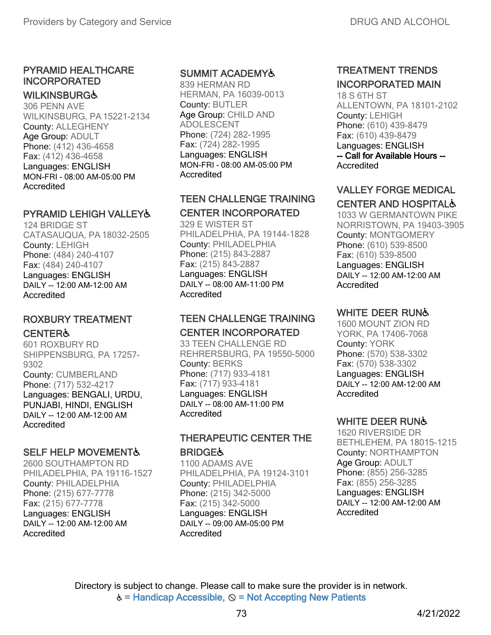## PYRAMID HEALTHCARE INCORPORATED

#### **WILKINSBURG&**

306 PENN AVE WILKINSBURG, PA15221-2134 County: ALLEGHENY Age Group: ADULT Phone: (412) 436-4658 Fax: (412) 436-4658 Languages: ENGLISH MON-FRI - 08:00 AM-05:00 PM **Accredited** 

## PYRAMID LEHIGH VALLEY&

124 BRIDGE ST CATASAUQUA, PA 18032-2505 County: LEHIGH Phone: (484) 240-4107 Fax: (484) 240-4107 Languages: ENGLISH DAILY -- 12:00 AM-12:00 AM **Accredited** 

#### ROXBURY TREATMENT **CENTER&**

601 ROXBURY RD SHIPPENSBURG, PA 17257- 9302 County: CUMBERLAND Phone: (717) 532-4217 Languages: BENGALI, URDU, PUNJABI, HINDI, ENGLISH DAILY -- 12:00 AM-12:00 AM **Accredited** 

### **SELF HELP MOVEMENT&**

2600 SOUTHAMPTON RD PHILADELPHIA, PA 19116-1527 County: PHILADELPHIA Phone: (215) 677-7778 Fax: (215) 677-7778 Languages: ENGLISH DAILY -- 12:00 AM-12:00 AM Accredited

#### SUMMIT ACADEMY♿

839 HERMAN RD HERMAN, PA 16039-0013 County: BUTLER Age Group: CHILD AND ADOLESCENT Phone: (724) 282-1995 Fax: (724) 282-1995 Languages: ENGLISH MON-FRI - 08:00 AM-05:00 PM Accredited

## TEEN CHALLENGE TRAINING

#### CENTER INCORPORATED

329 E WISTER ST PHILADELPHIA, PA 19144-1828 County: PHILADELPHIA Phone: (215) 843-2887 Fax: (215) 843-2887 Languages: ENGLISH DAILY -- 08:00 AM-11:00 PM Accredited

## TEEN CHALLENGE TRAINING CENTER INCORPORATED

33 TEEN CHALLENGE RD REHRERSBURG, PA 19550-5000 County: BERKS Phone: (717) 933-4181 Fax: (717) 933-4181 Languages: ENGLISH DAILY -- 08:00 AM-11:00 PM Accredited

#### THERAPEUTIC CENTER THE **BRIDGE&**

1100 ADAMS AVE PHILADELPHIA, PA 19124-3101 County: PHILADELPHIA Phone: (215) 342-5000 Fax: (215) 342-5000 Languages: ENGLISH DAILY -- 09:00 AM-05:00 PM Accredited

# TREATMENT TRENDS INCORPORATED MAIN

18 S 6TH ST ALLENTOWN, PA 18101-2102 County: LEHIGH Phone: (610) 439-8479 Fax: (610) 439-8479 Languages: ENGLISH -- Call for Available Hours -- Accredited

#### VALLEY FORGE MEDICAL CENTER AND HOSPITAL♿

1033 W GERMANTOWN PIKE NORRISTOWN, PA 19403-3905 County: MONTGOMERY Phone: (610) 539-8500 Fax: (610) 539-8500 Languages: ENGLISH DAILY -- 12:00 AM-12:00 AM Accredited

# WHITE DEER RUNG

1600 MOUNT ZION RD YORK, PA 17406-7068 County: YORK Phone: (570) 538-3302 Fax: (570) 538-3302 Languages: ENGLISH DAILY -- 12:00 AM-12:00 AM Accredited

### WHITE DEER RUN♿

1620 RIVERSIDE DR BETHLEHEM, PA 18015-1215 County: NORTHAMPTON Age Group: ADULT Phone: (855) 256-3285 Fax: (855) 256-3285 Languages: ENGLISH DAILY -- 12:00 AM-12:00 AM Accredited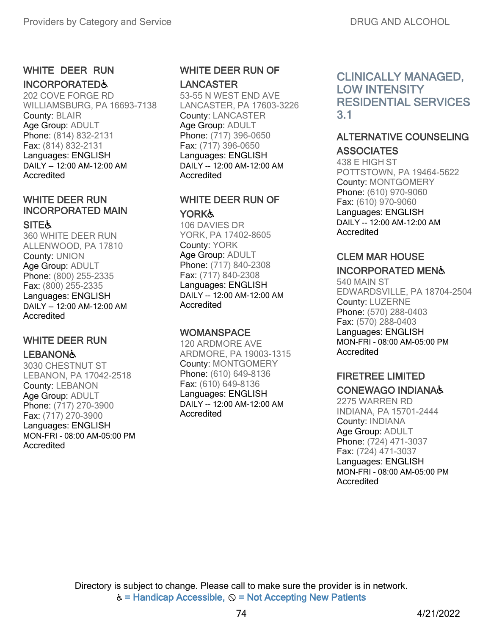#### WHITE DEER RUN INCORPORATED♿

202 COVE FORGE RD WILLIAMSBURG, PA 16693-7138 County: BLAIR Age Group: ADULT Phone: (814) 832-2131 Fax: (814) 832-2131 Languages: ENGLISH DAILY -- 12:00 AM-12:00 AM Accredited

# WHITE DEER RUN INCORPORATED MAIN

#### **SITE&**

360 WHITE DEER RUN ALLENWOOD, PA 17810 County: UNION Age Group: ADULT Phone: (800) 255-2335 Fax: (800) 255-2335 Languages: ENGLISH DAILY -- 12:00 AM-12:00 AM Accredited

# WHITE DEER RUN

#### **LEBANON&**

3030 CHESTNUT ST LEBANON, PA 17042-2518 County: LEBANON Age Group: ADULT Phone: (717) 270-3900 Fax: (717) 270-3900 Languages: ENGLISH MON-FRI - 08:00 AM-05:00 PM Accredited

## WHITE DEER RUN OF LANCASTER

53-55 N WEST END AVE LANCASTER, PA 17603-3226 County: LANCASTER Age Group: ADULT Phone: (717) 396-0650 Fax: (717) 396-0650 Languages: ENGLISH DAILY -- 12:00 AM-12:00 AM **Accredited** 

#### WHITE DEER RUN OF YORK**Ġ**

106 DAVIES DR YORK, PA 17402-8605 County: YORK Age Group: ADULT Phone: (717) 840-2308 Fax: (717) 840-2308 Languages: ENGLISH DAILY -- 12:00 AM-12:00 AM Accredited

#### **WOMANSPACE**

120 ARDMORE AVE ARDMORE, PA 19003-1315 County: MONTGOMERY Phone: (610) 649-8136 Fax: (610) 649-8136 Languages: ENGLISH DAILY -- 12:00 AM-12:00 AM Accredited

# CLINICALLY MANAGED, LOW INTENSITY RESIDENTIAL SERVICES 3.1

#### ALTERNATIVE COUNSELING **ASSOCIATES**

438 E HIGH ST POTTSTOWN, PA 19464-5622 County: MONTGOMERY Phone: (610) 970-9060 Fax: (610) 970-9060 Languages: ENGLISH DAILY -- 12:00 AM-12:00 AM Accredited

# CLEM MAR HOUSE

### INCORPORATED MEN♿

540 MAIN ST EDWARDSVILLE, PA 18704-2504 County: LUZERNE Phone: (570) 288-0403 Fax: (570) 288-0403 Languages: ENGLISH MON-FRI - 08:00 AM-05:00 PM Accredited

# FIRETREE LIMITED CONEWAGO INDIANA♿

2275 WARREN RD INDIANA, PA 15701-2444 County: INDIANA Age Group: ADULT Phone: (724) 471-3037 Fax: (724) 471-3037 Languages: ENGLISH MON-FRI - 08:00 AM-05:00 PM Accredited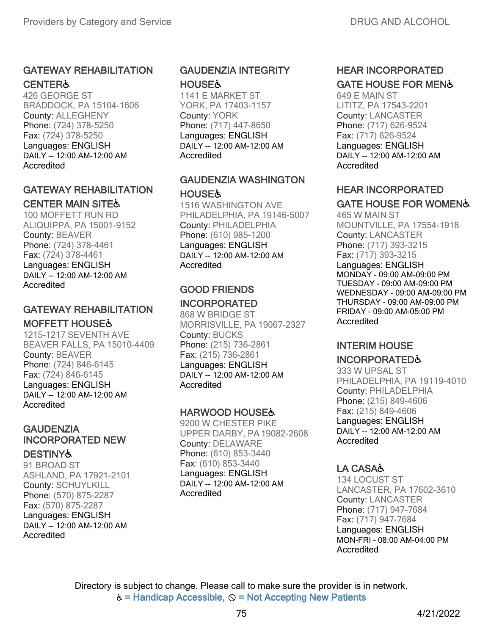#### GATEWAY REHABILITATION **CENTER&**

426 GEORGE ST BRADDOCK, PA 15104-1606 County: ALLEGHENY Phone: (724) 378-5250 Fax: (724) 378-5250 Languages: ENGLISH DAILY -- 12:00 AM-12:00 AM Accredited

#### GATEWAY REHABILITATION CENTER MAIN SITE♿

100 MOFFETT RUN RD ALIQUIPPA, PA 15001-9152 County: BEAVER Phone: (724) 378-4461 Fax: (724) 378-4461 Languages: ENGLISH DAILY -- 12:00 AM-12:00 AM **Accredited** 

# GATEWAY REHABILITATION

#### MOFFETT HOUSE♿

1215-1217 SEVENTH AVE BEAVER FALLS, PA 15010-4409 County: BEAVER Phone: (724) 846-6145 Fax: (724) 846-6145 Languages: ENGLISH DAILY -- 12:00 AM-12:00 AM Accredited

# **GAUDENZIA** INCORPORATED NEW

**DESTINY&** 91 BROAD ST ASHLAND, PA 17921-2101 County: SCHUYLKILL Phone: (570) 875-2287 Fax: (570) 875-2287 Languages: ENGLISH DAILY -- 12:00 AM-12:00 AM Accredited

### GAUDENZIA INTEGRITY **HOUSE&**

1141 E MARKET ST YORK, PA 17403-1157 County: YORK Phone: (717) 447-8650 Languages: ENGLISH DAILY -- 12:00 AM-12:00 AM **Accredited** 

#### GAUDENZIA WASHINGTON **HOUSE&**

1516 WASHINGTON AVE PHILADELPHIA, PA 19146-5007 County: PHILADELPHIA Phone: (610) 985-1200 Languages: ENGLISH DAILY -- 12:00 AM-12:00 AM **Accredited** 

#### GOOD FRIENDS INCORPORATED

868 W BRIDGE ST MORRISVILLE, PA 19067-2327 County: BUCKS Phone: (215) 736-2861 Fax: (215) 736-2861 Languages: ENGLISH DAILY -- 12:00 AM-12:00 AM Accredited

### HARWOOD HOUSE♿

9200 W CHESTER PIKE UPPER DARBY, PA19082-2608 County: DELAWARE Phone: (610) 853-3440 Fax: (610) 853-3440 Languages: ENGLISH DAILY -- 12:00 AM-12:00 AM **Accredited** 

# HEAR INCORPORATED GATE HOUSE FOR MEN♿

649 E MAIN ST LITITZ, PA 17543-2201 County: LANCASTER Phone: (717) 626-9524 Fax: (717) 626-9524 Languages: ENGLISH DAILY -- 12:00 AM-12:00 AM Accredited

# HEAR INCORPORATED

# GATE HOUSE FOR WOMEN♿ 465 W MAIN ST

MOUNTVILLE, PA 17554-1918 County: LANCASTER Phone: (717) 393-3215 Fax: (717) 393-3215 Languages: ENGLISH MONDAY - 09:00 AM-09:00 PM TUESDAY - 09:00 AM-09:00 PM WEDNESDAY - 09:00 AM-09:00 PM THURSDAY - 09:00 AM-09:00 PM FRIDAY - 09:00 AM-05:00 PM Accredited

#### INTERIM HOUSE INCORPORATED♿

333 W UPSAL ST PHILADELPHIA, PA 19119-4010 County: PHILADELPHIA Phone: (215) 849-4606 Fax: (215) 849-4606 Languages: ENGLISH DAILY -- 12:00 AM-12:00 AM Accredited

# LA CASA♿

134 LOCUST ST LANCASTER, PA 17602-3610 County: LANCASTER Phone: (717) 947-7684 Fax: (717) 947-7684 Languages: ENGLISH MON-FRI - 08:00 AM-04:00 PM Accredited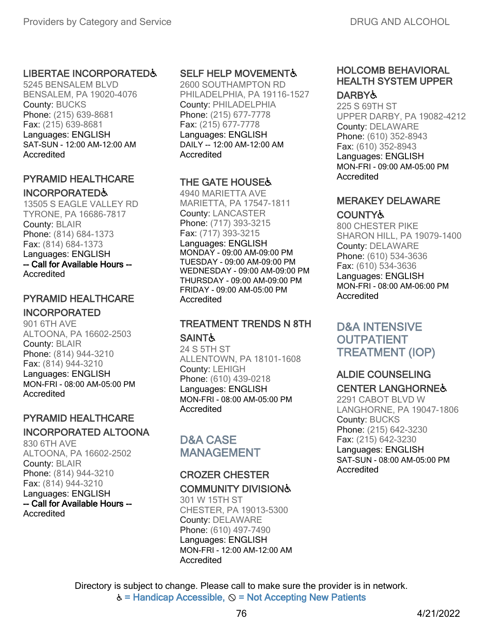#### LIBERTAE INCORPORATED&

5245 BENSALEM BLVD BENSALEM, PA 19020-4076 County: BUCKS Phone: (215) 639-8681 Fax: (215) 639-8681 Languages: ENGLISH SAT-SUN - 12:00 AM-12:00 AM Accredited

#### PYRAMID HEALTHCARE INCORPORATED♿

13505 S EAGLE VALLEY RD TYRONE, PA 16686-7817 County: BLAIR Phone: (814) 684-1373 Fax: (814) 684-1373 Languages: ENGLISH -- Call for Available Hours -- Accredited

# PYRAMID HEALTHCARE

#### INCORPORATED

901 6TH AVE ALTOONA, PA 16602-2503 County: BLAIR Phone: (814) 944-3210 Fax: (814) 944-3210 Languages: ENGLISH MON-FRI - 08:00 AM-05:00 PM **Accredited** 

# PYRAMID HEALTHCARE

#### INCORPORATED ALTOONA

830 6TH AVE ALTOONA, PA 16602-2502 County: BLAIR Phone: (814) 944-3210 Fax: (814) 944-3210 Languages: ENGLISH -- Call for Available Hours -- **Accredited** 

#### SELF HELP MOVEMENT&

2600 SOUTHAMPTON RD PHILADELPHIA, PA 19116-1527 County: PHILADELPHIA Phone: (215) 677-7778 Fax: (215) 677-7778 Languages: ENGLISH DAILY -- 12:00 AM-12:00 AM **Accredited** 

### THE GATE HOUSE♿

4940 MARIETTA AVE MARIETTA, PA 17547-1811 County: LANCASTER Phone: (717) 393-3215 Fax: (717) 393-3215 Languages: ENGLISH MONDAY - 09:00 AM-09:00 PM TUESDAY - 09:00 AM-09:00 PM WEDNESDAY - 09:00 AM-09:00 PM THURSDAY - 09:00 AM-09:00 PM FRIDAY - 09:00 AM-05:00 PM **Accredited** 

### TREATMENT TRENDS N 8TH **SAINT&**

24 S 5TH ST ALLENTOWN, PA 18101-1608 County: LEHIGH Phone: (610) 439-0218 Languages: ENGLISH MON-FRI - 08:00 AM-05:00 PM Accredited

# D&A CASE MANAGEMENT

## CROZER CHESTER COMMUNITY DIVISION♿

301 W 15TH ST CHESTER, PA 19013-5300 County: DELAWARE Phone: (610) 497-7490 Languages: ENGLISH MON-FRI - 12:00 AM-12:00 AM **Accredited** 

#### HOLCOMB BEHAVIORAL HEALTH SYSTEM UPPER DARBY♿

225 S 69TH ST UPPER DARBY, PA 19082-4212 County: DELAWARE Phone: (610) 352-8943 Fax: (610) 352-8943 Languages: ENGLISH MON-FRI - 09:00 AM-05:00 PM Accredited

### MERAKEY DELAWARE

### COUNTY♿

800 CHESTER PIKE SHARON HILL, PA 19079-1400 County: DELAWARE Phone: (610) 534-3636 Fax: (610) 534-3636 Languages: ENGLISH MON-FRI - 08:00 AM-06:00 PM **Accredited** 

D&A INTENSIVE **OUTPATIENT** TREATMENT (IOP)

#### ALDIE COUNSELING CENTER LANGHORNE♿

2291 CABOT BLVD W LANGHORNE, PA 19047-1806 County: BUCKS Phone: (215) 642-3230 Fax: (215) 642-3230 Languages: ENGLISH SAT-SUN - 08:00 AM-05:00 PM Accredited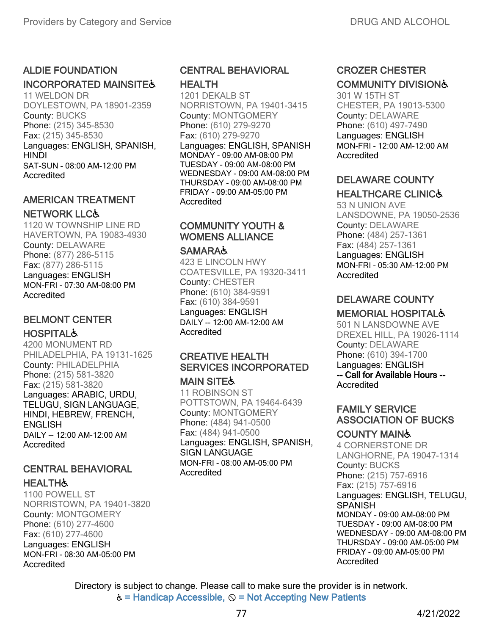#### ALDIE FOUNDATION

#### INCORPORATED MAINSITES

11 WELDON DR DOYLESTOWN, PA 18901-2359 County: BUCKS Phone: (215) 345-8530 Fax: (215) 345-8530 Languages: ENGLISH, SPANISH, **HINDI** SAT-SUN - 08:00 AM-12:00 PM Accredited

# AMERICAN TREATMENT

#### NETWORK LLC♿

1120 W TOWNSHIP LINE RD HAVERTOWN, PA 19083-4930 County: DELAWARE Phone: (877) 286-5115 Fax: (877) 286-5115 Languages: ENGLISH MON-FRI - 07:30 AM-08:00 PM **Accredited** 

## BELMONT CENTER **HOSPITAL&**

4200 MONUMENT RD PHILADELPHIA, PA 19131-1625 County: PHILADELPHIA Phone: (215) 581-3820 Fax: (215) 581-3820 Languages: ARABIC, URDU, TELUGU, SIGN LANGUAGE, HINDI, HEBREW, FRENCH, **ENGLISH** DAILY -- 12:00 AM-12:00 AM Accredited

#### CENTRAL BEHAVIORAL **HEALTH&**

1100 POWELL ST NORRISTOWN, PA 19401-3820 County: MONTGOMERY Phone: (610) 277-4600 Fax: (610) 277-4600 Languages: ENGLISH MON-FRI - 08:30 AM-05:00 PM Accredited

# CENTRAL BEHAVIORAL

#### HEALTH

1201 DEKALB ST NORRISTOWN, PA 19401-3415 County: MONTGOMERY Phone: (610) 279-9270 Fax: (610) 279-9270 Languages: ENGLISH, SPANISH MONDAY - 09:00 AM-08:00 PM TUESDAY - 09:00 AM-08:00 PM WEDNESDAY - 09:00 AM-08:00 PM THURSDAY - 09:00 AM-08:00 PM FRIDAY - 09:00 AM-05:00 PM Accredited

# COMMUNITY YOUTH & WOMENS ALLIANCE

#### **SAMARA&**

423 E LINCOLN HWY COATESVILLE, PA 19320-3411 County: CHESTER Phone: (610) 384-9591 Fax: (610) 384-9591 Languages: ENGLISH DAILY -- 12:00 AM-12:00 AM Accredited

# CREATIVE HEALTH SERVICES INCORPORATED

#### **MAIN SITE&**

11 ROBINSON ST POTTSTOWN, PA 19464-6439 County: MONTGOMERY Phone: (484) 941-0500 Fax: (484) 941-0500 Languages: ENGLISH, SPANISH, SIGN LANGUAGE MON-FRI - 08:00 AM-05:00 PM **Accredited** 

## CROZER CHESTER COMMUNITY DIVISION♿

301 W 15TH ST CHESTER, PA 19013-5300 County: DELAWARE Phone: (610) 497-7490 Languages: ENGLISH MON-FRI - 12:00 AM-12:00 AM Accredited

# DELAWARE COUNTY

#### HEALTHCARE CLINIC♿

53 N UNION AVE LANSDOWNE, PA 19050-2536 County: DELAWARE Phone: (484) 257-1361 Fax: (484) 257-1361 Languages: ENGLISH MON-FRI - 05:30 AM-12:00 PM **Accredited** 

# DELAWARE COUNTY

### MEMORIAL HOSPITAL♿

501 N LANSDOWNE AVE DREXEL HILL, PA 19026-1114 County: DELAWARE Phone: (610) 394-1700 Languages: ENGLISH -- Call for Available Hours -- **Accredited** 

### FAMILY SERVICE ASSOCIATION OF BUCKS

#### COUNTY MAIN♿

4 CORNERSTONE DR LANGHORNE, PA 19047-1314 County: BUCKS Phone: (215) 757-6916 Fax: (215) 757-6916 Languages: ENGLISH, TELUGU, SPANISH MONDAY - 09:00 AM-08:00 PM TUESDAY - 09:00 AM-08:00 PM WEDNESDAY - 09:00 AM-08:00 PM THURSDAY - 09:00 AM-05:00 PM FRIDAY - 09:00 AM-05:00 PM Accredited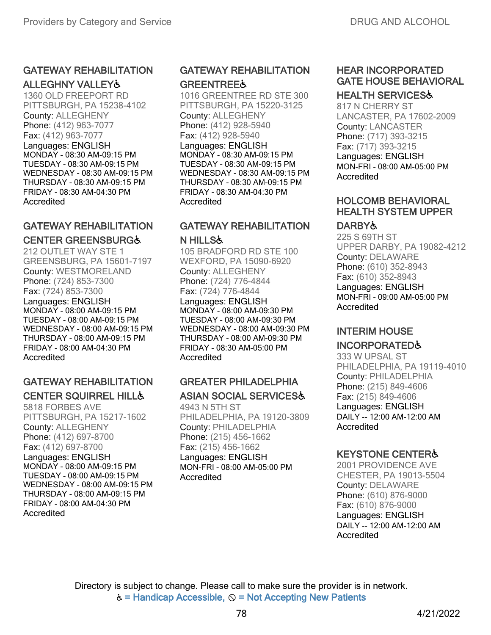#### GATEWAY REHABILITATION ALLEGHNY VALLEY♿

1360 OLD FREEPORT RD PITTSBURGH, PA 15238-4102 County: ALLEGHENY Phone: (412) 963-7077 Fax: (412) 963-7077 Languages: ENGLISH MONDAY - 08:30 AM-09:15 PM TUESDAY - 08:30 AM-09:15 PM WEDNESDAY - 08:30 AM-09:15 PM THURSDAY - 08:30 AM-09:15 PM FRIDAY - 08:30 AM-04:30 PM Accredited

# GATEWAY REHABILITATION CENTER GREENSBURG♿

212 OUTLET WAY STE 1 GREENSBURG, PA 15601-7197 County: WESTMORELAND Phone: (724) 853-7300 Fax: (724) 853-7300 Languages: ENGLISH MONDAY - 08:00 AM-09:15 PM TUESDAY - 08:00 AM-09:15 PM WEDNESDAY - 08:00 AM-09:15 PM THURSDAY - 08:00 AM-09:15 PM FRIDAY - 08:00 AM-04:30 PM **Accredited** 

# GATEWAY REHABILITATION CENTER SQUIRREL HILL♿

5818 FORBES AVE PITTSBURGH, PA 15217-1602 County: ALLEGHENY Phone: (412) 697-8700 Fax: (412) 697-8700 Languages: ENGLISH MONDAY - 08:00 AM-09:15 PM TUESDAY - 08:00 AM-09:15 PM WEDNESDAY - 08:00 AM-09:15 PM THURSDAY - 08:00 AM-09:15 PM FRIDAY - 08:00 AM-04:30 PM Accredited

# GATEWAY REHABILITATION **GREENTREE&**

1016 GREENTREE RD STE 300 PITTSBURGH, PA 15220-3125 County: ALLEGHENY Phone: (412) 928-5940 Fax: (412) 928-5940 Languages: ENGLISH MONDAY - 08:30 AM-09:15 PM TUESDAY - 08:30 AM-09:15 PM WEDNESDAY - 08:30 AM-09:15 PM THURSDAY - 08:30 AM-09:15 PM FRIDAY - 08:30 AM-04:30 PM Accredited

#### GATEWAY REHABILITATION N HILLS♿

105 BRADFORD RD STE 100 WEXFORD, PA 15090-6920 County: ALLEGHENY Phone: (724) 776-4844 Fax: (724) 776-4844 Languages: ENGLISH MONDAY - 08:00 AM-09:30 PM TUESDAY - 08:00 AM-09:30 PM WEDNESDAY - 08:00 AM-09:30 PM THURSDAY - 08:00 AM-09:30 PM FRIDAY - 08:30 AM-05:00 PM **Accredited** 

# GREATER PHILADELPHIA ASIAN SOCIAL SERVICES♿

4943 N 5TH ST PHILADELPHIA, PA 19120-3809 County: PHILADELPHIA Phone: (215) 456-1662 Fax: (215) 456-1662 Languages: ENGLISH MON-FRI - 08:00 AM-05:00 PM **Accredited** 

# HEAR INCORPORATED GATE HOUSE BEHAVIORAL

## HEALTH SERVICES♿

817 N CHERRY ST LANCASTER, PA 17602-2009 County: LANCASTER Phone: (717) 393-3215 Fax: (717) 393-3215 Languages: ENGLISH MON-FRI - 08:00 AM-05:00 PM **Accredited** 

# HOLCOMB BEHAVIORAL HEALTH SYSTEM UPPER

# DARBY&

225 S 69TH ST UPPER DARBY, PA 19082-4212 County: DELAWARE Phone: (610) 352-8943 Fax: (610) 352-8943 Languages: ENGLISH MON-FRI - 09:00 AM-05:00 PM Accredited

# INTERIM HOUSE

# INCORPORATED♿

333 W UPSAL ST PHILADELPHIA, PA 19119-4010 County: PHILADELPHIA Phone: (215) 849-4606 Fax: (215) 849-4606 Languages: ENGLISH DAILY -- 12:00 AM-12:00 AM Accredited

# KEYSTONE CENTER♿

2001 PROVIDENCE AVE CHESTER, PA 19013-5504 County: DELAWARE Phone: (610) 876-9000 Fax: (610) 876-9000 Languages: ENGLISH DAILY -- 12:00 AM-12:00 AM Accredited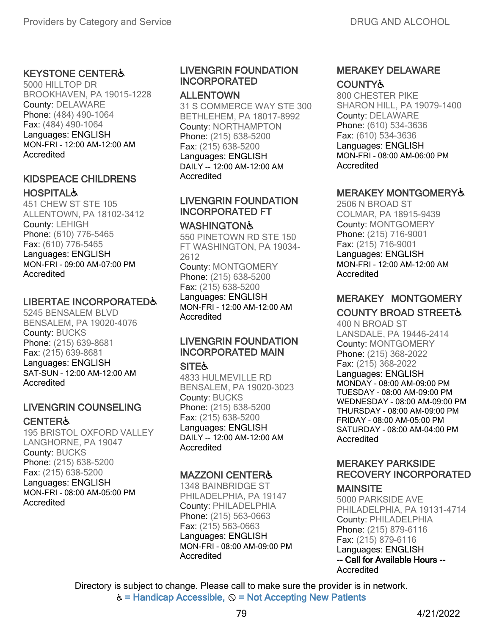#### KEYSTONE CENTER♿

5000 HILLTOP DR BROOKHAVEN, PA 19015-1228 County: DELAWARE Phone: (484) 490-1064 Fax: (484) 490-1064 Languages: ENGLISH MON-FRI - 12:00 AM-12:00 AM Accredited

#### KIDSPEACE CHILDRENS **HOSPITAL&**

451 CHEW ST STE 105 ALLENTOWN, PA 18102-3412 County: LEHIGH Phone: (610) 776-5465 Fax: (610) 776-5465 Languages: ENGLISH MON-FRI - 09:00 AM-07:00 PM **Accredited** 

#### LIBERTAE INCORPORATED&

5245 BENSALEM BLVD BENSALEM, PA 19020-4076 County: BUCKS Phone: (215) 639-8681 Fax: (215) 639-8681 Languages: ENGLISH SAT-SUN - 12:00 AM-12:00 AM **Accredited** 

#### LIVENGRIN COUNSELING **CENTER&**

195 BRISTOL OXFORD VALLEY LANGHORNE, PA 19047 County: BUCKS Phone: (215) 638-5200 Fax: (215) 638-5200 Languages: ENGLISH MON-FRI - 08:00 AM-05:00 PM **Accredited** 

### LIVENGRIN FOUNDATION INCORPORATED

#### ALLENTOWN

31 S COMMERCE WAY STE 300 BETHLEHEM, PA 18017-8992 County: NORTHAMPTON Phone: (215) 638-5200 Fax: (215) 638-5200 Languages: ENGLISH DAILY -- 12:00 AM-12:00 AM Accredited

#### LIVENGRIN FOUNDATION INCORPORATED FT

#### **WASHINGTON&**

550 PINETOWN RD STE 150 FT WASHINGTON, PA 19034- 2612 County: MONTGOMERY Phone: (215) 638-5200 Fax: (215) 638-5200 Languages: ENGLISH MON-FRI - 12:00 AM-12:00 AM **Accredited** 

### LIVENGRIN FOUNDATION INCORPORATED MAIN

#### **SITE&**

4833 HULMEVILLE RD BENSALEM, PA 19020-3023 County: BUCKS Phone: (215) 638-5200 Fax: (215) 638-5200 Languages: ENGLISH DAILY -- 12:00 AM-12:00 AM Accredited

#### MAZZONI CENTER♿

1348 BAINBRIDGE ST PHILADELPHIA, PA 19147 County: PHILADELPHIA Phone: (215) 563-0663 Fax: (215) 563-0663 Languages: ENGLISH MON-FRI - 08:00 AM-09:00 PM **Accredited** 

#### MERAKEY DELAWARE **COUNTY&**

800 CHESTER PIKE SHARON HILL, PA 19079-1400 County: DELAWARE Phone: (610) 534-3636 Fax: (610) 534-3636 Languages: ENGLISH MON-FRI - 08:00 AM-06:00 PM Accredited

#### MERAKEY MONTGOMERY♿

2506 N BROAD ST COLMAR, PA 18915-9439 County: MONTGOMERY Phone: (215) 716-9001 Fax: (215) 716-9001 Languages: ENGLISH MON-FRI - 12:00 AM-12:00 AM Accredited

#### MERAKEY MONTGOMERY **COUNTY BROAD STREET&**

400 N BROAD ST LANSDALE, PA 19446-2414 County: MONTGOMERY Phone: (215) 368-2022 Fax: (215) 368-2022 Languages: ENGLISH MONDAY - 08:00 AM-09:00 PM TUESDAY - 08:00 AM-09:00 PM WEDNESDAY - 08:00 AM-09:00 PM THURSDAY - 08:00 AM-09:00 PM FRIDAY - 08:00 AM-05:00 PM SATURDAY - 08:00 AM-04:00 PM Accredited

# MERAKEY PARKSIDE RECOVERY INCORPORATED

#### **MAINSITE**

Accredited 5000 PARKSIDE AVE PHILADELPHIA, PA 19131-4714 County: PHILADELPHIA Phone: (215) 879-6116 Fax: (215) 879-6116 Languages: ENGLISH -- Call for Available Hours --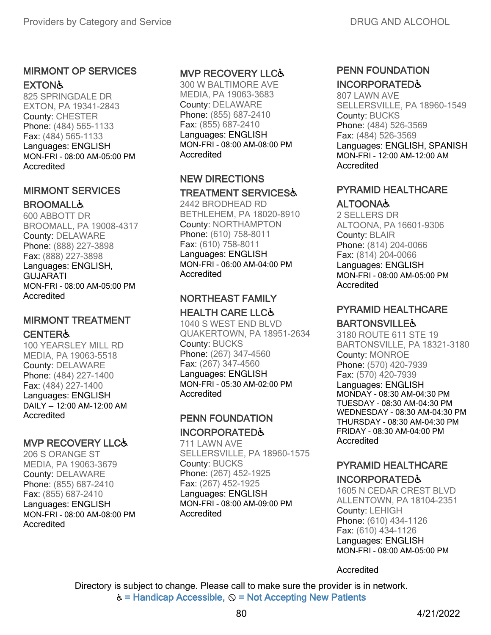#### MIRMONT OP SERVICES **EXTON&**

825 SPRINGDALE DR EXTON, PA 19341-2843 County: CHESTER Phone: (484) 565-1133 Fax: (484) 565-1133 Languages: ENGLISH MON-FRI - 08:00 AM-05:00 PM **Accredited** 

## MIRMONT SERVICES **BROOMALL&**

600 ABBOTT DR BROOMALL, PA 19008-4317 County: DELAWARE Phone: (888) 227-3898 Fax: (888) 227-3898 Languages: ENGLISH, **GUJARATI** MON-FRI - 08:00 AM-05:00 PM **Accredited** 

# MIRMONT TREATMENT **CENTER&**

100 YEARSLEY MILL RD MEDIA, PA 19063-5518 County: DELAWARE Phone: (484) 227-1400 Fax: (484) 227-1400 Languages: ENGLISH DAILY -- 12:00 AM-12:00 AM Accredited

### MVP RECOVERY LLC♿

206 S ORANGE ST MEDIA, PA 19063-3679 County: DELAWARE Phone: (855) 687-2410 Fax: (855) 687-2410 Languages: ENGLISH MON-FRI - 08:00 AM-08:00 PM **Accredited** 

### MVP RECOVERY LLC♿

300 W BALTIMORE AVE MEDIA, PA 19063-3683 County: DELAWARE Phone: (855) 687-2410 Fax: (855) 687-2410 Languages: ENGLISH MON-FRI - 08:00 AM-08:00 PM Accredited

#### NEW DIRECTIONS

#### TREATMENT SERVICES♿

2442 BRODHEAD RD BETHLEHEM, PA 18020-8910 County: NORTHAMPTON Phone: (610) 758-8011 Fax: (610) 758-8011 Languages: ENGLISH MON-FRI - 06:00 AM-04:00 PM **Accredited** 

#### NORTHEAST FAMILY HEALTH CARE LLC♿

1040 S WEST END BLVD QUAKERTOWN, PA 18951-2634 County: BUCKS Phone: (267) 347-4560 Fax: (267) 347-4560 Languages: ENGLISH MON-FRI - 05:30 AM-02:00 PM **Accredited** 

#### PENN FOUNDATION INCORPORATED♿

711 LAWN AVE SELLERSVILLE, PA 18960-1575 County: BUCKS Phone: (267) 452-1925 Fax: (267) 452-1925 Languages: ENGLISH MON-FRI - 08:00 AM-09:00 PM Accredited

## PENN FOUNDATION INCORPORATED♿

807 LAWN AVE SELLERSVILLE, PA 18960-1549 County: BUCKS Phone: (484) 526-3569 Fax: (484) 526-3569 Languages: ENGLISH, SPANISH MON-FRI - 12:00 AM-12:00 AM Accredited

## PYRAMID HEALTHCARE ALTOONA♿

2 SELLERS DR ALTOONA, PA 16601-9306 County: BLAIR Phone: (814) 204-0066 Fax: (814) 204-0066 Languages: ENGLISH MON-FRI - 08:00 AM-05:00 PM Accredited

#### PYRAMID HEALTHCARE **BARTONSVILLE&**

3180 ROUTE 611 STE 19 BARTONSVILLE, PA 18321-3180 County: MONROE Phone: (570) 420-7939 Fax: (570) 420-7939 Languages: ENGLISH MONDAY - 08:30 AM-04:30 PM TUESDAY - 08:30 AM-04:30 PM WEDNESDAY - 08:30 AM-04:30 PM THURSDAY - 08:30 AM-04:30 PM FRIDAY - 08:30 AM-04:00 PM Accredited

# PYRAMID HEALTHCARE

### INCORPORATED♿

1605 N CEDAR CREST BLVD ALLENTOWN, PA 18104-2351 County: LEHIGH Phone: (610) 434-1126 Fax: (610) 434-1126 Languages: ENGLISH MON-FRI - 08:00 AM-05:00 PM

Accredited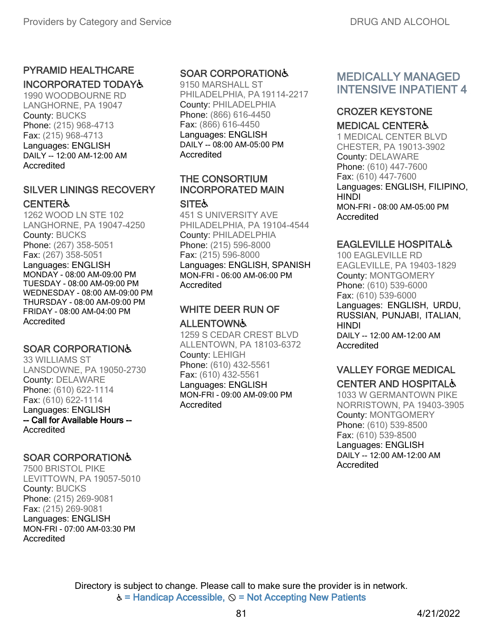# PYRAMID HEALTHCARE

# INCORPORATED TODAY♿

1990 WOODBOURNE RD LANGHORNE, PA 19047 County: BUCKS Phone: (215) 968-4713 Fax: (215) 968-4713 Languages: ENGLISH DAILY -- 12:00 AM-12:00 AM Accredited

#### SILVER LININGS RECOVERY **CENTER&**

1262 WOOD LN STE 102 LANGHORNE, PA 19047-4250 County: BUCKS Phone: (267) 358-5051 Fax: (267) 358-5051 Languages: ENGLISH MONDAY - 08:00 AM-09:00 PM TUESDAY - 08:00 AM-09:00 PM WEDNESDAY - 08:00 AM-09:00 PM THURSDAY - 08:00 AM-09:00 PM FRIDAY - 08:00 AM-04:00 PM **Accredited** 

### SOAR CORPORATION♿

33 WILLIAMS ST LANSDOWNE, PA 19050-2730 County: DELAWARE Phone: (610) 622-1114 Fax: (610) 622-1114 Languages: ENGLISH -- Call for Available Hours -- Accredited

### SOAR CORPORATION♿

7500 BRISTOL PIKE LEVITTOWN, PA 19057-5010 County: BUCKS Phone: (215) 269-9081 Fax: (215) 269-9081 Languages: ENGLISH MON-FRI - 07:00 AM-03:30 PM Accredited

### SOAR CORPORATION♿

9150 MARSHALL ST PHILADELPHIA, PA19114-2217 County: PHILADELPHIA Phone: (866) 616-4450 Fax: (866) 616-4450 Languages: ENGLISH DAILY -- 08:00 AM-05:00 PM Accredited

## THE CONSORTIUM INCORPORATED MAIN

#### **SITE&**

451 S UNIVERSITY AVE PHILADELPHIA, PA 19104-4544 County: PHILADELPHIA Phone: (215) 596-8000 Fax: (215) 596-8000 Languages: ENGLISH, SPANISH MON-FRI - 06:00 AM-06:00 PM **Accredited** 

# WHITE DEER RUN OF

#### **ALLENTOWN&**

1259 S CEDAR CREST BLVD ALLENTOWN, PA 18103-6372 County: LEHIGH Phone: (610) 432-5561 Fax: (610) 432-5561 Languages: ENGLISH MON-FRI - 09:00 AM-09:00 PM Accredited

# MEDICALLY MANAGED INTENSIVE INPATIENT 4

# CROZER KEYSTONE

#### MEDICAL CENTER♿

1 MEDICAL CENTER BLVD CHESTER, PA 19013-3902 County: DELAWARE Phone: (610) 447-7600 Fax: (610) 447-7600 Languages: ENGLISH, FILIPINO, HINDI MON-FRI - 08:00 AM-05:00 PM Accredited

#### EAGLEVILLE HOSPITAL♿

100 EAGLEVILLE RD EAGLEVILLE, PA 19403-1829 County: MONTGOMERY Phone: (610) 539-6000 Fax: (610) 539-6000 Languages: ENGLISH, URDU, RUSSIAN, PUNJABI, ITALIAN, **HINDI** DAILY -- 12:00 AM-12:00 AM Accredited

#### VALLEY FORGE MEDICAL CENTER AND HOSPITAL♿

1033 W GERMANTOWN PIKE NORRISTOWN, PA 19403-3905 County: MONTGOMERY Phone: (610) 539-8500 Fax: (610) 539-8500 Languages: ENGLISH DAILY -- 12:00 AM-12:00 AM Accredited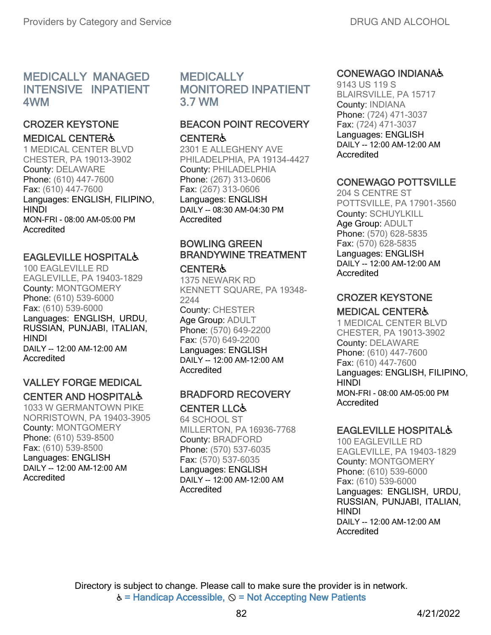# MEDICALLY MANAGED INTENSIVE INPATIENT 4WM

# CROZER KEYSTONE

MEDICAL CENTER♿

1 MEDICAL CENTER BLVD CHESTER, PA 19013-3902 County: DELAWARE Phone: (610) 447-7600 Fax: (610) 447-7600 Languages: ENGLISH, FILIPINO, **HINDI** MON-FRI - 08:00 AM-05:00 PM **Accredited** 

#### EAGLEVILLE HOSPITAL♿

100 EAGLEVILLE RD EAGLEVILLE, PA 19403-1829 County: MONTGOMERY Phone: (610) 539-6000 Fax: (610) 539-6000 Languages: ENGLISH, URDU, RUSSIAN, PUNJABI, ITALIAN, HINDI DAILY -- 12:00 AM-12:00 AM **Accredited** 

### VALLEY FORGE MEDICAL CENTER AND HOSPITAL♿

1033 W GERMANTOWN PIKE NORRISTOWN, PA 19403-3905 County: MONTGOMERY Phone: (610) 539-8500 Fax: (610) 539-8500 Languages: ENGLISH DAILY -- 12:00 AM-12:00 AM Accredited

# **MEDICALLY** MONITORED INPATIENT 3.7 WM

## BEACON POINT RECOVERY **CENTER&**

2301 E ALLEGHENY AVE PHILADELPHIA, PA 19134-4427 County: PHILADELPHIA Phone: (267) 313-0606 Fax: (267) 313-0606 Languages: ENGLISH DAILY -- 08:30 AM-04:30 PM **Accredited** 

# BOWLING GREEN BRANDYWINE TREATMENT

#### CENTER♿

1375 NEWARK RD KENNETT SQUARE, PA 19348- 2244

County: CHESTER Age Group: ADULT Phone: (570) 649-2200 Fax: (570) 649-2200 Languages: ENGLISH DAILY -- 12:00 AM-12:00 AM Accredited

#### BRADFORD RECOVERY CENTER LLC♿

64 SCHOOL ST MILLERTON, PA 16936-7768 County: BRADFORD Phone: (570) 537-6035 Fax: (570) 537-6035 Languages: ENGLISH DAILY -- 12:00 AM-12:00 AM Accredited

#### CONEWAGO INDIANA♿

9143 US 119 S BLAIRSVILLE, PA 15717 County: INDIANA Phone: (724) 471-3037 Fax: (724) 471-3037 Languages: ENGLISH DAILY -- 12:00 AM-12:00 AM **Accredited** 

# CONEWAGO POTTSVILLE

204 S CENTRE ST POTTSVILLE, PA 17901-3560 County: SCHUYLKILL Age Group: ADULT Phone: (570) 628-5835 Fax: (570) 628-5835 Languages: ENGLISH DAILY -- 12:00 AM-12:00 AM Accredited

### CROZER KEYSTONE

#### MEDICAL CENTER♿

1 MEDICAL CENTER BLVD CHESTER, PA 19013-3902 County: DELAWARE Phone: (610) 447-7600 Fax: (610) 447-7600 Languages: ENGLISH, FILIPINO, HINDI MON-FRI - 08:00 AM-05:00 PM Accredited

### EAGLEVILLE HOSPITAL♿

100 EAGLEVILLE RD EAGLEVILLE, PA 19403-1829 County: MONTGOMERY Phone: (610) 539-6000 Fax: (610) 539-6000 Languages: ENGLISH, URDU, RUSSIAN, PUNJABI, ITALIAN, **HINDI** DAILY -- 12:00 AM-12:00 AM Accredited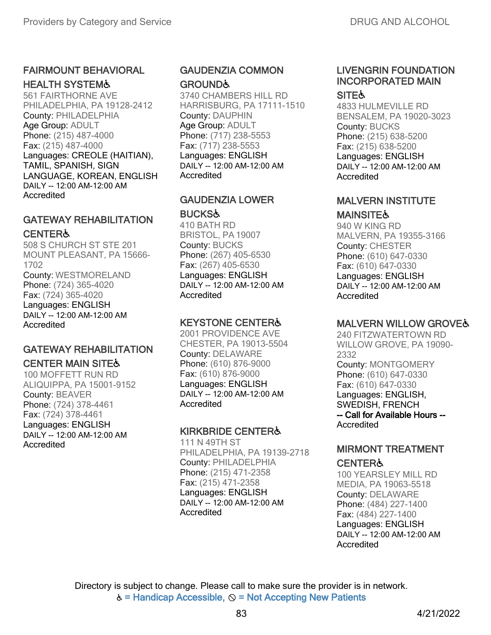# FAIRMOUNT BEHAVIORAL

HEALTH SYSTEM♿

561 FAIRTHORNE AVE PHILADELPHIA, PA 19128-2412 County: PHILADELPHIA Age Group: ADULT Phone: (215) 487-4000 Fax: (215) 487-4000 Languages: CREOLE (HAITIAN), TAMIL, SPANISH, SIGN LANGUAGE, KOREAN, ENGLISH DAILY -- 12:00 AM-12:00 AM Accredited

# GATEWAY REHABILITATION **CENTER&**

508 S CHURCH ST STE 201 MOUNT PLEASANT, PA 15666- 1702 County: WESTMORELAND Phone: (724) 365-4020 Fax: (724) 365-4020 Languages: ENGLISH DAILY -- 12:00 AM-12:00 AM **Accredited** 

# GATEWAY REHABILITATION

**CENTER MAIN SITE&** 

100 MOFFETT RUN RD ALIQUIPPA, PA 15001-9152 County: BEAVER Phone: (724) 378-4461 Fax: (724) 378-4461 Languages: ENGLISH DAILY -- 12:00 AM-12:00 AM Accredited

### GAUDENZIA COMMON **GROUND&**

3740 CHAMBERS HILL RD HARRISBURG, PA 17111-1510 County: DAUPHIN Age Group: ADULT Phone: (717) 238-5553 Fax: (717) 238-5553 Languages: ENGLISH DAILY -- 12:00 AM-12:00 AM Accredited

### GAUDENZIA LOWER **BUCKS&**

410 BATH RD BRISTOL, PA 19007 County: BUCKS Phone: (267) 405-6530 Fax: (267) 405-6530 Languages: ENGLISH DAILY -- 12:00 AM-12:00 AM Accredited

#### KEYSTONE CENTER♿

2001 PROVIDENCE AVE CHESTER, PA 19013-5504 County: DELAWARE Phone: (610) 876-9000 Fax: (610) 876-9000 Languages: ENGLISH DAILY -- 12:00 AM-12:00 AM Accredited

### KIRKBRIDE CENTER♿

111 N 49TH ST PHILADELPHIA, PA 19139-2718 County: PHILADELPHIA Phone: (215) 471-2358 Fax: (215) 471-2358 Languages: ENGLISH DAILY -- 12:00 AM-12:00 AM **Accredited** 

# LIVENGRIN FOUNDATION INCORPORATED MAIN

#### **SITE**

4833 HULMEVILLE RD BENSALEM, PA 19020-3023 County: BUCKS Phone: (215) 638-5200 Fax: (215) 638-5200 Languages: ENGLISH DAILY -- 12:00 AM-12:00 AM Accredited

## MALVERN INSTITUTE

## **MAINSITE&**

940 W KING RD MALVERN, PA 19355-3166 County: CHESTER Phone: (610) 647-0330 Fax: (610) 647-0330 Languages: ENGLISH DAILY -- 12:00 AM-12:00 AM **Accredited** 

# MALVERN WILLOW GROVE♿

240 FITZWATERTOWN RD WILLOW GROVE, PA 19090- 2332 County: MONTGOMERY Phone: (610) 647-0330 Fax: (610) 647-0330 Languages: ENGLISH, SWEDISH, FRENCH -- Call for Available Hours -- Accredited

#### MIRMONT TREATMENT **CENTER&**

100 YEARSLEY MILL RD MEDIA, PA 19063-5518 County: DELAWARE Phone: (484) 227-1400 Fax: (484) 227-1400 Languages: ENGLISH DAILY -- 12:00 AM-12:00 AM Accredited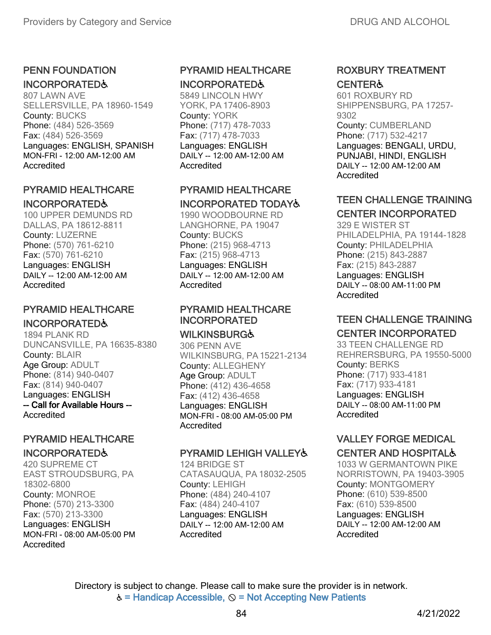# PENN FOUNDATION

## INCORPORATED♿

807 LAWN AVE SELLERSVILLE, PA 18960-1549 County: BUCKS Phone: (484) 526-3569 Fax: (484) 526-3569 Languages: ENGLISH, SPANISH MON-FRI - 12:00 AM-12:00 AM Accredited

#### PYRAMID HEALTHCARE INCORPORATED♿

100 UPPER DEMUNDS RD DALLAS, PA 18612-8811 County: LUZERNE Phone: (570) 761-6210 Fax: (570) 761-6210 Languages: ENGLISH DAILY -- 12:00 AM-12:00 AM Accredited

# PYRAMID HEALTHCARE INCORPORATED♿

1894 PLANK RD DUNCANSVILLE, PA 16635-8380 County: BLAIR Age Group: ADULT Phone: (814) 940-0407 Fax: (814) 940-0407 Languages: ENGLISH -- Call for Available Hours -- Accredited

# PYRAMID HEALTHCARE

#### INCORPORATED♿

420 SUPREME CT EAST STROUDSBURG, PA 18302-6800 County: MONROE Phone: (570) 213-3300 Fax: (570) 213-3300 Languages: ENGLISH MON-FRI - 08:00 AM-05:00 PM Accredited

## PYRAMID HEALTHCARE INCORPORATED♿

5849 LINCOLN HWY YORK, PA 17406-8903 County: YORK Phone: (717) 478-7033 Fax: (717) 478-7033 Languages: ENGLISH DAILY -- 12:00 AM-12:00 AM Accredited

## PYRAMID HEALTHCARE INCORPORATED TODAY♿

1990 WOODBOURNE RD LANGHORNE, PA 19047 County: BUCKS Phone: (215) 968-4713 Fax: (215) 968-4713 Languages: ENGLISH DAILY -- 12:00 AM-12:00 AM Accredited

#### PYRAMID HEALTHCARE INCORPORATED

### **WILKINSBURG&**

306 PENN AVE WILKINSBURG, PA15221-2134 County: ALLEGHENY Age Group: ADULT Phone: (412) 436-4658 Fax: (412) 436-4658 Languages: ENGLISH MON-FRI - 08:00 AM-05:00 PM Accredited

### PYRAMID LEHIGH VALLEY&

124 BRIDGE ST CATASAUQUA, PA 18032-2505 County: LEHIGH Phone: (484) 240-4107 Fax: (484) 240-4107 Languages: ENGLISH DAILY -- 12:00 AM-12:00 AM Accredited

#### ROXBURY TREATMENT **CENTER&**

601 ROXBURY RD SHIPPENSBURG, PA 17257- 9302 County: CUMBERLAND Phone: (717) 532-4217 Languages: BENGALI, URDU, PUNJABI, HINDI, ENGLISH DAILY -- 12:00 AM-12:00 AM Accredited

# TEEN CHALLENGE TRAINING

CENTER INCORPORATED 329 E WISTER ST PHILADELPHIA, PA 19144-1828 County: PHILADELPHIA Phone: (215) 843-2887 Fax: (215) 843-2887 Languages: ENGLISH DAILY -- 08:00 AM-11:00 PM

#### Accredited

#### TEEN CHALLENGE TRAINING CENTER INCORPORATED

33 TEEN CHALLENGE RD REHRERSBURG, PA 19550-5000 County: BERKS Phone: (717) 933-4181 Fax: (717) 933-4181 Languages: ENGLISH DAILY -- 08:00 AM-11:00 PM Accredited

# VALLEY FORGE MEDICAL

# CENTER AND HOSPITAL♿

1033 W GERMANTOWN PIKE NORRISTOWN, PA 19403-3905 County: MONTGOMERY Phone: (610) 539-8500 Fax: (610) 539-8500 Languages: ENGLISH DAILY -- 12:00 AM-12:00 AM Accredited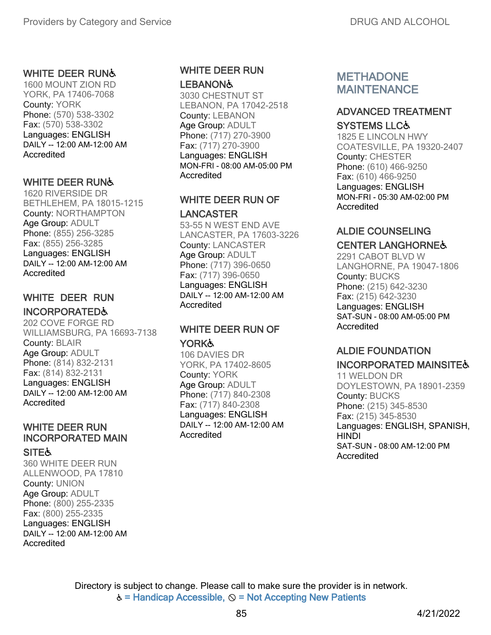#### WHITE DEER RUNG

1600 MOUNT ZION RD YORK, PA 17406-7068 County: YORK Phone: (570) 538-3302 Fax: (570) 538-3302 Languages: ENGLISH DAILY -- 12:00 AM-12:00 AM **Accredited** 

#### WHITE DEER RUN&

1620 RIVERSIDE DR BETHLEHEM, PA 18015-1215 County: NORTHAMPTON Age Group: ADULT Phone: (855) 256-3285 Fax: (855) 256-3285 Languages: ENGLISH DAILY -- 12:00 AM-12:00 AM **Accredited** 

### WHITE DEER RUN INCORPORATED♿

202 COVE FORGE RD WILLIAMSBURG, PA 16693-7138 County: BLAIR Age Group: ADULT Phone: (814) 832-2131 Fax: (814) 832-2131 Languages: ENGLISH DAILY -- 12:00 AM-12:00 AM Accredited

# WHITE DEER RUN INCORPORATED MAIN

#### **SITE**

360 WHITE DEER RUN ALLENWOOD, PA 17810 County: UNION Age Group: ADULT Phone: (800) 255-2335 Fax: (800) 255-2335 Languages: ENGLISH DAILY -- 12:00 AM-12:00 AM Accredited

#### WHITE DEER RUN **LEBANON&**

3030 CHESTNUT ST LEBANON, PA 17042-2518 County: LEBANON Age Group: ADULT Phone: (717) 270-3900 Fax: (717) 270-3900 Languages: ENGLISH MON-FRI - 08:00 AM-05:00 PM Accredited

## WHITE DEER RUN OF LANCASTER

53-55 N WEST END AVE LANCASTER, PA 17603-3226 County: LANCASTER Age Group: ADULT Phone: (717) 396-0650 Fax: (717) 396-0650 Languages: ENGLISH DAILY -- 12:00 AM-12:00 AM Accredited

#### WHITE DEER RUN OF **YORK&**

106 DAVIES DR YORK, PA 17402-8605 County: YORK Age Group: ADULT Phone: (717) 840-2308 Fax: (717) 840-2308 Languages: ENGLISH DAILY -- 12:00 AM-12:00 AM Accredited

# METHADONE MAINTENANCE

#### ADVANCED TREATMENT

#### SYSTEMS LLC♿

1825 E LINCOLN HWY COATESVILLE, PA 19320-2407 County: CHESTER Phone: (610) 466-9250 Fax: (610) 466-9250 Languages: ENGLISH MON-FRI - 05:30 AM-02:00 PM Accredited

# ALDIE COUNSELING

#### CENTER LANGHORNE♿

2291 CABOT BLVD W LANGHORNE, PA 19047-1806 County: BUCKS Phone: (215) 642-3230 Fax: (215) 642-3230 Languages: ENGLISH SAT-SUN - 08:00 AM-05:00 PM Accredited

### ALDIE FOUNDATION

#### INCORPORATED MAINSITE♿

11 WELDON DR DOYLESTOWN, PA 18901-2359 County: BUCKS Phone: (215) 345-8530 Fax: (215) 345-8530 Languages: ENGLISH, SPANISH, **HINDI** SAT-SUN - 08:00 AM-12:00 PM Accredited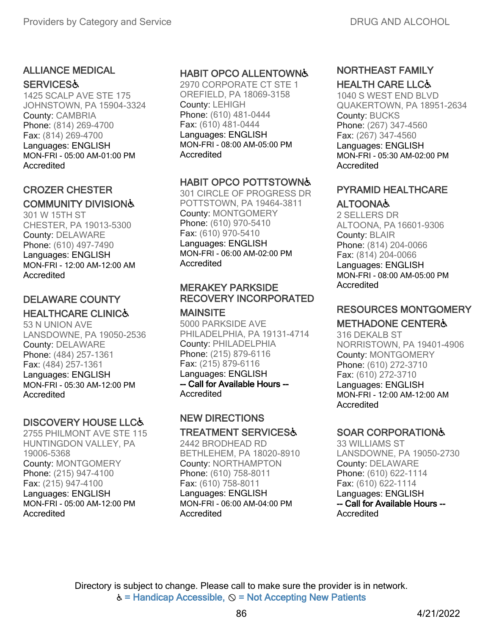# ALLIANCE MEDICAL

#### **SERVICES&**

1425 SCALP AVE STE 175 JOHNSTOWN, PA 15904-3324 County: CAMBRIA Phone: (814) 269-4700 Fax: (814) 269-4700 Languages: ENGLISH MON-FRI - 05:00 AM-01:00 PM Accredited

#### CROZER CHESTER COMMUNITY DIVISION♿

301 W 15TH ST CHESTER, PA 19013-5300 County: DELAWARE Phone: (610) 497-7490 Languages: ENGLISH MON-FRI - 12:00 AM-12:00 AM **Accredited** 

## DELAWARE COUNTY HEALTHCARE CLINIC♿

53 N UNION AVE LANSDOWNE, PA 19050-2536 County: DELAWARE Phone: (484) 257-1361 Fax: (484) 257-1361 Languages: ENGLISH MON-FRI - 05:30 AM-12:00 PM Accredited

# DISCOVERY HOUSE LLC&

2755 PHILMONT AVE STE 115 HUNTINGDON VALLEY, PA 19006-5368 County: MONTGOMERY Phone: (215) 947-4100 Fax: (215) 947-4100 Languages: ENGLISH MON-FRI - 05:00 AM-12:00 PM Accredited

## HABIT OPCO ALLENTOWN♿

2970 CORPORATE CT STE 1 OREFIELD, PA 18069-3158 County: LEHIGH Phone: (610) 481-0444 Fax: (610) 481-0444 Languages: ENGLISH MON-FRI - 08:00 AM-05:00 PM Accredited

## HABIT OPCO POTTSTOWN♿

301 CIRCLE OF PROGRESS DR POTTSTOWN, PA 19464-3811 County: MONTGOMERY Phone: (610) 970-5410 Fax: (610) 970-5410 Languages: ENGLISH MON-FRI - 06:00 AM-02:00 PM **Accredited** 

## MERAKEY PARKSIDE RECOVERY INCORPORATED

#### **MAINSITE**

5000 PARKSIDE AVE PHILADELPHIA, PA 19131-4714 County: PHILADELPHIA Phone: (215) 879-6116 Fax: (215) 879-6116 Languages: ENGLISH -- Call for Available Hours -- Accredited

# NEW DIRECTIONS

#### TREATMENT SERVICES♿

2442 BRODHEAD RD BETHLEHEM, PA 18020-8910 County: NORTHAMPTON Phone: (610) 758-8011 Fax: (610) 758-8011 Languages: ENGLISH MON-FRI - 06:00 AM-04:00 PM **Accredited** 

#### NORTHEAST FAMILY HEALTH CARE LLC♿

1040 S WEST END BLVD QUAKERTOWN, PA 18951-2634 County: BUCKS Phone: (267) 347-4560 Fax: (267) 347-4560 Languages: ENGLISH MON-FRI - 05:30 AM-02:00 PM Accredited

### PYRAMID HEALTHCARE ALTOONA♿

2 SELLERS DR ALTOONA, PA 16601-9306 County: BLAIR Phone: (814) 204-0066 Fax: (814) 204-0066 Languages: ENGLISH MON-FRI - 08:00 AM-05:00 PM Accredited

# RESOURCES MONTGOMERY

### METHADONE CENTER♿

316 DEKALB ST NORRISTOWN, PA 19401-4906 County: MONTGOMERY Phone: (610) 272-3710 Fax: (610) 272-3710 Languages: ENGLISH MON-FRI - 12:00 AM-12:00 AM Accredited

# SOAR CORPORATION♿

33 WILLIAMS ST LANSDOWNE, PA 19050-2730 County: DELAWARE Phone: (610) 622-1114 Fax: (610) 622-1114 Languages: ENGLISH -- Call for Available Hours -- Accredited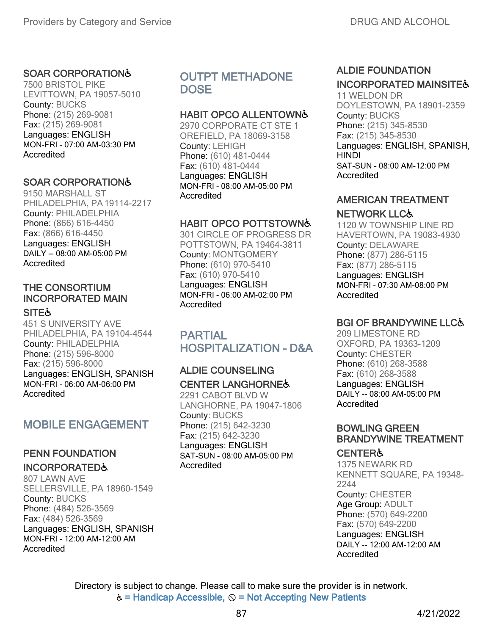#### SOAR CORPORATION♿

7500 BRISTOL PIKE LEVITTOWN, PA 19057-5010 County: BUCKS Phone: (215) 269-9081 Fax: (215) 269-9081 Languages: ENGLISH MON-FRI - 07:00 AM-03:30 PM Accredited

#### SOAR CORPORATION♿

9150 MARSHALL ST PHILADELPHIA, PA19114-2217 County: PHILADELPHIA Phone: (866) 616-4450 Fax: (866) 616-4450 Languages: ENGLISH DAILY -- 08:00 AM-05:00 PM **Accredited** 

# THE CONSORTIUM INCORPORATED MAIN

#### **SITE&**

451 S UNIVERSITY AVE PHILADELPHIA, PA 19104-4544 County: PHILADELPHIA Phone: (215) 596-8000 Fax: (215) 596-8000 Languages: ENGLISH, SPANISH MON-FRI - 06:00 AM-06:00 PM **Accredited** 

# MOBILE ENGAGEMENT

#### PENN FOUNDATION INCORPORATED♿

807 LAWN AVE SELLERSVILLE, PA 18960-1549 County: BUCKS Phone: (484) 526-3569 Fax: (484) 526-3569 Languages: ENGLISH, SPANISH MON-FRI - 12:00 AM-12:00 AM Accredited

# OUTPT METHADONE DOSE

#### HABIT OPCO ALLENTOWN♿

2970 CORPORATE CT STE 1 OREFIELD, PA 18069-3158 County: LEHIGH Phone: (610) 481-0444 Fax: (610) 481-0444 Languages: ENGLISH MON-FRI - 08:00 AM-05:00 PM **Accredited** 

#### HABIT OPCO POTTSTOWN♿

301 CIRCLE OF PROGRESS DR POTTSTOWN, PA 19464-3811 County: MONTGOMERY Phone: (610) 970-5410 Fax: (610) 970-5410 Languages: ENGLISH MON-FRI - 06:00 AM-02:00 PM **Accredited** 

# PARTIAL HOSPITALIZATION - D&A

#### ALDIE COUNSELING CENTER LANGHORNE♿

2291 CABOT BLVD W LANGHORNE, PA 19047-1806 County: BUCKS Phone: (215) 642-3230 Fax: (215) 642-3230 Languages: ENGLISH SAT-SUN - 08:00 AM-05:00 PM Accredited

#### ALDIE FOUNDATION INCORPORATED MAINSITE&

11 WELDON DR DOYLESTOWN, PA 18901-2359 County: BUCKS Phone: (215) 345-8530 Fax: (215) 345-8530 Languages: ENGLISH, SPANISH, **HINDI** SAT-SUN - 08:00 AM-12:00 PM Accredited

# AMERICAN TREATMENT

#### NETWORK LLC♿

1120 W TOWNSHIP LINE RD HAVERTOWN, PA 19083-4930 County: DELAWARE Phone: (877) 286-5115 Fax: (877) 286-5115 Languages: ENGLISH MON-FRI - 07:30 AM-08:00 PM **Accredited** 

### **BGI OF BRANDYWINE LLC&**

209 LIMESTONE RD OXFORD, PA 19363-1209 County: CHESTER Phone: (610) 268-3588 Fax: (610) 268-3588 Languages: ENGLISH DAILY -- 08:00 AM-05:00 PM Accredited

#### BOWLING GREEN BRANDYWINE TREATMENT

#### **CENTER&**

1375 NEWARK RD KENNETT SQUARE, PA 19348- 2244 County: CHESTER Age Group: ADULT Phone: (570) 649-2200 Fax: (570) 649-2200 Languages: ENGLISH DAILY -- 12:00 AM-12:00 AM Accredited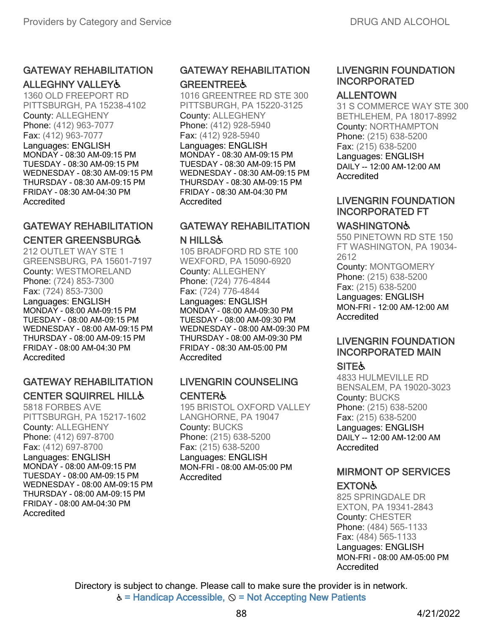# GATEWAY REHABILITATION

ALLEGHNY VALLEY♿ 1360 OLD FREEPORT RD PITTSBURGH, PA 15238-4102 County: ALLEGHENY Phone: (412) 963-7077 Fax: (412) 963-7077 Languages: ENGLISH MONDAY - 08:30 AM-09:15 PM TUESDAY - 08:30 AM-09:15 PM WEDNESDAY - 08:30 AM-09:15 PM

THURSDAY - 08:30 AM-09:15 PM FRIDAY - 08:30 AM-04:30 PM Accredited

# GATEWAY REHABILITATION CENTER GREENSBURG♿

212 OUTLET WAY STE 1 GREENSBURG, PA 15601-7197 County: WESTMORELAND Phone: (724) 853-7300 Fax: (724) 853-7300 Languages: ENGLISH MONDAY - 08:00 AM-09:15 PM TUESDAY - 08:00 AM-09:15 PM WEDNESDAY - 08:00 AM-09:15 PM THURSDAY - 08:00 AM-09:15 PM FRIDAY - 08:00 AM-04:30 PM **Accredited** 

# GATEWAY REHABILITATION CENTER SQUIRREL HILL♿

5818 FORBES AVE PITTSBURGH, PA 15217-1602 County: ALLEGHENY Phone: (412) 697-8700 Fax: (412) 697-8700 Languages: ENGLISH MONDAY - 08:00 AM-09:15 PM TUESDAY - 08:00 AM-09:15 PM WEDNESDAY - 08:00 AM-09:15 PM THURSDAY - 08:00 AM-09:15 PM FRIDAY - 08:00 AM-04:30 PM Accredited

# GATEWAY REHABILITATION **GREENTREE&**

1016 GREENTREE RD STE 300 PITTSBURGH, PA 15220-3125 County: ALLEGHENY Phone: (412) 928-5940 Fax: (412) 928-5940 Languages: ENGLISH MONDAY - 08:30 AM-09:15 PM TUESDAY - 08:30 AM-09:15 PM WEDNESDAY - 08:30 AM-09:15 PM THURSDAY - 08:30 AM-09:15 PM FRIDAY - 08:30 AM-04:30 PM Accredited

#### GATEWAY REHABILITATION N HILLS♿

105 BRADFORD RD STE 100 WEXFORD, PA 15090-6920 County: ALLEGHENY Phone: (724) 776-4844 Fax: (724) 776-4844 Languages: ENGLISH MONDAY - 08:00 AM-09:30 PM TUESDAY - 08:00 AM-09:30 PM WEDNESDAY - 08:00 AM-09:30 PM THURSDAY - 08:00 AM-09:30 PM FRIDAY - 08:30 AM-05:00 PM

### **Accredited**

# LIVENGRIN COUNSELING CENTER♿

195 BRISTOL OXFORD VALLEY LANGHORNE, PA 19047 County: BUCKS Phone: (215) 638-5200 Fax: (215) 638-5200 Languages: ENGLISH MON-FRI - 08:00 AM-05:00 PM **Accredited** 

# LIVENGRIN FOUNDATION INCORPORATED

## ALLENTOWN

31 S COMMERCE WAY STE 300 BETHLEHEM, PA 18017-8992 County: NORTHAMPTON Phone: (215) 638-5200 Fax: (215) 638-5200 Languages: ENGLISH DAILY -- 12:00 AM-12:00 AM Accredited

## LIVENGRIN FOUNDATION INCORPORATED FT

# **WASHINGTON&**

550 PINETOWN RD STE 150 FT WASHINGTON, PA 19034- 2612 County: MONTGOMERY Phone: (215) 638-5200 Fax: (215) 638-5200 Languages: ENGLISH MON-FRI - 12:00 AM-12:00 AM **Accredited** 

# LIVENGRIN FOUNDATION INCORPORATED MAIN

# **SITE &**

4833 HULMEVILLE RD BENSALEM, PA 19020-3023 County: BUCKS Phone: (215) 638-5200 Fax: (215) 638-5200 Languages: ENGLISH DAILY -- 12:00 AM-12:00 AM Accredited

## MIRMONT OP SERVICES **EXTON&**

825 SPRINGDALE DR EXTON, PA 19341-2843 County: CHESTER Phone: (484) 565-1133 Fax: (484) 565-1133 Languages: ENGLISH MON-FRI - 08:00 AM-05:00 PM Accredited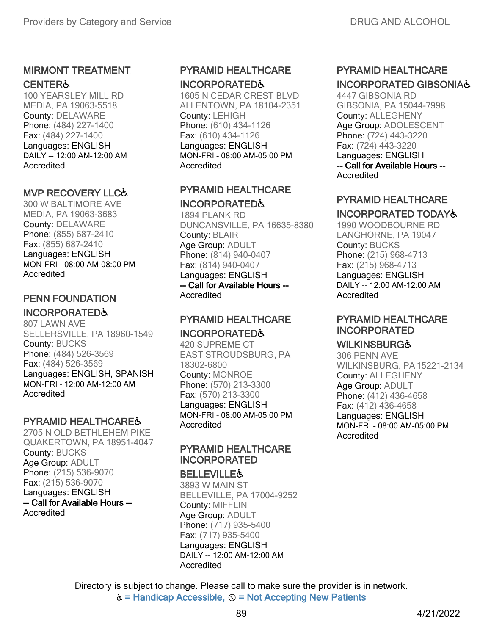## MIRMONT TREATMENT **CENTER&**

100 YEARSLEY MILL RD MEDIA, PA 19063-5518 County: DELAWARE Phone: (484) 227-1400 Fax: (484) 227-1400 Languages: ENGLISH DAILY -- 12:00 AM-12:00 AM Accredited

#### MVP RECOVERY LLC♿

300 W BALTIMORE AVE MEDIA, PA 19063-3683 County: DELAWARE Phone: (855) 687-2410 Fax: (855) 687-2410 Languages: ENGLISH MON-FRI - 08:00 AM-08:00 PM Accredited

### PENN FOUNDATION

#### INCORPORATED♿

807 LAWN AVE SELLERSVILLE, PA 18960-1549 County: BUCKS Phone: (484) 526-3569 Fax: (484) 526-3569 Languages: ENGLISH, SPANISH MON-FRI - 12:00 AM-12:00 AM **Accredited** 

### PYRAMID HEALTHCARE♿

2705 N OLD BETHLEHEM PIKE QUAKERTOWN, PA 18951-4047 County: BUCKS Age Group: ADULT Phone: (215) 536-9070 Fax: (215) 536-9070 Languages: ENGLISH -- Call for Available Hours -- **Accredited** 

# PYRAMID HEALTHCARE INCORPORATED♿

1605 N CEDAR CREST BLVD ALLENTOWN, PA 18104-2351 County: LEHIGH Phone: (610) 434-1126 Fax: (610) 434-1126 Languages: ENGLISH MON-FRI - 08:00 AM-05:00 PM Accredited

## PYRAMID HEALTHCARE INCORPORATED♿

1894 PLANK RD DUNCANSVILLE, PA 16635-8380 County: BLAIR Age Group: ADULT Phone: (814) 940-0407 Fax: (814) 940-0407 Languages: ENGLISH -- Call for Available Hours -- Accredited

#### PYRAMID HEALTHCARE INCORPORATED♿

420 SUPREME CT EAST STROUDSBURG, PA 18302-6800 County: MONROE Phone: (570) 213-3300 Fax: (570) 213-3300 Languages: ENGLISH MON-FRI - 08:00 AM-05:00 PM Accredited

## PYRAMID HEALTHCARE INCORPORATED

#### **BELLEVILLE&**

3893 W MAIN ST BELLEVILLE, PA 17004-9252 County: MIFFLIN Age Group: ADULT Phone: (717) 935-5400 Fax: (717) 935-5400 Languages: ENGLISH DAILY -- 12:00 AM-12:00 AM **Accredited** 

# PYRAMID HEALTHCARE INCORPORATED GIBSONIA♿

4447 GIBSONIA RD GIBSONIA, PA 15044-7998 County: ALLEGHENY Age Group: ADOLESCENT Phone: (724) 443-3220 Fax: (724) 443-3220 Languages: ENGLISH -- Call for Available Hours -- **Accredited** 

## PYRAMID HEALTHCARE

### INCORPORATED TODAY♿

1990 WOODBOURNE RD LANGHORNE, PA 19047 County: BUCKS Phone: (215) 968-4713 Fax: (215) 968-4713 Languages: ENGLISH DAILY -- 12:00 AM-12:00 AM Accredited

# PYRAMID HEALTHCARE INCORPORATED

### **WILKINSBURG&**

306 PENN AVE WILKINSBURG, PA15221-2134 County: ALLEGHENY Age Group: ADULT Phone: (412) 436-4658 Fax: (412) 436-4658 Languages: ENGLISH MON-FRI - 08:00 AM-05:00 PM Accredited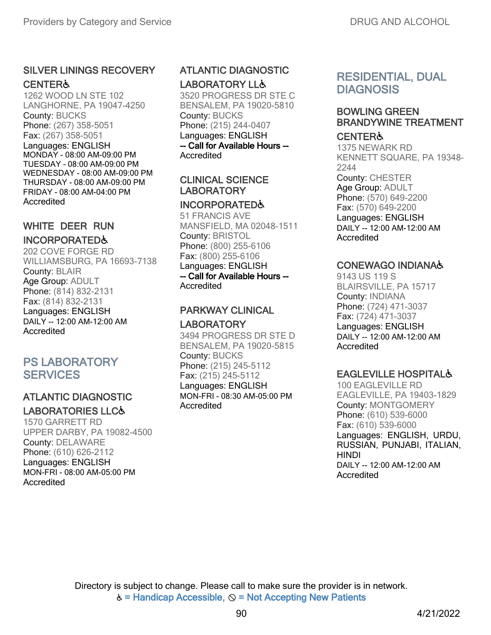# SILVER LININGS RECOVERY

#### **CENTER&**

1262 WOOD LN STE 102 LANGHORNE, PA 19047-4250 County: BUCKS Phone: (267) 358-5051 Fax: (267) 358-5051 Languages: ENGLISH MONDAY - 08:00 AM-09:00 PM TUESDAY - 08:00 AM-09:00 PM WEDNESDAY - 08:00 AM-09:00 PM THURSDAY - 08:00 AM-09:00 PM FRIDAY - 08:00 AM-04:00 PM Accredited

## WHITE DEER RUN INCORPORATED♿

202 COVE FORGE RD WILLIAMSBURG, PA 16693-7138 County: BLAIR Age Group: ADULT Phone: (814) 832-2131 Fax: (814) 832-2131 Languages: ENGLISH DAILY -- 12:00 AM-12:00 AM Accredited

# PS LABORATORY **SERVICES**

# ATLANTIC DIAGNOSTIC LABORATORIES LLC♿

1570 GARRETT RD UPPER DARBY, PA 19082-4500 County: DELAWARE Phone: (610) 626-2112 Languages: ENGLISH MON-FRI - 08:00 AM-05:00 PM Accredited

# ATLANTIC DIAGNOSTIC LABORATORY LL&

3520 PROGRESS DR STE C BENSALEM, PA 19020-5810 County: BUCKS Phone: (215) 244-0407 Languages: ENGLISH -- Call for Available Hours -- Accredited

#### CLINICAL SCIENCE LABORATORY

#### INCORPORATED♿

51 FRANCIS AVE MANSFIELD, MA 02048-1511 County: BRISTOL Phone: (800) 255-6106 Fax: (800) 255-6106 Languages: ENGLISH -- Call for Available Hours -- Accredited

# PARKWAY CLINICAL

#### LABORATORY

3494 PROGRESS DR STE D BENSALEM, PA 19020-5815 County: BUCKS Phone: (215) 245-5112 Fax: (215) 245-5112 Languages: ENGLISH MON-FRI - 08:30 AM-05:00 PM Accredited

# RESIDENTIAL, DUAL **DIAGNOSIS**

### BOWLING GREEN BRANDYWINE TREATMENT

#### **CENTER&**

1375 NEWARK RD KENNETT SQUARE, PA 19348- 2244 County: CHESTER Age Group: ADULT Phone: (570) 649-2200 Fax: (570) 649-2200 Languages: ENGLISH DAILY -- 12:00 AM-12:00 AM Accredited

### CONEWAGO INDIANA♿

9143 US 119 S BLAIRSVILLE, PA 15717 County: INDIANA Phone: (724) 471-3037 Fax: (724) 471-3037 Languages: ENGLISH DAILY -- 12:00 AM-12:00 AM Accredited

# EAGLEVILLE HOSPITAL♿

100 EAGLEVILLE RD EAGLEVILLE, PA 19403-1829 County: MONTGOMERY Phone: (610) 539-6000 Fax: (610) 539-6000 Languages: ENGLISH, URDU, RUSSIAN, PUNJABI, ITALIAN, HINDI DAILY -- 12:00 AM-12:00 AM **Accredited**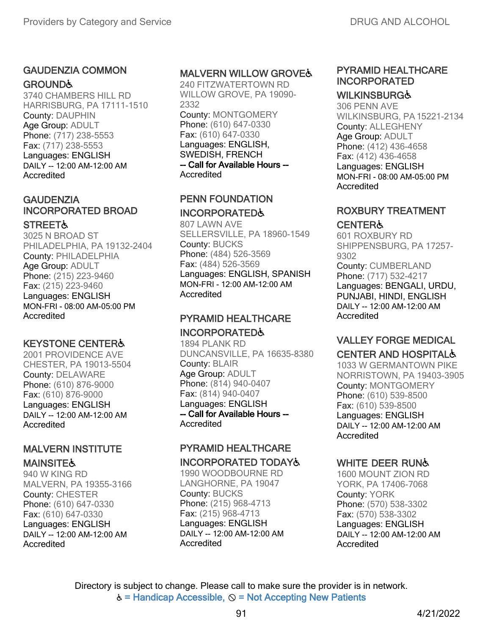## GAUDENZIA COMMON

#### **GROUND&**

3740 CHAMBERS HILL RD HARRISBURG, PA 17111-1510 County: DAUPHIN Age Group: ADULT Phone: (717) 238-5553 Fax: (717) 238-5553 Languages: ENGLISH DAILY -- 12:00 AM-12:00 AM Accredited

## **GAUDENZIA** INCORPORATED BROAD

#### **STREET&**

3025 N BROAD ST PHILADELPHIA, PA 19132-2404 County: PHILADELPHIA Age Group: ADULT Phone: (215) 223-9460 Fax: (215) 223-9460 Languages: ENGLISH MON-FRI - 08:00 AM-05:00 PM **Accredited** 

#### KEYSTONE CENTER♿

2001 PROVIDENCE AVE CHESTER, PA 19013-5504 County: DELAWARE Phone: (610) 876-9000 Fax: (610) 876-9000 Languages: ENGLISH DAILY -- 12:00 AM-12:00 AM **Accredited** 

### MALVERN INSTITUTE **MAINSITE&**

940 W KING RD MALVERN, PA 19355-3166 County: CHESTER Phone: (610) 647-0330 Fax: (610) 647-0330 Languages: ENGLISH DAILY -- 12:00 AM-12:00 AM Accredited

#### MALVERN WILLOW GROVE♿

240 FITZWATERTOWN RD WILLOW GROVE, PA 19090- 2332 County: MONTGOMERY Phone: (610) 647-0330 Fax: (610) 647-0330 Languages: ENGLISH, SWEDISH, FRENCH -- Call for Available Hours --

Accredited

#### PENN FOUNDATION INCORPORATED♿

807 LAWN AVE SELLERSVILLE, PA 18960-1549 County: BUCKS Phone: (484) 526-3569 Fax: (484) 526-3569 Languages: ENGLISH, SPANISH MON-FRI - 12:00 AM-12:00 AM Accredited

# PYRAMID HEALTHCARE

### INCORPORATED♿

1894 PLANK RD DUNCANSVILLE, PA 16635-8380 County: BLAIR Age Group: ADULT Phone: (814) 940-0407 Fax: (814) 940-0407 Languages: ENGLISH -- Call for Available Hours -- Accredited

# PYRAMID HEALTHCARE

#### INCORPORATED TODAY♿

1990 WOODBOURNE RD LANGHORNE, PA 19047 County: BUCKS Phone: (215) 968-4713 Fax: (215) 968-4713 Languages: ENGLISH DAILY -- 12:00 AM-12:00 AM Accredited

# PYRAMID HEALTHCARE INCORPORATED

# **WILKINSBURGĠ**

306 PENN AVE WILKINSBURG, PA15221-2134 County: ALLEGHENY Age Group: ADULT Phone: (412) 436-4658 Fax: (412) 436-4658 Languages: ENGLISH MON-FRI - 08:00 AM-05:00 PM Accredited

# ROXBURY TREATMENT

#### **CENTER&**

601 ROXBURY RD SHIPPENSBURG, PA 17257- 9302 County: CUMBERLAND Phone: (717) 532-4217 Languages: BENGALI, URDU, PUNJABI, HINDI, ENGLISH DAILY -- 12:00 AM-12:00 AM Accredited

# VALLEY FORGE MEDICAL

# CENTER AND HOSPITAL♿

1033 W GERMANTOWN PIKE NORRISTOWN, PA 19403-3905 County: MONTGOMERY Phone: (610) 539-8500 Fax: (610) 539-8500 Languages: ENGLISH DAILY -- 12:00 AM-12:00 AM Accredited

#### WHITE DEER RUN&

1600 MOUNT ZION RD YORK, PA 17406-7068 County: YORK Phone: (570) 538-3302 Fax: (570) 538-3302 Languages: ENGLISH DAILY -- 12:00 AM-12:00 AM Accredited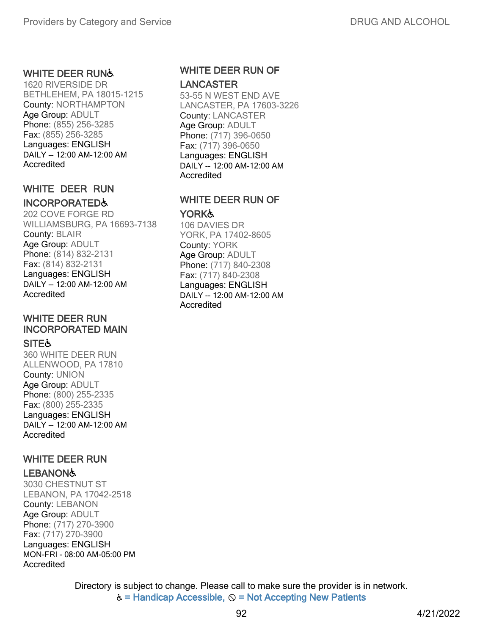#### WHITE DEER RUN♿

1620 RIVERSIDE DR BETHLEHEM, PA 18015-1215 County: NORTHAMPTON Age Group: ADULT Phone: (855) 256-3285 Fax: (855) 256-3285 Languages: ENGLISH DAILY -- 12:00 AM-12:00 AM Accredited

## WHITE DEER RUN

#### INCORPORATED♿

202 COVE FORGE RD WILLIAMSBURG, PA 16693-7138 County: BLAIR Age Group: ADULT Phone: (814) 832-2131 Fax: (814) 832-2131 Languages: ENGLISH DAILY -- 12:00 AM-12:00 AM Accredited

# WHITE DEER RUN INCORPORATED MAIN

**SITE** 360 WHITE DEER RUN ALLENWOOD, PA 17810 County: UNION Age Group: ADULT Phone: (800) 255-2335 Fax: (800) 255-2335 Languages: ENGLISH DAILY -- 12:00 AM-12:00 AM

Accredited

#### WHITE DEER RUN

#### **LEBANON&**

3030 CHESTNUT ST LEBANON, PA 17042-2518 County: LEBANON Age Group: ADULT Phone: (717) 270-3900 Fax: (717) 270-3900 Languages: ENGLISH MON-FRI - 08:00 AM-05:00 PM Accredited

#### WHITE DEER RUN OF LANCASTER

53-55 N WEST END AVE LANCASTER, PA 17603-3226 County: LANCASTER Age Group: ADULT Phone: (717) 396-0650 Fax: (717) 396-0650 Languages: ENGLISH DAILY -- 12:00 AM-12:00 AM **Accredited** 

#### WHITE DEER RUN OF YORK**Ġ**

106 DAVIES DR YORK, PA 17402-8605 County: YORK Age Group: ADULT Phone: (717) 840-2308 Fax: (717) 840-2308 Languages: ENGLISH DAILY -- 12:00 AM-12:00 AM Accredited